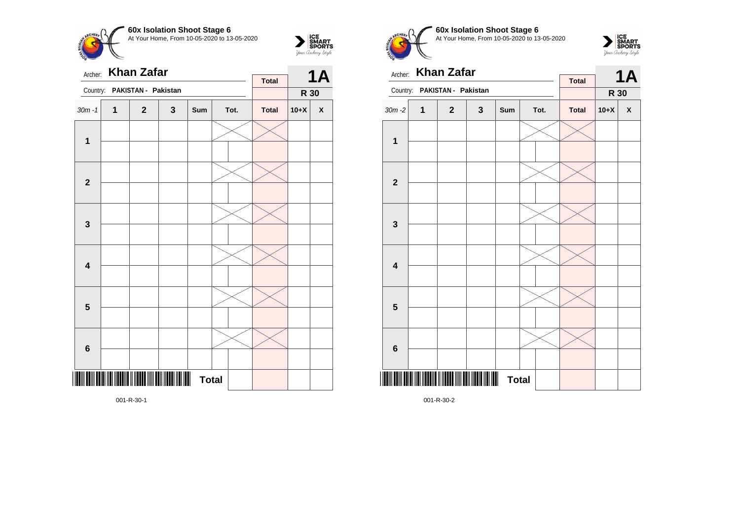



| Archer:                 |   |                                                               |              | <b>Total</b>                   |  | <b>1A</b> |              |        |                    |
|-------------------------|---|---------------------------------------------------------------|--------------|--------------------------------|--|-----------|--------------|--------|--------------------|
| Country:                |   | PAKISTAN - Pakistan                                           |              |                                |  |           |              | R 30   |                    |
| $30m - 1$               | 1 | $\mathbf{2}$                                                  | $\mathbf{3}$ | Sum                            |  | Tot.      | <b>Total</b> | $10+X$ | $\pmb{\mathsf{X}}$ |
| $\mathbf 1$             |   |                                                               |              |                                |  |           |              |        |                    |
| $\mathbf 2$             |   |                                                               |              |                                |  |           |              |        |                    |
|                         |   |                                                               |              |                                |  |           |              |        |                    |
| $\mathbf{3}$            |   |                                                               |              |                                |  |           |              |        |                    |
| $\overline{\mathbf{4}}$ |   |                                                               |              |                                |  |           |              |        |                    |
| $\overline{\mathbf{5}}$ |   |                                                               |              |                                |  |           |              |        |                    |
| $\bf 6$                 |   |                                                               |              |                                |  |           |              |        |                    |
|                         |   | <mark>inin ili ili dali ili ili del ili dell</mark> 'ili dell |              | $\blacksquare$<br><b>Total</b> |  |           |              |        |                    |

**60x Isolation Shoot Stage 6** At Your Home, From 10-05-2020 to 13-05-2020



|                         |   | Archer: Khan Zafar  |   |              |  | 1A   |              |        |                    |
|-------------------------|---|---------------------|---|--------------|--|------|--------------|--------|--------------------|
| Country:                |   | PAKISTAN - Pakistan |   |              |  |      | <b>Total</b> | R 30   |                    |
| $30m - 2$               | 1 | $\mathbf{2}$        | 3 | Sum          |  | Tot. | <b>Total</b> | $10+X$ | $\pmb{\mathsf{X}}$ |
|                         |   |                     |   |              |  |      |              |        |                    |
| 1                       |   |                     |   |              |  |      |              |        |                    |
| $\overline{\mathbf{2}}$ |   |                     |   |              |  |      |              |        |                    |
|                         |   |                     |   |              |  |      |              |        |                    |
| $\mathbf{3}$            |   |                     |   |              |  |      |              |        |                    |
|                         |   |                     |   |              |  |      |              |        |                    |
| $\overline{\mathbf{4}}$ |   |                     |   |              |  |      |              |        |                    |
|                         |   |                     |   |              |  |      |              |        |                    |
| 5                       |   |                     |   |              |  |      |              |        |                    |
|                         |   |                     |   |              |  |      |              |        |                    |
| $\bf 6$                 |   |                     |   |              |  |      |              |        |                    |
|                         |   |                     |   |              |  |      |              |        |                    |
|                         |   |                     |   | <b>Total</b> |  |      |              |        |                    |

001-R-30-2

001-R-30-1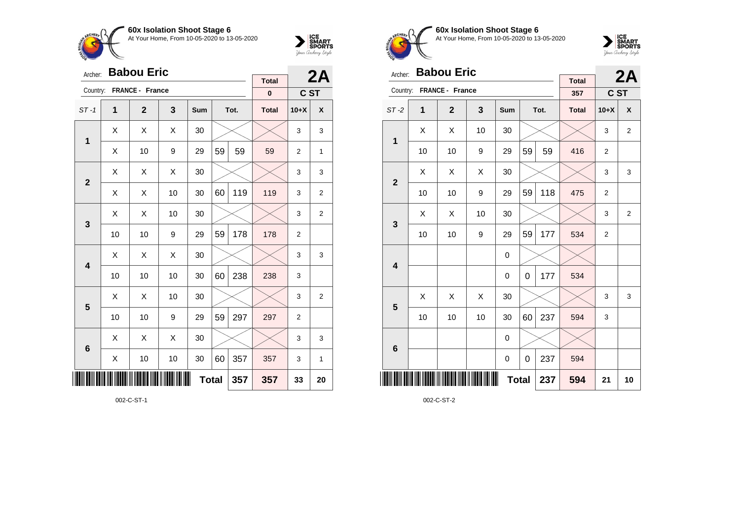





| Archer:         |    | <b>Babou Eric</b> |     | <b>Total</b> |    | 2A   |              |                |                |
|-----------------|----|-------------------|-----|--------------|----|------|--------------|----------------|----------------|
| Country:        |    | FRANCE - France   |     |              |    |      | $\pmb{0}$    | C ST           |                |
| $ST-1$          | 1  | $\mathbf{2}$      | 3   | Sum          |    | Tot. | <b>Total</b> | $10+X$         | X              |
| 1               | Χ  | Χ                 | X   | 30           |    |      |              | 3              | 3              |
|                 | X  | 10                | 9   | 29           | 59 | 59   | 59           | $\overline{2}$ | 1              |
| $\overline{2}$  | Χ  | Χ                 |     |              | 3  | 3    |              |                |                |
|                 | X  | Χ                 | 10  | 30           | 60 | 119  | 119          | 3              | $\overline{2}$ |
| 3               | X  | Χ                 | 10  | 30           |    |      |              | 3              | 2              |
|                 | 10 | 10                | 9   | 29           | 59 | 178  | 178          | $\overline{2}$ |                |
| 4               | Х  | Χ                 | Χ   | 30           |    |      |              | 3              | 3              |
|                 | 10 | 10                | 10  | 30           | 60 | 238  | 238          | 3              |                |
| 5               | X  | X                 | 10  | 30           |    |      |              | 3              | $\overline{2}$ |
|                 | 10 | 10                | 9   | 29           | 59 | 297  | 297          | $\overline{2}$ |                |
| $6\phantom{1}6$ | X  | Χ                 | Χ   | 30           |    |      |              | 3              | 3              |
|                 | Χ  | 10                | 357 | 357          | 3  | 1    |              |                |                |
|                 |    |                   | 357 | 33           | 20 |      |              |                |                |

002-C-ST-1



**60x Isolation Shoot Stage 6** At Your Home, From 10-05-2020 to 13-05-2020



| Archer:                 | <b>Babou Eric</b> |                 |    | 2A           |    |      |                     |                |                |
|-------------------------|-------------------|-----------------|----|--------------|----|------|---------------------|----------------|----------------|
| Country:                |                   | FRANCE - France |    |              |    |      | <b>Total</b><br>357 | C ST           |                |
| $ST-2$                  | $\mathbf 1$       | $\overline{2}$  | 3  | Sum          |    | Tot. | <b>Total</b>        | $10+X$         | X              |
| 1                       | X                 | X               | 10 | 30           |    |      |                     | 3              | $\overline{2}$ |
|                         | 10                | 10              | 9  | 29           | 59 | 59   | 416                 | $\overline{2}$ |                |
| $\mathbf{2}$            | X                 | X               | X  | 30           |    |      |                     | 3              | 3              |
|                         | 10                | 10              | 9  | 29           | 59 | 118  | 475                 | $\overline{2}$ |                |
| 3                       | Х                 | Χ               | 10 | 30           |    |      |                     | 3              | $\overline{2}$ |
|                         | 10                | 10              | 9  | 29           | 59 | 177  | 534                 | $\overline{2}$ |                |
| $\overline{\mathbf{4}}$ |                   |                 |    | 0            |    |      |                     |                |                |
|                         |                   |                 |    | 0            | 0  | 177  | 534                 |                |                |
| 5                       | X                 | X               | X  | 30           |    |      |                     | 3              | 3              |
|                         | 10                | 10              | 10 | 30           | 60 | 237  | 594                 | 3              |                |
| $6\phantom{1}6$         |                   |                 |    | 0            |    |      |                     |                |                |
|                         |                   |                 |    | 0            | 0  | 237  | 594                 |                |                |
| ║║║                     |                   |                 |    | <b>Total</b> |    | 237  | 594                 | 21             | 10             |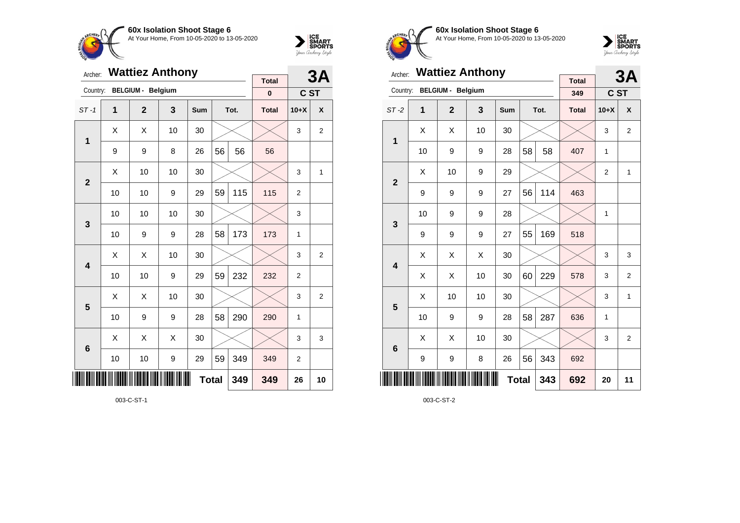



| Archer:                 |    | <b>Wattiez Anthony</b>   |    |              |    | 3A   |                          |                |                |
|-------------------------|----|--------------------------|----|--------------|----|------|--------------------------|----------------|----------------|
| Country:                |    | <b>BELGIUM - Belgium</b> |    |              |    |      | <b>Total</b><br>$\bf{0}$ | C ST           |                |
| $ST-1$                  | 1  | $\overline{2}$           | 3  | <b>Sum</b>   |    | Tot. | <b>Total</b>             | $10+X$         | X              |
| 1                       | X  | X                        | 10 | 30           |    |      |                          | 3              | 2              |
|                         | 9  | 9                        | 8  | 26           | 56 | 56   | 56                       |                |                |
| $\overline{2}$          | X  | 10                       | 10 | 30           |    |      |                          | 3              | 1              |
|                         | 10 | 10                       | 9  | 29           | 59 | 115  | 115                      | $\overline{2}$ |                |
| 3                       | 10 | 10                       | 10 | 30           |    |      |                          | 3              |                |
|                         | 10 | 9                        | 9  | 28           | 58 | 173  | 173                      | 1              |                |
| $\overline{\mathbf{A}}$ | X  | X                        | 10 | 30           |    |      |                          | 3              | $\overline{2}$ |
|                         | 10 | 10                       | 9  | 29           | 59 | 232  | 232                      | $\overline{2}$ |                |
| 5                       | X  | X                        | 10 | 30           |    |      |                          | 3              | $\overline{2}$ |
|                         | 10 | 9                        | 9  | 28           | 58 | 290  | 290                      | 1              |                |
| $6\phantom{1}6$         | X  | X                        | X  | 30           |    |      |                          | 3              | 3              |
|                         | 10 | 10                       | 9  | 29           | 59 | 349  | 349                      | $\overline{2}$ |                |
| ║║                      |    |                          |    | <b>Total</b> |    | 349  | 349                      | 26             | 10             |

003-C-ST-1



**60x Isolation Shoot Stage 6** At Your Home, From 10-05-2020 to 13-05-2020



| Archer:        |    | <b>Wattiez Anthony</b>   |                         |              |    | 3A   |                     |                |                  |
|----------------|----|--------------------------|-------------------------|--------------|----|------|---------------------|----------------|------------------|
| Country:       |    | <b>BELGIUM - Belgium</b> |                         |              |    |      | <b>Total</b><br>349 | C ST           |                  |
| $ST-2$         | 1  | $\overline{2}$           | $\overline{\mathbf{3}}$ | <b>Sum</b>   |    | Tot. | <b>Total</b>        | $10+X$         | $\boldsymbol{x}$ |
|                | X  | X                        | 10                      | 30           |    |      |                     | 3              | $\overline{2}$   |
| 1              | 10 | 9                        | 9                       | 28           | 58 | 58   | 407                 | 1              |                  |
| $\overline{2}$ | X  | 10                       | 9                       | 29           |    |      |                     | $\overline{2}$ | $\mathbf{1}$     |
|                | 9  | 9                        | 9                       | 27           | 56 | 114  | 463                 |                |                  |
| 3              | 10 | 9                        | 9                       | 28           |    |      |                     | 1              |                  |
|                | 9  | 9                        | 9                       | 27           | 55 | 169  | 518                 |                |                  |
| 4              | Χ  | Χ                        | X                       | 30           |    |      |                     | 3              | 3                |
|                | X  | X                        | 10                      | 30           | 60 | 229  | 578                 | 3              | $\overline{2}$   |
| 5              | X  | 10                       | 10                      | 30           |    |      |                     | 3              | 1                |
|                | 10 | 9                        | 9                       | 28           | 58 | 287  | 636                 | 1              |                  |
| 6              | X  | X                        | 10                      | 30           |    |      |                     | 3              | $\overline{2}$   |
|                | 9  | 9                        | 8                       | 26           | 56 | 343  | 692                 |                |                  |
| ║║║            |    |                          |                         | <b>Total</b> |    | 343  | 692                 | 20             | 11               |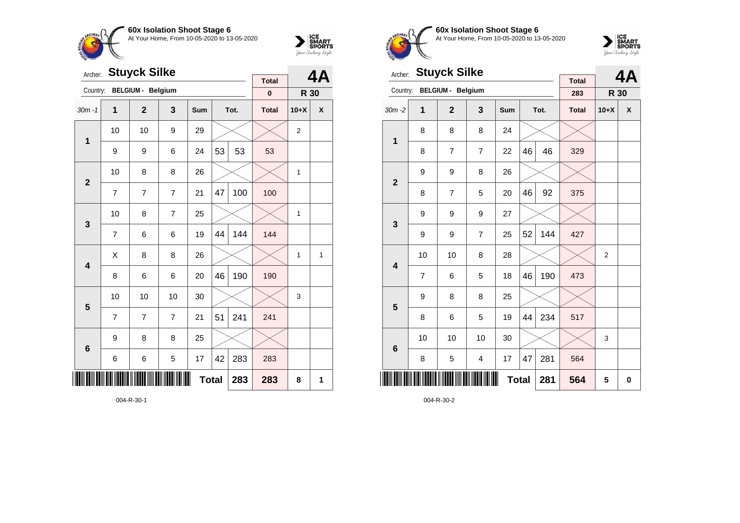



| Archer:                 |                | <b>Stuyck Silke</b>      |                | <b>Total</b> |    | <b>4A</b> |              |                |   |
|-------------------------|----------------|--------------------------|----------------|--------------|----|-----------|--------------|----------------|---|
| Country:                |                | <b>BELGIUM - Belgium</b> |                |              |    |           | $\pmb{0}$    | R 30           |   |
| $30m - 1$               | 1              | $\overline{2}$           | $\mathbf{3}$   | Sum          |    | Tot.      | <b>Total</b> | $10+X$         | X |
| $\mathbf{1}$            | 10             | 10                       | 9              | 29           |    |           |              | $\overline{2}$ |   |
|                         | 9              | 9                        | 6              | 24           | 53 | 53        | 53           |                |   |
| $\overline{2}$          | 10             | 8                        | 8              | 26           |    |           |              | $\mathbf{1}$   |   |
|                         | $\overline{7}$ | 7                        | 7              | 21           | 47 | 100       | 100          |                |   |
| 3                       | 10             | 8                        | $\overline{7}$ | 25           |    |           |              | 1              |   |
|                         | $\overline{7}$ | 6                        | 6              | 19           | 44 | 144       | 144          |                |   |
| $\overline{\mathbf{4}}$ | Χ              | 8                        | 8              | 26           |    |           |              | 1              | 1 |
|                         | 8              | 6                        | 6              | 20           | 46 | 190       | 190          |                |   |
| 5                       | 10             | 10                       | 10             | 30           |    |           |              | 3              |   |
|                         | $\overline{7}$ | $\overline{7}$           | $\overline{7}$ | 21           | 51 | 241       | 241          |                |   |
| $6\phantom{1}6$         | 9              | 8                        | 8              | 25           |    |           |              |                |   |
|                         | 6              | 6                        | 5              | 17           | 42 | 283       | 283          |                |   |
|                         |                |                          |                | <b>Total</b> |    | 283       | 283          | 8              | 1 |

004-R-30-1



**60x Isolation Shoot Stage 6** At Your Home, From 10-05-2020 to 13-05-2020



| Archer:         |                | <b>Stuyck Silke</b>      |                         |              |     | 4A   |                     |                |   |
|-----------------|----------------|--------------------------|-------------------------|--------------|-----|------|---------------------|----------------|---|
| Country:        |                | <b>BELGIUM - Belgium</b> |                         |              |     |      | <b>Total</b><br>283 | R 30           |   |
| $30m - 2$       | 1              | $\mathbf{2}$             | 3                       | <b>Sum</b>   |     | Tot. | <b>Total</b>        | $10+X$         | X |
| $\mathbf{1}$    | 8              | 8                        | 8                       | 24           |     |      |                     |                |   |
|                 | 8              | 7                        | 7                       | 22           | 46  | 46   | 329                 |                |   |
| $\overline{2}$  | 9              | 9                        | 8                       | 26           |     |      |                     |                |   |
|                 | 8              | $\overline{7}$           | 5                       | 20           | 46  | 92   | 375                 |                |   |
| 3               | 9              | 9                        | 9                       | 27           |     |      |                     |                |   |
|                 | 9              | 9                        | $\overline{7}$          | 25           | 52  | 144  | 427                 |                |   |
| 4               | 10             | 10                       | 8                       | 28           |     |      |                     | $\overline{2}$ |   |
|                 | $\overline{7}$ | 6                        | 5                       | 18           | 46  | 190  | 473                 |                |   |
| 5               | 9              | 8                        | 8                       | 25           |     |      |                     |                |   |
|                 | 8              | 6                        | 5                       | 19           | 44  | 234  | 517                 |                |   |
| $6\phantom{1}6$ | 10             | 10                       | 10                      | 30           |     |      |                     | 3              |   |
|                 | 8              | 5                        | $\overline{\mathbf{4}}$ | 17           | 47  | 281  | 564                 |                |   |
| ║║║             |                |                          |                         | <b>Total</b> | 281 | 564  | 5                   | $\mathbf 0$    |   |

004-R-30-2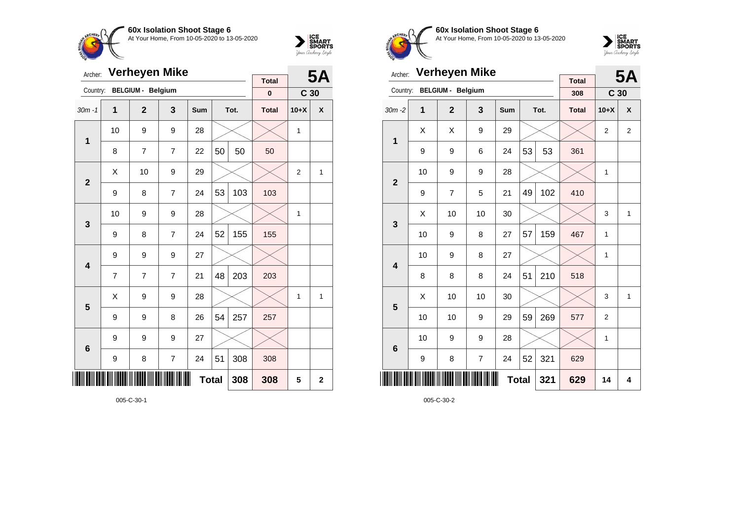



| Archer:         |                | <b>Verheyen Mike</b>     |                |     |              | <b>5A</b> |                   |                  |                    |
|-----------------|----------------|--------------------------|----------------|-----|--------------|-----------|-------------------|------------------|--------------------|
| Country:        |                | <b>BELGIUM - Belgium</b> |                |     |              |           | <b>Total</b><br>0 | C <sub>30</sub>  |                    |
| $30m - 1$       | $\mathbf{1}$   | $\overline{2}$           | 3              | Sum |              | Tot.      | <b>Total</b>      | $10+X$           | $\pmb{\mathsf{X}}$ |
| $\mathbf{1}$    | 10             | 9                        | 9              | 28  |              |           |                   | $\mathbf{1}$     |                    |
|                 | 8              | $\overline{7}$           | $\overline{7}$ | 22  | 50           | 50        | 50                |                  |                    |
| $\overline{2}$  | Χ              | 10                       | 9              | 29  |              |           |                   | $\boldsymbol{2}$ | 1                  |
|                 | 9              | 8                        | $\overline{7}$ | 24  | 53           | 103       | 103               |                  |                    |
| $\mathbf{3}$    | 10             | 9                        | 9              | 28  |              |           |                   | 1                |                    |
|                 | 9              | 8                        | $\overline{7}$ | 24  | 52           | 155       | 155               |                  |                    |
| 4               | 9              | 9                        | 9              | 27  |              |           |                   |                  |                    |
|                 | $\overline{7}$ | $\overline{7}$           | $\overline{7}$ | 21  | 48           | 203       | 203               |                  |                    |
| 5               | X              | 9                        | 9              | 28  |              |           |                   | 1                | 1                  |
|                 | 9              | 9                        | 8              | 26  | 54           | 257       | 257               |                  |                    |
| $6\phantom{1}6$ | 9              | 9                        | 9              | 27  |              |           |                   |                  |                    |
|                 | 9              | 8                        | $\overline{7}$ | 24  | 51           | 308       | 308               |                  |                    |
|                 |                |                          |                |     | <b>Total</b> | 308       | 308               | 5                | $\mathbf 2$        |

005-C-30-1



**60x Isolation Shoot Stage 6** At Your Home, From 10-05-2020 to 13-05-2020



| Archer:         |    | <b>Verheyen Mike</b>     |                |     |              | <b>5A</b> |                     |                 |                |
|-----------------|----|--------------------------|----------------|-----|--------------|-----------|---------------------|-----------------|----------------|
| Country:        |    | <b>BELGIUM - Belgium</b> |                |     |              |           | <b>Total</b><br>308 | C <sub>30</sub> |                |
| $30m - 2$       | 1  | $\overline{2}$           | 3              | Sum |              | Tot.      | <b>Total</b>        | $10+X$          | X              |
| 1               | X  | Χ                        | 9              | 29  |              |           |                     | $\overline{2}$  | $\overline{2}$ |
|                 | 9  | 9                        | 6              | 24  | 53           | 53        | 361                 |                 |                |
| $\overline{2}$  | 10 | 9                        | 9              | 28  |              |           |                     | 1               |                |
|                 | 9  | 7                        | 5              | 21  | 49           | 102       | 410                 |                 |                |
| 3               | X  | 10                       | 10             | 30  |              |           |                     | 3               | $\mathbf{1}$   |
|                 | 10 | 9                        | 8              | 27  | 57           | 159       | 467                 | 1               |                |
| 4               | 10 | 9                        | 8              | 27  |              |           |                     | 1               |                |
|                 | 8  | 8                        | 8              | 24  | 51           | 210       | 518                 |                 |                |
| 5               | X  | 10                       | 10             | 30  |              |           |                     | 3               | 1              |
|                 | 10 | 10                       | 9              | 29  | 59           | 269       | 577                 | $\overline{2}$  |                |
| $6\phantom{1}6$ | 10 | 9                        | 9              | 28  |              |           |                     | 1               |                |
|                 | 9  | 8                        | $\overline{7}$ | 24  | 52           | 321       | 629                 |                 |                |
|                 |    |                          |                |     | <b>Total</b> | 321       | 629                 | 14              | 4              |

005-C-30-2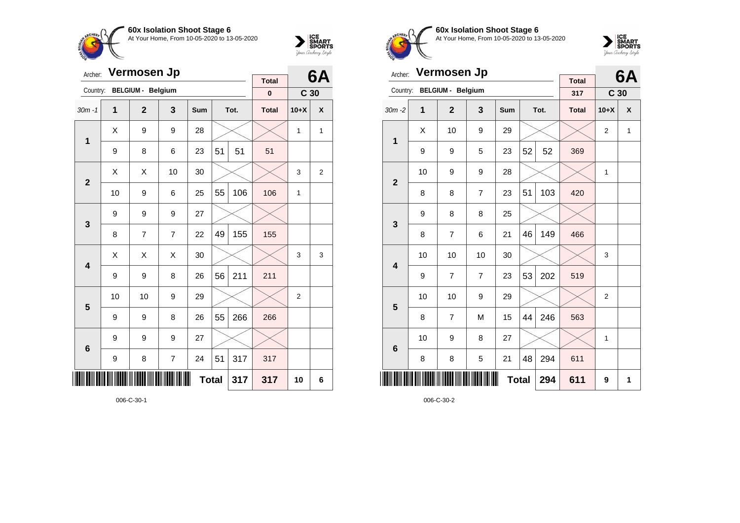



| Archer:        |    | Vermosen Jp              |                | <b>Total</b> |    | 6A   |              |                 |   |
|----------------|----|--------------------------|----------------|--------------|----|------|--------------|-----------------|---|
| Country:       |    | <b>BELGIUM - Belgium</b> |                |              |    |      | $\pmb{0}$    | C <sub>30</sub> |   |
| $30m - 1$      | 1  | $\overline{2}$           | 3              | Sum          |    | Tot. | <b>Total</b> | $10+X$          | X |
| $\mathbf{1}$   | Χ  | 9                        | 9              | 28           |    |      |              | 1               | 1 |
|                | 9  | 8                        | 6              | 23           | 51 | 51   | 51           |                 |   |
| $\overline{2}$ | Χ  | Χ                        | 10             | 30           |    |      |              | 3               | 2 |
|                | 10 | 9                        | 6              | 25           | 55 | 106  | 106          | 1               |   |
| 3              | 9  | 9                        | 9              | 27           |    |      |              |                 |   |
|                | 8  | $\overline{7}$           | $\overline{7}$ | 22           | 49 | 155  | 155          |                 |   |
| 4              | Χ  | X                        | X              | 30           |    |      |              | 3               | 3 |
|                | 9  | 9                        | 8              | 26           | 56 | 211  | 211          |                 |   |
| 5              | 10 | 10                       | 9              | 29           |    |      |              | $\overline{2}$  |   |
|                | 9  | 9                        | 8              | 26           | 55 | 266  | 266          |                 |   |
| 6              | 9  | 9                        | 9              | 27           |    |      |              |                 |   |
|                | 9  | 8                        | $\overline{7}$ | 24           | 51 | 317  | 317          |                 |   |
|                |    |                          |                | <b>Total</b> |    | 317  | 317          | 10              | 6 |

006-C-30-1



**60x Isolation Shoot Stage 6** At Your Home, From 10-05-2020 to 13-05-2020



| Archer:                 |    | Vermosen Jp              |                |              |    | 6A   |                     |                 |              |
|-------------------------|----|--------------------------|----------------|--------------|----|------|---------------------|-----------------|--------------|
| Country:                |    | <b>BELGIUM - Belgium</b> |                |              |    |      | <b>Total</b><br>317 | C <sub>30</sub> |              |
| $30m - 2$               | 1  | $\mathbf{2}$             | 3              | Sum          |    | Tot. | <b>Total</b>        | $10+X$          | X            |
|                         | X  | 10                       | 9              | 29           |    |      |                     | $\overline{2}$  | $\mathbf{1}$ |
| 1                       | 9  | 9                        | 5              | 23           | 52 | 52   | 369                 |                 |              |
| $\overline{2}$          | 10 | 9                        | 9              | 28           |    |      |                     | $\mathbf{1}$    |              |
|                         | 8  | 8                        | 7              | 23           | 51 | 103  | 420                 |                 |              |
| 3                       | 9  | 8                        | 8              | 25           |    |      |                     |                 |              |
|                         | 8  | $\overline{7}$           | 6              | 21           | 46 | 149  | 466                 |                 |              |
| $\overline{\mathbf{4}}$ | 10 | 10                       | 10             | 30           |    |      |                     | 3               |              |
|                         | 9  | 7                        | $\overline{7}$ | 23           | 53 | 202  | 519                 |                 |              |
| 5                       | 10 | 10                       | 9              | 29           |    |      |                     | $\overline{2}$  |              |
|                         | 8  | $\overline{7}$           | M              | 15           | 44 | 246  | 563                 |                 |              |
| $6\phantom{1}6$         | 10 | 9                        | 8              | 27           |    |      |                     | 1               |              |
|                         | 8  | 8                        | 5              | 21           | 48 | 294  | 611                 |                 |              |
| ║║║                     |    |                          |                | <b>Total</b> |    | 294  | 611                 | 9               | 1            |

006-C-30-2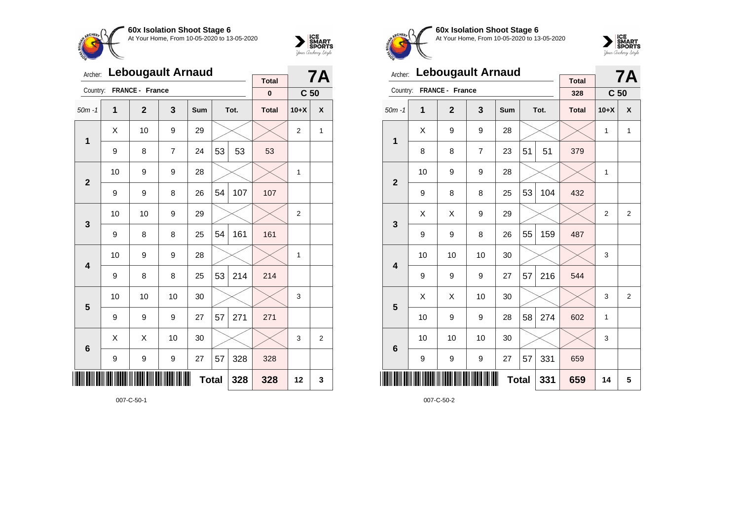



| Archer:                 |    | <b>Lebougault Arnaud</b> |    | <b>Total</b> |              | <b>7A</b> |              |                 |   |
|-------------------------|----|--------------------------|----|--------------|--------------|-----------|--------------|-----------------|---|
| Country:                |    | FRANCE - France          |    |              |              |           | $\mathbf 0$  | C <sub>50</sub> |   |
| $50m - 1$               | 1  | $\overline{2}$           | 3  | Sum          |              | Tot.      | <b>Total</b> | $10+X$          | X |
| $\mathbf 1$             | Χ  | 10                       | 9  | 29           |              |           |              | $\overline{2}$  | 1 |
|                         | 9  | 8                        | 7  | 24           | 53           | 53        | 53           |                 |   |
| $\overline{2}$          | 10 | 9                        | 9  | 28           |              |           |              | 1               |   |
|                         | 9  | 9                        | 8  | 26           | 54           | 107       | 107          |                 |   |
| $\mathbf{3}$            | 10 | 10                       | 9  | 29           |              |           |              | $\overline{2}$  |   |
|                         | 9  | 8                        | 8  | 25           | 54           | 161       | 161          |                 |   |
| $\overline{\mathbf{4}}$ | 10 | 9                        | 9  | 28           |              |           |              | 1               |   |
|                         | 9  | 8                        | 8  | 25           | 53           | 214       | 214          |                 |   |
| $\overline{\mathbf{5}}$ | 10 | 10                       | 10 | 30           |              |           |              | 3               |   |
|                         | 9  | 9                        | 9  | 27           | 57           | 271       | 271          |                 |   |
| $6\phantom{1}6$         | Χ  | X                        | 10 | 30           |              |           |              | 3               | 2 |
|                         | 9  | 9                        | 9  | 27           | 57           | 328       | 328          |                 |   |
|                         |    |                          |    |              | <b>Total</b> | 328       | 328          | 12              | 3 |

007-C-50-1



**60x Isolation Shoot Stage 6** At Your Home, From 10-05-2020 to 13-05-2020



| Archer:                 |    | <b>Lebougault Arnaud</b> |                |            |              | <b>7A</b> |                     |                 |                |
|-------------------------|----|--------------------------|----------------|------------|--------------|-----------|---------------------|-----------------|----------------|
| Country:                |    | FRANCE - France          |                |            |              |           | <b>Total</b><br>328 | C <sub>50</sub> |                |
| $50m - 1$               | 1  | $\overline{2}$           | 3              | <b>Sum</b> |              | Tot.      | <b>Total</b>        | $10+X$          | X              |
|                         | X  | 9                        | 9              | 28         |              |           |                     | 1               | 1              |
| 1                       | 8  | 8                        | $\overline{7}$ | 23         | 51           | 51        | 379                 |                 |                |
| $\overline{2}$          | 10 | 9                        | 9              | 28         |              |           |                     | $\mathbf{1}$    |                |
|                         | 9  | 8                        | 8              | 25         | 53           | 104       | 432                 |                 |                |
| 3                       | X  | X                        | 9              | 29         |              |           |                     | $\overline{2}$  | $\overline{2}$ |
|                         | 9  | 9                        | 8              | 26         | 55           | 159       | 487                 |                 |                |
| $\overline{\mathbf{4}}$ | 10 | 10                       | 10             | 30         |              |           |                     | 3               |                |
|                         | 9  | 9                        | 9              | 27         | 57           | 216       | 544                 |                 |                |
| 5                       | X  | Χ                        | 10             | 30         |              |           |                     | 3               | $\overline{2}$ |
|                         | 10 | 9                        | 9              | 28         | 58           | 274       | 602                 | 1               |                |
| $6\phantom{1}6$         | 10 | 10                       | 10             | 30         |              |           |                     | 3               |                |
|                         | 9  | 9                        | 9              | 27         | 57           | 331       | 659                 |                 |                |
|                         |    |                          |                |            | <b>Total</b> | 331       | 659                 | 14              | 5              |

007-C-50-2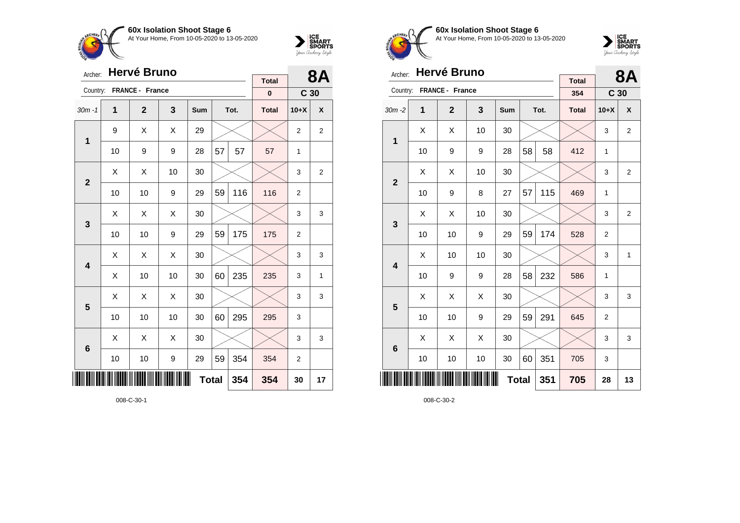



| Archer:      |    | <b>Hervé Bruno</b> |    | <b>Total</b> |              | <b>8A</b> |              |                 |    |
|--------------|----|--------------------|----|--------------|--------------|-----------|--------------|-----------------|----|
| Country:     |    | FRANCE - France    |    |              |              |           | $\pmb{0}$    | C <sub>30</sub> |    |
| $30m - 1$    | 1  | $\mathbf{2}$       | 3  | Sum          |              | Tot.      | <b>Total</b> | $10+X$          | χ  |
| 1            | 9  | X                  | X  | 29           |              |           |              | 2               | 2  |
|              | 10 | 9                  | 9  | 28           | 57           | 57        | 57           | 1               |    |
| $\mathbf{2}$ | X  | Χ                  | 10 | 30           |              |           |              | 3               | 2  |
|              | 10 | 10                 | 9  | 29           | 59           | 116       | 116          | $\overline{2}$  |    |
| 3            | Χ  | Χ                  | Χ  | 30           |              |           |              | 3               | 3  |
|              | 10 | 10                 | 9  | 29           | 59           | 175       | 175          | 2               |    |
| 4            | Χ  | Χ                  | X  | 30           |              |           |              | 3               | 3  |
|              | X  | 10                 | 10 | 30           | 60           | 235       | 235          | 3               | 1  |
| 5            | X  | Χ                  | X  | 30           |              |           |              | 3               | 3  |
|              | 10 | 10                 | 10 | 30           | 60           | 295       | 295          | 3               |    |
| 6            | X  | X                  | X  | 30           |              |           |              | 3               | 3  |
|              | 10 | 10                 | 9  | 29           | 59           | 354       | 354          | $\overline{c}$  |    |
|              |    |                    |    |              | <b>Total</b> | 354       | 354          | 30              | 17 |

008-C-30-1



**60x Isolation Shoot Stage 6** At Your Home, From 10-05-2020 to 13-05-2020



| Archer:        |    | Hervé Bruno     |    |              |    | <b>8A</b> |                     |                 |                |
|----------------|----|-----------------|----|--------------|----|-----------|---------------------|-----------------|----------------|
| Country:       |    | FRANCE - France |    |              |    |           | <b>Total</b><br>354 |                 |                |
|                |    |                 |    |              |    |           |                     | C <sub>30</sub> |                |
| $30m - 2$      | 1  | $\mathbf{2}$    | 3  | Sum          |    | Tot.      | <b>Total</b>        | $10+X$          | X              |
| 1              | X  | X               | 10 | 30           |    |           |                     | 3               | $\overline{2}$ |
|                | 10 | 9               | 9  | 28           | 58 | 58        | 412                 | 1               |                |
| $\overline{2}$ | X  | Χ               | 10 | 30           |    |           |                     | 3               | $\overline{2}$ |
|                | 10 | 9               | 8  | 27           | 57 | 115       | 469                 | 1               |                |
| 3              | X  | X               | 10 | 30           |    |           |                     | 3               | $\overline{2}$ |
|                | 10 | 10              | 9  | 29           | 59 | 174       | 528                 | $\overline{2}$  |                |
| 4              | X  | 10              | 10 | 30           |    |           |                     | 3               | $\mathbf{1}$   |
|                | 10 | 9               | 9  | 28           | 58 | 232       | 586                 | 1               |                |
| 5              | X  | Χ               | Χ  | 30           |    |           |                     | 3               | 3              |
|                | 10 | 10              | 9  | 29           | 59 | 291       | 645                 | 2               |                |
| 6              | X  | X               | X  | 30           |    |           |                     | 3               | 3              |
|                | 10 | 10              | 10 | 30           | 60 | 351       | 705                 | 3               |                |
| ║║║            |    |                 |    | <b>Total</b> |    | 351       | 705                 | 28              | 13             |

008-C-30-2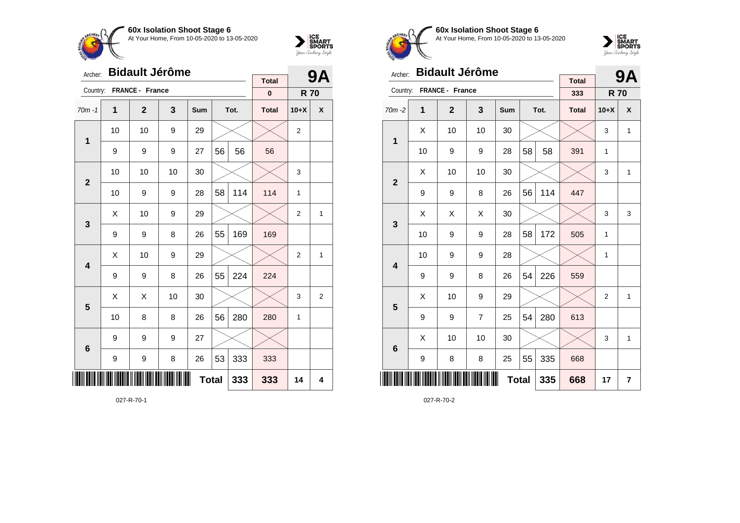



| Archer:      |    | <b>Bidault Jérôme</b> |    | <b>Total</b> |    | <b>9A</b> |              |                |                         |
|--------------|----|-----------------------|----|--------------|----|-----------|--------------|----------------|-------------------------|
| Country:     |    | FRANCE - France       |    |              |    |           | $\pmb{0}$    | <b>R70</b>     |                         |
| $70m - 1$    | 1  | $\mathbf{2}$          | 3  | Sum          |    | Tot.      | <b>Total</b> | $10+X$         | X                       |
| 1            | 10 | 10                    | 9  | 29           |    |           |              | 2              |                         |
|              | 9  | 9                     | 9  | 27           | 56 | 56        | 56           |                |                         |
| $\mathbf{2}$ | 10 | 10                    | 10 | 30           |    |           |              | 3              |                         |
|              | 10 | 9                     | 9  | 28           | 58 | 114       | 114          | 1              |                         |
| 3            | Χ  | 10                    | 9  | 29           |    |           |              | $\overline{2}$ | 1                       |
|              | 9  | 9                     | 8  | 26           | 55 | 169       | 169          |                |                         |
| 4            | Χ  | 10                    | 9  | 29           |    |           |              | $\overline{c}$ | 1                       |
|              | 9  | 9                     | 8  | 26           | 55 | 224       | 224          |                |                         |
| 5            | Χ  | X                     | 10 | 30           |    |           |              | 3              | $\overline{\mathbf{c}}$ |
|              | 10 | 8                     | 8  | 26           | 56 | 280       | 280          | 1              |                         |
| 6            | 9  | 9                     | 9  | 27           |    |           |              |                |                         |
|              | 9  | 9                     | 8  | 26           | 53 | 333       | 333          |                |                         |
|              |    |                       |    | <b>Total</b> |    | 333       | 333          | 14             | 4                       |

027-R-70-1



**60x Isolation Shoot Stage 6** At Your Home, From 10-05-2020 to 13-05-2020



| Archer:        |    | <b>Bidault Jérôme</b> |                |              |    | <b>9A</b> |                     |                |                |
|----------------|----|-----------------------|----------------|--------------|----|-----------|---------------------|----------------|----------------|
| Country:       |    | FRANCE - France       |                |              |    |           | <b>Total</b><br>333 | <b>R70</b>     |                |
| $70m - 2$      | 1  | $\overline{2}$        | 3              | <b>Sum</b>   |    | Tot.      | <b>Total</b>        | $10+X$         | X              |
| 1              | X  | 10                    | 10             | 30           |    |           |                     | 3              | $\mathbf{1}$   |
|                | 10 | 9                     | 9              | 28           | 58 | 58        | 391                 | 1              |                |
| $\overline{2}$ | X  | 10                    | 10             | 30           |    |           |                     | 3              | $\mathbf{1}$   |
|                | 9  | 9                     | 8              | 26           | 56 | 114       | 447                 |                |                |
| 3              | X  | X                     | X              | 30           |    |           |                     | 3              | 3              |
|                | 10 | 9                     | 9              | 28           | 58 | 172       | 505                 | 1              |                |
| 4              | 10 | 9                     | 9              | 28           |    |           |                     | $\mathbf{1}$   |                |
|                | 9  | 9                     | 8              | 26           | 54 | 226       | 559                 |                |                |
| 5              | X  | 10                    | 9              | 29           |    |           |                     | $\overline{2}$ | 1              |
|                | 9  | 9                     | $\overline{7}$ | 25           | 54 | 280       | 613                 |                |                |
| 6              | X  | 10                    | 10             | 30           |    |           |                     | 3              | $\mathbf{1}$   |
|                | 9  | 8                     | 8              | 25           | 55 | 335       | 668                 |                |                |
|                |    |                       |                | <b>Total</b> |    | 335       | 668                 | 17             | $\overline{7}$ |

027-R-70-2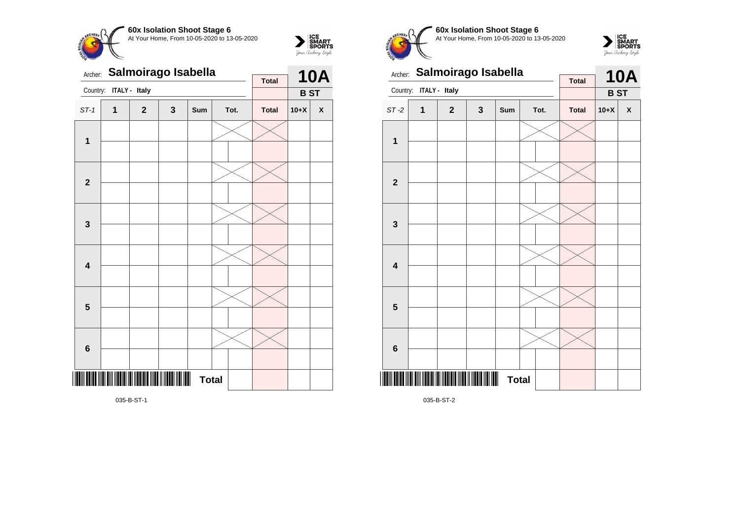



Archer: **Salmoirago Isabella** Country: **ITALY - Italy 10A B ST Total** ST-1 **1 2 3 Sum Tot. Total 10+X X 1 2 3 4 5 6** \*035-B-ST-1\* **Total** 

035-B-ST-1



**60x Isolation Shoot Stage 6** At Your Home, From 10-05-2020 to 13-05-2020





035-B-ST-2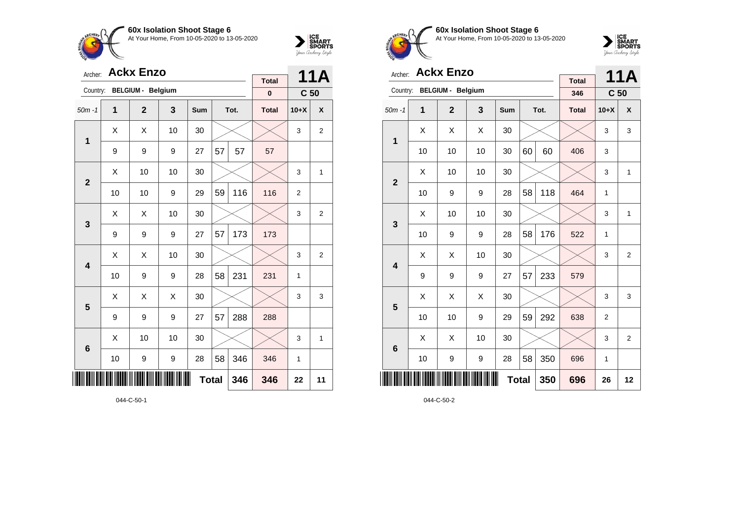



| Archer:                 |    | <b>Ackx Enzo</b>         |     | <b>Total</b> |    | 11A          |              |                 |                |
|-------------------------|----|--------------------------|-----|--------------|----|--------------|--------------|-----------------|----------------|
| Country:                |    | <b>BELGIUM - Belgium</b> |     |              |    |              | $\pmb{0}$    | C <sub>50</sub> |                |
| $50m - 1$               | 1  | $\overline{2}$           | 3   | Sum          |    | Tot.         | <b>Total</b> | $10+X$          | X              |
|                         | X  | X                        | 10  | 30           |    |              |              | 3               | 2              |
| $\mathbf{1}$            | 9  | 9                        | 9   | 27           | 57 | 57           | 57           |                 |                |
| $\overline{2}$          | X  | 10                       |     |              | 3  | $\mathbf{1}$ |              |                 |                |
|                         | 10 | 10                       | 116 | 116          | 2  |              |              |                 |                |
| $\mathbf{3}$            | X  | X                        | 10  | 30           |    |              |              | 3               | $\overline{2}$ |
|                         | 9  | 9                        | 9   | 27           | 57 | 173          | 173          |                 |                |
| $\overline{\mathbf{4}}$ | X  | X                        | 10  | 30           |    |              |              | 3               | $\overline{2}$ |
|                         | 10 | 9                        | 9   | 28           | 58 | 231          | 231          | $\mathbf{1}$    |                |
| 5                       | X  | Χ                        | Χ   | 30           |    |              |              | 3               | 3              |
|                         | 9  | 9                        | 9   | 27           | 57 | 288          | 288          |                 |                |
| $6\phantom{1}6$         | X  | 10                       | 10  | 30           |    |              |              | 3               | $\mathbf{1}$   |
|                         | 10 | 9                        | 9   | 28           | 58 | 346          | 346          | 1               |                |
| ║║                      |    |                          | 346 | 346          | 22 | 11           |              |                 |                |

044-C-50-1



**60x Isolation Shoot Stage 6** At Your Home, From 10-05-2020 to 13-05-2020



| Archer:                 |    | <b>Ackx Enzo</b>         |    |     |              | 11A  |                     |                 |                |
|-------------------------|----|--------------------------|----|-----|--------------|------|---------------------|-----------------|----------------|
| Country:                |    | <b>BELGIUM - Belgium</b> |    |     |              |      | <b>Total</b><br>346 | C <sub>50</sub> |                |
| $50m - 1$               | 1  | $\overline{2}$           | 3  | Sum |              | Tot. | <b>Total</b>        | $10+X$          | X              |
|                         | X  | Χ                        | Χ  | 30  |              |      |                     | 3               | 3              |
| 1                       | 10 | 10                       | 10 | 30  | 60           | 60   | 406                 | 3               |                |
| $\overline{2}$          | X  | 10                       | 10 | 30  |              |      |                     | 3               | 1              |
|                         | 10 | 9                        | 9  | 28  | 58           | 118  | 464                 | 1               |                |
| 3                       | X  | 10                       | 10 | 30  |              |      |                     | 3               | $\mathbf{1}$   |
|                         | 10 | 9                        | 9  | 28  | 58           | 176  | 522                 | 1               |                |
| $\overline{\mathbf{A}}$ | X  | X                        | 10 | 30  |              |      |                     | 3               | $\overline{2}$ |
|                         | 9  | 9                        | 9  | 27  | 57           | 233  | 579                 |                 |                |
| 5                       | X  | X                        | X  | 30  |              |      |                     | 3               | 3              |
|                         | 10 | 10                       | 9  | 29  | 59           | 292  | 638                 | $\overline{2}$  |                |
| $6\phantom{1}6$         | X  | X                        | 10 | 30  |              |      |                     | 3               | $\overline{2}$ |
|                         | 10 | 9                        | 9  | 28  | 58           | 350  | 696                 | 1               |                |
| ║║                      |    |                          |    |     | <b>Total</b> | 350  | 696                 | 26              | 12             |

044-C-50-2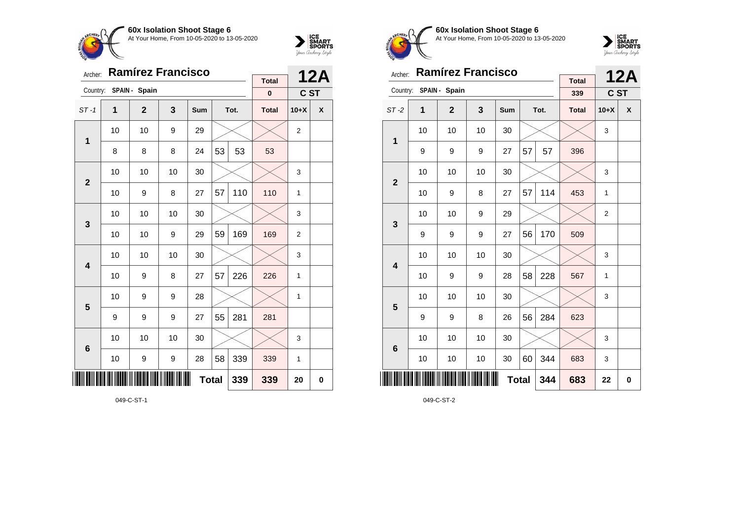

ST -1 **1 2 3 Sum Tot. Total 10+X X**

8 | 8 | 8 | 24 | $53$  |  $53$  |  $53$ 

10  $\mid$  10  $\mid$  9  $\mid$  29  $\mid$   $\times$   $\mid$   $\times$   $\mid$  2

10 | 10 | 10 | 30 |  $\times$  |  $\times$  | 3

10 | 9 | 8 | 27 | 57 | 110 | 110 | 1

10 | 10 | 10 | 30 |  $\times$  |  $\times$  | 3

10 | 10 | 9 | 29 | $59$ | 1 $69$  | 1 $69$  | 2

10 | 10 | 10 | 30 |  $\times$  |  $\times$  | 3

10 | 9 | 8 | 27 | 57 | 226 | 226 | 1

10 | 9 | 9 | 28 |  $\times$  |  $\times$  | 1

10 | 10 | 10 | 30 |  $\times$  |  $\times$  | 3

10 | 9 | 9 | 28 | 58 | 339 | 339 | 1

**Total 339 339 20 0**

9 | 9 | 9 | 27 | $55$  | 281 | 281

Archer: **Ramírez Francisco**

Country: **SPAIN - Spain**

**1**

**2**

**3**

**4**

**5**

**6**



**12A C ST**

**Total 0**

CHFO.

SMART your Archery Style

| Archer:                 |    | <b>Ramírez Francisco</b> |    |              |    | <b>12A</b> |                     |                |          |
|-------------------------|----|--------------------------|----|--------------|----|------------|---------------------|----------------|----------|
| Country:                |    | SPAIN - Spain            |    |              |    |            | <b>Total</b><br>339 | C ST           |          |
| $ST-2$                  | 1  | $\overline{2}$           | 3  | <b>Sum</b>   |    | Tot.       | <b>Total</b>        | $10+X$         | X        |
| 1                       | 10 | 10                       | 10 | 30           |    |            |                     | 3              |          |
|                         | 9  | 9                        | 9  | 27           | 57 | 57         | 396                 |                |          |
| $\overline{2}$          | 10 | 10                       | 10 | 30           |    |            |                     | 3              |          |
|                         | 10 | 9                        | 8  | 27           | 57 | 114        | 453                 | 1              |          |
| 3                       | 10 | 10                       | 9  | 29           |    |            |                     | $\overline{2}$ |          |
|                         | 9  | 9                        | 9  | 27           | 56 | 170        | 509                 |                |          |
| $\overline{\mathbf{4}}$ | 10 | 10                       | 10 | 30           |    |            |                     | 3              |          |
|                         | 10 | 9                        | 9  | 28           | 58 | 228        | 567                 | 1              |          |
| 5                       | 10 | 10                       | 10 | 30           |    |            |                     | 3              |          |
|                         | 9  | 9                        | 8  | 26           | 56 | 284        | 623                 |                |          |
| $6\phantom{1}6$         | 10 | 10                       | 10 | 30           |    |            |                     | 3              |          |
|                         | 10 | 10                       | 10 | 30           | 60 | 344        | 683                 | 3              |          |
| ║║                      |    |                          |    | <b>Total</b> |    | 344        | 683                 | 22             | $\bf{0}$ |

**60x Isolation Shoot Stage 6** At Your Home, From 10-05-2020 to 13-05-2020

049-C-ST-2

049-C-ST-1

<u>\*049-C-ST-11-C-ST-11-C-ST-11-C-ST-11-C-ST-11-C-ST-11-C-ST-11-C-ST-11-C-ST-11-C-ST-11-C-ST-11-C-ST-11-C-ST-11-C</u>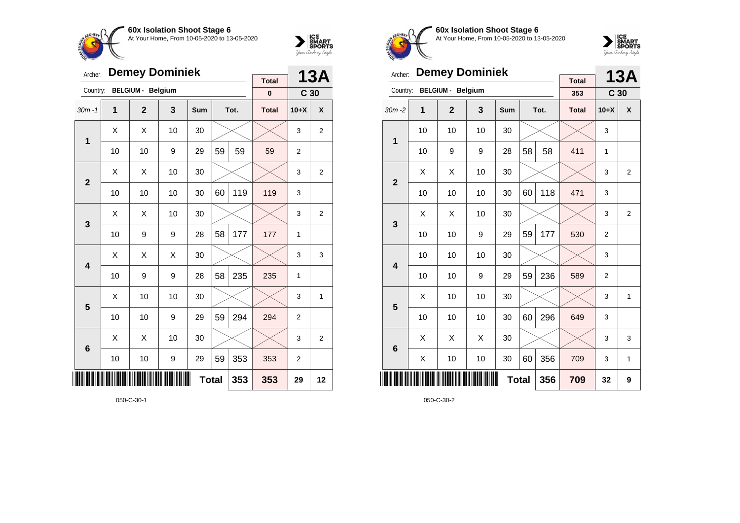



| Archer:        |    | <b>Demey Dominiek</b>    |    | <b>Total</b> |    | 13A  |              |                 |                |
|----------------|----|--------------------------|----|--------------|----|------|--------------|-----------------|----------------|
| Country:       |    | <b>BELGIUM - Belgium</b> |    |              |    |      | $\pmb{0}$    | C <sub>30</sub> |                |
| $30m - 1$      | 1  | $\mathbf{2}$             | 3  | Sum          |    | Tot. | <b>Total</b> | $10+X$          | X              |
| $\mathbf{1}$   | X  | X                        | 10 | 30           |    |      |              | 3               | $\overline{2}$ |
|                | 10 | 10                       | 9  | 29           | 59 | 59   | 59           | 2               |                |
| $\overline{2}$ | X  | Χ                        | 10 | 30           |    |      |              | 3               | $\overline{2}$ |
|                | 10 | 10                       | 10 | 30           | 60 | 119  | 119          | 3               |                |
| 3              | X  | X                        | 10 | 30           |    |      |              | 3               | $\overline{2}$ |
|                | 10 | 9                        | 9  | 28           | 58 | 177  | 177          | 1               |                |
| 4              | X  | Χ                        | X  | 30           |    |      |              | 3               | 3              |
|                | 10 | 9                        | 9  | 28           | 58 | 235  | 235          | 1               |                |
| 5              | Χ  | 10                       | 10 | 30           |    |      |              | 3               | 1              |
|                | 10 | 10                       | 9  | 29           | 59 | 294  | 294          | $\overline{2}$  |                |
| 6              | X  | Χ                        | 10 | 30           |    |      |              | 3               | $\overline{2}$ |
|                | 10 | 10                       | 9  | 29           | 59 | 353  | 353          | 2               |                |
| IIII           |    |                          |    | <b>Total</b> |    | 353  | 353          | 29              | 12             |

050-C-30-1



**60x Isolation Shoot Stage 6** At Your Home, From 10-05-2020 to 13-05-2020



| Archer:        |    | <b>Demey Dominiek</b>    |    |              |    | <b>13A</b> |                     |                 |                |
|----------------|----|--------------------------|----|--------------|----|------------|---------------------|-----------------|----------------|
| Country:       |    | <b>BELGIUM - Belgium</b> |    |              |    |            | <b>Total</b><br>353 | C <sub>30</sub> |                |
| $30m - 2$      | 1  | $\mathbf{2}$             | 3  | Sum          |    | Tot.       | <b>Total</b>        | $10+X$          | X              |
| 1              | 10 | 10                       | 10 | 30           |    |            |                     | 3               |                |
|                | 10 | 9                        | 9  | 28           | 58 | 58         | 411                 | 1               |                |
| $\overline{2}$ | X  | X                        | 10 | 30           |    |            |                     | 3               | $\overline{2}$ |
|                | 10 | 10                       | 10 | 30           | 60 | 118        | 471                 | 3               |                |
| 3              | X  | Χ                        | 10 | 30           |    |            |                     | 3               | $\overline{2}$ |
|                | 10 | 10                       | 9  | 29           | 59 | 177        | 530                 | $\overline{2}$  |                |
| 4              | 10 | 10                       | 10 | 30           |    |            |                     | 3               |                |
|                | 10 | 10                       | 9  | 29           | 59 | 236        | 589                 | $\overline{2}$  |                |
| 5              | X  | 10                       | 10 | 30           |    |            |                     | 3               | $\mathbf{1}$   |
|                | 10 | 10                       | 10 | 30           | 60 | 296        | 649                 | 3               |                |
| 6              | X  | X                        | X  | 30           |    |            |                     | 3               | 3              |
|                | X  | 10                       | 10 | 30           | 60 | 356        | 709                 | 3               | 1              |
| ║║║            |    |                          |    | <b>Total</b> |    | 356        | 709                 | 32              | 9              |

050-C-30-2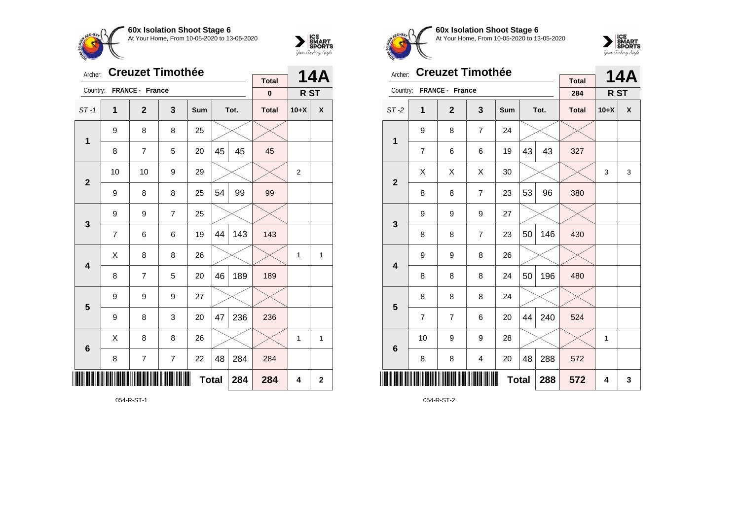



| Archer:         |                | <b>Creuzet Timothée</b> |                | <b>Total</b> |    | <b>14A</b> |              |                |                         |
|-----------------|----------------|-------------------------|----------------|--------------|----|------------|--------------|----------------|-------------------------|
| Country:        |                | FRANCE - France         |                |              |    |            | $\pmb{0}$    | R ST           |                         |
| $ST-1$          | 1              | $\mathbf{2}$            | 3              | Sum          |    | Tot.       | <b>Total</b> | $10+X$         | X                       |
| $\mathbf{1}$    | 9              | 8                       | 8              | 25           |    |            |              |                |                         |
|                 | 8              | $\overline{7}$          | 5              | 20           | 45 | 45         | 45           |                |                         |
| $\mathbf{2}$    | 10             | 10                      | 9              | 29           |    |            |              | $\overline{2}$ |                         |
|                 | 9              | 8                       | 8              | 25           | 54 | 99         | 99           |                |                         |
| 3               | 9              | 9                       | $\overline{7}$ | 25           |    |            |              |                |                         |
|                 | $\overline{7}$ | 6                       | 6              | 19           | 44 | 143        | 143          |                |                         |
| 4               | X              | 8                       | 8              | 26           |    |            |              | 1              | 1                       |
|                 | 8              | 7                       | 5              | 20           | 46 | 189        | 189          |                |                         |
| 5               | 9              | 9                       | 9              | 27           |    |            |              |                |                         |
|                 | 9              | 8                       | 3              | 20           | 47 | 236        | 236          |                |                         |
| $6\phantom{1}6$ | Χ              | 8                       | 8              | 26           |    |            |              | 1              | 1                       |
|                 | 8              | $\overline{7}$          | $\overline{7}$ | 22           | 48 | 284        | 284          |                |                         |
|                 |                |                         |                | <b>Total</b> |    | 284        | 284          | 4              | $\overline{\mathbf{2}}$ |

054-R-ST-1



**60x Isolation Shoot Stage 6** At Your Home, From 10-05-2020 to 13-05-2020



| Archer:         |                | <b>Creuzet Timothée</b> |                | <b>Total</b> |    | 14A  |              |        |   |
|-----------------|----------------|-------------------------|----------------|--------------|----|------|--------------|--------|---|
| Country:        |                | <b>FRANCE - France</b>  |                |              |    |      | 284          | R ST   |   |
| $ST-2$          | 1              | $\mathbf{2}$            | 3              | Sum          |    | Tot. | <b>Total</b> | $10+X$ | X |
| 1               | 9              | 8                       | $\overline{7}$ | 24           |    |      |              |        |   |
|                 | $\overline{7}$ | 6                       | 6              | 19           | 43 | 43   | 327          |        |   |
| $\overline{2}$  | Χ              | Χ                       | X              | 30           |    |      |              | 3      | 3 |
|                 | 8              | 8                       | $\overline{7}$ | 23           | 53 | 96   | 380          |        |   |
| 3               | 9              | 9                       | 9              | 27           |    |      |              |        |   |
|                 | 8              | 8                       | 7              | 23           | 50 | 146  | 430          |        |   |
| 4               | 9              | 9                       | 8              | 26           |    |      |              |        |   |
|                 | 8              | 8                       | 8              | 24           | 50 | 196  | 480          |        |   |
| 5               | 8              | 8                       | 8              | 24           |    |      |              |        |   |
|                 | $\overline{7}$ | $\overline{7}$          | 6              | 20           | 44 | 240  | 524          |        |   |
| $6\phantom{1}6$ | 10             | 9                       | 9              | 28           |    |      |              | 1      |   |
|                 | 8              | 8                       | 4              | 20           | 48 | 288  | 572          |        |   |
| Ⅲ               |                |                         |                | <b>Total</b> |    | 288  | 572          | 4      | 3 |

054-R-ST-2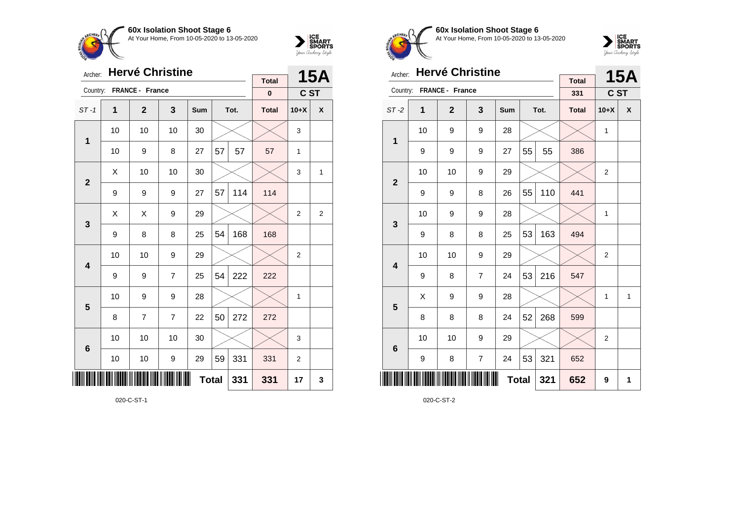



| Archer:                 |             | <b>Hervé Christine</b> |                |              |    | <b>15A</b> |                          |                |                |
|-------------------------|-------------|------------------------|----------------|--------------|----|------------|--------------------------|----------------|----------------|
| Country:                |             | FRANCE - France        |                |              |    |            | <b>Total</b><br>$\bf{0}$ | C ST           |                |
| $ST-1$                  | $\mathbf 1$ | $\mathbf{2}$           | 3              | Sum          |    | Tot.       | <b>Total</b>             | $10+X$         | X              |
| 1                       | 10          | 10                     | 10             | 30           |    |            |                          | 3              |                |
|                         | 10          | 9                      | 8              | 27           | 57 | 57         | 57                       | 1              |                |
| $\overline{2}$          | X           | 10                     | 10             | 30           |    |            |                          | 3              | $\mathbf{1}$   |
|                         | 9           | 9                      | 9              | 27           | 57 | 114        | 114                      |                |                |
| 3                       | X           | X                      | 9              | 29           |    |            |                          | $\overline{2}$ | $\overline{2}$ |
|                         | 9           | 8                      | 8              | 25           | 54 | 168        | 168                      |                |                |
| $\overline{\mathbf{4}}$ | 10          | 10                     | 9              | 29           |    |            |                          | $\overline{2}$ |                |
|                         | 9           | 9                      | $\overline{7}$ | 25           | 54 | 222        | 222                      |                |                |
| 5                       | 10          | 9                      | 9              | 28           |    |            |                          | 1              |                |
|                         | 8           | 7                      | $\overline{7}$ | 22           | 50 | 272        | 272                      |                |                |
| $6\phantom{1}6$         | 10          | 10                     | 10             | 30           |    |            |                          | 3              |                |
|                         | 10          | 10                     | 9              | 29           | 59 | 331        | 331                      | $\overline{2}$ |                |
| ║║║                     |             |                        |                | <b>Total</b> |    | 331        | 331                      | 17             | 3              |

020-C-ST-1



**60x Isolation Shoot Stage 6** At Your Home, From 10-05-2020 to 13-05-2020



| Archer:                 |    | <b>Hervé Christine</b> |                |              |    |      | <b>15A</b>          |                |              |
|-------------------------|----|------------------------|----------------|--------------|----|------|---------------------|----------------|--------------|
| Country:                |    | FRANCE - France        |                |              |    |      | <b>Total</b><br>331 | C ST           |              |
| $ST-2$                  | 1  | $\overline{2}$         | 3              | <b>Sum</b>   |    | Tot. | <b>Total</b>        | $10+X$         | X            |
| 1                       | 10 | 9                      | 9              | 28           |    |      |                     | 1              |              |
|                         | 9  | 9                      | 9              | 27           | 55 | 55   | 386                 |                |              |
| $\overline{2}$          | 10 | 10                     | 9              | 29           |    |      |                     | $\overline{2}$ |              |
|                         | 9  | 9                      | 8              | 26           | 55 | 110  | 441                 |                |              |
| 3                       | 10 | 9                      | 9              | 28           |    |      |                     | 1              |              |
|                         | 9  | 8                      | 8              | 25           | 53 | 163  | 494                 |                |              |
| $\overline{\mathbf{4}}$ | 10 | 10                     | 9              | 29           |    |      |                     | $\overline{2}$ |              |
|                         | 9  | 8                      | $\overline{7}$ | 24           | 53 | 216  | 547                 |                |              |
| 5                       | X  | 9                      | 9              | 28           |    |      |                     | 1              | $\mathbf{1}$ |
|                         | 8  | 8                      | 8              | 24           | 52 | 268  | 599                 |                |              |
| $6\phantom{1}6$         | 10 | 10                     | 9              | 29           |    |      |                     | $\overline{2}$ |              |
|                         | 9  | 8                      | $\overline{7}$ | 24           | 53 | 321  | 652                 |                |              |
|                         |    |                        |                | <b>Total</b> |    | 321  | 652                 | 9              | 1            |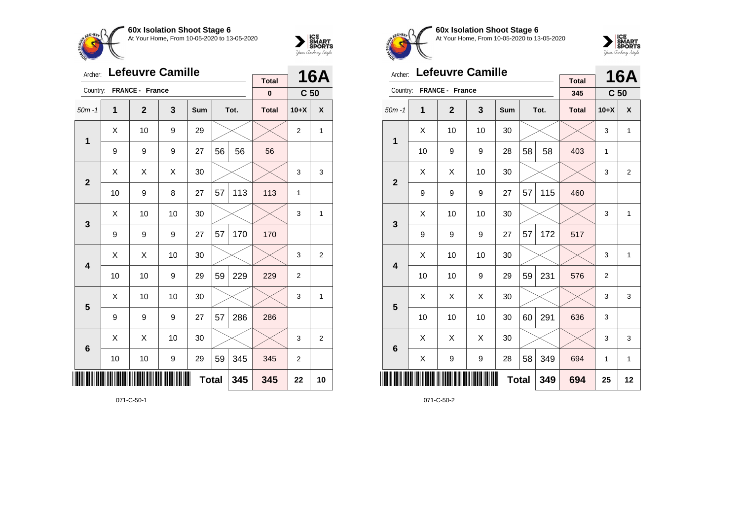



| Archer:         |                     | <b>Lefeuvre Camille</b> |    | <b>Total</b> |    | <b>16A</b> |              |                 |                |
|-----------------|---------------------|-------------------------|----|--------------|----|------------|--------------|-----------------|----------------|
| Country:        |                     | FRANCE - France         |    |              |    |            | $\pmb{0}$    | C <sub>50</sub> |                |
| $50m - 1$       | 1                   | $\mathbf{2}$            | 3  | Sum          |    | Tot.       | <b>Total</b> | $10+X$          | X              |
| 1               | Χ                   | 10                      | 9  | 29           |    |            |              | 2               | 1              |
|                 | 9                   | 9                       | 9  | 27           | 56 | 56         | 56           |                 |                |
| $\mathbf{2}$    | X                   | X                       | X  | 30           |    |            |              | 3               | 3              |
|                 | 10                  | 9                       | 8  | 27           | 57 | 113        | 113          | 1               |                |
| 3               | Χ                   | 10                      | 10 | 30           |    |            |              | 3               | 1              |
|                 | 9                   | 9                       | 9  | 27           | 57 | 170        | 170          |                 |                |
| 4               | Χ                   | X                       | 10 | 30           |    |            |              | 3               | $\overline{c}$ |
|                 | 10                  | 10                      | 9  | 29           | 59 | 229        | 229          | 2               |                |
| 5               | X                   | 10                      | 10 | 30           |    |            |              | 3               | 1              |
|                 | 9                   | 9                       | 9  | 27           | 57 | 286        | 286          |                 |                |
| $6\phantom{1}6$ | Χ                   | X                       | 10 | 30           |    |            |              | 3               | 2              |
|                 | 10                  | 10                      | 9  | 29           | 59 | 345        | 345          | 2               |                |
| ║║║             | <b>Total</b><br>345 |                         |    |              |    |            |              | 22              | 10             |

071-C-50-1



**60x Isolation Shoot Stage 6** At Your Home, From 10-05-2020 to 13-05-2020



| Archer:                 |    | <b>Lefeuvre Camille</b> |                         |     |              |      |                     |                 | <b>16A</b>     |
|-------------------------|----|-------------------------|-------------------------|-----|--------------|------|---------------------|-----------------|----------------|
| Country:                |    | FRANCE - France         |                         |     |              |      | <b>Total</b><br>345 | C <sub>50</sub> |                |
| $50m - 1$               | 1  | $\mathbf{2}$            | $\overline{\mathbf{3}}$ | Sum |              | Tot. | <b>Total</b>        | $10+X$          | X              |
| 1                       | X  | 10                      | 10                      | 30  |              |      |                     | 3               | 1              |
|                         | 10 | 9                       | 9                       | 28  | 58           | 58   | 403                 | 1               |                |
| $\overline{2}$          | X  | X                       | 10                      | 30  |              |      |                     | 3               | $\overline{2}$ |
|                         | 9  | 9                       | 9                       | 27  | 57           | 115  | 460                 |                 |                |
| 3                       | X  | 10                      | 10                      | 30  |              |      |                     | 3               | $\mathbf{1}$   |
|                         | 9  | 9                       | 9                       | 27  | 57           | 172  | 517                 |                 |                |
| $\overline{\mathbf{4}}$ | Χ  | 10                      | 10                      | 30  |              |      |                     | 3               | $\mathbf{1}$   |
|                         | 10 | 10                      | 9                       | 29  | 59           | 231  | 576                 | $\overline{2}$  |                |
| 5                       | X  | X                       | X                       | 30  |              |      |                     | 3               | 3              |
|                         | 10 | 10                      | 10                      | 30  | 60           | 291  | 636                 | 3               |                |
| 6                       | X  | X                       | X                       | 30  |              |      |                     | 3               | 3              |
|                         | Χ  | 9                       | 9                       | 28  | 58           | 349  | 694                 | 1               | $\mathbf{1}$   |
| ║║                      |    |                         |                         |     | <b>Total</b> | 349  | 694                 | 25              | 12             |

071-C-50-2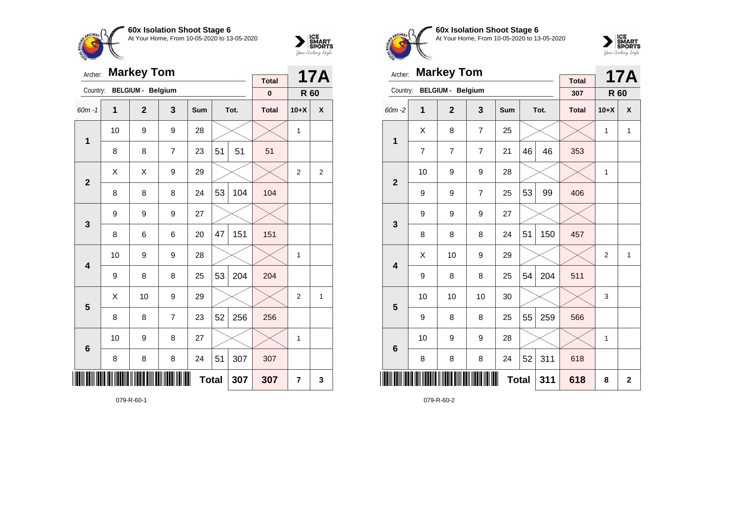



| Archer:                 |    | <b>Markey Tom</b>        |                |              |    | <b>17A</b> |                          |                |                |
|-------------------------|----|--------------------------|----------------|--------------|----|------------|--------------------------|----------------|----------------|
| Country:                |    | <b>BELGIUM - Belgium</b> |                |              |    |            | <b>Total</b><br>$\bf{0}$ | R 60           |                |
| $60m - 1$               | 1  | $\mathbf{2}$             | 3              | Sum          |    | Tot.       | <b>Total</b>             | $10+X$         | X              |
| 1                       | 10 | 9                        | 9              | 28           |    |            |                          | 1              |                |
|                         | 8  | 8                        | $\overline{7}$ | 23           | 51 | 51         | 51                       |                |                |
| $\overline{2}$          | X  | X                        | 9              | 29           |    |            |                          | $\overline{2}$ | $\overline{2}$ |
|                         | 8  | 8                        | 8              | 24           | 53 | 104        | 104                      |                |                |
| 3                       | 9  | 9                        | 9              | 27           |    |            |                          |                |                |
|                         | 8  | 6                        | 6              | 20           | 47 | 151        | 151                      |                |                |
| $\overline{\mathbf{4}}$ | 10 | 9                        | 9              | 28           |    |            |                          | 1              |                |
|                         | 9  | 8                        | 8              | 25           | 53 | 204        | 204                      |                |                |
| 5                       | Χ  | 10                       | 9              | 29           |    |            |                          | $\overline{2}$ | 1              |
|                         | 8  | 8                        | $\overline{7}$ | 23           | 52 | 256        | 256                      |                |                |
| $6\phantom{1}6$         | 10 | 9                        | 8              | 27           |    |            |                          | 1              |                |
|                         | 8  | 8                        | 8              | 24           | 51 | 307        | 307                      |                |                |
| ║║                      |    |                          |                | <b>Total</b> |    | 307        | 307                      | 7              | 3              |

079-R-60-1



**60x Isolation Shoot Stage 6** At Your Home, From 10-05-2020 to 13-05-2020



| Archer:         |    | <b>Markey Tom</b>        |                |              |    |      |                     |                | <b>17A</b>   |
|-----------------|----|--------------------------|----------------|--------------|----|------|---------------------|----------------|--------------|
| Country:        |    | <b>BELGIUM - Belgium</b> |                |              |    |      | <b>Total</b><br>307 | R 60           |              |
| $60m - 2$       | 1  | $\mathbf{2}$             | 3              | <b>Sum</b>   |    | Tot. | <b>Total</b>        | $10+X$         | X            |
|                 | X  | 8                        | $\overline{7}$ | 25           |    |      |                     | 1              | $\mathbf{1}$ |
| $\mathbf 1$     | 7  | 7                        | 7              | 21           | 46 | 46   | 353                 |                |              |
| $\overline{2}$  | 10 | 9                        | 9              | 28           |    |      |                     | $\mathbf{1}$   |              |
|                 | 9  | 9                        | $\overline{7}$ | 25           | 53 | 99   | 406                 |                |              |
| 3               | 9  | 9                        | 9              | 27           |    |      |                     |                |              |
|                 | 8  | 8                        | 8              | 24           | 51 | 150  | 457                 |                |              |
| 4               | X  | 10                       | 9              | 29           |    |      |                     | $\overline{2}$ | 1            |
|                 | 9  | 8                        | 8              | 25           | 54 | 204  | 511                 |                |              |
| 5               | 10 | 10                       | 10             | 30           |    |      |                     | 3              |              |
|                 | 9  | 8                        | 8              | 25           | 55 | 259  | 566                 |                |              |
| $6\phantom{1}6$ | 10 | 9                        | 9              | 28           |    |      |                     | 1              |              |
|                 | 8  | 8                        | 8              | 24           | 52 | 311  | 618                 |                |              |
| ║║║             |    |                          |                | <b>Total</b> |    | 311  | 618                 | 8              | $\mathbf{2}$ |

079-R-60-2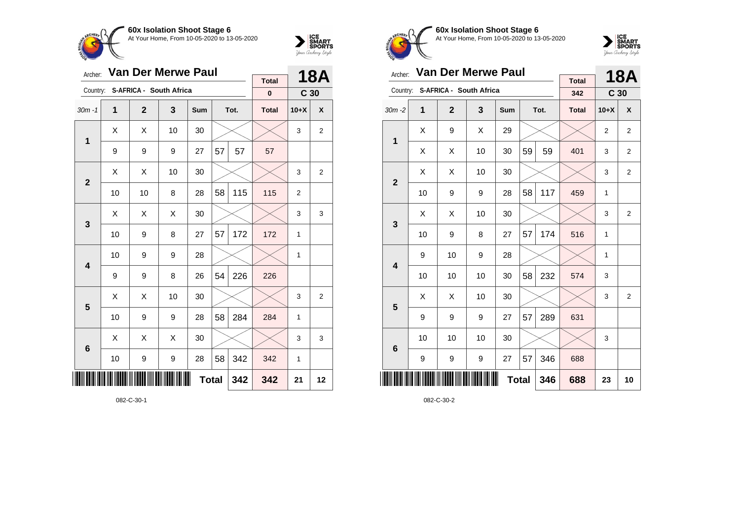

30m -1 **1 2 3 Sum Tot. Total 10+X X**

9 | 9 | 9 | 27 | $57$  |  $57$  |  $57$ 

 $\textsf{X} \hspace{0.2cm} \mid \hspace{0.2cm} \textsf{X} \hspace{0.2cm} \mid \hspace{0.2cm} \textsf{10} \hspace{0.2cm} \mid \hspace{0.2cm} \textsf{30} \hspace{0.2cm} \mid \hspace{0.2cm} \textsf{3} \hspace{0.2cm} \mid \hspace{0.2cm} \textsf{3} \hspace{0.2cm} \mid \hspace{0.2cm} \textsf{2}$ 

 $\textsf{X} \hspace{0.2cm} \mid \hspace{0.2cm} \textsf{X} \hspace{0.2cm} \mid \hspace{0.2cm} \textsf{10} \hspace{0.2cm} \mid \hspace{0.2cm} \textsf{30} \hspace{0.2cm} \mid \hspace{0.2cm} \textsf{3} \hspace{0.2cm} \mid \hspace{0.2cm} \textsf{3} \hspace{0.2cm} \mid \hspace{0.2cm} \textsf{2}$ 

 $\textsf{X} \hspace{0.2cm} \mid \hspace{0.2cm} \textsf{X} \hspace{0.2cm} \mid \hspace{0.2cm} \textsf{X} \hspace{0.2cm} \mid \hspace{0.2cm} 30 \hspace{0.2cm} \mid \hspace{0.2cm} \textcolor{blue} \textsf{3} \hspace{0.2cm} \mid \hspace{0.2cm} \textsf{3} \hspace{0.2cm} \mid \hspace{0.2cm} 3 \hspace{0.2cm} \mid \hspace{0.2cm} 3$ 

 $\textsf{X} \hspace{0.2cm} \mid \hspace{0.2cm} \textsf{X} \hspace{0.2cm} \mid \hspace{0.2cm} \textsf{10} \hspace{0.2cm} \mid \hspace{0.2cm} \textsf{30} \hspace{0.2cm} \mid \hspace{0.2cm} \textsf{3} \hspace{0.2cm} \mid \hspace{0.2cm} \textsf{3} \hspace{0.2cm} \mid \hspace{0.2cm} \textsf{2}$ 

 $\mathtt{X}$   $\mid$   $\mathtt{X}$   $\mid$   $\mathtt{X}$   $\mid$  30  $\mid$   $\infty$   $\mid$   $\infty$   $\mid$  3  $\mid$  3  $\mid$  3

**Total 342 342 21 12**

10 | 10 | 8 | 28 | 58 | 115 | 115 | 2

10 9 8 27 57 172 172 1

10 | 9 | 9 | 28 |  $\times$  |  $\times$  | 1

10 9 9 28 58 284 284 1

10 | 9 | 9 | 28 | 58 | 342 | 342 | 1

 $9 \mid 9 \mid 8 \mid 26 \mid 54 \mid 226 \mid 226$ 

Archer: **Van Der Merwe Paul**

Country: **S-AFRICA - South Africa**

**1**

**2**

**3**

**4**

**5**

**6**



**18A**

**C 30**

**Total 0**

**60x Isolation Shoot Stage 6 CHEDL** At Your Home, From 10-05-2020 to 13-05-2020



| Archer:                 |    | <b>Van Der Merwe Paul</b> |                                  |              |    | 18A  |                     |                 |                |
|-------------------------|----|---------------------------|----------------------------------|--------------|----|------|---------------------|-----------------|----------------|
|                         |    |                           | Country: S-AFRICA - South Africa |              |    |      | <b>Total</b><br>342 | C <sub>30</sub> |                |
| $30m - 2$               | 1  | $\overline{2}$            | 3                                | Sum          |    | Tot. | <b>Total</b>        | $10+X$          | X              |
| $\mathbf{1}$            | X  | 9                         | X                                | 29           |    |      |                     | 2               | $\overline{2}$ |
|                         | X  | X                         | 10                               | 30           | 59 | 59   | 401                 | 3               | $\overline{2}$ |
| $\overline{2}$          | X  | X                         | 10                               | 30           |    |      |                     | 3               | $\overline{2}$ |
|                         | 10 | 9                         | 9                                | 28           | 58 | 117  | 459                 | $\mathbf{1}$    |                |
| 3                       | X  | X                         | 10                               | 30           |    |      |                     | 3               | 2              |
|                         | 10 | 9                         | 8                                | 27           | 57 | 174  | 516                 | 1               |                |
| $\overline{\mathbf{4}}$ | 9  | 10                        | 9                                | 28           |    |      |                     | 1               |                |
|                         | 10 | 10                        | 10                               | 30           | 58 | 232  | 574                 | 3               |                |
| 5                       | X  | X                         | 10                               | 30           |    |      |                     | 3               | $\overline{2}$ |
|                         | 9  | 9                         | 9                                | 27           | 57 | 289  | 631                 |                 |                |
| 6                       | 10 | 10                        | 10                               | 30           |    |      |                     | 3               |                |
|                         | 9  | 9                         | 9                                | 27           | 57 | 346  | 688                 |                 |                |
|                         |    |                           |                                  | <b>Total</b> |    | 346  | 688                 | 23              | 10             |

082-C-30-2

082-C-30-1

\*082-C-30-1\*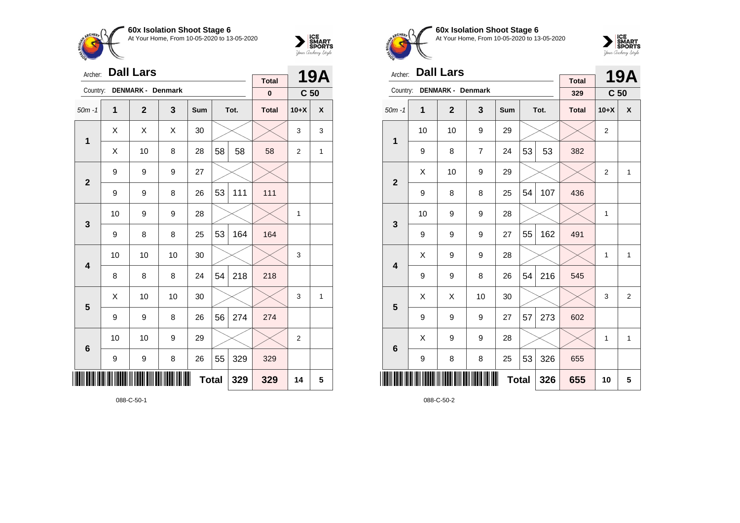



| Archer:         |              | <b>Dall Lars</b>         |    |              |    | <b>19A</b> |                          |                 |              |
|-----------------|--------------|--------------------------|----|--------------|----|------------|--------------------------|-----------------|--------------|
| Country:        |              | <b>DENMARK - Denmark</b> |    |              |    |            | <b>Total</b><br>$\bf{0}$ | C <sub>50</sub> |              |
| $50m - 1$       | $\mathbf{1}$ | $\overline{2}$           | 3  | Sum          |    | Tot.       | <b>Total</b>             | $10+X$          | X            |
| 1               | X            | X                        | X  | 30           |    |            |                          | 3               | 3            |
|                 | Χ            | 10                       | 8  | 28           | 58 | 58         | 58                       | $\overline{2}$  | $\mathbf{1}$ |
| $\mathbf{2}$    | 9            | 9                        | 9  | 27           |    |            |                          |                 |              |
|                 | 9            | 9                        | 8  | 26           | 53 | 111        | 111                      |                 |              |
| 3               | 10           | 9                        | 9  | 28           |    |            |                          | 1               |              |
|                 | 9            | 8                        | 8  | 25           | 53 | 164        | 164                      |                 |              |
| 4               | 10           | 10                       | 10 | 30           |    |            |                          | 3               |              |
|                 | 8            | 8                        | 8  | 24           | 54 | 218        | 218                      |                 |              |
| 5               | X            | 10                       | 10 | 30           |    |            |                          | 3               | 1            |
|                 | 9            | 9                        | 8  | 26           | 56 | 274        | 274                      |                 |              |
| $6\phantom{1}6$ | 10           | 10                       | 9  | 29           |    |            |                          | $\overline{2}$  |              |
|                 | 9            | 9                        | 8  | 26           | 55 | 329        | 329                      |                 |              |
| ║║║             |              |                          |    | <b>Total</b> |    | 329        | 329                      | 14              | 5            |

088-C-50-1



**60x Isolation Shoot Stage 6** At Your Home, From 10-05-2020 to 13-05-2020



| Archer:                 |    | <b>Dall Lars</b>         |                |            |              |      |                     |                | <b>19A</b>      |
|-------------------------|----|--------------------------|----------------|------------|--------------|------|---------------------|----------------|-----------------|
| Country:                |    | <b>DENMARK - Denmark</b> |                |            |              |      | <b>Total</b><br>329 |                | C <sub>50</sub> |
| $50m - 1$               | 1  | $\mathbf{2}$             | 3              | <b>Sum</b> |              | Tot. | <b>Total</b>        | $10+X$         | X               |
| 1                       | 10 | 10                       | 9              | 29         |              |      |                     | $\overline{2}$ |                 |
|                         | 9  | 8                        | $\overline{7}$ | 24         | 53           | 53   | 382                 |                |                 |
| $\mathbf{2}$            | Χ  | 10                       | 9              | 29         |              |      |                     | $\overline{2}$ | $\mathbf{1}$    |
|                         | 9  | 8                        | 8              | 25         | 54           | 107  | 436                 |                |                 |
| 3                       | 10 | 9                        | 9              | 28         |              |      |                     | 1              |                 |
|                         | 9  | 9                        | 9              | 27         | 55           | 162  | 491                 |                |                 |
| $\overline{\mathbf{4}}$ | Χ  | 9                        | 9              | 28         |              |      |                     | 1              | $\mathbf{1}$    |
|                         | 9  | 9                        | 8              | 26         | 54           | 216  | 545                 |                |                 |
| 5                       | X  | X                        | 10             | 30         |              |      |                     | 3              | $\overline{2}$  |
|                         | 9  | 9                        | 9              | 27         | 57           | 273  | 602                 |                |                 |
| $6\phantom{1}6$         | X  | 9                        | 9              | 28         |              |      |                     | $\mathbf{1}$   | $\mathbf{1}$    |
|                         | 9  | 8                        | 8              | 25         | 53           | 326  | 655                 |                |                 |
|                         |    |                          |                |            | <b>Total</b> | 326  | 655                 | 10             | 5               |

088-C-50-2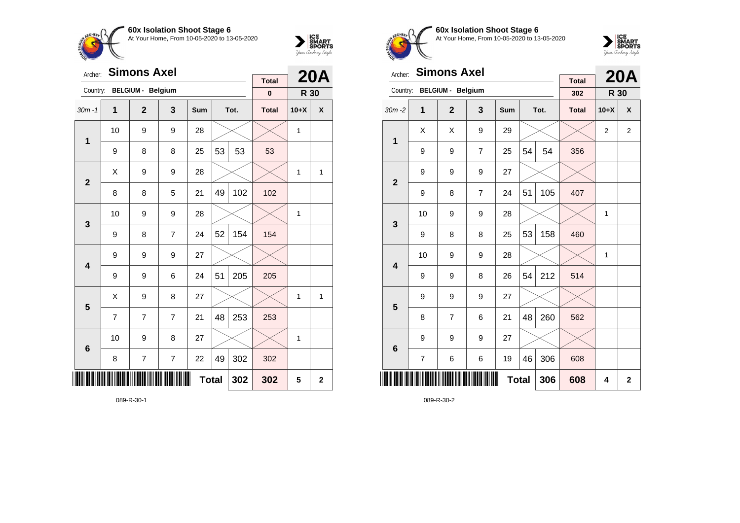



| Archer:                 |    | <b>Simons Axel</b>       |                         | <b>Total</b> |    | <b>20A</b> |              |        |                |
|-------------------------|----|--------------------------|-------------------------|--------------|----|------------|--------------|--------|----------------|
| Country:                |    | <b>BELGIUM - Belgium</b> |                         |              |    |            | $\bf{0}$     | R 30   |                |
| $30m - 1$               | 1  | $\overline{2}$           | 3                       | Sum          |    | Tot.       | <b>Total</b> | $10+X$ | X              |
| $\mathbf{1}$            | 10 | 9                        | 9                       | 28           |    |            |              | 1      |                |
|                         | 9  | 8                        | 8                       | 25           | 53 | 53         | 53           |        |                |
| $\mathbf{2}$            | X  | 9                        | 9                       | 28           |    |            |              | 1      | 1              |
|                         | 8  | 8                        | 5                       | 21           | 49 | 102        | 102          |        |                |
| $\mathbf 3$             | 10 | 9                        | 9                       | 28           |    |            |              | 1      |                |
|                         | 9  | 8                        | $\overline{7}$          | 24           | 52 | 154        | 154          |        |                |
| $\overline{\mathbf{4}}$ | 9  | 9                        | 9                       | 27           |    |            |              |        |                |
|                         | 9  | 9                        | 6                       | 24           | 51 | 205        | 205          |        |                |
| 5                       | Χ  | 9                        | 8                       | 27           |    |            |              | 1      | $\mathbf{1}$   |
|                         | 7  | 7                        | $\overline{7}$          | 21           | 48 | 253        | 253          |        |                |
| $6\phantom{1}6$         | 10 | 9                        | 8                       | 27           |    |            |              | 1      |                |
|                         | 8  | 7                        | $\overline{\mathbf{7}}$ | 22           | 49 | 302        | 302          |        |                |
| III                     |    |                          |                         | <b>Total</b> |    | 302        | 302          | 5      | $\overline{2}$ |

089-R-30-1



**60x Isolation Shoot Stage 6** At Your Home, From 10-05-2020 to 13-05-2020



| Archer:                 |                | <b>Simons Axel</b>       |                |     |              | <b>20A</b> |                     |                |                |
|-------------------------|----------------|--------------------------|----------------|-----|--------------|------------|---------------------|----------------|----------------|
| Country:                |                | <b>BELGIUM - Belgium</b> |                |     |              |            | <b>Total</b><br>302 | R 30           |                |
| $30m - 2$               | 1              | $\overline{2}$           | 3              | Sum |              | Tot.       | <b>Total</b>        | $10+X$         | X              |
|                         | X              | X                        | 9              | 29  |              |            |                     | $\overline{2}$ | $\overline{2}$ |
| 1                       | 9              | 9                        | $\overline{7}$ | 25  | 54           | 54         | 356                 |                |                |
| $\overline{2}$          | 9              | 9                        | 9              | 27  |              |            |                     |                |                |
|                         | 9              | 8                        | $\overline{7}$ | 24  | 51           | 105        | 407                 |                |                |
| 3                       | 10             | 9                        | 9              | 28  |              |            |                     | 1              |                |
|                         | 9              | 8                        | 8              | 25  | 53           | 158        | 460                 |                |                |
| $\overline{\mathbf{4}}$ | 10             | 9                        | 9              | 28  |              |            |                     | 1              |                |
|                         | 9              | 9                        | 8              | 26  | 54           | 212        | 514                 |                |                |
| 5                       | 9              | 9                        | 9              | 27  |              |            |                     |                |                |
|                         | 8              | 7                        | 6              | 21  | 48           | 260        | 562                 |                |                |
| $6\phantom{1}6$         | 9              | 9                        | 9              | 27  |              |            |                     |                |                |
|                         | $\overline{7}$ | 6                        | 6              | 19  | 46           | 306        | 608                 |                |                |
| ║║║                     |                |                          |                |     | <b>Total</b> | 306        | 608                 | 4              | $\overline{2}$ |

089-R-30-2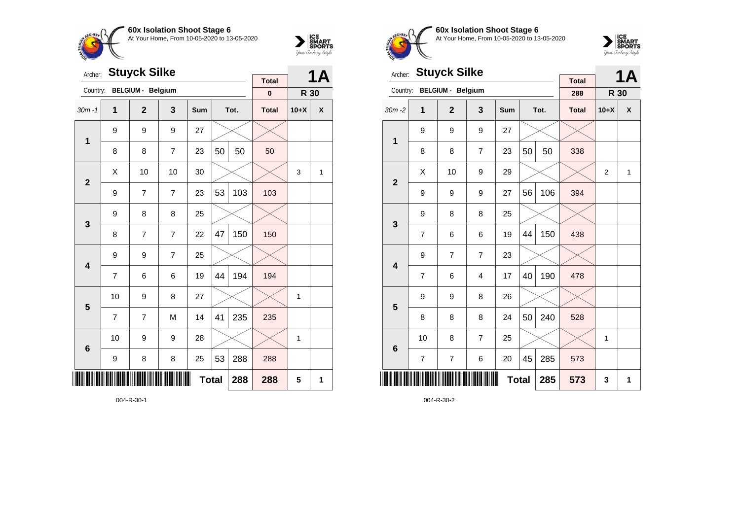



| Archer:         |                | <b>Stuyck Silke</b>      |                | <b>Total</b> |    | <b>1A</b> |              |        |                  |
|-----------------|----------------|--------------------------|----------------|--------------|----|-----------|--------------|--------|------------------|
| Country:        |                | <b>BELGIUM - Belgium</b> |                |              |    |           | $\pmb{0}$    | R 30   |                  |
| $30m - 1$       | 1              | $\mathbf{2}$             | 3              | Sum          |    | Tot.      | <b>Total</b> | $10+X$ | $\boldsymbol{x}$ |
| $\mathbf{1}$    | 9              | 9                        | 9              | 27           |    |           |              |        |                  |
|                 | 8              | 8                        | $\overline{7}$ | 23           | 50 | 50        | 50           |        |                  |
| $\overline{2}$  | X              | 10                       | 10             | 30           |    |           |              | 3      | 1                |
|                 | 9              | 7                        | $\overline{7}$ | 23           | 53 | 103       | 103          |        |                  |
| 3               | 9              | 8                        | 8              | 25           |    |           |              |        |                  |
|                 | 8              | 7                        | $\overline{7}$ | 22           | 47 | 150       | 150          |        |                  |
| 4               | 9              | 9                        | $\overline{7}$ | 25           |    |           |              |        |                  |
|                 | $\overline{7}$ | 6                        | 6              | 19           | 44 | 194       | 194          |        |                  |
| 5               | 10             | 9                        | 8              | 27           |    |           |              | 1      |                  |
|                 | $\overline{7}$ | 7                        | M              | 14           | 41 | 235       | 235          |        |                  |
| $6\phantom{1}6$ | 10             | 9                        | 9              | 28           |    |           |              | 1      |                  |
|                 | 9              | 8                        | 8              | 25           | 53 | 288       | 288          |        |                  |
| ║║║             |                |                          | 288            | 5            | 1  |           |              |        |                  |

004-R-30-1



**60x Isolation Shoot Stage 6** At Your Home, From 10-05-2020 to 13-05-2020



| Archer:         |                | <b>Stuyck Silke</b>      |                |            |    | <b>1A</b> |                     |                |              |
|-----------------|----------------|--------------------------|----------------|------------|----|-----------|---------------------|----------------|--------------|
| Country:        |                | <b>BELGIUM - Belgium</b> |                |            |    |           | <b>Total</b><br>288 | R 30           |              |
| $30m - 2$       | 1              | $\mathbf{2}$             | 3              | <b>Sum</b> |    | Tot.      | <b>Total</b>        | $10+X$         | X            |
| $\mathbf 1$     | 9              | 9                        | 9              | 27         |    |           |                     |                |              |
|                 | 8              | 8                        | $\overline{7}$ | 23         | 50 | 50        | 338                 |                |              |
| $\overline{2}$  | X              | 10                       | 9              | 29         |    |           |                     | $\overline{2}$ | $\mathbf{1}$ |
|                 | 9              | 9                        | 9              | 27         | 56 | 106       | 394                 |                |              |
| 3               | 9              | 8                        | 8              | 25         |    |           |                     |                |              |
|                 | $\overline{7}$ | 6                        | 6              | 19         | 44 | 150       | 438                 |                |              |
| 4               | 9              | 7                        | $\overline{7}$ | 23         |    |           |                     |                |              |
|                 | $\overline{7}$ | 6                        | $\overline{4}$ | 17         | 40 | 190       | 478                 |                |              |
| 5               | 9              | 9                        | 8              | 26         |    |           |                     |                |              |
|                 | 8              | 8                        | 8              | 24         | 50 | 240       | 528                 |                |              |
| $6\phantom{1}6$ | 10             | 8                        | $\overline{7}$ | 25         |    |           |                     | 1              |              |
|                 | $\overline{7}$ | $\overline{7}$           | 6              | 20         | 45 | 285       | 573                 |                |              |
| ║║║             |                |                          | 285            | 573        | 3  | 1         |                     |                |              |

004-R-30-2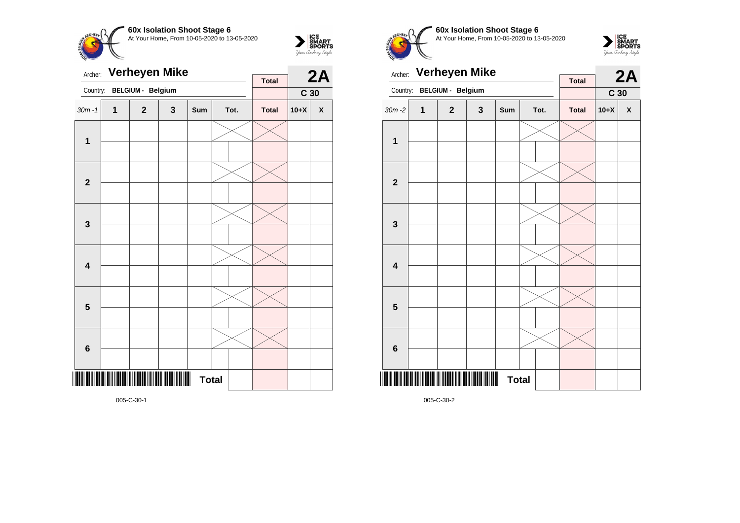



| Archer:                 |   | <b>Verheyen Mike</b>                                      |   | <b>Total</b> |  | 2A   |              |                 |              |
|-------------------------|---|-----------------------------------------------------------|---|--------------|--|------|--------------|-----------------|--------------|
| Country:                |   | BELGIUM - Belgium                                         |   |              |  |      |              | C <sub>30</sub> |              |
| $30m - 1$               | 1 | $\mathbf{2}$                                              | 3 | Sum          |  | Tot. | <b>Total</b> | $10+X$          | $\pmb{\chi}$ |
| $\mathbf{1}$            |   |                                                           |   |              |  |      |              |                 |              |
| $\mathbf{2}$            |   |                                                           |   |              |  |      |              |                 |              |
| $\mathbf{3}$            |   |                                                           |   |              |  |      |              |                 |              |
| $\overline{\mathbf{4}}$ |   |                                                           |   |              |  |      |              |                 |              |
| 5                       |   |                                                           |   |              |  |      |              |                 |              |
| $6\phantom{1}$          |   |                                                           |   |              |  |      |              |                 |              |
|                         |   | I IONII BOIII BOID DIII IIDDOO III IIDDOO IIII DOOD IIDDO |   | <b>Total</b> |  |      |              |                 |              |

**60x Isolation Shoot Stage 6** At Your Home, From 10-05-2020 to 13-05-2020



| Archer:                 |   | <b>Verheyen Mike</b> |   |     |              | <b>Total</b> |              | 2A              |                    |
|-------------------------|---|----------------------|---|-----|--------------|--------------|--------------|-----------------|--------------------|
| Country:                |   | BELGIUM - Belgium    |   |     |              |              |              | C <sub>30</sub> |                    |
| $30m - 2$               | 1 | $\overline{2}$       | 3 | Sum |              | Tot.         | <b>Total</b> | $10+X$          | $\pmb{\mathsf{X}}$ |
| 1                       |   |                      |   |     |              |              |              |                 |                    |
|                         |   |                      |   |     |              |              |              |                 |                    |
| $\mathbf{2}$            |   |                      |   |     |              |              |              |                 |                    |
| $\mathbf{3}$            |   |                      |   |     |              |              |              |                 |                    |
| $\overline{\mathbf{4}}$ |   |                      |   |     |              |              |              |                 |                    |
| 5                       |   |                      |   |     |              |              |              |                 |                    |
| $6\phantom{1}6$         |   |                      |   |     |              |              |              |                 |                    |
|                         |   |                      |   |     |              |              |              |                 |                    |
|                         |   | <b>TIIIIIIIIIIII</b> |   |     | <b>Total</b> |              |              |                 |                    |

005-C-30-2

005-C-30-1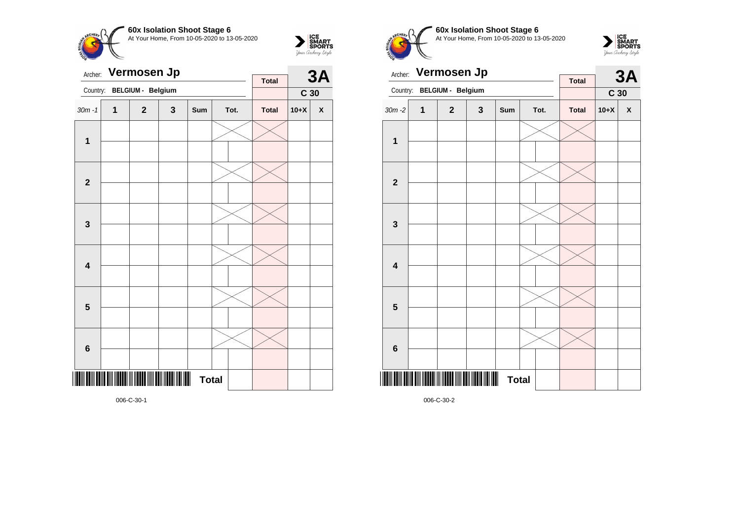



| Archer:                 |   | Vermosen Jp                                |   | <b>Total</b>                   |  | <b>3A</b> |              |                 |              |
|-------------------------|---|--------------------------------------------|---|--------------------------------|--|-----------|--------------|-----------------|--------------|
| Country:                |   | BELGIUM - Belgium                          |   |                                |  |           |              | C <sub>30</sub> |              |
| $30m - 1$               | 1 | $\mathbf{2}$                               | 3 | Sum                            |  | Tot.      | <b>Total</b> | $10+X$          | $\pmb{\chi}$ |
| $\mathbf{1}$            |   |                                            |   |                                |  |           |              |                 |              |
| $\mathbf{2}$            |   |                                            |   |                                |  |           |              |                 |              |
| 3                       |   |                                            |   |                                |  |           |              |                 |              |
| $\overline{\mathbf{4}}$ |   |                                            |   |                                |  |           |              |                 |              |
| 5                       |   |                                            |   |                                |  |           |              |                 |              |
| $\bf 6$                 |   |                                            |   |                                |  |           |              |                 |              |
|                         |   | <u> TENE EN NETER IN NETER IN EEN NETE</u> |   | $\blacksquare$<br><b>Total</b> |  |           |              |                 |              |

**60x Isolation Shoot Stage 6**  $\overline{\phantom{a}}$ At Your Home, From 10-05-2020 to 13-05-2020



|                         |             | Archer: Vermosen Jp |              |              |  |      | <b>3A</b>    |                 |                    |
|-------------------------|-------------|---------------------|--------------|--------------|--|------|--------------|-----------------|--------------------|
| Country:                |             | BELGIUM - Belgium   |              |              |  |      | <b>Total</b> | C <sub>30</sub> |                    |
| $30m - 2$               | $\mathbf 1$ | $\mathbf{2}$        | $\mathbf{3}$ | Sum          |  | Tot. | <b>Total</b> | $10+X$          | $\pmb{\mathsf{X}}$ |
| $\mathbf 1$             |             |                     |              |              |  |      |              |                 |                    |
| $\mathbf{2}$            |             |                     |              |              |  |      |              |                 |                    |
|                         |             |                     |              |              |  |      |              |                 |                    |
| $\mathbf 3$             |             |                     |              |              |  |      |              |                 |                    |
| $\overline{\mathbf{4}}$ |             |                     |              |              |  |      |              |                 |                    |
| 5                       |             |                     |              |              |  |      |              |                 |                    |
| $\bf 6$                 |             |                     |              |              |  |      |              |                 |                    |
|                         |             |                     |              |              |  |      |              |                 |                    |
|                         |             |                     |              | <b>Total</b> |  |      |              |                 |                    |

006-C-30-2

006-C-30-1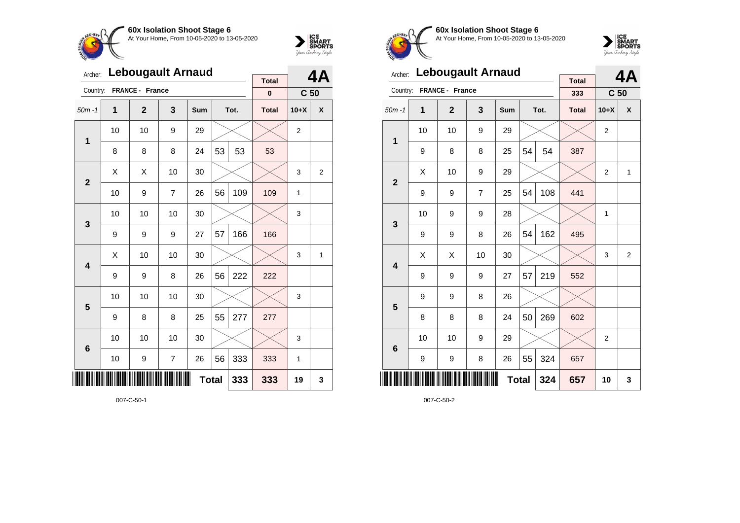



| Archer:         |    | <b>Lebougault Arnaud</b> |                | <b>Total</b> |    | <b>4A</b> |              |                 |                |
|-----------------|----|--------------------------|----------------|--------------|----|-----------|--------------|-----------------|----------------|
| Country:        |    | FRANCE - France          |                |              |    |           | $\pmb{0}$    | C <sub>50</sub> |                |
| $50m - 1$       | 1  | $\mathbf{2}$             | 3              | Sum          |    | Tot.      | <b>Total</b> | $10+X$          | X              |
| $\mathbf 1$     | 10 | 10                       | 9              | 29           |    |           |              | 2               |                |
|                 | 8  | 8                        | 8              | 24           | 53 | 53        | 53           |                 |                |
| $\overline{2}$  | X  | Χ                        | 10             | 30           |    |           |              | 3               | $\overline{2}$ |
|                 | 10 | 9                        | $\overline{7}$ | 26           | 56 | 109       | 109          | 1               |                |
| 3               | 10 | 10                       | 10             | 30           |    |           |              | 3               |                |
|                 | 9  | 9                        | 9              | 27           | 57 | 166       | 166          |                 |                |
| 4               | X  | 10                       | 10             | 30           |    |           |              | 3               | 1              |
|                 | 9  | 9                        | 8              | 26           | 56 | 222       | 222          |                 |                |
| 5               | 10 | 10                       | 10             | 30           |    |           |              | 3               |                |
|                 | 9  | 8                        | 8              | 25           | 55 | 277       | 277          |                 |                |
| $6\phantom{1}6$ | 10 | 10                       | 10             | 30           |    |           |              | 3               |                |
|                 | 10 | 9                        | $\overline{7}$ | 26           | 56 | 333       | 333          | 1               |                |
| ∭               |    |                          | 333            | 19           | 3  |           |              |                 |                |

007-C-50-1



**60x Isolation Shoot Stage 6** At Your Home, From 10-05-2020 to 13-05-2020



| Archer:                 |                  | <b>Lebougault Arnaud</b> |    | <b>Total</b> |              | 4A   |              |                 |                |
|-------------------------|------------------|--------------------------|----|--------------|--------------|------|--------------|-----------------|----------------|
| Country:                |                  | FRANCE - France          |    |              |              |      | 333          | C <sub>50</sub> |                |
| $50m - 1$               | 1                | $\mathbf{2}$             | 3  | Sum          |              | Tot. | <b>Total</b> | $10+X$          | X              |
| 1                       | 10               | 10                       | 9  | 29           |              |      |              | $\overline{2}$  |                |
|                         | 9                | 8                        | 8  | 25           | 54           | 54   | 387          |                 |                |
| $\overline{\mathbf{2}}$ | X                | 10                       | 9  | 29           |              |      |              | $\overline{2}$  | $\mathbf{1}$   |
|                         | 9                | 9                        | 7  | 25           | 54           | 108  | 441          |                 |                |
| 3                       | 10               | 9                        | 9  | 28           |              |      |              | 1               |                |
|                         | 9                | 9                        | 8  | 26           | 54           | 162  | 495          |                 |                |
| 4                       | X                | Χ                        | 10 | 30           |              |      |              | 3               | $\overline{2}$ |
|                         | 9                | 9                        | 9  | 27           | 57           | 219  | 552          |                 |                |
| 5                       | 9                | 9                        | 8  | 26           |              |      |              |                 |                |
|                         | 8                | 8                        | 8  | 24           | 50           | 269  | 602          |                 |                |
| $6\phantom{1}6$         | 10               | 10                       | 9  | 29           |              |      |              | $\overline{2}$  |                |
|                         | $\boldsymbol{9}$ | 9                        | 8  | 26           | 55           | 324  | 657          |                 |                |
| ║║                      |                  |                          |    |              | <b>Total</b> | 324  | 657          | 10              | 3              |

007-C-50-2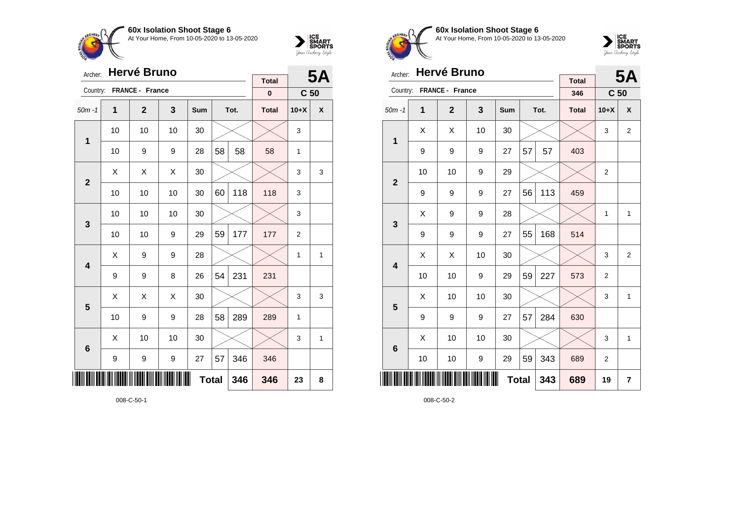



| Archer:                 |    | <b>Hervé Bruno</b> |    | <b>Total</b> |    | <b>5A</b> |              |                 |                    |
|-------------------------|----|--------------------|----|--------------|----|-----------|--------------|-----------------|--------------------|
| Country:                |    | FRANCE - France    |    |              |    |           | $\pmb{0}$    | C <sub>50</sub> |                    |
| $50m - 1$               | 1  | $\mathbf{2}$       | 3  | Sum          |    | Tot.      | <b>Total</b> | $10+X$          | $\pmb{\mathsf{X}}$ |
| 1                       | 10 | 10                 | 10 | 30           |    |           |              | 3               |                    |
|                         | 10 | 9                  | 9  | 28           | 58 | 58        | 58           | 1               |                    |
| $\mathbf{2}$            | X  | Χ                  | X  | 30           |    |           |              | 3               | 3                  |
|                         | 10 | 10                 | 10 | 30           | 60 | 118       | 118          | 3               |                    |
| 3                       | 10 | 10                 | 10 | 30           |    |           |              | 3               |                    |
|                         | 10 | 10                 | 9  | 29           | 59 | 177       | 177          | $\overline{2}$  |                    |
| $\overline{\mathbf{4}}$ | х  | 9                  | 9  | 28           |    |           |              | 1               | 1                  |
|                         | 9  | 9                  | 8  | 26           | 54 | 231       | 231          |                 |                    |
| 5                       | X  | X                  | X  | 30           |    |           |              | 3               | 3                  |
|                         | 10 | 9                  | 9  | 28           | 58 | 289       | 289          | $\mathbf{1}$    |                    |
| $6\phantom{1}6$         | X  | 10                 | 10 | 30           |    |           |              | 3               | 1                  |
|                         | 9  | 9                  | 9  | 27           | 57 | 346       | 346          |                 |                    |
|                         |    |                    |    | <b>Total</b> |    | 346       | 346          | 23              | 8                  |

008-C-50-1



**60x Isolation Shoot Stage 6** At Your Home, From 10-05-2020 to 13-05-2020



| Archer:         |    | Hervé Bruno     |    |              |    | <b>5A</b> |                     |                 |                |
|-----------------|----|-----------------|----|--------------|----|-----------|---------------------|-----------------|----------------|
| Country:        |    | FRANCE - France |    |              |    |           | <b>Total</b><br>346 | C <sub>50</sub> |                |
| $50m - 1$       | 1  | $\mathbf{2}$    | 3  | Sum          |    | Tot.      | <b>Total</b>        | $10+X$          | X              |
|                 | Χ  | Χ               | 10 | 30           |    |           |                     | 3               | 2              |
| 1               | 9  | 9               | 9  | 27           | 57 | 57        | 403                 |                 |                |
| $\overline{2}$  | 10 | 10              | 9  | 29           |    |           |                     | $\overline{2}$  |                |
|                 | 9  | 9               | 9  | 27           | 56 | 113       | 459                 |                 |                |
| 3               | X  | 9               | 9  | 28           |    |           |                     | 1               | $\mathbf{1}$   |
|                 | 9  | 9               | 9  | 27           | 55 | 168       | 514                 |                 |                |
| 4               | Χ  | Χ               | 10 | 30           |    |           |                     | 3               | $\overline{2}$ |
|                 | 10 | 10              | 9  | 29           | 59 | 227       | 573                 | $\overline{2}$  |                |
| 5               | X  | 10              | 10 | 30           |    |           |                     | 3               | $\mathbf{1}$   |
|                 | 9  | 9               | 9  | 27           | 57 | 284       | 630                 |                 |                |
| $6\phantom{1}6$ | X  | 10              | 10 | 30           |    |           |                     | 3               | $\mathbf{1}$   |
|                 | 10 | 10              | 9  | 29           | 59 | 343       | 689                 | $\overline{2}$  |                |
| ║║              |    |                 |    | <b>Total</b> |    | 343       | 689                 | 19              | 7              |

008-C-50-2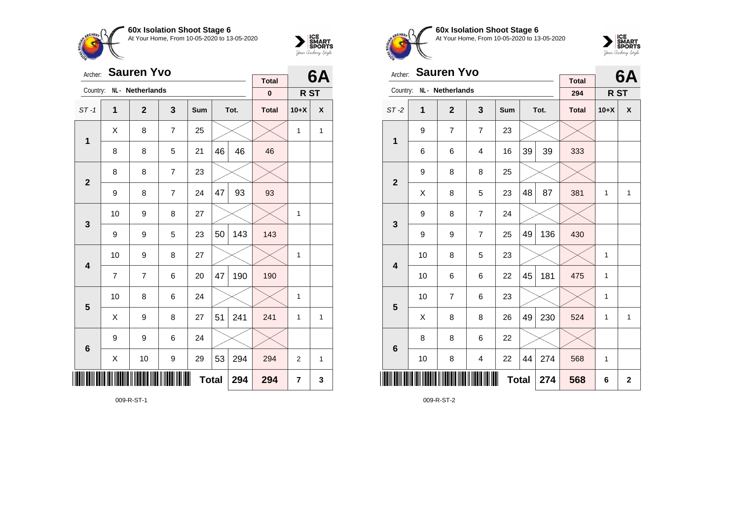



| Archer:         |    | <b>Sauren Yvo</b> |                | <b>Total</b> |    | 6A   |              |                |   |
|-----------------|----|-------------------|----------------|--------------|----|------|--------------|----------------|---|
| Country:        |    | NL · Netherlands  |                |              |    |      | $\pmb{0}$    | R ST           |   |
| $ST-1$          | 1  | $\mathbf 2$       | 3              | Sum          |    | Tot. | <b>Total</b> | $10+X$         | X |
| $\mathbf 1$     | X  | 8                 | $\overline{7}$ | 25           |    |      |              | 1              | 1 |
|                 | 8  | 8                 | 5              | 21           | 46 | 46   | 46           |                |   |
| $\mathbf{2}$    | 8  | 8                 | $\overline{7}$ | 23           |    |      |              |                |   |
|                 | 9  | 8                 | $\overline{7}$ | 24           | 47 | 93   | 93           |                |   |
| 3               | 10 | 9                 | 8              | 27           |    |      |              | 1              |   |
|                 | 9  | 9                 | 5              | 23           | 50 | 143  | 143          |                |   |
| 4               | 10 | 9                 | 8              | 27           |    |      |              | 1              |   |
|                 | 7  | 7                 | 6              | 20           | 47 | 190  | 190          |                |   |
| 5               | 10 | 8                 | 6              | 24           |    |      |              | 1              |   |
|                 | X  | 9                 | 8              | 27           | 51 | 241  | 241          | $\mathbf{1}$   | 1 |
| $6\phantom{1}6$ | 9  | 9                 | 6              | 24           |    |      |              |                |   |
|                 | X  | 10                | 9              | 29           | 53 | 294  | 294          | $\overline{2}$ | 1 |
| IIII            |    |                   |                | <b>Total</b> |    | 294  | 294          | 7              | 3 |

009-R-ST-1



**60x Isolation Shoot Stage 6** At Your Home, From 10-05-2020 to 13-05-2020



| Archer:         |                | <b>Sauren Yvo</b> |                |     |             | 6A   |                     |                 |   |
|-----------------|----------------|-------------------|----------------|-----|-------------|------|---------------------|-----------------|---|
| Country:        |                | NL - Netherlands  |                |     |             |      | <b>Total</b><br>294 | R <sub>ST</sub> |   |
| $ST-2$          | $\overline{1}$ | $\overline{2}$    | 3              | Sum |             | Tot. | <b>Total</b>        | $10+X$          | X |
| $\mathbf{1}$    | 9              | $\overline{7}$    | $\overline{7}$ | 23  |             |      |                     |                 |   |
|                 | 6              | 6                 | $\overline{4}$ | 16  | 39          | 39   | 333                 |                 |   |
| $\overline{2}$  | 9              | 8                 | 8              | 25  |             |      |                     |                 |   |
|                 | Χ              | 8                 | 5              | 23  | 48          | 87   | 381                 | 1               | 1 |
| 3               | 9              | 8                 | $\overline{7}$ | 24  |             |      |                     |                 |   |
|                 | 9              | 9                 | $\overline{7}$ | 25  | 49          | 136  | 430                 |                 |   |
| 4               | 10             | 8                 | 5              | 23  |             |      |                     | 1               |   |
|                 | 10             | 6                 | 6              | 22  | 45          | 181  | 475                 | 1               |   |
| 5               | 10             | 7                 | 6              | 23  |             |      |                     | 1               |   |
|                 | X              | 8                 | 8              | 26  | 49          | 230  | 524                 | 1               | 1 |
| $6\phantom{1}6$ | 8              | 8                 | 6              | 22  |             |      |                     |                 |   |
|                 | 10             | 8                 | 4              | 22  | 44          | 274  | 568                 | 1               |   |
| ║║║             |                |                   | 568            | 6   | $\mathbf 2$ |      |                     |                 |   |

009-R-ST-2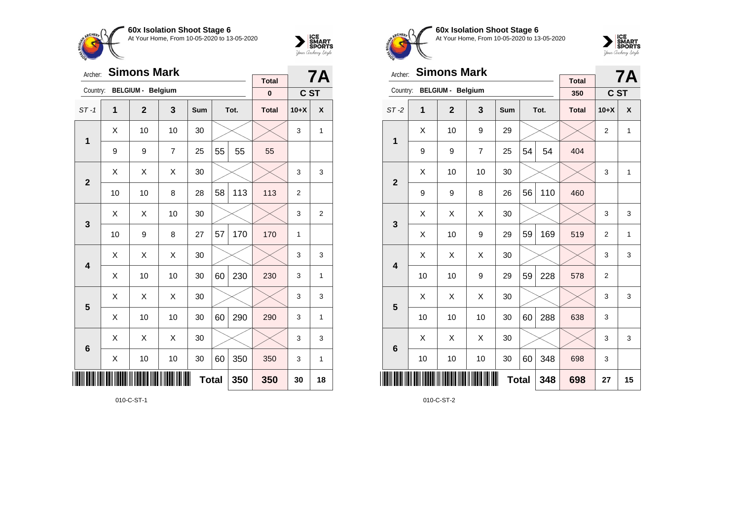



| Archer:        |              | <b>Simons Mark</b>       |                | <b>Total</b> |    | <b>7A</b> |              |        |                |
|----------------|--------------|--------------------------|----------------|--------------|----|-----------|--------------|--------|----------------|
| Country:       |              | <b>BELGIUM - Belgium</b> |                |              |    |           | $\pmb{0}$    | C ST   |                |
| $ST-1$         | $\mathbf{1}$ | $\overline{2}$           | 3              | Sum          |    | Tot.      | <b>Total</b> | $10+X$ | X              |
| 1              | X            | 10                       | 10             | 30           |    |           |              | 3      | 1              |
|                | 9            | 9                        | $\overline{7}$ | 25           | 55 | 55        | 55           |        |                |
| $\overline{2}$ | X            | X                        | Χ              | 30           |    |           |              | 3      | 3              |
|                | 10           | 10                       | 8              | 28           | 58 | 113       | 113          | 2      |                |
| 3              | X            | X                        | 10             | 30           |    |           |              | 3      | $\overline{2}$ |
|                | 10           | 9                        | 8              | 27           | 57 | 170       | 170          | 1      |                |
| 4              | Χ            | X                        | X              | 30           |    |           |              | 3      | 3              |
|                | Χ            | 10                       | 10             | 30           | 60 | 230       | 230          | 3      | 1              |
| 5              | X            | X                        | X              | 30           |    |           |              | 3      | 3              |
|                | Χ            | 10                       | 10             | 30           | 60 | 290       | 290          | 3      | 1              |
| 6              | Χ            | Χ                        | Χ              | 30           |    |           |              | 3      | 3              |
|                | Χ            | 10                       | $10$           | 30           | 60 | 350       | 350          | 3      | 1              |
|                |              |                          |                | <b>Total</b> |    | 350       | 350          | 30     | 18             |

010-C-ST-1



**60x Isolation Shoot Stage 6** At Your Home, From 10-05-2020 to 13-05-2020



| Archer:        |                     | <b>Simons Mark</b>       |    |     |    | <b>7A</b> |                     |                |              |
|----------------|---------------------|--------------------------|----|-----|----|-----------|---------------------|----------------|--------------|
| Country:       |                     | <b>BELGIUM - Belgium</b> |    |     |    |           | <b>Total</b><br>350 | C ST           |              |
| $ST-2$         | 1                   | $\overline{2}$           | 3  | Sum |    | Tot.      | <b>Total</b>        | $10+X$         | X            |
| 1              | Χ                   | 10                       | 9  | 29  |    |           |                     | $\overline{2}$ | 1            |
|                | 9                   | 9                        | 7  | 25  | 54 | 54        | 404                 |                |              |
| $\overline{2}$ | X                   | 10                       | 10 | 30  |    |           |                     | 3              | 1            |
|                | 9                   | 9                        | 8  | 26  | 56 | 110       | 460                 |                |              |
| 3              | X                   | X                        | X  | 30  |    |           |                     | 3              | 3            |
|                | Χ                   | 10                       | 9  | 29  | 59 | 169       | 519                 | $\overline{2}$ | $\mathbf{1}$ |
| 4              | Χ                   | Χ                        | X  | 30  |    |           |                     | 3              | 3            |
|                | 10                  | 10                       | 9  | 29  | 59 | 228       | 578                 | $\overline{2}$ |              |
| 5              | X                   | Χ                        | X  | 30  |    |           |                     | 3              | 3            |
|                | 10                  | 10                       | 10 | 30  | 60 | 288       | 638                 | 3              |              |
| 6              | X                   | Χ                        | X  | 30  |    |           |                     | 3              | 3            |
|                | 10                  | 10                       | 10 | 30  | 60 | 348       | 698                 | 3              |              |
| ║║║            | <b>Total</b><br>348 |                          |    |     |    |           |                     | 27             | 15           |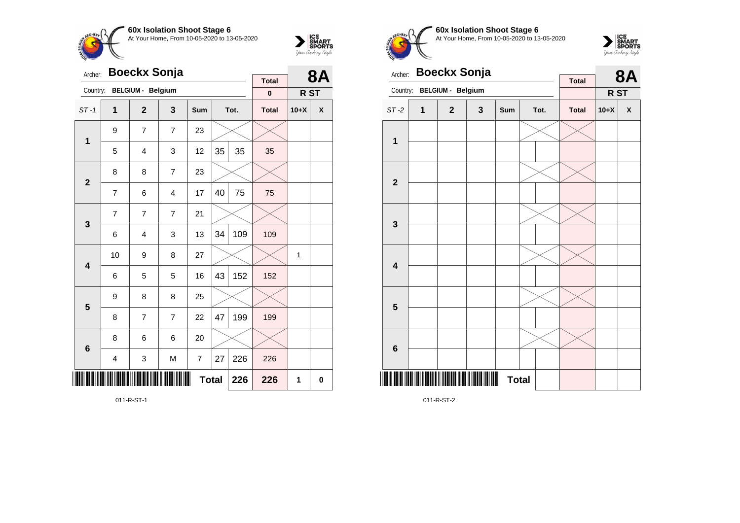



| Archer:                 |                         | <b>Boeckx Sonja</b>      |                |            |    | <b>8A</b> |                          |        |             |
|-------------------------|-------------------------|--------------------------|----------------|------------|----|-----------|--------------------------|--------|-------------|
| Country:                |                         | <b>BELGIUM - Belgium</b> |                |            |    |           | <b>Total</b><br>$\bf{0}$ | R ST   |             |
| $ST-1$                  | $\mathbf{1}$            | $\overline{2}$           | 3              | <b>Sum</b> |    | Tot.      | <b>Total</b>             | $10+X$ | X           |
| 1                       | 9                       | 7                        | $\overline{7}$ | 23         |    |           |                          |        |             |
|                         | 5                       | $\overline{4}$           | 3              | 12         | 35 | 35        | 35                       |        |             |
| $\overline{2}$          | 8                       | 8                        | $\overline{7}$ | 23         |    |           |                          |        |             |
|                         | 7                       | 6                        | $\overline{4}$ | 17         | 40 | 75        | 75                       |        |             |
| 3                       | $\overline{7}$          | $\overline{7}$           | $\overline{7}$ | 21         |    |           |                          |        |             |
|                         | 6                       | 4                        | 3              | 13         | 34 | 109       | 109                      |        |             |
| $\overline{\mathbf{4}}$ | 10                      | 9                        | 8              | 27         |    |           |                          | 1      |             |
|                         | 6                       | 5                        | 5              | 16         | 43 | 152       | 152                      |        |             |
| 5                       | 9                       | 8                        | 8              | 25         |    |           |                          |        |             |
|                         | 8                       | 7                        | $\overline{7}$ | 22         | 47 | 199       | 199                      |        |             |
| $6\phantom{1}6$         | 8                       | 6                        | 6              | 20         |    |           |                          |        |             |
|                         | $\overline{\mathbf{4}}$ | 3                        | M              | 7          | 27 | 226       | 226                      |        |             |
| Ⅲ                       | <b>Total</b><br>226     |                          |                |            |    |           |                          | 1      | $\mathbf 0$ |

011-R-ST-1



**60x Isolation Shoot Stage 6** At Your Home, From 10-05-2020 to 13-05-2020



| Archer:                 |   | <b>Boeckx Sonja</b>      |              | <b>Total</b>        |  | <b>8A</b> |              |        |   |
|-------------------------|---|--------------------------|--------------|---------------------|--|-----------|--------------|--------|---|
| Country:                |   | <b>BELGIUM - Belgium</b> |              |                     |  |           |              | R ST   |   |
| $ST-2$                  | 1 | $\mathbf{2}$             | $\mathbf{3}$ | Sum                 |  | Tot.      | <b>Total</b> | $10+X$ | X |
| 1                       |   |                          |              |                     |  |           |              |        |   |
|                         |   |                          |              |                     |  |           |              |        |   |
| $\overline{\mathbf{2}}$ |   |                          |              |                     |  |           |              |        |   |
|                         |   |                          |              |                     |  |           |              |        |   |
| $\mathbf{3}$            |   |                          |              |                     |  |           |              |        |   |
|                         |   |                          |              |                     |  |           |              |        |   |
| $\overline{\mathbf{4}}$ |   |                          |              |                     |  |           |              |        |   |
|                         |   |                          |              |                     |  |           |              |        |   |
| 5                       |   |                          |              |                     |  |           |              |        |   |
|                         |   |                          |              |                     |  |           |              |        |   |
|                         |   |                          |              |                     |  |           |              |        |   |
| $6\phantom{1}6$         |   |                          |              |                     |  |           |              |        |   |
|                         |   |                          |              | III<br><b>Total</b> |  |           |              |        |   |

011-R-ST-2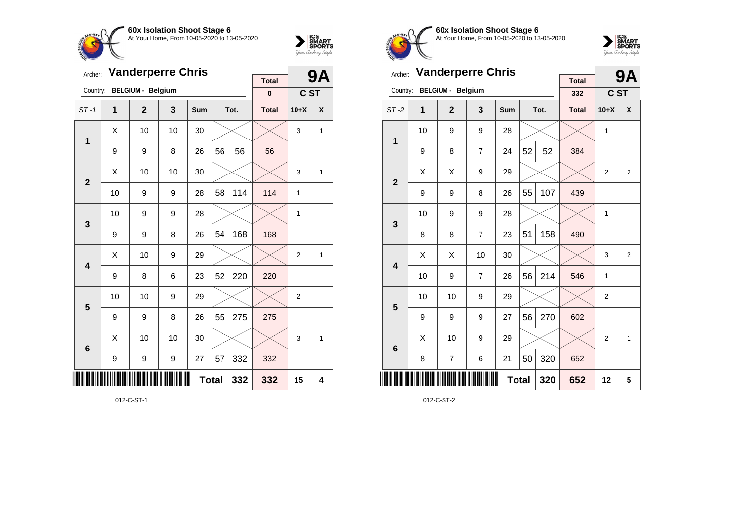



| Archer:                 | <b>Vanderperre Chris</b> |                          |    |            | <b>9A</b>    |      |                          |                |              |
|-------------------------|--------------------------|--------------------------|----|------------|--------------|------|--------------------------|----------------|--------------|
| Country:                |                          | <b>BELGIUM - Belgium</b> |    |            |              |      | <b>Total</b><br>$\bf{0}$ | C ST           |              |
| $ST-1$                  | 1                        | $\overline{2}$           | 3  | <b>Sum</b> |              | Tot. | <b>Total</b>             | $10+X$         | X            |
|                         | X                        | 10                       | 10 | 30         |              |      |                          | 3              | $\mathbf{1}$ |
| 1                       | 9                        | 9                        | 8  | 26         | 56           | 56   | 56                       |                |              |
| $\overline{2}$          | X                        | 10                       | 10 | 30         |              |      |                          | 3              | 1            |
|                         | 10                       | 9                        | 9  | 28         | 58           | 114  | 114                      | 1              |              |
| 3                       | 10                       | 9                        | 9  | 28         |              |      |                          | 1              |              |
|                         | 9                        | 9                        | 8  | 26         | 54           | 168  | 168                      |                |              |
| $\overline{\mathbf{A}}$ | X                        | 10                       | 9  | 29         |              |      |                          | $\overline{2}$ | 1            |
|                         | 9                        | 8                        | 6  | 23         | 52           | 220  | 220                      |                |              |
| 5                       | 10                       | 10                       | 9  | 29         |              |      |                          | $\overline{2}$ |              |
|                         | 9                        | 9                        | 8  | 26         | 55           | 275  | 275                      |                |              |
| $6\phantom{1}6$         | X                        | 10                       | 10 | 30         |              |      |                          | 3              | 1            |
|                         | 9                        | 9                        | 9  | 27         | 57           | 332  | 332                      |                |              |
|                         |                          |                          |    |            | <b>Total</b> | 332  | 332                      | 15             | 4            |

012-C-ST-1



**60x Isolation Shoot Stage 6** At Your Home, From 10-05-2020 to 13-05-2020



| Archer:        | <b>Vanderperre Chris</b> |                          |                |     | <b>9A</b>    |      |                     |                |                |
|----------------|--------------------------|--------------------------|----------------|-----|--------------|------|---------------------|----------------|----------------|
| Country:       |                          | <b>BELGIUM - Belgium</b> |                |     |              |      | <b>Total</b><br>332 | C ST           |                |
| $ST-2$         | 1                        | $\overline{2}$           | 3              | Sum |              | Tot. | <b>Total</b>        | $10+X$         | X              |
| 1              | 10                       | 9                        | 9              | 28  |              |      |                     | $\mathbf{1}$   |                |
|                | 9                        | 8                        | $\overline{7}$ | 24  | 52           | 52   | 384                 |                |                |
| $\overline{2}$ | X                        | Χ                        | 9              | 29  |              |      |                     | $\overline{2}$ | $\overline{2}$ |
|                | 9                        | 9                        | 8              | 26  | 55           | 107  | 439                 |                |                |
| 3              | 10                       | 9                        | 9              | 28  |              |      |                     | 1              |                |
|                | 8                        | 8                        | 7              | 23  | 51           | 158  | 490                 |                |                |
| 4              | X                        | Χ                        | 10             | 30  |              |      |                     | 3              | $\overline{2}$ |
|                | 10                       | 9                        | $\overline{7}$ | 26  | 56           | 214  | 546                 | 1              |                |
| 5              | 10                       | 10                       | 9              | 29  |              |      |                     | $\overline{2}$ |                |
|                | 9                        | 9                        | 9              | 27  | 56           | 270  | 602                 |                |                |
| 6              | X                        | 10                       | 9              | 29  |              |      |                     | $\overline{2}$ | 1              |
|                | 8                        | 7                        | 6              | 21  | 50           | 320  | 652                 |                |                |
| ║║             |                          |                          |                |     | <b>Total</b> | 320  | 652                 | 12             | 5              |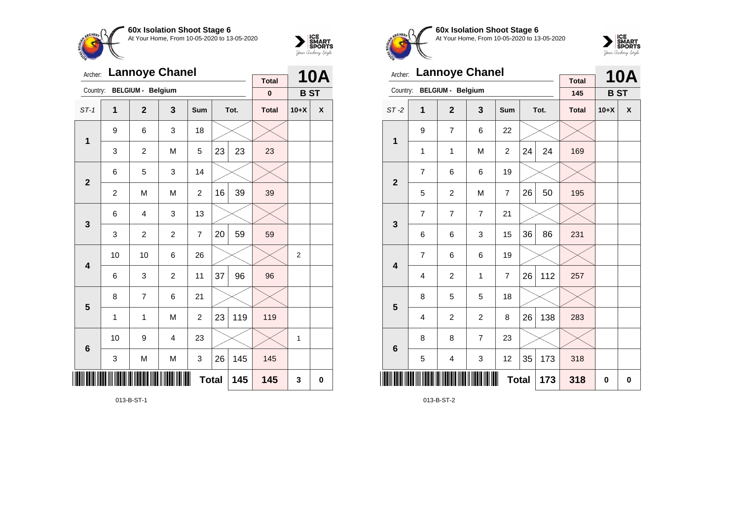



| Archer:                 |                | <b>Lannoye Chanel</b>    |                |                |    | <b>10A</b>  |                          |                |   |
|-------------------------|----------------|--------------------------|----------------|----------------|----|-------------|--------------------------|----------------|---|
| Country:                |                | <b>BELGIUM - Belgium</b> |                |                |    |             | <b>Total</b><br>$\bf{0}$ | <b>BST</b>     |   |
| $ST-1$                  | $\mathbf 1$    | $\overline{2}$           | 3              | <b>Sum</b>     |    | Tot.        | <b>Total</b>             | $10+X$         | X |
| 1                       | 9              | 6                        | 3              | 18             |    |             |                          |                |   |
|                         | 3              | $\mathbf 2$              | M              | 5              | 23 | 23          | 23                       |                |   |
| $\overline{2}$          | 6              | 5                        | 3              | 14             |    |             |                          |                |   |
|                         | $\overline{c}$ | M                        | M              | $\overline{c}$ | 16 | 39          | 39                       |                |   |
| $\mathbf{3}$            | 6              | 4                        | 3              | 13             |    |             |                          |                |   |
|                         | 3              | $\overline{c}$           | $\overline{2}$ | $\overline{7}$ | 20 | 59          | 59                       |                |   |
| $\overline{\mathbf{4}}$ | 10             | 10                       | 6              | 26             |    |             |                          | $\overline{2}$ |   |
|                         | 6              | 3                        | $\overline{2}$ | 11             | 37 | 96          | 96                       |                |   |
| 5                       | 8              | 7                        | 6              | 21             |    |             |                          |                |   |
|                         | 1              | 1                        | M              | 2              | 23 | 119         | 119                      |                |   |
| $6\phantom{1}6$         | 10             | 9                        | $\overline{4}$ | 23             |    |             |                          | 1              |   |
|                         | 3              | M                        | M              | 3              | 26 | 145         | 145                      |                |   |
| ║║                      |                |                          | 145            | 145            | 3  | $\mathbf 0$ |                          |                |   |

013-B-ST-1



**60x Isolation Shoot Stage 6** At Your Home, From 10-05-2020 to 13-05-2020



| Archer:                 |                | <b>Lannoye Chanel</b>    |                |                |    | <b>10A</b> |                     |            |          |
|-------------------------|----------------|--------------------------|----------------|----------------|----|------------|---------------------|------------|----------|
| Country:                |                | <b>BELGIUM - Belgium</b> |                |                |    |            | <b>Total</b><br>145 | <b>BST</b> |          |
| $ST-2$                  | 1              | $\mathbf{2}$             | 3              | Sum            |    | Tot.       | <b>Total</b>        | $10+X$     | X        |
| 1                       | 9              | $\overline{7}$           | 6              | 22             |    |            |                     |            |          |
|                         | 1              | $\mathbf{1}$             | M              | 2              | 24 | 24         | 169                 |            |          |
| $\overline{2}$          | $\overline{7}$ | 6                        | 6              | 19             |    |            |                     |            |          |
|                         | 5              | $\overline{c}$           | M              | 7              | 26 | 50         | 195                 |            |          |
| 3                       | $\overline{7}$ | 7                        | $\overline{7}$ | 21             |    |            |                     |            |          |
|                         | 6              | 6                        | 3              | 15             | 36 | 86         | 231                 |            |          |
| $\overline{\mathbf{4}}$ | $\overline{7}$ | 6                        | 6              | 19             |    |            |                     |            |          |
|                         | 4              | $\overline{c}$           | 1              | $\overline{7}$ | 26 | 112        | 257                 |            |          |
| 5                       | 8              | 5                        | 5              | 18             |    |            |                     |            |          |
|                         | 4              | $\overline{2}$           | $\overline{2}$ | 8              | 26 | 138        | 283                 |            |          |
| 6                       | 8              | 8                        | 7              | 23             |    |            |                     |            |          |
|                         | 5              | 4                        | 3              | 12             | 35 | 173        | 318                 |            |          |
| ║║║                     |                |                          |                | <b>Total</b>   |    | 173        | 318                 | 0          | $\bf{0}$ |

013-B-ST-2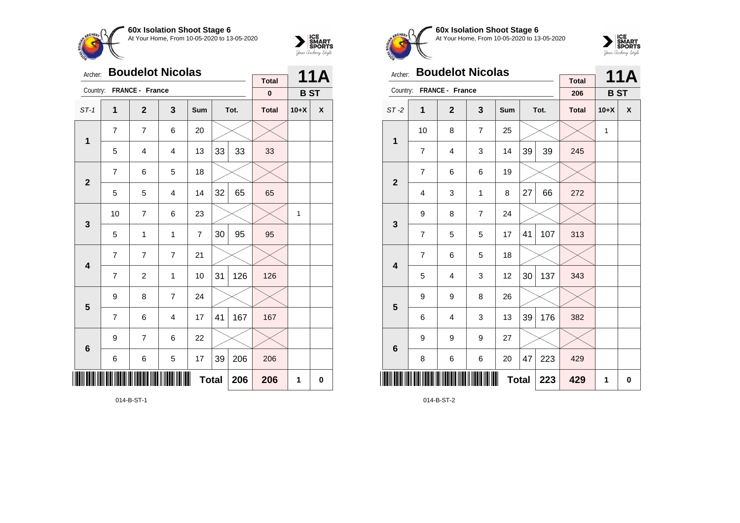



| Archer:         |                     | <b>Boudelot Nicolas</b> |                |                |    | <b>11A</b> |                          |            |   |
|-----------------|---------------------|-------------------------|----------------|----------------|----|------------|--------------------------|------------|---|
| Country:        |                     | FRANCE - France         |                |                |    |            | <b>Total</b><br>$\bf{0}$ | <b>BST</b> |   |
| $ST-1$          | 1                   | $\mathbf{2}$            | 3              | Sum            |    | Tot.       | <b>Total</b>             | $10+X$     | X |
| $\mathbf 1$     | $\overline{7}$      | 7                       | 6              | 20             |    |            |                          |            |   |
|                 | 5                   | $\overline{4}$          | $\overline{4}$ | 13             | 33 | 33         | 33                       |            |   |
| $\mathbf{2}$    | $\overline{7}$      | 6                       | 5              | 18             |    |            |                          |            |   |
|                 | 5                   | 5                       | $\overline{4}$ | 14             | 32 | 65         | 65                       |            |   |
| 3               | 10                  | $\overline{7}$          | 6              | 23             |    |            |                          | 1          |   |
|                 | 5                   | 1                       | $\mathbf{1}$   | $\overline{7}$ | 30 | 95         | 95                       |            |   |
| 4               | $\overline{7}$      | $\overline{7}$          | $\overline{7}$ | 21             |    |            |                          |            |   |
|                 | $\overline{7}$      | 2                       | 1              | 10             | 31 | 126        | 126                      |            |   |
| 5               | 9                   | 8                       | $\overline{7}$ | 24             |    |            |                          |            |   |
|                 | $\overline{7}$      | 6                       | $\overline{4}$ | 17             | 41 | 167        | 167                      |            |   |
| $6\phantom{1}6$ | 9                   | 7                       | 6              | 22             |    |            |                          |            |   |
|                 | 6                   | 6                       | 5              | 17             | 39 | 206        | 206                      |            |   |
| ║║              | <b>Total</b><br>206 |                         |                |                |    |            |                          | 1          | 0 |

014-B-ST-1



**60x Isolation Shoot Stage 6** At Your Home, From 10-05-2020 to 13-05-2020



| Archer:         |                | <b>Boudelot Nicolas</b> |                |     |              | <b>11A</b> |                     |            |   |
|-----------------|----------------|-------------------------|----------------|-----|--------------|------------|---------------------|------------|---|
| Country:        |                | FRANCE - France         |                |     |              |            | <b>Total</b><br>206 | <b>BST</b> |   |
| $ST-2$          | 1              | $\overline{2}$          | 3              | Sum |              | Tot.       | <b>Total</b>        | $10+X$     | X |
| 1               | 10             | 8                       | $\overline{7}$ | 25  |              |            |                     | 1          |   |
|                 | $\overline{7}$ | $\overline{4}$          | 3              | 14  | 39           | 39         | 245                 |            |   |
| $\overline{2}$  | $\overline{7}$ | 6                       | 6              | 19  |              |            |                     |            |   |
|                 | $\overline{4}$ | 3                       | 1              | 8   | 27           | 66         | 272                 |            |   |
| 3               | 9              | 8                       | $\overline{7}$ | 24  |              |            |                     |            |   |
|                 | $\overline{7}$ | 5                       | 5              | 17  | 41           | 107        | 313                 |            |   |
| 4               | $\overline{7}$ | 6                       | 5              | 18  |              |            |                     |            |   |
|                 | 5              | $\overline{4}$          | 3              | 12  | 30           | 137        | 343                 |            |   |
| 5               | 9              | 9                       | 8              | 26  |              |            |                     |            |   |
|                 | 6              | 4                       | 3              | 13  | 39           | 176        | 382                 |            |   |
| $6\phantom{1}6$ | 9              | 9                       | 9              | 27  |              |            |                     |            |   |
|                 | 8              | 6                       | 6              | 20  | 47           | 223        | 429                 |            |   |
| Ⅲ               |                |                         |                |     | <b>Total</b> | 223        | 429                 | 1          | 0 |

014-B-ST-2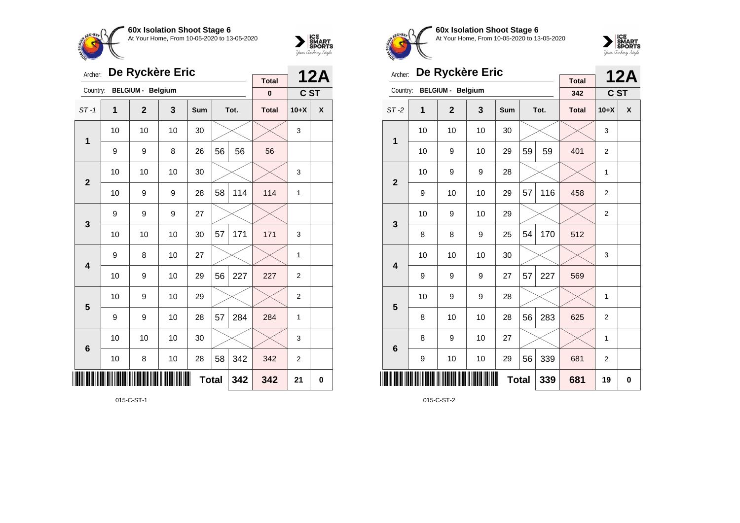

**5**

**6**



| $rac{4}{7}$ Og |    |                          |    |     |    |      |              |              | iyoun waxany singe |
|----------------|----|--------------------------|----|-----|----|------|--------------|--------------|--------------------|
| Archer:        |    | De Ryckère Eric          |    |     |    |      | <b>Total</b> |              | <b>12A</b>         |
| Country:       |    | <b>BELGIUM - Belgium</b> |    |     |    |      | $\bf{0}$     | C ST         |                    |
| $ST-1$         | 1  | $\boldsymbol{2}$         | 3  | Sum |    | Tot. | <b>Total</b> | $10+X$       | X                  |
|                | 10 | 10                       | 10 | 30  |    |      |              | 3            |                    |
| 1              | 9  | 9                        | 8  | 26  | 56 | 56   | 56           |              |                    |
|                | 10 | 10                       | 10 | 30  |    |      |              | 3            |                    |
| $\overline{2}$ | 10 | 9                        | 9  | 28  | 58 | 114  | 114          | 1            |                    |
|                | 9  | 9                        | 9  | 27  |    |      |              |              |                    |
| $\mathbf{3}$   | 10 | 10                       | 10 | 30  | 57 | 171  | 171          | 3            |                    |
|                | 9  | 8                        | 10 | 27  |    |      |              | 1            |                    |
| 4              | 10 | 9                        | 10 | 29  | 56 | 227  | 227          | $\mathbf{2}$ |                    |
|                |    |                          |    |     |    |      |              |              |                    |

10  $\mid$  9  $\mid$  10  $\mid$  29  $\mid$   $\times$   $\mid$   $\times$   $\mid$  2

9 | 9 | 10 | 28 | $57$ |284 | 284 | 1

10 | 10 | 10 | 30 |  $\times$  |  $\times$  | 3

10 | 8 | 10 | 28 | 58 | 342 | 342 | 2

**Total 342 342 21 0**

**60x Isolation Shoot Stage 6** CHFO. At Your Home, From 10-05-2020 to 13-05-2020



| Archer:        |                                  | De Ryckère Eric          |     |     |    | <b>12A</b> |                     |                |   |
|----------------|----------------------------------|--------------------------|-----|-----|----|------------|---------------------|----------------|---|
| Country:       |                                  | <b>BELGIUM - Belgium</b> |     |     |    |            | <b>Total</b><br>342 | C ST           |   |
| $ST-2$         | 1                                | $\overline{2}$           | 3   | Sum |    | Tot.       | <b>Total</b>        | $10+X$         | X |
| 1              | 10                               | 10                       | 10  | 30  |    |            |                     | 3              |   |
|                | 10                               | 9                        | 10  | 29  | 59 | 59         | 401                 | $\overline{2}$ |   |
| $\overline{2}$ | 10                               | 9                        | 9   | 28  |    |            |                     | 1              |   |
|                | 9                                | 10                       | 10  | 29  | 57 | 116        | 458                 | $\overline{2}$ |   |
| 3              | 10                               | 9                        | 10  | 29  |    |            |                     | $\overline{c}$ |   |
|                | 8                                | 8                        | 9   | 25  | 54 | 170        | 512                 |                |   |
| 4              | 10                               | 10                       | 10  | 30  |    |            |                     | 3              |   |
|                | 9                                | 9                        | 9   | 27  | 57 | 227        | 569                 |                |   |
| 5              | 10                               | 9                        | 9   | 28  |    |            |                     | 1              |   |
|                | 8                                | 10                       | 10  | 28  | 56 | 283        | 625                 | $\overline{2}$ |   |
| 6              | 8                                | 9                        | 10  | 27  |    |            |                     | 1              |   |
|                | 339<br>56<br>9<br>10<br>10<br>29 |                          |     |     |    |            |                     | $\overline{2}$ |   |
| ║║║            |                                  |                          | 681 | 19  | 0  |            |                     |                |   |

015-C-ST-2

015-C-ST-1

\*015-C-ST-1\*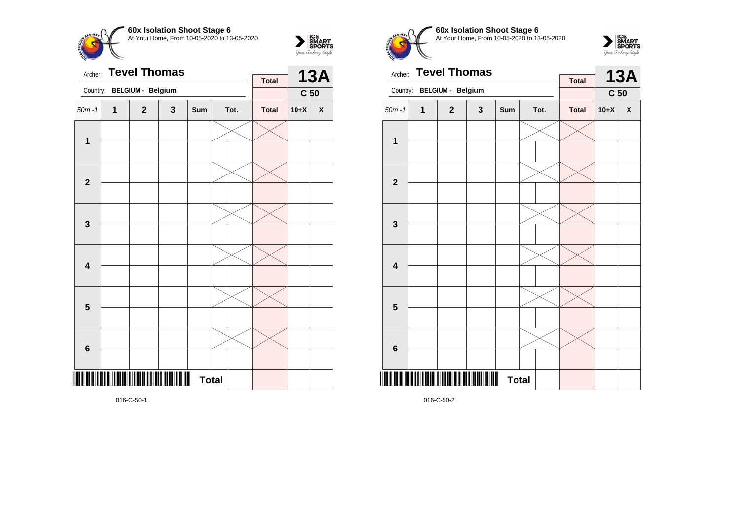



| Archer:                 |              | <b>Tevel Thomas</b>                        |   |                                |      | <b>Total</b> |        | <b>13A</b>         |  |
|-------------------------|--------------|--------------------------------------------|---|--------------------------------|------|--------------|--------|--------------------|--|
| Country:                |              | BELGIUM - Belgium                          |   |                                |      |              |        | C <sub>50</sub>    |  |
| $50m - 1$               | $\mathbf{1}$ | $\mathbf{2}$                               | 3 | Sum                            | Tot. | <b>Total</b> | $10+X$ | $\pmb{\mathsf{X}}$ |  |
| $\mathbf{1}$            |              |                                            |   |                                |      |              |        |                    |  |
| $\mathbf{2}$            |              |                                            |   |                                |      |              |        |                    |  |
| $\mathbf 3$             |              |                                            |   |                                |      |              |        |                    |  |
| $\overline{\mathbf{4}}$ |              |                                            |   |                                |      |              |        |                    |  |
| $\overline{\mathbf{5}}$ |              |                                            |   |                                |      |              |        |                    |  |
| $\bf 6$                 |              |                                            |   |                                |      |              |        |                    |  |
|                         |              | III IIII DIII IIIIIII III IIIIII DIII DIII |   | $\blacksquare$<br><b>Total</b> |      |              |        |                    |  |

**60x Isolation Shoot Stage 6** At Your Home, From 10-05-2020 to 13-05-2020

 $\overline{\phantom{a}}$ 



| Archer:                 | <b>Total</b> |                          | <b>13A</b>   |                   |      |  |              |                 |              |
|-------------------------|--------------|--------------------------|--------------|-------------------|------|--|--------------|-----------------|--------------|
| Country:                |              | <b>BELGIUM - Belgium</b> |              |                   |      |  |              | C <sub>50</sub> |              |
| $50m - 1$               | 1            | $\mathbf{2}$             | $\mathbf{3}$ | Sum               | Tot. |  | <b>Total</b> | $10+X$          | $\mathbf{x}$ |
| $\mathbf 1$             |              |                          |              |                   |      |  |              |                 |              |
| $\overline{\mathbf{2}}$ |              |                          |              |                   |      |  |              |                 |              |
|                         |              |                          |              |                   |      |  |              |                 |              |
| 3                       |              |                          |              |                   |      |  |              |                 |              |
| $\overline{\mathbf{4}}$ |              |                          |              |                   |      |  |              |                 |              |
| 5                       |              |                          |              |                   |      |  |              |                 |              |
|                         |              |                          |              |                   |      |  |              |                 |              |
| $\bf 6$                 |              |                          |              |                   |      |  |              |                 |              |
|                         |              |                          |              | Ш<br><b>Total</b> |      |  |              |                 |              |

016-C-50-2

016-C-50-1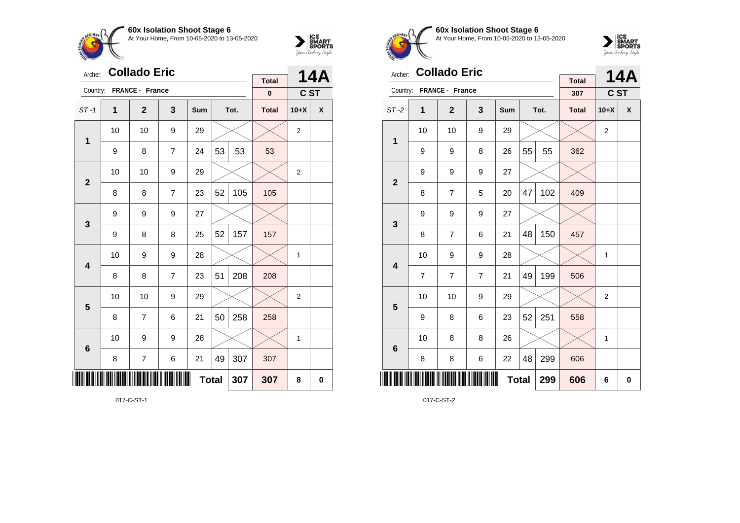



| Archer:                 |    | <b>Collado Eric</b> |                |              |    |      |                          |                | <b>14A</b> |
|-------------------------|----|---------------------|----------------|--------------|----|------|--------------------------|----------------|------------|
| Country:                |    | FRANCE - France     |                |              |    |      | <b>Total</b><br>$\bf{0}$ | C ST           |            |
| $ST-1$                  | 1  | $\overline{2}$      | 3              | <b>Sum</b>   |    | Tot. | <b>Total</b>             | $10+X$         | X          |
| 1                       | 10 | 10                  | 9              | 29           |    |      |                          | 2              |            |
|                         | 9  | 8                   | $\overline{7}$ | 24           | 53 | 53   | 53                       |                |            |
| $\overline{2}$          | 10 | 10                  | 9              | 29           |    |      |                          | $\overline{2}$ |            |
|                         | 8  | 8                   | $\overline{7}$ | 23           | 52 | 105  | 105                      |                |            |
| 3                       | 9  | 9                   | 9              | 27           |    |      |                          |                |            |
|                         | 9  | 8                   | 8              | 25           | 52 | 157  | 157                      |                |            |
| $\overline{\mathbf{4}}$ | 10 | 9                   | 9              | 28           |    |      |                          | 1              |            |
|                         | 8  | 8                   | $\overline{7}$ | 23           | 51 | 208  | 208                      |                |            |
| 5                       | 10 | 10                  | 9              | 29           |    |      |                          | $\overline{2}$ |            |
|                         | 8  | 7                   | 6              | 21           | 50 | 258  | 258                      |                |            |
| $6\phantom{1}6$         | 10 | 9                   | 9              | 28           |    |      |                          | 1              |            |
|                         | 8  | 7                   | 6              | 21           | 49 | 307  | 307                      |                |            |
|                         |    |                     |                | <b>Total</b> |    | 307  | 307                      | 8              | 0          |

017-C-ST-1



**60x Isolation Shoot Stage 6** At Your Home, From 10-05-2020 to 13-05-2020



| Archer:                 |                | <b>Collado Eric</b> |                |     |              |      | <b>Total</b> |                | <b>14A</b> |
|-------------------------|----------------|---------------------|----------------|-----|--------------|------|--------------|----------------|------------|
| Country:                |                | FRANCE - France     |                |     |              |      | 307          | C ST           |            |
| $ST-2$                  | 1              | $\mathbf{2}$        | 3              | Sum |              | Tot. | <b>Total</b> | $10+X$         | X          |
| 1                       | 10             | 10                  | 9              | 29  |              |      |              | $\overline{2}$ |            |
|                         | 9              | 9                   | 8              | 26  | 55           | 55   | 362          |                |            |
| $\mathbf{2}$            | 9              | 9                   | 9              | 27  |              |      |              |                |            |
|                         | 8              | $\overline{7}$      | 5              | 20  | 47           | 102  | 409          |                |            |
| 3                       | 9              | 9                   | 9              | 27  |              |      |              |                |            |
|                         | 8              | $\overline{7}$      | 6              | 21  | 48           | 150  | 457          |                |            |
| $\overline{\mathbf{4}}$ | 10             | 9                   | 9              | 28  |              |      |              | 1              |            |
|                         | $\overline{7}$ | 7                   | $\overline{7}$ | 21  | 49           | 199  | 506          |                |            |
| 5                       | 10             | 10                  | 9              | 29  |              |      |              | 2              |            |
|                         | 9              | 8                   | 6              | 23  | 52           | 251  | 558          |                |            |
| $6\phantom{1}6$         | 10             | 8                   | 8              | 26  |              |      |              | 1              |            |
|                         | 8              | 8                   | 6              | 22  | 48           | 299  | 606          |                |            |
| ║║║                     |                |                     |                |     | <b>Total</b> | 299  | 606          | 6              | 0          |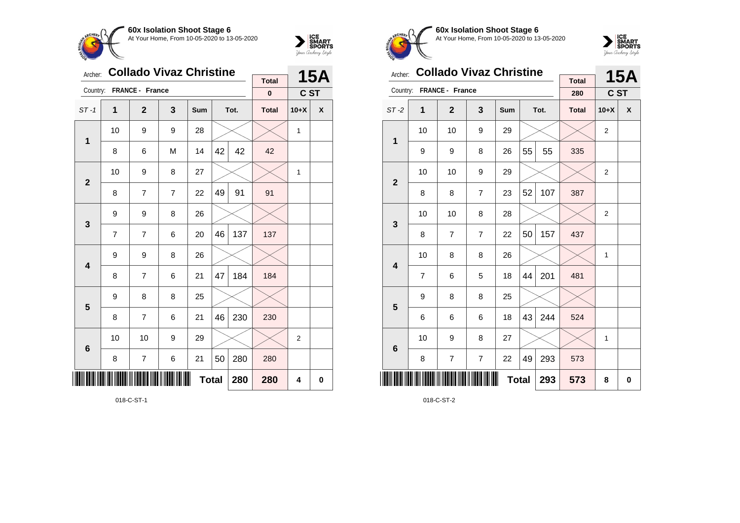



| Archer:         |    | <b>Collado Vivaz Christine</b> |                |              |    |      |              |                | <b>15A</b> |
|-----------------|----|--------------------------------|----------------|--------------|----|------|--------------|----------------|------------|
| Country:        |    | FRANCE - France                |                |              |    |      | <b>Total</b> |                |            |
|                 |    |                                |                |              |    |      | $\pmb{0}$    | C ST           |            |
| $ST-1$          | 1  | $\mathbf{2}$                   | 3              | Sum          |    | Tot. | <b>Total</b> | $10+X$         | X          |
| $\mathbf 1$     | 10 | 9                              | 9              | 28           |    |      |              | 1              |            |
|                 | 8  | 6                              | M              | 14           | 42 | 42   | 42           |                |            |
| $\overline{2}$  | 10 | 9                              | 8              | 27           |    |      |              | 1              |            |
|                 | 8  | 7                              | $\overline{7}$ | 22           | 49 | 91   | 91           |                |            |
| 3               | 9  | 9                              | 8              | 26           |    |      |              |                |            |
|                 | 7  | $\overline{7}$                 | 6              | 20           | 46 | 137  | 137          |                |            |
| 4               | 9  | 9                              | 8              | 26           |    |      |              |                |            |
|                 | 8  | $\overline{7}$                 | 6              | 21           | 47 | 184  | 184          |                |            |
| 5               | 9  | 8                              | 8              | 25           |    |      |              |                |            |
|                 | 8  | $\overline{7}$                 | 6              | 21           | 46 | 230  | 230          |                |            |
| $6\phantom{1}6$ | 10 | 10                             | 9              | 29           |    |      |              | $\overline{2}$ |            |
|                 | 8  | $\overline{7}$                 | 6              | 21           | 50 | 280  | 280          |                |            |
| ║║║             |    |                                |                | <b>Total</b> |    | 280  | 280          | 4              | 0          |

018-C-ST-1



**60x Isolation Shoot Stage 6** At Your Home, From 10-05-2020 to 13-05-2020



| Archer:         |                | <b>Collado Vivaz Christine</b> |                |            |              |      |                     |                | <b>15A</b> |
|-----------------|----------------|--------------------------------|----------------|------------|--------------|------|---------------------|----------------|------------|
| Country:        |                | FRANCE - France                |                |            |              |      | <b>Total</b><br>280 | C ST           |            |
| $ST-2$          | 1              | $\overline{2}$                 | 3              | <b>Sum</b> |              | Tot. | <b>Total</b>        | $10+X$         | X          |
| 1               | 10             | 10                             | 9              | 29         |              |      |                     | $\overline{2}$ |            |
|                 | 9              | 9                              | 8              | 26         | 55           | 55   | 335                 |                |            |
| $\overline{2}$  | 10             | 10                             | 9              | 29         |              |      |                     | $\overline{2}$ |            |
|                 | 8              | 8                              | $\overline{7}$ | 23         | 52           | 107  | 387                 |                |            |
| 3               | 10             | 10                             | 8              | 28         |              |      |                     | $\overline{2}$ |            |
|                 | 8              | 7                              | $\overline{7}$ | 22         | 50           | 157  | 437                 |                |            |
| 4               | 10             | 8                              | 8              | 26         |              |      |                     | 1              |            |
|                 | $\overline{7}$ | 6                              | 5              | 18         | 44           | 201  | 481                 |                |            |
| 5               | 9              | 8                              | 8              | 25         |              |      |                     |                |            |
|                 | 6              | 6                              | 6              | 18         | 43           | 244  | 524                 |                |            |
| $6\phantom{1}6$ | 10             | 9                              | 8              | 27         |              |      |                     | 1              |            |
|                 | 8              | 7                              | 7              | 22         | 49           | 293  | 573                 |                |            |
|                 |                |                                |                |            | <b>Total</b> | 293  | 573                 | 8              | 0          |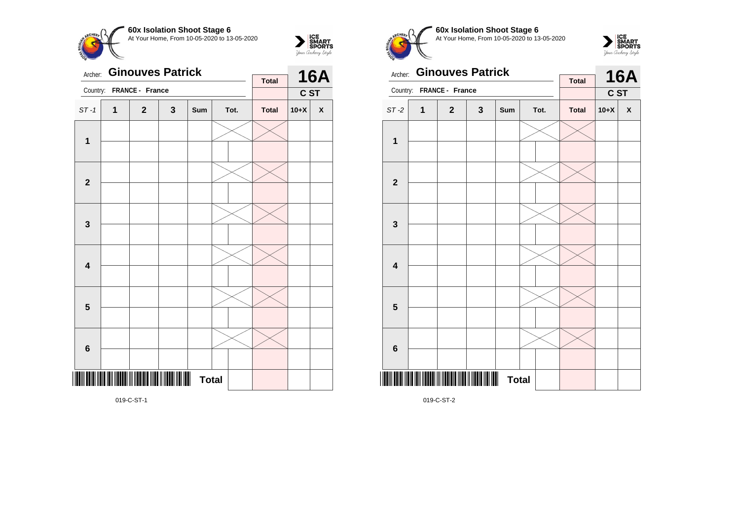



| Archer:                 |   | <b>Ginouves Patrick</b> |   |                |              |  | <b>Total</b> |        | <b>16A</b>         |
|-------------------------|---|-------------------------|---|----------------|--------------|--|--------------|--------|--------------------|
| Country:                |   | FRANCE - France         |   |                |              |  |              | C ST   |                    |
| $ST-1$                  | 1 | $\overline{2}$          | 3 | Sum            | Tot.         |  | <b>Total</b> | $10+X$ | $\pmb{\mathsf{X}}$ |
| 1                       |   |                         |   |                |              |  |              |        |                    |
|                         |   |                         |   |                |              |  |              |        |                    |
| $\mathbf{2}$            |   |                         |   |                |              |  |              |        |                    |
|                         |   |                         |   |                |              |  |              |        |                    |
| $\mathbf{3}$            |   |                         |   |                |              |  |              |        |                    |
|                         |   |                         |   |                |              |  |              |        |                    |
| $\overline{\mathbf{4}}$ |   |                         |   |                |              |  |              |        |                    |
|                         |   |                         |   |                |              |  |              |        |                    |
| 5                       |   |                         |   |                |              |  |              |        |                    |
|                         |   |                         |   |                |              |  |              |        |                    |
| $\bf 6$                 |   |                         |   |                |              |  |              |        |                    |
|                         |   |                         |   |                |              |  |              |        |                    |
|                         |   |                         |   | $\blacksquare$ | <b>Total</b> |  |              |        |                    |

**60x Isolation Shoot Stage 6**  $\overline{\phantom{a}}$ At Your Home, From 10-05-2020 to 13-05-2020



| Archer:                 |   | <b>Ginouves Patrick</b> |              |                   |      |  | <b>Total</b> |        | <b>16A</b> |
|-------------------------|---|-------------------------|--------------|-------------------|------|--|--------------|--------|------------|
| Country:                |   | FRANCE - France         |              |                   |      |  |              | C ST   |            |
| $ST-2$                  | 1 | $\mathbf{2}$            | $\mathbf{3}$ | Sum               | Tot. |  | <b>Total</b> | $10+X$ | X          |
|                         |   |                         |              |                   |      |  |              |        |            |
| 1                       |   |                         |              |                   |      |  |              |        |            |
|                         |   |                         |              |                   |      |  |              |        |            |
| $\boldsymbol{2}$        |   |                         |              |                   |      |  |              |        |            |
|                         |   |                         |              |                   |      |  |              |        |            |
| $\mathbf{3}$            |   |                         |              |                   |      |  |              |        |            |
|                         |   |                         |              |                   |      |  |              |        |            |
| $\overline{\mathbf{4}}$ |   |                         |              |                   |      |  |              |        |            |
|                         |   |                         |              |                   |      |  |              |        |            |
| 5                       |   |                         |              |                   |      |  |              |        |            |
|                         |   |                         |              |                   |      |  |              |        |            |
| $6\phantom{1}6$         |   |                         |              |                   |      |  |              |        |            |
|                         |   |                         |              | Ш<br><b>Total</b> |      |  |              |        |            |

019-C-ST-2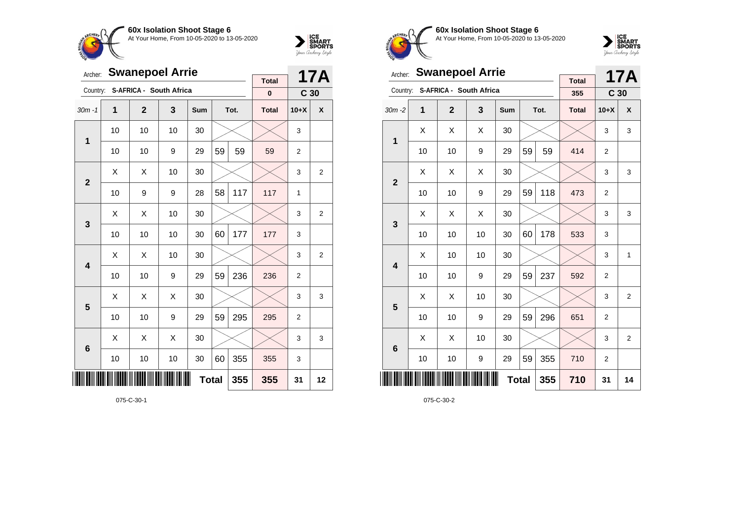



| Archer:        |    | <b>Swanepoel Arrie</b> |                         |     |    | 17A  |                          |                 |                |
|----------------|----|------------------------|-------------------------|-----|----|------|--------------------------|-----------------|----------------|
| Country:       |    |                        | S-AFRICA - South Africa |     |    |      | <b>Total</b><br>$\bf{0}$ | C <sub>30</sub> |                |
| $30m - 1$      | 1  | $\overline{2}$         | 3                       | Sum |    | Tot. | <b>Total</b>             | $10+X$          | X              |
| $\mathbf 1$    | 10 | 10                     | 10                      | 30  |    |      |                          | 3               |                |
|                | 10 | 10                     | 9                       | 29  | 59 | 59   | 59                       | $\overline{2}$  |                |
| $\overline{2}$ | Χ  | X                      | 10                      | 30  |    |      |                          | 3               | $\overline{2}$ |
|                | 10 | 9                      | 9                       | 28  | 58 | 117  | 117                      | $\mathbf{1}$    |                |
| 3              | X  | Χ                      | 10                      | 30  |    |      |                          | 3               | 2              |
|                | 10 | 10                     | 10                      | 30  | 60 | 177  | 177                      | 3               |                |
| 4              | Х  | Χ                      | 10                      | 30  |    |      |                          | 3               | $\overline{c}$ |
|                | 10 | 10                     | 9                       | 29  | 59 | 236  | 236                      | $\overline{2}$  |                |
| 5              | X  | X                      | X                       | 30  |    |      |                          | 3               | 3              |
|                | 10 | 10                     | 9                       | 29  | 59 | 295  | 295                      | $\overline{2}$  |                |
| 6              | X  | Χ                      | X                       | 30  |    |      |                          | 3               | 3              |
|                | 10 | 10                     | 10                      | 30  | 60 | 355  | 355                      | 3               |                |
| III            |    |                        | 355                     | 31  | 12 |      |                          |                 |                |

075-C-30-1



**60x Isolation Shoot Stage 6** At Your Home, From 10-05-2020 to 13-05-2020



| Archer:         |    | <b>Swanepoel Arrie</b>  |    |              |    | <b>17A</b> |                     |                 |                |
|-----------------|----|-------------------------|----|--------------|----|------------|---------------------|-----------------|----------------|
| Country:        |    | S-AFRICA - South Africa |    |              |    |            | <b>Total</b><br>355 | C <sub>30</sub> |                |
| $30m - 2$       | 1  | $\overline{2}$          | 3  | <b>Sum</b>   |    | Tot.       | <b>Total</b>        | $10+X$          | X              |
| 1               | X  | X                       | X  | 30           |    |            |                     | 3               | 3              |
|                 | 10 | 10                      | 9  | 29           | 59 | 59         | 414                 | $\overline{2}$  |                |
| $\overline{2}$  | X  | X                       | X  | 30           |    |            |                     | 3               | 3              |
|                 | 10 | 10                      | 9  | 29           | 59 | 118        | 473                 | $\overline{2}$  |                |
| 3               | X  | X                       | X  | 30           |    |            |                     | 3               | 3              |
|                 | 10 | 10                      | 10 | 30           | 60 | 178        | 533                 | 3               |                |
| 4               | X  | 10                      | 10 | 30           |    |            |                     | 3               | $\mathbf{1}$   |
|                 | 10 | 10                      | 9  | 29           | 59 | 237        | 592                 | $\overline{2}$  |                |
| 5               | X  | X                       | 10 | 30           |    |            |                     | 3               | $\overline{2}$ |
|                 | 10 | 10                      | 9  | 29           | 59 | 296        | 651                 | $\overline{2}$  |                |
| $6\phantom{1}6$ | X  | X                       | 10 | 30           |    |            |                     | 3               | $\overline{2}$ |
|                 | 10 | 10                      | 9  | 29           | 59 | 355        | 710                 | $\overline{2}$  |                |
|                 |    |                         |    | <b>Total</b> |    | 355        | 710                 | 31              | 14             |

075-C-30-2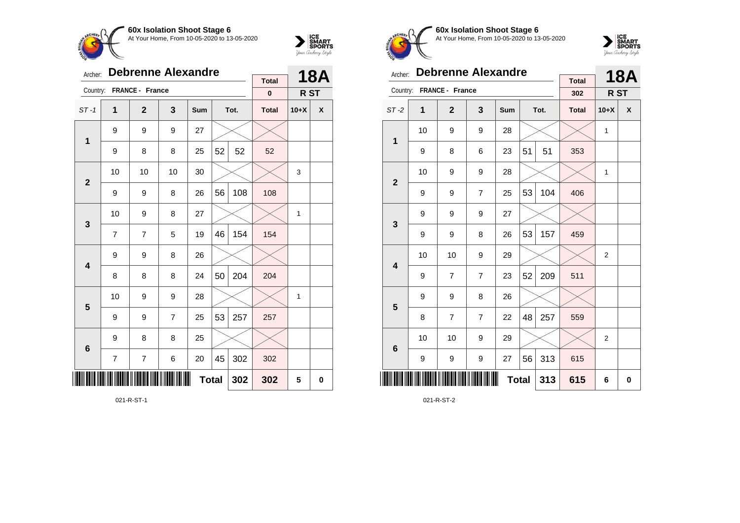



| Archer:         |                | <b>Debrenne Alexandre</b> |                | <b>Total</b> |    | <b>18A</b> |              |              |             |
|-----------------|----------------|---------------------------|----------------|--------------|----|------------|--------------|--------------|-------------|
| Country:        |                | FRANCE - France           |                |              |    |            | $\pmb{0}$    | R ST         |             |
| $ST-1$          | 1              | $\mathbf{2}$              | 3              | Sum          |    | Tot.       | <b>Total</b> | $10+X$       | X           |
| $\mathbf 1$     | 9              | 9                         | 9              | 27           |    |            |              |              |             |
|                 | 9              | 8                         | 8              | 25           | 52 | 52         | 52           |              |             |
| $\mathbf{2}$    | 10             | 10                        | 10             | 30           |    |            |              | 3            |             |
|                 | 9              | 9                         | 8              | 26           | 56 | 108        | 108          |              |             |
| 3               | 10             | 9                         | 8              | 27           |    |            |              | $\mathbf{1}$ |             |
|                 | 7              | 7                         | 5              | 19           | 46 | 154        | 154          |              |             |
| 4               | 9              | 9                         | 8              | 26           |    |            |              |              |             |
|                 | 8              | 8                         | 8              | 24           | 50 | 204        | 204          |              |             |
| 5               | 10             | 9                         | 9              | 28           |    |            |              | 1            |             |
|                 | 9              | 9                         | $\overline{7}$ | 25           | 53 | 257        | 257          |              |             |
| $6\phantom{1}6$ | 9              | 8                         | 8              | 25           |    |            |              |              |             |
|                 | $\overline{7}$ | $\overline{7}$            | 6              | 20           | 45 | 302        | 302          |              |             |
| ∭               |                |                           |                | <b>Total</b> |    | 302        | 302          | 5            | $\mathbf 0$ |

021-R-ST-1



**60x Isolation Shoot Stage 6** At Your Home, From 10-05-2020 to 13-05-2020



| Archer:         |    | <b>Debrenne Alexandre</b> |                  |              |    | <b>18A</b> |                     |                |   |
|-----------------|----|---------------------------|------------------|--------------|----|------------|---------------------|----------------|---|
| Country:        |    | FRANCE - France           |                  |              |    |            | <b>Total</b><br>302 | R ST           |   |
| $ST-2$          | 1  | $\overline{2}$            | 3                | Sum          |    | Tot.       | <b>Total</b>        | $10+X$         | X |
| 1               | 10 | 9                         | 9                | 28           |    |            |                     | 1              |   |
|                 | 9  | 8                         | 6                | 23           | 51 | 51         | 353                 |                |   |
| $\overline{2}$  | 10 | 9                         | 9                | 28           |    |            |                     | 1              |   |
|                 | 9  | 9                         | $\overline{7}$   | 25           | 53 | 104        | 406                 |                |   |
| 3               | 9  | 9                         | 9                | 27           |    |            |                     |                |   |
|                 | 9  | 9                         | 8                | 26           | 53 | 157        | 459                 |                |   |
| 4               | 10 | 10                        | 9                | 29           |    |            |                     | $\overline{2}$ |   |
|                 | 9  | 7                         | $\overline{7}$   | 23           | 52 | 209        | 511                 |                |   |
| 5               | 9  | 9                         | 8                | 26           |    |            |                     |                |   |
|                 | 8  | $\overline{7}$            | $\overline{7}$   | 22           | 48 | 257        | 559                 |                |   |
| $6\phantom{1}6$ | 10 | 10                        | 9                | 29           |    |            |                     | $\overline{2}$ |   |
|                 | 9  | 9                         | $\boldsymbol{9}$ | 27           | 56 | 313        | 615                 |                |   |
| ║║║             |    |                           |                  | <b>Total</b> |    | 313        | 615                 | 6              | 0 |

021-R-ST-2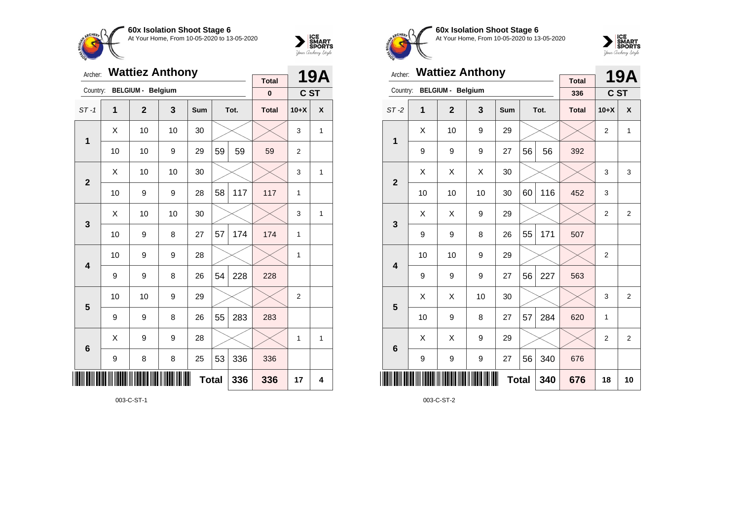



| Archer:        |    | <b>Wattiez Anthony</b>   |    | <b>Total</b> |    | <b>19A</b> |              |                |                |
|----------------|----|--------------------------|----|--------------|----|------------|--------------|----------------|----------------|
| Country:       |    | <b>BELGIUM - Belgium</b> |    |              |    |            | $\pmb{0}$    | C ST           |                |
| $ST-1$         | 1  | $\overline{2}$           | 3  | Sum          |    | Tot.       | <b>Total</b> | $10+X$         | X              |
| $\mathbf 1$    | X  | 10                       | 10 | 30           |    |            |              | 3              | 1              |
|                | 10 | 10                       | 9  | 29           | 59 | 59         | 59           | 2              |                |
| $\overline{2}$ | X  | 10                       | 10 | 30           |    |            |              | 3              | $\overline{1}$ |
|                | 10 | 9                        | 9  | 28           | 58 | 117        | 117          | 1              |                |
| 3              | Χ  | 10                       | 10 | 30           |    |            |              | 3              | 1              |
|                | 10 | 9                        | 8  | 27           | 57 | 174        | 174          | 1              |                |
| 4              | 10 | 9                        | 9  | 28           |    |            |              | 1              |                |
|                | 9  | 9                        | 8  | 26           | 54 | 228        | 228          |                |                |
| 5              | 10 | 10                       | 9  | 29           |    |            |              | $\overline{2}$ |                |
|                | 9  | 9                        | 8  | 26           | 55 | 283        | 283          |                |                |
| 6              | Χ  | 9                        | 9  | 28           |    |            |              | 1              | 1              |
|                | 9  | 8                        | 8  | 25           | 53 | 336        | 336          |                |                |
| IIII           |    |                          |    | <b>Total</b> |    | 336        | 336          | 17             | 4              |

003-C-ST-1



**60x Isolation Shoot Stage 6** At Your Home, From 10-05-2020 to 13-05-2020



| Archer:         |    | <b>Wattiez Anthony</b>   |    |              |    |      | 19A                 |                |                |
|-----------------|----|--------------------------|----|--------------|----|------|---------------------|----------------|----------------|
| Country:        |    | <b>BELGIUM - Belgium</b> |    |              |    |      | <b>Total</b><br>336 | C ST           |                |
| $ST-2$          | 1  | $\mathbf{2}$             | 3  | <b>Sum</b>   |    | Tot. | <b>Total</b>        | $10+X$         | X              |
|                 | X  | 10                       | 9  | 29           |    |      |                     | $\overline{2}$ | $\mathbf{1}$   |
| 1               | 9  | 9                        | 9  | 27           | 56 | 56   | 392                 |                |                |
| $\overline{2}$  | Χ  | X                        | X  | 30           |    |      |                     | 3              | 3              |
|                 | 10 | 10                       | 10 | 30           | 60 | 116  | 452                 | 3              |                |
| 3               | X  | Χ                        | 9  | 29           |    |      |                     | $\overline{2}$ | $\overline{2}$ |
|                 | 9  | 9                        | 8  | 26           | 55 | 171  | 507                 |                |                |
| 4               | 10 | 10                       | 9  | 29           |    |      |                     | $\overline{2}$ |                |
|                 | 9  | 9                        | 9  | 27           | 56 | 227  | 563                 |                |                |
| 5               | Χ  | Χ                        | 10 | 30           |    |      |                     | 3              | $\overline{2}$ |
|                 | 10 | 9                        | 8  | 27           | 57 | 284  | 620                 | 1              |                |
| $6\phantom{1}6$ | X  | X                        | 9  | 29           |    |      |                     | $\overline{2}$ | $\overline{2}$ |
|                 | 9  | 9                        | 9  | 27           | 56 | 340  | 676                 |                |                |
| ║║║             |    |                          |    | <b>Total</b> |    | 340  | 676                 | 18             | 10             |

003-C-ST-2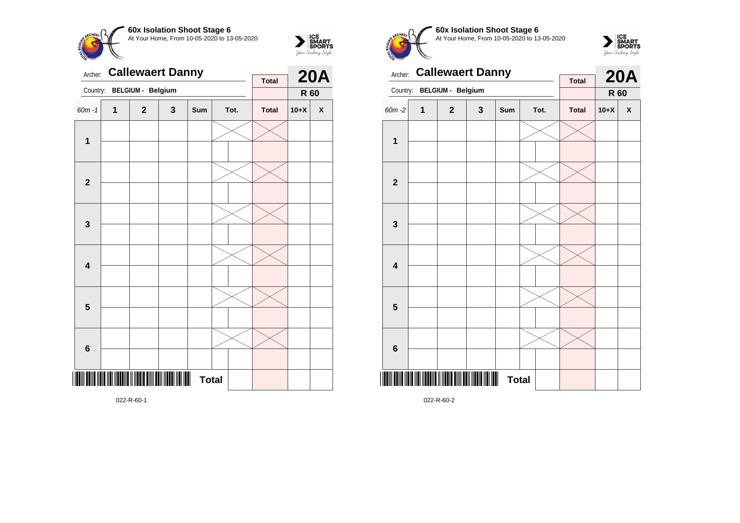



| Archer:                 |   | <b>Callewaert Danny</b> |   | <b>Total</b> |  | <b>20A</b> |              |        |                    |
|-------------------------|---|-------------------------|---|--------------|--|------------|--------------|--------|--------------------|
| Country:                |   | BELGIUM - Belgium       |   |              |  |            |              | R 60   |                    |
| $60m - 1$               | 1 | $\mathbf{2}$            | 3 | Sum          |  | Tot.       | <b>Total</b> | $10+X$ | $\pmb{\mathsf{X}}$ |
| $\mathbf{1}$            |   |                         |   |              |  |            |              |        |                    |
| $\mathbf{2}$            |   |                         |   |              |  |            |              |        |                    |
| $\mathbf{3}$            |   |                         |   |              |  |            |              |        |                    |
| 4                       |   |                         |   |              |  |            |              |        |                    |
| $\overline{\mathbf{5}}$ |   |                         |   |              |  |            |              |        |                    |
| $\bf 6$                 |   |                         |   |              |  |            |              |        |                    |
|                         |   |                         |   | <b>Total</b> |  |            |              |        |                    |

**60x Isolation Shoot Stage 6**  $\overline{\phantom{a}}$ At Your Home, From 10-05-2020 to 13-05-2020



| Archer:                 |   | <b>Callewaert Danny</b>                     |   | <b>Total</b>                   |  | <b>20A</b> |              |        |   |
|-------------------------|---|---------------------------------------------|---|--------------------------------|--|------------|--------------|--------|---|
| Country:                |   | <b>BELGIUM - Belgium</b>                    |   |                                |  |            |              | R 60   |   |
| 60m-2                   | 1 | $\mathbf{2}$                                | 3 | Sum                            |  | Tot.       | <b>Total</b> | $10+X$ | X |
| 1                       |   |                                             |   |                                |  |            |              |        |   |
|                         |   |                                             |   |                                |  |            |              |        |   |
| $\overline{2}$          |   |                                             |   |                                |  |            |              |        |   |
|                         |   |                                             |   |                                |  |            |              |        |   |
| 3                       |   |                                             |   |                                |  |            |              |        |   |
|                         |   |                                             |   |                                |  |            |              |        |   |
| $\overline{\mathbf{4}}$ |   |                                             |   |                                |  |            |              |        |   |
|                         |   |                                             |   |                                |  |            |              |        |   |
| 5                       |   |                                             |   |                                |  |            |              |        |   |
|                         |   |                                             |   |                                |  |            |              |        |   |
| $6\phantom{1}6$         |   |                                             |   |                                |  |            |              |        |   |
|                         |   |                                             |   |                                |  |            |              |        |   |
|                         |   | I III III IIII III IIIII DIII DIII IIII III |   | $\blacksquare$<br><b>Total</b> |  |            |              |        |   |

022-R-60-2

022-R-60-1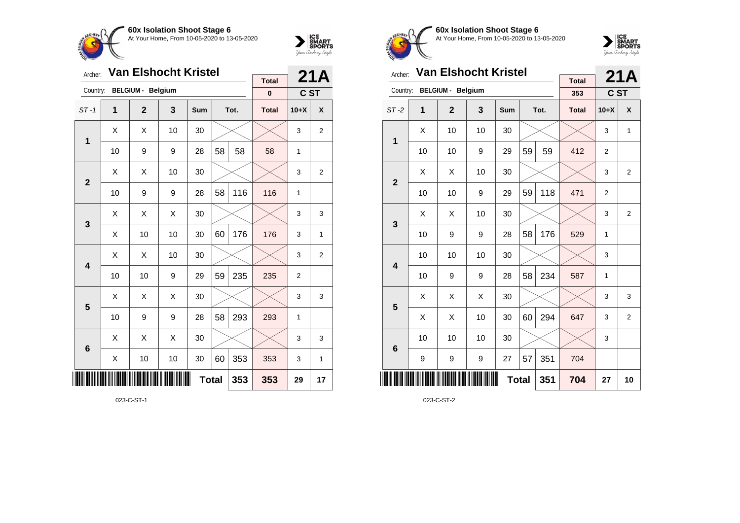



| Archer:        |    | <b>Van Elshocht Kristel</b> |     | <b>Total</b> |    | 21A  |              |                |                |
|----------------|----|-----------------------------|-----|--------------|----|------|--------------|----------------|----------------|
| Country:       |    | <b>BELGIUM - Belgium</b>    |     |              |    |      | $\bf{0}$     | C ST           |                |
| $ST-1$         | 1  | $\overline{2}$              | 3   | Sum          |    | Tot. | <b>Total</b> | $10+X$         | X              |
| $\mathbf 1$    | Χ  | Χ                           | 10  | 30           |    |      |              | 3              | $\overline{2}$ |
|                | 10 | 9                           | 9   | 28           | 58 | 58   | 58           | 1              |                |
| $\overline{2}$ | Χ  | Χ                           | 10  | 30           |    |      |              | 3              | $\overline{2}$ |
|                | 10 | 9                           | 9   | 28           | 58 | 116  | 116          | 1              |                |
| 3              | X  | Χ                           | X   | 30           |    |      |              | 3              | 3              |
|                | X  | 10                          | 10  | 30           | 60 | 176  | 176          | 3              | 1              |
| 4              | X  | X                           | 10  | 30           |    |      |              | 3              | $\overline{2}$ |
|                | 10 | 10                          | 9   | 29           | 59 | 235  | 235          | $\overline{2}$ |                |
| 5              | X  | X                           | X   | 30           |    |      |              | 3              | 3              |
|                | 10 | 9                           | 9   | 28           | 58 | 293  | 293          | 1              |                |
| 6              | X  | Χ                           | X   | 30           |    |      |              | 3              | 3              |
|                | Χ  | 10                          | 10  | 30           | 60 | 353  | 353          | 3              | 1              |
|                |    |                             | 353 | 29           | 17 |      |              |                |                |

023-C-ST-1



**60x Isolation Shoot Stage 6** At Your Home, From 10-05-2020 to 13-05-2020



| Archer:                 |    | <b>Van Elshocht Kristel</b> |    |            |              | 21A  |                     |                |                |
|-------------------------|----|-----------------------------|----|------------|--------------|------|---------------------|----------------|----------------|
| Country:                |    | <b>BELGIUM - Belgium</b>    |    |            |              |      | <b>Total</b><br>353 | C ST           |                |
| $ST-2$                  | 1  | $\overline{2}$              | 3  | <b>Sum</b> |              | Tot. | <b>Total</b>        | $10+X$         | X              |
|                         | X  | 10                          | 10 | 30         |              |      |                     | 3              | 1              |
| 1                       | 10 | 10                          | 9  | 29         | 59           | 59   | 412                 | $\overline{2}$ |                |
| $\overline{2}$          | X  | Χ                           | 10 | 30         |              |      |                     | 3              | $\overline{2}$ |
|                         | 10 | 10                          | 9  | 29         | 59           | 118  | 471                 | $\overline{2}$ |                |
| 3                       | X  | X                           | 10 | 30         |              |      |                     | 3              | 2              |
|                         | 10 | 9                           | 9  | 28         | 58           | 176  | 529                 | 1              |                |
| $\overline{\mathbf{4}}$ | 10 | 10                          | 10 | 30         |              |      |                     | 3              |                |
|                         | 10 | 9                           | 9  | 28         | 58           | 234  | 587                 | 1              |                |
| 5                       | X  | X                           | X  | 30         |              |      |                     | 3              | 3              |
|                         | X  | X                           | 10 | 30         | 60           | 294  | 647                 | 3              | $\overline{2}$ |
| $6\phantom{1}6$         | 10 | 10                          | 10 | 30         |              |      |                     | 3              |                |
|                         | 9  | 9                           | 9  | 27         | 57           | 351  | 704                 |                |                |
| ║║║                     |    |                             |    |            | <b>Total</b> | 351  | 704                 | 27             | 10             |

023-C-ST-2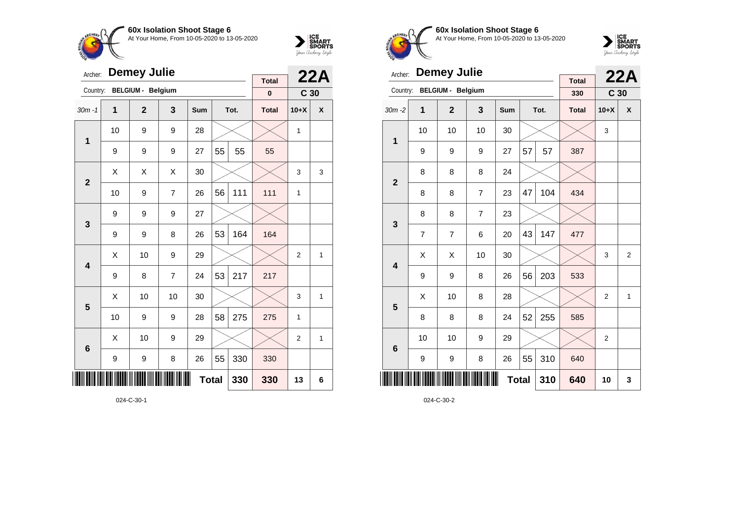



| Archer:         |    | <b>Demey Julie</b>       |                | <b>Total</b> |    | 22A  |              |                 |   |
|-----------------|----|--------------------------|----------------|--------------|----|------|--------------|-----------------|---|
| Country:        |    | <b>BELGIUM - Belgium</b> |                |              |    |      | $\pmb{0}$    | C <sub>30</sub> |   |
| $30m - 1$       | 1  | $\overline{2}$           | 3              | Sum          |    | Tot. | <b>Total</b> | $10+X$          | X |
| $\mathbf 1$     | 10 | 9                        | 9              | 28           |    |      |              | 1               |   |
|                 | 9  | 9                        | 9              | 27           | 55 | 55   | 55           |                 |   |
| $\overline{2}$  | X  | X                        | X              | 30           |    |      |              | 3               | 3 |
|                 | 10 | 9                        | $\overline{7}$ | 26           | 56 | 111  | 111          | 1               |   |
| 3               | 9  | 9                        | 9              | 27           |    |      |              |                 |   |
|                 | 9  | 9                        | 8              | 26           | 53 | 164  | 164          |                 |   |
| 4               | Χ  | 10                       | 9              | 29           |    |      |              | $\overline{2}$  | 1 |
|                 | 9  | 8                        | $\overline{7}$ | 24           | 53 | 217  | 217          |                 |   |
| 5               | X  | 10                       | 10             | 30           |    |      |              | 3               | 1 |
|                 | 10 | 9                        | 9              | 28           | 58 | 275  | 275          | 1               |   |
| $6\phantom{1}6$ | X  | 10                       | 9              | 29           |    |      |              | $\overline{2}$  | 1 |
|                 | 9  | 9                        | 8              | 26           | 55 | 330  | 330          |                 |   |
|                 |    |                          |                | <b>Total</b> |    | 330  | 330          | 13              | 6 |

024-C-30-1



**60x Isolation Shoot Stage 6** At Your Home, From 10-05-2020 to 13-05-2020



| Archer:                 |    | <b>Demey Julie</b>       |                |     |              | 22A  |                     |                 |                |
|-------------------------|----|--------------------------|----------------|-----|--------------|------|---------------------|-----------------|----------------|
| Country:                |    | <b>BELGIUM - Belgium</b> |                |     |              |      | <b>Total</b><br>330 | C <sub>30</sub> |                |
| $30m - 2$               | 1  | $\overline{2}$           | 3              | Sum |              | Tot. | <b>Total</b>        | $10+X$          | X              |
| 1                       | 10 | 10                       | 10             | 30  |              |      |                     | 3               |                |
|                         | 9  | 9                        | 9              | 27  | 57           | 57   | 387                 |                 |                |
| $\overline{2}$          | 8  | 8                        | 8              | 24  |              |      |                     |                 |                |
|                         | 8  | 8                        | 7              | 23  | 47           | 104  | 434                 |                 |                |
| 3                       | 8  | 8                        | $\overline{7}$ | 23  |              |      |                     |                 |                |
|                         | 7  | 7                        | 6              | 20  | 43           | 147  | 477                 |                 |                |
| $\overline{\mathbf{4}}$ | X  | Χ                        | 10             | 30  |              |      |                     | 3               | $\overline{2}$ |
|                         | 9  | 9                        | 8              | 26  | 56           | 203  | 533                 |                 |                |
| 5                       | X  | 10                       | 8              | 28  |              |      |                     | $\overline{2}$  | $\mathbf{1}$   |
|                         | 8  | 8                        | 8              | 24  | 52           | 255  | 585                 |                 |                |
| $6\phantom{1}6$         | 10 | 10                       | 9              | 29  |              |      |                     | $\overline{2}$  |                |
|                         | 9  | 9                        | 8              | 26  | 55           | 310  | 640                 |                 |                |
|                         |    |                          |                |     | <b>Total</b> | 310  | 640                 | 10              | 3              |

024-C-30-2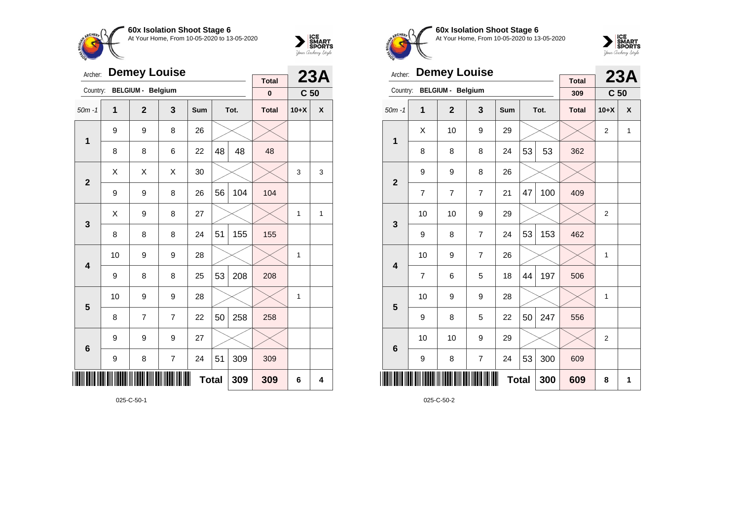



| Archer:        |    | <b>Demey Louise</b>      |                | <b>Total</b> |              | 23A  |              |                 |   |
|----------------|----|--------------------------|----------------|--------------|--------------|------|--------------|-----------------|---|
| Country:       |    | <b>BELGIUM - Belgium</b> |                |              |              |      | $\pmb{0}$    | C <sub>50</sub> |   |
| $50m - 1$      | 1  | $\mathbf{2}$             | 3              | Sum          |              | Tot. | <b>Total</b> | $10+X$          | X |
| $\mathbf 1$    | 9  | 9                        | 8              | 26           |              |      |              |                 |   |
|                | 8  | 8                        | 6              | 22           | 48           | 48   | 48           |                 |   |
| $\overline{2}$ | X  | X                        | X              | 30           |              |      |              | 3               | 3 |
|                | 9  | 9                        | 8              | 26           | 56           | 104  | 104          |                 |   |
| 3              | Χ  | 9                        | 8              | 27           |              |      |              | 1               | 1 |
|                | 8  | 8                        | 8              | 24           | 51           | 155  | 155          |                 |   |
| 4              | 10 | 9                        | 9              | 28           |              |      |              | 1               |   |
|                | 9  | 8                        | 8              | 25           | 53           | 208  | 208          |                 |   |
| 5              | 10 | 9                        | 9              | 28           |              |      |              | 1               |   |
|                | 8  | 7                        | $\overline{7}$ | 22           | 50           | 258  | 258          |                 |   |
| 6              | 9  | 9                        | 9              | 27           |              |      |              |                 |   |
|                | 9  | 8                        | $\overline{7}$ | 24           | 51           | 309  | 309          |                 |   |
| III            |    |                          |                |              | <b>Total</b> | 309  | 309          | 6               | 4 |



**60x Isolation Shoot Stage 6** At Your Home, From 10-05-2020 to 13-05-2020



| Archer:                 |    | <b>Demey Louise</b>      |                |     |              | 23A  |                     |                 |              |
|-------------------------|----|--------------------------|----------------|-----|--------------|------|---------------------|-----------------|--------------|
| Country:                |    | <b>BELGIUM - Belgium</b> |                |     |              |      | <b>Total</b><br>309 | C <sub>50</sub> |              |
| $50m - 1$               | 1  | $\overline{2}$           | 3              | Sum |              | Tot. | <b>Total</b>        | $10+X$          | X            |
| 1                       | X  | 10                       | 9              | 29  |              |      |                     | $\overline{2}$  | $\mathbf{1}$ |
|                         | 8  | 8                        | 8              | 24  | 53           | 53   | 362                 |                 |              |
| $\overline{2}$          | 9  | 9                        | 8              | 26  |              |      |                     |                 |              |
|                         | 7  | 7                        | $\overline{7}$ | 21  | 47           | 100  | 409                 |                 |              |
| 3                       | 10 | 10                       | 9              | 29  |              |      |                     | $\overline{2}$  |              |
|                         | 9  | 8                        | $\overline{7}$ | 24  | 53           | 153  | 462                 |                 |              |
| $\overline{\mathbf{4}}$ | 10 | 9                        | $\overline{7}$ | 26  |              |      |                     | 1               |              |
|                         | 7  | 6                        | 5              | 18  | 44           | 197  | 506                 |                 |              |
| 5                       | 10 | 9                        | 9              | 28  |              |      |                     | 1               |              |
|                         | 9  | 8                        | 5              | 22  | 50           | 247  | 556                 |                 |              |
| $6\phantom{1}6$         | 10 | 10                       | 9              | 29  |              |      |                     | $\overline{2}$  |              |
|                         | 9  | 8                        | $\overline{7}$ | 24  | 53           | 300  | 609                 |                 |              |
|                         |    |                          |                |     | <b>Total</b> | 300  | 609                 | 8               | 1            |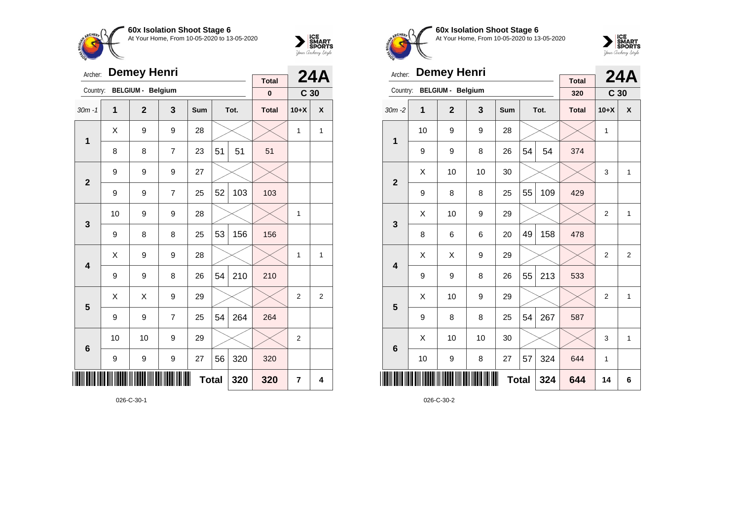



| Archer:         |    | <b>Demey Henri</b>       |                | <b>Total</b> |    | <b>24A</b> |              |                 |   |
|-----------------|----|--------------------------|----------------|--------------|----|------------|--------------|-----------------|---|
| Country:        |    | <b>BELGIUM - Belgium</b> |                |              |    |            | $\pmb{0}$    | C <sub>30</sub> |   |
| $30m - 1$       | 1  | $\overline{2}$           | 3              | Sum          |    | Tot.       | <b>Total</b> | $10+X$          | X |
| $\mathbf 1$     | X  | 9                        | 9              | 28           |    |            |              | $\mathbf{1}$    | 1 |
|                 | 8  | 8                        | $\overline{7}$ | 23           | 51 | 51         | 51           |                 |   |
| $\overline{2}$  | 9  | 9                        | 9              | 27           |    |            |              |                 |   |
|                 | 9  | 9                        | $\overline{7}$ | 25           | 52 | 103        | 103          |                 |   |
| 3               | 10 | 9                        | 9              | 28           |    |            |              | 1               |   |
|                 | 9  | 8                        | 8              | 25           | 53 | 156        | 156          |                 |   |
| 4               | Χ  | 9                        | 9              | 28           |    |            |              | 1               | 1 |
|                 | 9  | 9                        | 8              | 26           | 54 | 210        | 210          |                 |   |
| 5               | X  | X                        | 9              | 29           |    |            |              | $\overline{2}$  | 2 |
|                 | 9  | 9                        | $\overline{7}$ | 25           | 54 | 264        | 264          |                 |   |
| $6\phantom{1}6$ | 10 | 10                       | 9              | 29           |    |            |              | $\overline{2}$  |   |
|                 | 9  | 9                        | 9              | 27           | 56 | 320        | 320          |                 |   |
| III             |    |                          | 320            | 7            | 4  |            |              |                 |   |

026-C-30-1



**60x Isolation Shoot Stage 6** At Your Home, From 10-05-2020 to 13-05-2020



| Archer:         |    | <b>Demey Henri</b>       |     |            |    | <b>24A</b> |                     |                 |                |
|-----------------|----|--------------------------|-----|------------|----|------------|---------------------|-----------------|----------------|
| Country:        |    | <b>BELGIUM - Belgium</b> |     |            |    |            | <b>Total</b><br>320 | C <sub>30</sub> |                |
| $30m - 2$       | 1  | $\overline{2}$           | 3   | <b>Sum</b> |    | Tot.       | <b>Total</b>        | $10+X$          | X              |
|                 | 10 | 9                        | 9   | 28         |    |            |                     | 1               |                |
| $\mathbf{1}$    | 9  | 9                        | 8   | 26         | 54 | 54         | 374                 |                 |                |
| $\overline{2}$  | X  | 10                       | 10  | 30         |    |            |                     | 3               | $\mathbf{1}$   |
|                 | 9  | 8                        | 8   | 25         | 55 | 109        | 429                 |                 |                |
| 3               | X  | 10                       | 9   | 29         |    |            |                     | $\overline{2}$  | $\mathbf{1}$   |
|                 | 8  | 6                        | 6   | 20         | 49 | 158        | 478                 |                 |                |
| 4               | X  | X                        | 9   | 29         |    |            |                     | $\overline{2}$  | $\overline{2}$ |
|                 | 9  | 9                        | 8   | 26         | 55 | 213        | 533                 |                 |                |
| 5               | X  | 10                       | 9   | 29         |    |            |                     | $\overline{2}$  | $\mathbf{1}$   |
|                 | 9  | 8                        | 8   | 25         | 54 | 267        | 587                 |                 |                |
| $6\phantom{1}6$ | Χ  | 10                       | 10  | 30         |    |            |                     | 3               | $\mathbf{1}$   |
|                 | 10 | 9                        | 324 | 644        | 1  |            |                     |                 |                |
| ║║║             |    |                          | 324 | 644        | 14 | 6          |                     |                 |                |

026-C-30-2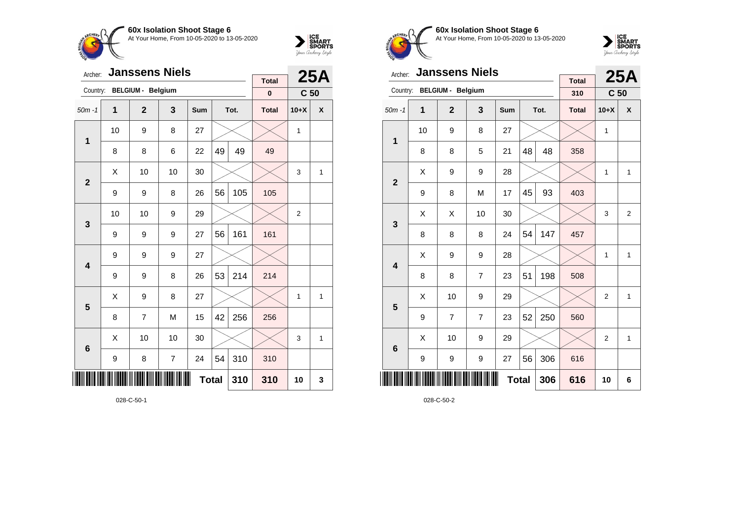



| Archer:         |    | <b>Janssens Niels</b>    |                | <b>Total</b> |    | <b>25A</b> |              |                 |              |
|-----------------|----|--------------------------|----------------|--------------|----|------------|--------------|-----------------|--------------|
| Country:        |    | <b>BELGIUM - Belgium</b> |                |              |    |            | $\pmb{0}$    | C <sub>50</sub> |              |
| $50m - 1$       | 1  | $\overline{2}$           | 3              | Sum          |    | Tot.       | <b>Total</b> | $10+X$          | X            |
| $\mathbf 1$     | 10 | 9                        | 8              | 27           |    |            |              | 1               |              |
|                 | 8  | 8                        | 6              | 22           | 49 | 49         | 49           |                 |              |
| $\overline{2}$  | X  | 10                       | 10             | 30           |    |            |              | 3               | 1            |
|                 | 9  | 9                        | 8              | 26           | 56 | 105        | 105          |                 |              |
| 3               | 10 | 10                       | 9              | 29           |    |            |              | $\overline{2}$  |              |
|                 | 9  | 9                        | 9              | 27           | 56 | 161        | 161          |                 |              |
| 4               | 9  | 9                        | 9              | 27           |    |            |              |                 |              |
|                 | 9  | 9                        | 8              | 26           | 53 | 214        | 214          |                 |              |
| 5               | Χ  | 9                        | 8              | 27           |    |            |              | 1               | $\mathbf{1}$ |
|                 | 8  | 7                        | M              | 15           | 42 | 256        | 256          |                 |              |
| $6\phantom{1}6$ | Χ  | 10                       | 10             | 30           |    |            |              | 3               | 1            |
|                 | 9  | 8                        | $\overline{7}$ | 24           | 54 | 310        | 310          |                 |              |
|                 |    |                          | 310            | 10           | 3  |            |              |                 |              |



**60x Isolation Shoot Stage 6** At Your Home, From 10-05-2020 to 13-05-2020



| Archer:                 |    | <b>Janssens Niels</b>    |                | <b>Total</b> |    | <b>25A</b> |              |                 |                |
|-------------------------|----|--------------------------|----------------|--------------|----|------------|--------------|-----------------|----------------|
| Country:                |    | <b>BELGIUM - Belgium</b> |                |              |    |            | 310          | C <sub>50</sub> |                |
| $50m - 1$               | 1  | $\mathbf{2}$             | 3              | <b>Sum</b>   |    | Tot.       | <b>Total</b> | $10+X$          | X              |
| 1                       | 10 | 9                        | 8              | 27           |    |            |              | 1               |                |
|                         | 8  | 8                        | 5              | 21           | 48 | 48         | 358          |                 |                |
| $\overline{2}$          | Χ  | 9                        | 9              | 28           |    |            |              | 1               | $\mathbf{1}$   |
|                         | 9  | 8                        | M              | 17           | 45 | 93         | 403          |                 |                |
| 3                       | X  | Χ                        | 10             | 30           |    |            |              | 3               | $\overline{2}$ |
|                         | 8  | 8                        | 8              | 24           | 54 | 147        | 457          |                 |                |
| $\overline{\mathbf{4}}$ | X  | 9                        | 9              | 28           |    |            |              | 1               | $\mathbf{1}$   |
|                         | 8  | 8                        | $\overline{7}$ | 23           | 51 | 198        | 508          |                 |                |
| 5                       | Χ  | 10                       | 9              | 29           |    |            |              | $\overline{2}$  | $\mathbf{1}$   |
|                         | 9  | $\overline{7}$           | $\overline{7}$ | 23           | 52 | 250        | 560          |                 |                |
| $6\phantom{1}6$         | Χ  | 10                       | 9              | 29           |    |            |              | $\overline{c}$  | $\mathbf{1}$   |
|                         | 9  | 9                        | 9              | 27           | 56 | 306        | 616          |                 |                |
| ║║║                     |    |                          |                | <b>Total</b> |    | 306        | 616          | 10              | 6              |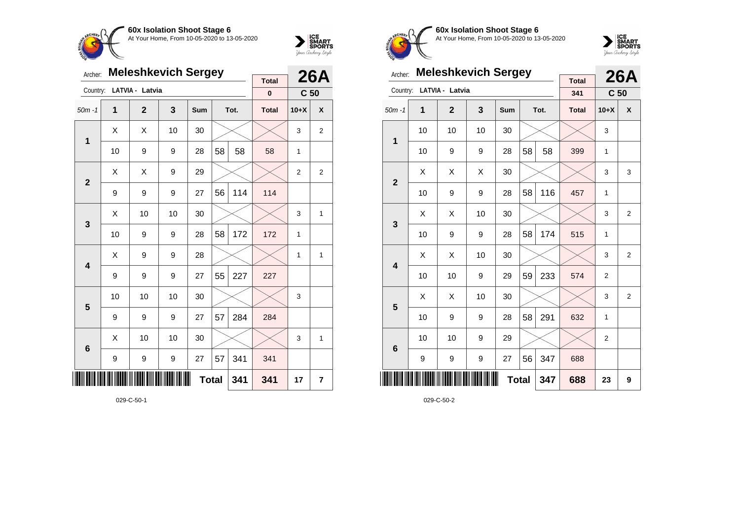



| Archer:                 |                  | <b>Meleshkevich Sergey</b> |                  | <b>Total</b> |    | <b>26A</b> |              |                 |                |
|-------------------------|------------------|----------------------------|------------------|--------------|----|------------|--------------|-----------------|----------------|
| Country:                |                  | LATVIA - Latvia            |                  |              |    |            | $\bf{0}$     | C <sub>50</sub> |                |
| $50m - 1$               | 1                | $\mathbf{2}$               | 3                | Sum          |    | Tot.       | <b>Total</b> | $10+X$          | X              |
| $\mathbf{1}$            | Χ                | X                          | 10               | 30           |    |            |              | 3               | $\overline{2}$ |
|                         | 10               | 9                          | 9                | 28           | 58 | 58         | 58           | 1               |                |
| $\mathbf{2}$            | Χ                | Χ                          | 9                | 29           |    |            |              | $\overline{2}$  | $\overline{2}$ |
|                         | 9                | 9                          | 9                | 27           | 56 | 114        | 114          |                 |                |
| 3                       | Χ                | 10                         | 10               | 30           |    |            |              | 3               | $\mathbf{1}$   |
|                         | 10               | 9                          | 9                | 28           | 58 | 172        | 172          | 1               |                |
| $\overline{\mathbf{4}}$ | Χ                | 9                          | 9                | 28           |    |            |              | 1               | 1              |
|                         | 9                | 9                          | 9                | 27           | 55 | 227        | 227          |                 |                |
| 5                       | 10               | 10                         | 10               | 30           |    |            |              | 3               |                |
|                         | 9                | 9                          | 9                | 27           | 57 | 284        | 284          |                 |                |
| $6\phantom{1}6$         | Χ                | 10                         | 10               | 30           |    |            |              | 3               | 1              |
|                         | $\boldsymbol{9}$ | 9                          | $\boldsymbol{9}$ | 27           | 57 | 341        | 341          |                 |                |
| III                     |                  |                            | 341              | 17           | 7  |            |              |                 |                |



**60x Isolation Shoot Stage 6** At Your Home, From 10-05-2020 to 13-05-2020



| Archer:         |    | <b>Meleshkevich Sergey</b> |    |              | <b>26A</b> |      |                     |                 |                |
|-----------------|----|----------------------------|----|--------------|------------|------|---------------------|-----------------|----------------|
| Country:        |    | LATVIA - Latvia            |    |              |            |      | <b>Total</b><br>341 | C <sub>50</sub> |                |
| $50m - 1$       | 1  | $\overline{2}$             | 3  | <b>Sum</b>   |            | Tot. | <b>Total</b>        | $10+X$          | X              |
| 1               | 10 | 10                         | 10 | 30           |            |      |                     | 3               |                |
|                 | 10 | 9                          | 9  | 28           | 58         | 58   | 399                 | 1               |                |
| $\overline{2}$  | X  | Χ                          | X  | 30           |            |      |                     | 3               | 3              |
|                 | 10 | 9                          | 9  | 28           | 58         | 116  | 457                 | 1               |                |
| 3               | X  | X                          | 10 | 30           |            |      |                     | 3               | $\overline{2}$ |
|                 | 10 | 9                          | 9  | 28           | 58         | 174  | 515                 | 1               |                |
|                 | X  | X                          | 10 | 30           |            |      |                     | 3               | $\overline{2}$ |
| 4               | 10 | 10                         | 9  | 29           | 59         | 233  | 574                 | $\overline{2}$  |                |
| 5               | X  | X                          | 10 | 30           |            |      |                     | 3               | 2              |
|                 | 10 | 9                          | 9  | 28           | 58         | 291  | 632                 | 1               |                |
| $6\phantom{1}6$ | 10 | 10                         | 9  | 29           |            |      |                     | $\mathbf 2$     |                |
|                 | 9  | 9                          | 9  | 27           | 56         | 347  | 688                 |                 |                |
| ║║              |    |                            |    | <b>Total</b> |            | 347  | 688                 | 23              | 9              |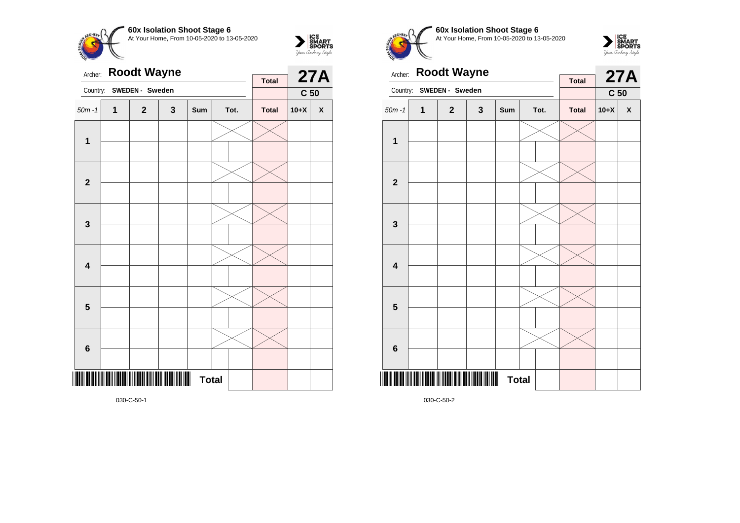



| Archer:                 |   | <b>Roodt Wayne</b> |     | <b>Total</b> |  | <b>27A</b> |              |                 |                    |
|-------------------------|---|--------------------|-----|--------------|--|------------|--------------|-----------------|--------------------|
| Country:                |   | SWEDEN - Sweden    |     |              |  |            |              | C <sub>50</sub> |                    |
| $50m - 1$               | 1 | $\mathbf{2}$       | 3   | Sum          |  | Tot.       | <b>Total</b> | $10+X$          | $\pmb{\mathsf{X}}$ |
| $\mathbf{1}$            |   |                    |     |              |  |            |              |                 |                    |
| $\mathbf{2}$            |   |                    |     |              |  |            |              |                 |                    |
| $\mathbf{3}$            |   |                    |     |              |  |            |              |                 |                    |
| $\overline{\mathbf{4}}$ |   |                    |     |              |  |            |              |                 |                    |
| 5                       |   |                    |     |              |  |            |              |                 |                    |
| $6\phantom{1}6$         |   |                    |     |              |  |            |              |                 |                    |
|                         |   |                    | III | <b>Total</b> |  |            |              |                 |                    |

**60x Isolation Shoot Stage 6 CHFO** At Your Home, From 10-05-2020 to 13-05-2020



| Archer:                 |              | <b>Roodt Wayne</b>  |   |              |  | <b>27A</b> |              |                 |                    |
|-------------------------|--------------|---------------------|---|--------------|--|------------|--------------|-----------------|--------------------|
| Country:                |              | SWEDEN - Sweden     |   |              |  |            | <b>Total</b> | C <sub>50</sub> |                    |
| $50m - 1$               | $\mathbf{1}$ | $\mathbf{2}$        | 3 | Sum          |  | Tot.       | <b>Total</b> | $10+X$          | $\pmb{\mathsf{X}}$ |
| 1                       |              |                     |   |              |  |            |              |                 |                    |
|                         |              |                     |   |              |  |            |              |                 |                    |
| $\overline{2}$          |              |                     |   |              |  |            |              |                 |                    |
|                         |              |                     |   |              |  |            |              |                 |                    |
|                         |              |                     |   |              |  |            |              |                 |                    |
| $\mathbf{3}$            |              |                     |   |              |  |            |              |                 |                    |
|                         |              |                     |   |              |  |            |              |                 |                    |
| $\overline{\mathbf{4}}$ |              |                     |   |              |  |            |              |                 |                    |
|                         |              |                     |   |              |  |            |              |                 |                    |
| 5                       |              |                     |   |              |  |            |              |                 |                    |
|                         |              |                     |   |              |  |            |              |                 |                    |
| $6\phantom{1}6$         |              |                     |   |              |  |            |              |                 |                    |
|                         | IIIIII       | <u> Hillingan k</u> | Ш | <b>Total</b> |  |            |              |                 |                    |

030-C-50-2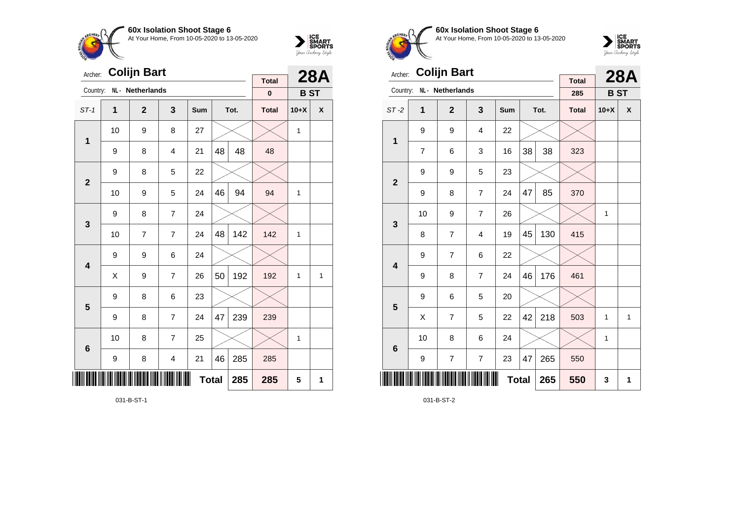



| Archer:                 |              | <b>Colijn Bart</b> |                         |     |    | <b>28A</b> |                          |            |              |
|-------------------------|--------------|--------------------|-------------------------|-----|----|------------|--------------------------|------------|--------------|
| Country:                |              | NL · Netherlands   |                         |     |    |            | <b>Total</b><br>$\bf{0}$ | <b>BST</b> |              |
| $ST-1$                  | $\mathbf{1}$ | $\mathbf{2}$       | 3                       | Sum |    | Tot.       | <b>Total</b>             | $10+X$     | X            |
| $\mathbf 1$             | 10           | 9                  | 8                       | 27  |    |            |                          | 1          |              |
|                         | 9            | 8                  | $\overline{\mathbf{4}}$ | 21  | 48 | 48         | 48                       |            |              |
| $\overline{2}$          | 9            | 8                  | 5                       | 22  |    |            |                          |            |              |
|                         | 10           | 9                  | 5                       | 24  | 46 | 94         | 94                       | 1          |              |
| 3                       | 9            | 8                  | $\overline{7}$          | 24  |    |            |                          |            |              |
|                         | 10           | 7                  | $\overline{7}$          | 24  | 48 | 142        | 142                      | 1          |              |
| $\overline{\mathbf{4}}$ | 9            | 9                  | 6                       | 24  |    |            |                          |            |              |
|                         | X            | 9                  | $\overline{7}$          | 26  | 50 | 192        | 192                      | 1          | $\mathbf{1}$ |
| 5                       | 9            | 8                  | 6                       | 23  |    |            |                          |            |              |
|                         | 9            | 8                  | $\overline{7}$          | 24  | 47 | 239        | 239                      |            |              |
| $6\phantom{1}6$         | 10           | 8                  | $\overline{7}$          | 25  |    |            |                          | 1          |              |
|                         | 9            | 8                  | $\overline{4}$          | 21  | 46 | 285        | 285                      |            |              |
| ║║║                     |              |                    | 285                     | 285 | 5  | 1          |                          |            |              |

031-B-ST-1



**60x Isolation Shoot Stage 6** At Your Home, From 10-05-2020 to 13-05-2020



| Archer:                 |                                                          | <b>Colijn Bart</b> |                         |     |    | <b>28A</b> |                     |            |              |
|-------------------------|----------------------------------------------------------|--------------------|-------------------------|-----|----|------------|---------------------|------------|--------------|
| Country:                |                                                          | NL - Netherlands   |                         |     |    |            | <b>Total</b><br>285 | <b>BST</b> |              |
| $ST-2$                  | 1                                                        | $\mathbf{2}$       | 3                       | Sum |    | Tot.       | <b>Total</b>        | $10+X$     | X            |
| 1                       | 9                                                        | 9                  | $\overline{4}$          | 22  |    |            |                     |            |              |
|                         | $\overline{7}$                                           | 6                  | 3                       | 16  | 38 | 38         | 323                 |            |              |
| $\mathbf{2}$            | 9                                                        | 9                  | 5                       | 23  |    |            |                     |            |              |
|                         | 9                                                        | 8                  | 7                       | 24  | 47 | 85         | 370                 |            |              |
| 3                       | 10                                                       | 9                  | $\overline{7}$          | 26  |    |            |                     | 1          |              |
|                         | 8                                                        | 7                  | $\overline{\mathbf{4}}$ | 19  | 45 | 130        | 415                 |            |              |
| $\overline{\mathbf{4}}$ | 9                                                        | 7                  | 6                       | 22  |    |            |                     |            |              |
|                         | 9                                                        | 8                  | $\overline{7}$          | 24  | 46 | 176        | 461                 |            |              |
| 5                       | 9                                                        | 6                  | 5                       | 20  |    |            |                     |            |              |
|                         | X                                                        | $\overline{7}$     | 5                       | 22  | 42 | 218        | 503                 | 1          | $\mathbf{1}$ |
| $6\phantom{1}6$         | 10                                                       | 8                  | 6                       | 24  |    |            |                     | 1          |              |
|                         | $\overline{7}$<br>$\overline{7}$<br>47<br>265<br>9<br>23 |                    |                         |     |    |            |                     |            |              |
| ║║║                     |                                                          |                    | 550                     | 3   | 1  |            |                     |            |              |

031-B-ST-2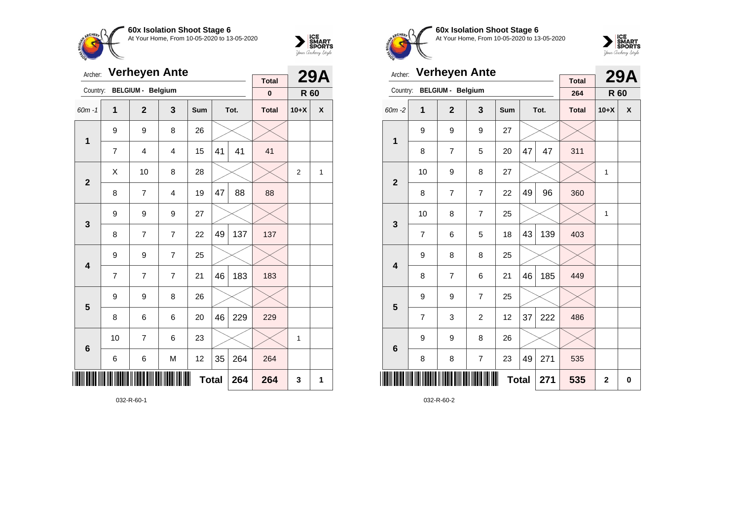



| Archer:         |                |                          | <b>Verheyen Ante</b> |              |    |      | <b>Total</b> |                | <b>29A</b> |
|-----------------|----------------|--------------------------|----------------------|--------------|----|------|--------------|----------------|------------|
| Country:        |                | <b>BELGIUM - Belgium</b> |                      |              |    |      | $\pmb{0}$    | R 60           |            |
| $60m - 1$       | 1              | $\overline{2}$           | 3                    | Sum          |    | Tot. | <b>Total</b> | $10+X$         | X          |
| $\mathbf{1}$    | 9              | 9                        | 8                    | 26           |    |      |              |                |            |
|                 | $\overline{7}$ | 4                        | 4                    | 15           | 41 | 41   | 41           |                |            |
| $\overline{2}$  | X              | 10                       | 8                    | 28           |    |      |              | $\overline{2}$ | 1          |
|                 | 8              | 7                        | $\overline{4}$       | 19           | 47 | 88   | 88           |                |            |
| 3               | 9              | 9                        | 9                    | 27           |    |      |              |                |            |
|                 | 8              | 7                        | 7                    | 22           | 49 | 137  | 137          |                |            |
| 4               | 9              | 9                        | 7                    | 25           |    |      |              |                |            |
|                 | 7              | $\overline{7}$           | $\overline{7}$       | 21           | 46 | 183  | 183          |                |            |
| 5               | 9              | 9                        | 8                    | 26           |    |      |              |                |            |
|                 | 8              | 6                        | 6                    | 20           | 46 | 229  | 229          |                |            |
| $6\phantom{1}6$ | 10             | 7                        | 6                    | 23           |    |      |              | 1              |            |
|                 | 6              | 6                        | M                    | 12           | 35 | 264  | 264          |                |            |
|                 |                |                          |                      | <b>Total</b> |    | 264  | 264          | 3              | 1          |

032-R-60-1



**60x Isolation Shoot Stage 6** At Your Home, From 10-05-2020 to 13-05-2020



| Archer:                 |                | <b>Verheyen Ante</b>     |                |            |              |      |                     |                | <b>29A</b> |
|-------------------------|----------------|--------------------------|----------------|------------|--------------|------|---------------------|----------------|------------|
| Country:                |                | <b>BELGIUM - Belgium</b> |                |            |              |      | <b>Total</b><br>264 | R 60           |            |
| 60m-2                   | 1              | $\overline{2}$           | 3              | <b>Sum</b> |              | Tot. | <b>Total</b>        | $10+X$         | X          |
| 1                       | 9              | 9                        | 9              | 27         |              |      |                     |                |            |
|                         | 8              | 7                        | 5              | 20         | 47           | 47   | 311                 |                |            |
| $\overline{2}$          | 10             | 9                        | 8              | 27         |              |      |                     | $\mathbf{1}$   |            |
|                         | 8              | 7                        | $\overline{7}$ | 22         | 49           | 96   | 360                 |                |            |
| 3                       | 10             | 8                        | $\overline{7}$ | 25         |              |      |                     | 1              |            |
|                         | $\overline{7}$ | 6                        | 5              | 18         | 43           | 139  | 403                 |                |            |
| $\overline{\mathbf{A}}$ | 9              | 8                        | 8              | 25         |              |      |                     |                |            |
|                         | 8              | 7                        | 6              | 21         | 46           | 185  | 449                 |                |            |
| 5                       | 9              | 9                        | $\overline{7}$ | 25         |              |      |                     |                |            |
|                         | 7              | 3                        | $\overline{c}$ | 12         | 37           | 222  | 486                 |                |            |
| $6\phantom{1}6$         | 9              | 9                        | 8              | 26         |              |      |                     |                |            |
|                         | 8              | 8                        | $\overline{7}$ | 23         | 49           | 271  | 535                 |                |            |
|                         |                |                          |                |            | <b>Total</b> | 271  | 535                 | $\overline{2}$ | 0          |

032-R-60-2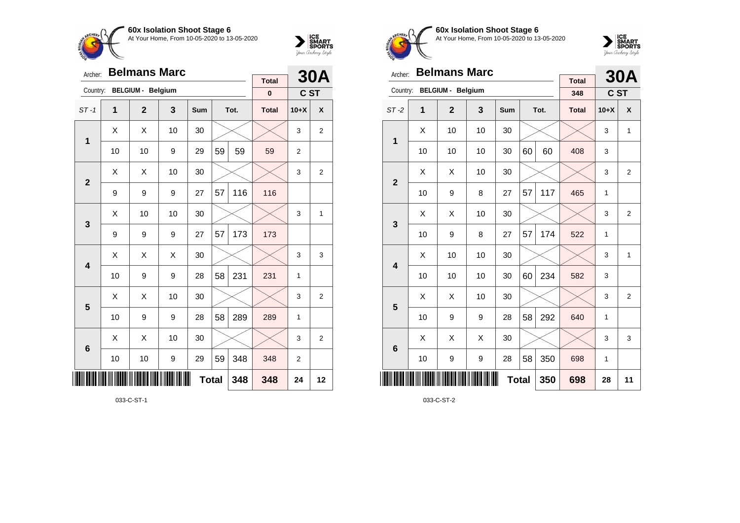



| Archer:         |    | <b>Belmans Marc</b>      |    |              |    |      | <b>Total</b> |                | <b>30A</b>       |
|-----------------|----|--------------------------|----|--------------|----|------|--------------|----------------|------------------|
| Country:        |    | <b>BELGIUM - Belgium</b> |    |              |    |      | $\pmb{0}$    | C ST           |                  |
| $ST-1$          | 1  | $\overline{2}$           | 3  | Sum          |    | Tot. | <b>Total</b> | $10+X$         | X                |
| 1               | X  | X                        | 10 | 30           |    |      |              | 3              | $\overline{2}$   |
|                 | 10 | 10                       | 9  | 29           | 59 | 59   | 59           | $\overline{2}$ |                  |
| $\overline{2}$  | X  | Χ                        | 10 | 30           |    |      |              | 3              | $\boldsymbol{2}$ |
|                 | 9  | 9                        | 9  | 27           | 57 | 116  | 116          |                |                  |
| 3               | X  | 10                       | 10 | 30           |    |      |              | 3              | 1                |
|                 | 9  | 9                        | 9  | 27           | 57 | 173  | 173          |                |                  |
| 4               | Χ  | Χ                        | X  | 30           |    |      |              | 3              | 3                |
|                 | 10 | 9                        | 9  | 28           | 58 | 231  | 231          | 1              |                  |
| 5               | X  | X                        | 10 | 30           |    |      |              | 3              | 2                |
|                 | 10 | 9                        | 9  | 28           | 58 | 289  | 289          | 1              |                  |
| $6\phantom{1}6$ | X  | Χ                        | 10 | 30           |    |      |              | 3              | $\overline{2}$   |
|                 | 10 | 10                       | 9  | 29           | 59 | 348  | 348          | 2              |                  |
|                 |    |                          |    | <b>Total</b> |    | 348  | 348          | 24             | 12               |

033-C-ST-1



**60x Isolation Shoot Stage 6** At Your Home, From 10-05-2020 to 13-05-2020



| Archer:         |    | <b>Belmans Marc</b>      |    |     |              |      |                     |        | <b>30A</b>     |
|-----------------|----|--------------------------|----|-----|--------------|------|---------------------|--------|----------------|
| Country:        |    | <b>BELGIUM - Belgium</b> |    |     |              |      | <b>Total</b><br>348 | C ST   |                |
| $ST-2$          | 1  | $\overline{2}$           | 3  | Sum |              | Tot. | <b>Total</b>        | $10+X$ | X              |
| 1               | X  | 10                       | 10 | 30  |              |      |                     | 3      | 1              |
|                 | 10 | 10                       | 10 | 30  | 60           | 60   | 408                 | 3      |                |
| $\overline{2}$  | X  | X                        | 10 | 30  |              |      |                     | 3      | $\overline{2}$ |
|                 | 10 | 9                        | 8  | 27  | 57           | 117  | 465                 | 1      |                |
| 3               | X  | X                        | 10 | 30  |              |      |                     | 3      | $\overline{2}$ |
|                 | 10 | 9                        | 8  | 27  | 57           | 174  | 522                 | 1      |                |
| 4               | X  | 10                       | 10 | 30  |              |      |                     | 3      | $\mathbf{1}$   |
|                 | 10 | 10                       | 10 | 30  | 60           | 234  | 582                 | 3      |                |
| 5               | X  | X                        | 10 | 30  |              |      |                     | 3      | $\overline{2}$ |
|                 | 10 | 9                        | 9  | 28  | 58           | 292  | 640                 | 1      |                |
| $6\phantom{1}6$ | X  | Χ                        | X  | 30  |              |      |                     | 3      | 3              |
|                 | 10 | 9                        | 9  | 28  | 58           | 350  | 698                 | 1      |                |
| ║║║             |    |                          |    |     | <b>Total</b> | 350  | 698                 | 28     | 11             |

033-C-ST-2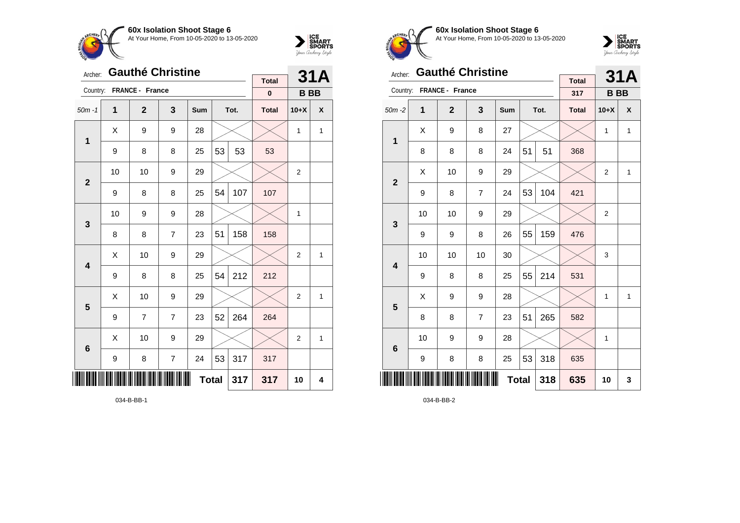



| Archer:         |    |                 | <b>Gauthé Christine</b> |            |              |      |                          |                | <b>31A</b> |
|-----------------|----|-----------------|-------------------------|------------|--------------|------|--------------------------|----------------|------------|
| Country:        |    | FRANCE - France |                         |            |              |      | <b>Total</b><br>$\bf{0}$ | <b>BB</b>      |            |
|                 |    |                 |                         |            |              |      |                          |                |            |
| $50m - 1$       | 1  | $\mathbf{2}$    | 3                       | <b>Sum</b> |              | Tot. | <b>Total</b>             | $10+X$         | X          |
| 1               | X  | 9               | 9                       | 28         |              |      |                          | 1              | 1          |
|                 | 9  | 8               | 8                       | 25         | 53           | 53   | 53                       |                |            |
| $\overline{2}$  | 10 | 10              | 9                       | 29         |              |      |                          | $\overline{2}$ |            |
|                 | 9  | 8               | 8                       | 25         | 54           | 107  | 107                      |                |            |
| 3               | 10 | 9               | 9                       | 28         |              |      |                          | 1              |            |
|                 | 8  | 8               | $\overline{7}$          | 23         | 51           | 158  | 158                      |                |            |
| 4               | Χ  | 10              | 9                       | 29         |              |      |                          | $\overline{2}$ | 1          |
|                 | 9  | 8               | 8                       | 25         | 54           | 212  | 212                      |                |            |
| 5               | X  | 10              | 9                       | 29         |              |      |                          | 2              | 1          |
|                 | 9  | 7               | $\overline{7}$          | 23         | 52           | 264  | 264                      |                |            |
| $6\phantom{1}6$ | Χ  | 10              | 9                       | 29         |              |      |                          | $\overline{2}$ | 1          |
|                 | 9  | 8               | 7                       | 24         | 53           | 317  | 317                      |                |            |
| ║║║             |    |                 |                         |            | <b>Total</b> | 317  | 317                      | 10             | 4          |

034-B-BB-1



**60x Isolation Shoot Stage 6** At Your Home, From 10-05-2020 to 13-05-2020



| Archer:                 |                  | <b>Gauthé Christine</b> |    |     |              |      | <b>Total</b> |                | <b>31A</b>   |
|-------------------------|------------------|-------------------------|----|-----|--------------|------|--------------|----------------|--------------|
| Country:                |                  | FRANCE - France         |    |     |              |      | 317          | <b>BB</b>      |              |
| $50m - 2$               | 1                | $\overline{2}$          | 3  | Sum |              | Tot. | <b>Total</b> | $10+X$         | X            |
| 1                       | X                | 9                       | 8  | 27  |              |      |              | 1              | $\mathbf{1}$ |
|                         | 8                | 8                       | 8  | 24  | 51           | 51   | 368          |                |              |
| $\overline{\mathbf{2}}$ | X                | 10                      | 9  | 29  |              |      |              | $\overline{2}$ | $\mathbf{1}$ |
|                         | 9                | 8                       | 7  | 24  | 53           | 104  | 421          |                |              |
| 3                       | 10               | 10                      | 9  | 29  |              |      |              | 2              |              |
|                         | 9                | 9                       | 8  | 26  | 55           | 159  | 476          |                |              |
| 4                       | 10               | 10                      | 10 | 30  |              |      |              | 3              |              |
|                         | 9                | 8                       | 8  | 25  | 55           | 214  | 531          |                |              |
| 5                       | X                | 9                       | 9  | 28  |              |      |              | 1              | 1            |
|                         | 8                | 8                       | 7  | 23  | 51           | 265  | 582          |                |              |
| $6\phantom{1}6$         | 10               | 9                       | 9  | 28  |              |      |              | 1              |              |
|                         | $\boldsymbol{9}$ | 8                       | 8  | 25  | 53           | 318  | 635          |                |              |
| ∭                       |                  |                         |    |     | <b>Total</b> | 318  | 635          | 10             | 3            |

034-B-BB-2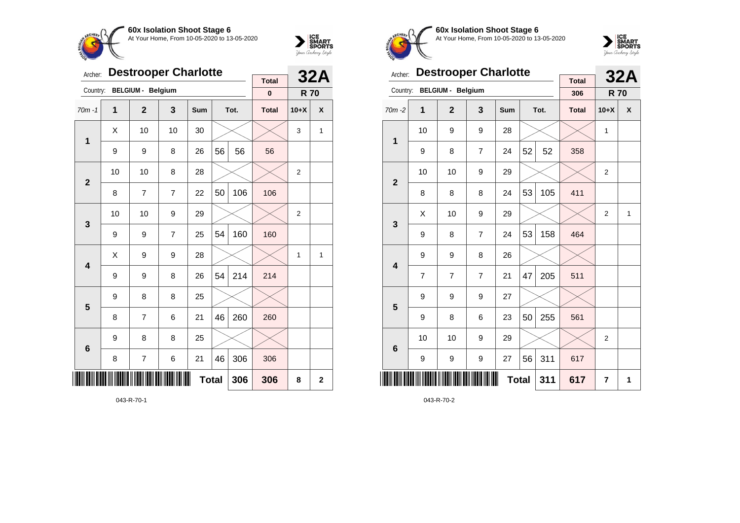



| Archer:        |    |                          | <b>Destrooper Charlotte</b> |              |    |      |                             |                | <b>32A</b>  |
|----------------|----|--------------------------|-----------------------------|--------------|----|------|-----------------------------|----------------|-------------|
| Country:       |    | <b>BELGIUM - Belgium</b> |                             |              |    |      | <b>Total</b><br>$\mathbf 0$ | <b>R70</b>     |             |
| $70m - 1$      | 1  | $\overline{2}$           | 3                           | Sum          |    | Tot. | <b>Total</b>                | $10+X$         | X           |
| $\mathbf 1$    | X  | 10                       | 10                          | 30           |    |      |                             | 3              | 1           |
|                | 9  | 9                        | 8                           | 26           | 56 | 56   | 56                          |                |             |
| $\overline{2}$ | 10 | 10                       | 8                           | 28           |    |      |                             | $\overline{2}$ |             |
|                | 8  | 7                        | $\overline{7}$              | 22           | 50 | 106  | 106                         |                |             |
| 3              | 10 | 10                       | 9                           | 29           |    |      |                             | $\overline{2}$ |             |
|                | 9  | 9                        | 7                           | 25           | 54 | 160  | 160                         |                |             |
| 4              | X  | 9                        | 9                           | 28           |    |      |                             | 1              | 1           |
|                | 9  | 9                        | 8                           | 26           | 54 | 214  | 214                         |                |             |
| 5              | 9  | 8                        | 8                           | 25           |    |      |                             |                |             |
|                | 8  | 7                        | 6                           | 21           | 46 | 260  | 260                         |                |             |
| 6              | 9  | 8                        | 8                           | 25           |    |      |                             |                |             |
|                | 8  | 7                        | 6                           | 21           | 46 | 306  | 306                         |                |             |
|                |    |                          |                             | <b>Total</b> |    | 306  | 306                         | 8              | $\mathbf 2$ |

043-R-70-1



**60x Isolation Shoot Stage 6** At Your Home, From 10-05-2020 to 13-05-2020



| Archer:                 |    | <b>Destrooper Charlotte</b> |                |     |              |      | <b>Total</b> |                | <b>32A</b> |
|-------------------------|----|-----------------------------|----------------|-----|--------------|------|--------------|----------------|------------|
| Country:                |    | <b>BELGIUM - Belgium</b>    |                |     |              |      | 306          | <b>R70</b>     |            |
| $70m - 2$               | 1  | $\overline{2}$              | 3              | Sum |              | Tot. | <b>Total</b> | $10+X$         | X          |
| 1                       | 10 | 9                           | 9              | 28  |              |      |              | 1              |            |
|                         | 9  | 8                           | $\overline{7}$ | 24  | 52           | 52   | 358          |                |            |
| $\overline{2}$          | 10 | 10                          | 9              | 29  |              |      |              | $\overline{2}$ |            |
|                         | 8  | 8                           | 8              | 24  | 53           | 105  | 411          |                |            |
| 3                       | X  | 10                          | 9              | 29  |              |      |              | $\overline{2}$ | 1          |
|                         | 9  | 8                           | $\overline{7}$ | 24  | 53           | 158  | 464          |                |            |
| $\overline{\mathbf{4}}$ | 9  | 9                           | 8              | 26  |              |      |              |                |            |
|                         | 7  | 7                           | 7              | 21  | 47           | 205  | 511          |                |            |
| 5                       | 9  | 9                           | 9              | 27  |              |      |              |                |            |
|                         | 9  | 8                           | 6              | 23  | 50           | 255  | 561          |                |            |
| $6\phantom{1}6$         | 10 | 10                          | 9              | 29  |              |      |              | $\overline{2}$ |            |
|                         | 9  | 9                           | 9              | 27  | 56           | 311  | 617          |                |            |
| ║║                      |    |                             |                |     | <b>Total</b> | 311  | 617          | $\overline{7}$ | 1          |

043-R-70-2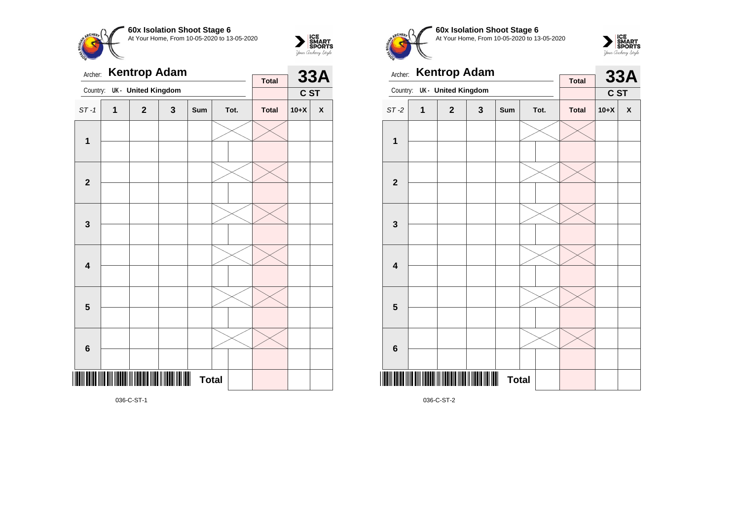



| Archer:                 |   |                           | <b>Kentrop Adam</b> |              |      | <b>Total</b> |        | <b>33A</b> |
|-------------------------|---|---------------------------|---------------------|--------------|------|--------------|--------|------------|
| Country:                |   | <b>UK-</b> United Kingdom |                     |              |      |              | C ST   |            |
| $ST-1$                  | 1 | $\mathbf{2}$              | 3                   | Sum          | Tot. | <b>Total</b> | $10+X$ | X          |
| $\mathbf 1$             |   |                           |                     |              |      |              |        |            |
| $\mathbf{2}$            |   |                           |                     |              |      |              |        |            |
| 3                       |   |                           |                     |              |      |              |        |            |
| $\overline{\mathbf{4}}$ |   |                           |                     |              |      |              |        |            |
| 5                       |   |                           |                     |              |      |              |        |            |
| $6\phantom{1}6$         |   |                           |                     |              |      |              |        |            |
|                         |   |                           |                     | <b>Total</b> |      |              |        |            |

**60x Isolation Shoot Stage 6** At Your Home, From 10-05-2020 to 13-05-2020



| Archer:                 |             | <b>Kentrop Adam</b>       |                |              |      | <b>Total</b> |        | <b>33A</b> |
|-------------------------|-------------|---------------------------|----------------|--------------|------|--------------|--------|------------|
| Country:                |             | <b>UK- United Kingdom</b> |                |              |      |              | C ST   |            |
| $ST-2$                  | $\mathbf 1$ | $\mathbf{2}$              | 3              | Sum          | Tot. | <b>Total</b> | $10+X$ | X          |
| $\mathbf{1}$            |             |                           |                |              |      |              |        |            |
|                         |             |                           |                |              |      |              |        |            |
|                         |             |                           |                |              |      |              |        |            |
| $\overline{\mathbf{2}}$ |             |                           |                |              |      |              |        |            |
|                         |             |                           |                |              |      |              |        |            |
| $\mathbf{3}$            |             |                           |                |              |      |              |        |            |
|                         |             |                           |                |              |      |              |        |            |
| $\overline{\mathbf{4}}$ |             |                           |                |              |      |              |        |            |
|                         |             |                           |                |              |      |              |        |            |
| 5                       |             |                           |                |              |      |              |        |            |
|                         |             |                           |                |              |      |              |        |            |
| $6\phantom{1}6$         |             |                           |                |              |      |              |        |            |
|                         |             |                           | $\blacksquare$ | <b>Total</b> |      |              |        |            |

036-C-ST-2

036-C-ST-1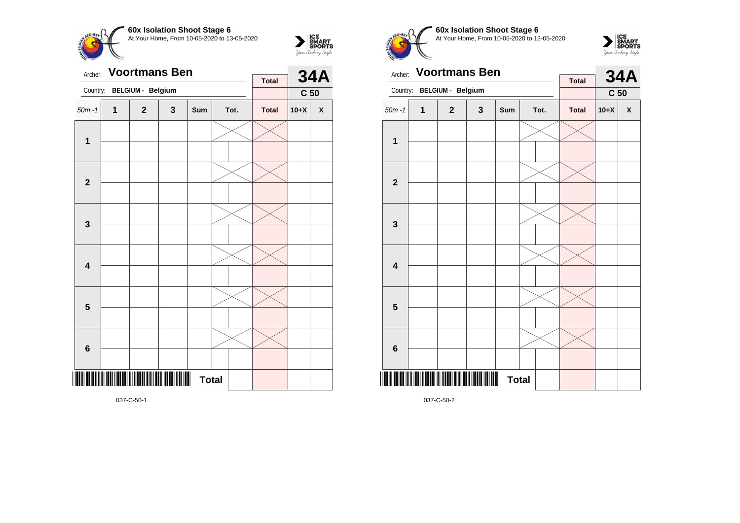



| Archer:                 |              | <b>Voortmans Ben</b> |   |              |      | <b>Total</b> |                 | <b>34A</b>         |
|-------------------------|--------------|----------------------|---|--------------|------|--------------|-----------------|--------------------|
| Country:                |              | BELGIUM - Belgium    |   |              |      |              | C <sub>50</sub> |                    |
| $50m - 1$               | $\mathbf{1}$ | $\overline{2}$       | 3 | Sum          | Tot. | <b>Total</b> | $10+X$          | $\pmb{\mathsf{X}}$ |
| 1                       |              |                      |   |              |      |              |                 |                    |
| $\overline{2}$          |              |                      |   |              |      |              |                 |                    |
| $\mathbf{3}$            |              |                      |   |              |      |              |                 |                    |
| $\overline{\mathbf{4}}$ |              |                      |   |              |      |              |                 |                    |
| 5                       |              |                      |   |              |      |              |                 |                    |
| $6\phantom{1}6$         |              |                      |   |              |      |              |                 |                    |
|                         |              |                      |   | <b>Total</b> |      |              |                 |                    |

**60x Isolation Shoot Stage 6** At Your Home, From 10-05-2020 to 13-05-2020



| Archer:                 |              | <b>Voortmans Ben</b>     |              |                   |      |              |                 | <b>34A</b>   |
|-------------------------|--------------|--------------------------|--------------|-------------------|------|--------------|-----------------|--------------|
| Country:                |              | <b>BELGIUM - Belgium</b> |              |                   |      | <b>Total</b> | C <sub>50</sub> |              |
| $50m - 1$               | $\mathbf{1}$ | $\mathbf{2}$             | $\mathbf{3}$ | Sum               | Tot. | <b>Total</b> | $10+X$          | $\mathbf{x}$ |
| $\mathbf{1}$            |              |                          |              |                   |      |              |                 |              |
|                         |              |                          |              |                   |      |              |                 |              |
| $\overline{2}$          |              |                          |              |                   |      |              |                 |              |
|                         |              |                          |              |                   |      |              |                 |              |
|                         |              |                          |              |                   |      |              |                 |              |
| $\mathbf{3}$            |              |                          |              |                   |      |              |                 |              |
|                         |              |                          |              |                   |      |              |                 |              |
| $\overline{\mathbf{4}}$ |              |                          |              |                   |      |              |                 |              |
|                         |              |                          |              |                   |      |              |                 |              |
| 5                       |              |                          |              |                   |      |              |                 |              |
|                         |              |                          |              |                   |      |              |                 |              |
| $\bf 6$                 |              |                          |              |                   |      |              |                 |              |
|                         |              |                          |              | Ш<br><b>Total</b> |      |              |                 |              |

037-C-50-1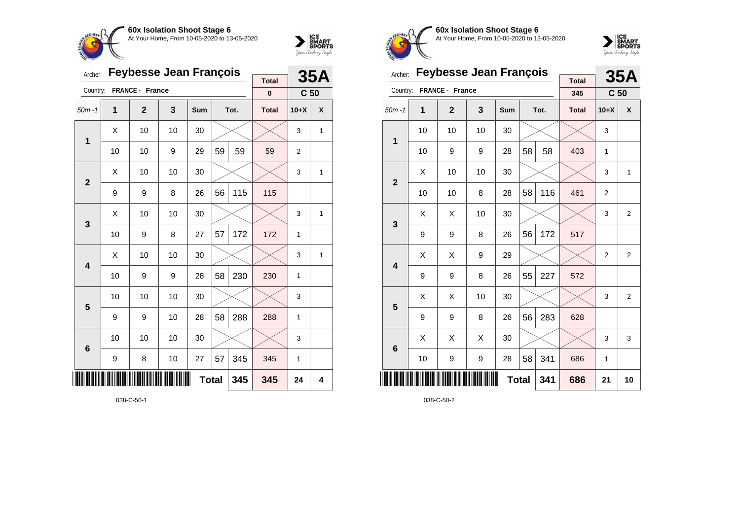



| Archer:                 |    | <b>Feybesse Jean François</b> |     |     |    | <b>35A</b> |              |                 |              |
|-------------------------|----|-------------------------------|-----|-----|----|------------|--------------|-----------------|--------------|
| Country:                |    | FRANCE - France               |     |     |    |            | <b>Total</b> |                 |              |
|                         |    |                               |     |     |    |            | $\pmb{0}$    | C <sub>50</sub> |              |
| $50m - 1$               | 1  | $\mathbf{2}$                  | 3   | Sum |    | Tot.       | <b>Total</b> | $10+X$          | X            |
| $\mathbf{1}$            | X  | 10                            | 10  | 30  |    |            |              | 3               | 1            |
|                         | 10 | 10                            | 9   | 29  | 59 | 59         | 59           | $\overline{2}$  |              |
| $\overline{2}$          | Χ  | 10                            | 10  | 30  |    |            |              | 3               | $\mathbf{1}$ |
|                         | 9  | 9                             | 8   | 26  | 56 | 115        | 115          |                 |              |
| 3                       | Χ  | 10                            | 10  | 30  |    |            |              | 3               | $\mathbf{1}$ |
|                         | 10 | 9                             | 8   | 27  | 57 | 172        | 172          | 1               |              |
| $\overline{\mathbf{4}}$ | X  | 10                            | 10  | 30  |    |            |              | 3               | 1            |
|                         | 10 | 9                             | 9   | 28  | 58 | 230        | 230          | 1               |              |
| 5                       | 10 | 10                            | 10  | 30  |    |            |              | 3               |              |
|                         | 9  | 9                             | 10  | 28  | 58 | 288        | 288          | 1               |              |
| $6\phantom{1}6$         | 10 | 10                            | 10  | 30  |    |            |              | 3               |              |
|                         | 9  | 8                             | 10  | 27  | 57 | 345        | 345          | 1               |              |
| IIII                    |    |                               | 345 | 24  | 4  |            |              |                 |              |



**60x Isolation Shoot Stage 6** At Your Home, From 10-05-2020 to 13-05-2020



| Archer:         |    | <b>Feybesse Jean François</b> |    |              |    | <b>35A</b> |                     |                 |                |
|-----------------|----|-------------------------------|----|--------------|----|------------|---------------------|-----------------|----------------|
| Country:        |    | FRANCE - France               |    |              |    |            | <b>Total</b><br>345 | C <sub>50</sub> |                |
| $50m - 1$       | 1  | $\overline{2}$                | 3  | Sum          |    | Tot.       | <b>Total</b>        | $10+X$          | X              |
| 1               | 10 | 10                            | 10 | 30           |    |            |                     | 3               |                |
|                 | 10 | 9                             | 9  | 28           | 58 | 58         | 403                 | 1               |                |
| $\overline{2}$  | X  | 10                            | 10 | 30           |    |            |                     | 3               | $\mathbf{1}$   |
|                 | 10 | 10                            | 8  | 28           | 58 | 116        | 461                 | $\overline{2}$  |                |
| 3               | X  | X                             | 10 | 30           |    |            |                     | 3               | $\overline{2}$ |
|                 | 9  | 9                             | 8  | 26           | 56 | 172        | 517                 |                 |                |
| 4               | X  | X                             | 9  | 29           |    |            |                     | $\overline{2}$  | 2              |
|                 | 9  | 9                             | 8  | 26           | 55 | 227        | 572                 |                 |                |
| 5               | X  | X                             | 10 | 30           |    |            |                     | 3               | 2              |
|                 | 9  | 9                             | 8  | 26           | 56 | 283        | 628                 |                 |                |
| $6\phantom{1}6$ | X  | X                             | X  | 30           |    |            |                     | 3               | 3              |
|                 | 10 | 9                             | 9  | 28           | 58 | 341        | 686                 | 1               |                |
| ║║║             |    |                               |    | <b>Total</b> |    | 341        | 686                 | 21              | 10             |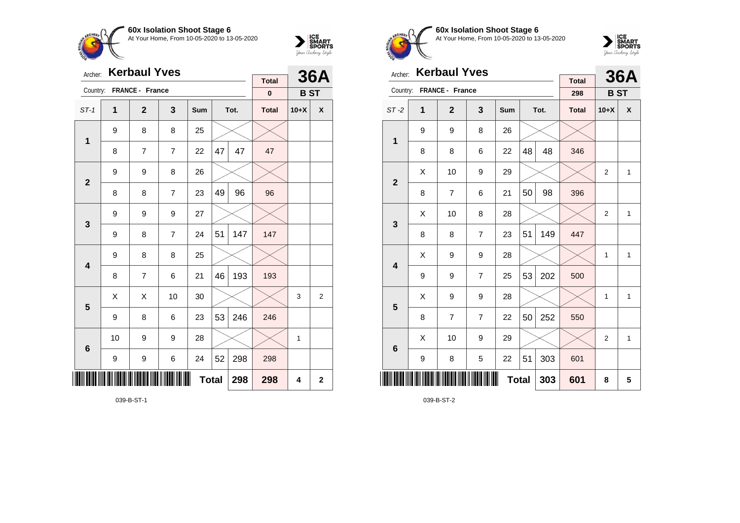



| Archer:                 |                  | <b>Kerbaul Yves</b> |                | <b>Total</b> |                | <b>36A</b> |              |            |   |
|-------------------------|------------------|---------------------|----------------|--------------|----------------|------------|--------------|------------|---|
| Country:                |                  | FRANCE - France     |                |              |                |            | $\bf{0}$     | <b>BST</b> |   |
| $ST-1$                  | 1                | $\mathbf{2}$        | 3              | Sum          |                | Tot.       | <b>Total</b> | $10+X$     | χ |
| $\mathbf 1$             | 9                | 8                   | 8              | 25           |                |            |              |            |   |
|                         | 8                | 7                   | $\overline{7}$ | 22           | 47             | 47         | 47           |            |   |
| $\overline{2}$          | 9                | 9                   | 8              | 26           |                |            |              |            |   |
|                         | 8                | 8                   | $\overline{7}$ | 23           | 49             | 96         | 96           |            |   |
| $\mathbf{3}$            | 9                | 9                   | 9              | 27           |                |            |              |            |   |
|                         | 9                | 8                   | $\overline{7}$ | 24           | 51             | 147        | 147          |            |   |
| $\overline{\mathbf{4}}$ | 9                | 8                   | 8              | 25           |                |            |              |            |   |
|                         | 8                | $\overline{7}$      | 6              | 21           | 46             | 193        | 193          |            |   |
| 5                       | X                | X                   | 10             | 30           |                |            |              | 3          | 2 |
|                         | 9                | 8                   | 6              | 23           | 53             | 246        | 246          |            |   |
| $\bf 6$                 | 10               | 9                   | 9              | 28           |                |            |              | 1          |   |
|                         | $\boldsymbol{9}$ | 9                   | 6              | 24           | 52             | 298        | 298          |            |   |
|                         |                  |                     | 298            | 4            | $\overline{2}$ |            |              |            |   |

039-B-ST-1



**60x Isolation Shoot Stage 6** At Your Home, From 10-05-2020 to 13-05-2020



| Archer:                 |   | <b>Kerbaul Yves</b> |                |     |    | <b>36A</b> |                     |                |              |
|-------------------------|---|---------------------|----------------|-----|----|------------|---------------------|----------------|--------------|
| Country:                |   | FRANCE - France     |                |     |    |            | <b>Total</b><br>298 | <b>BST</b>     |              |
| $ST-2$                  | 1 | $\mathbf{2}$        | $\mathbf{3}$   | Sum |    | Tot.       | <b>Total</b>        | $10+X$         | X            |
| $\mathbf{1}$            | 9 | 9                   | 8              | 26  |    |            |                     |                |              |
|                         | 8 | 8                   | 6              | 22  | 48 | 48         | 346                 |                |              |
| $\overline{2}$          | X | 10                  | 9              | 29  |    |            |                     | $\overline{2}$ | $\mathbf{1}$ |
|                         | 8 | 7                   | 6              | 21  | 50 | 98         | 396                 |                |              |
| 3                       | X | 10                  | 8              | 28  |    |            |                     | $\overline{2}$ | $\mathbf{1}$ |
|                         | 8 | 8                   | $\overline{7}$ | 23  | 51 | 149        | 447                 |                |              |
| $\overline{\mathbf{4}}$ | X | 9                   | 9              | 28  |    |            |                     | $\mathbf{1}$   | $\mathbf{1}$ |
|                         | 9 | 9                   | 7              | 25  | 53 | 202        | 500                 |                |              |
| 5                       | X | 9                   | 9              | 28  |    |            |                     | 1              | $\mathbf{1}$ |
|                         | 8 | $\overline{7}$      | $\overline{7}$ | 22  | 50 | 252        | 550                 |                |              |
| $6\phantom{1}6$         | Χ | 10                  | 9              | 29  |    |            |                     | $\overline{2}$ | $\mathbf{1}$ |
|                         | 9 | 8                   | 5              | 22  | 51 | 303        | 601                 |                |              |
| ║║║                     |   |                     | 303            | 601 | 8  | 5          |                     |                |              |

039-B-ST-2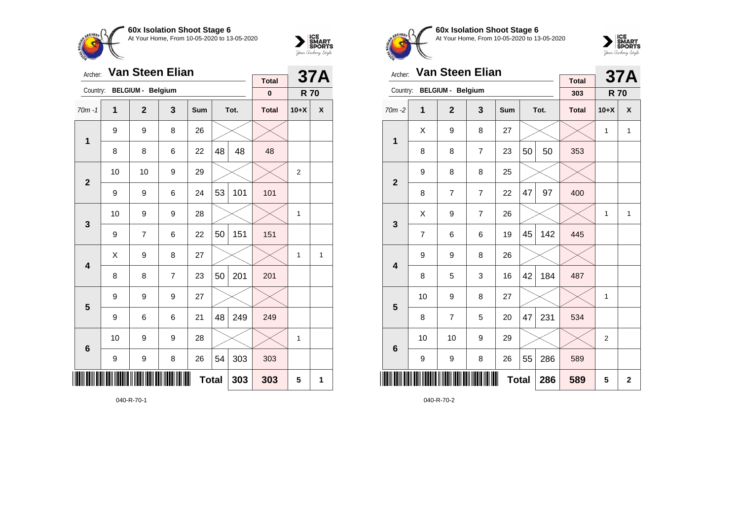



| Archer:         |    | Van Steen Elian          |                | <b>Total</b> |     | <b>37A</b> |              |                |   |
|-----------------|----|--------------------------|----------------|--------------|-----|------------|--------------|----------------|---|
| Country:        |    | <b>BELGIUM - Belgium</b> |                |              |     |            | $\pmb{0}$    | <b>R70</b>     |   |
| $70m - 1$       | 1  | $\mathbf{2}$             | 3              | Sum          |     | Tot.       | <b>Total</b> | $10+X$         | X |
| $\mathbf{1}$    | 9  | 9                        | 8              | 26           |     |            |              |                |   |
|                 | 8  | 8                        | 6              | 22           | 48  | 48         | 48           |                |   |
| $\overline{2}$  | 10 | 10                       | 9              | 29           |     |            |              | $\overline{2}$ |   |
|                 | 9  | 9                        | 6              | 24           | 53  | 101        | 101          |                |   |
| 3               | 10 | 9                        | 9              | 28           |     |            |              | 1              |   |
|                 | 9  | $\overline{7}$           | 6              | 22           | 50  | 151        | 151          |                |   |
| 4               | Χ  | 9                        | 8              | 27           |     |            |              | 1              | 1 |
|                 | 8  | 8                        | $\overline{7}$ | 23           | 50  | 201        | 201          |                |   |
| 5               | 9  | 9                        | 9              | 27           |     |            |              |                |   |
|                 | 9  | 6                        | 6              | 21           | 48  | 249        | 249          |                |   |
| $6\phantom{1}6$ | 10 | 9                        | 9              | 28           |     |            |              | 1              |   |
|                 | 9  | 9                        | 8              | 26           | 54  | 303        | 303          |                |   |
| ║║║             |    |                          | <b>Total</b>   |              | 303 | 5          | 1            |                |   |

040-R-70-1



**60x Isolation Shoot Stage 6** At Your Home, From 10-05-2020 to 13-05-2020



| Archer:                 |    | <b>Van Steen Elian</b>   |                |              |    | <b>37A</b> |                     |                |              |
|-------------------------|----|--------------------------|----------------|--------------|----|------------|---------------------|----------------|--------------|
| Country:                |    | <b>BELGIUM - Belgium</b> |                |              |    |            | <b>Total</b><br>303 | <b>R70</b>     |              |
| $70m - 2$               | 1  | $\overline{2}$           | 3              | Sum          |    | Tot.       | <b>Total</b>        | $10+X$         | X            |
| 1                       | X  | 9                        | 8              | 27           |    |            |                     | 1              | $\mathbf{1}$ |
|                         | 8  | 8                        | $\overline{7}$ | 23           | 50 | 50         | 353                 |                |              |
| $\overline{2}$          | 9  | 8                        | 8              | 25           |    |            |                     |                |              |
|                         | 8  | 7                        | $\overline{7}$ | 22           | 47 | 97         | 400                 |                |              |
| 3                       | X  | 9                        | $\overline{7}$ | 26           |    |            |                     | 1              | $\mathbf{1}$ |
|                         | 7  | 6                        | 6              | 19           | 45 | 142        | 445                 |                |              |
| $\overline{\mathbf{4}}$ | 9  | 9                        | 8              | 26           |    |            |                     |                |              |
|                         | 8  | 5                        | 3              | 16           | 42 | 184        | 487                 |                |              |
| 5                       | 10 | 9                        | 8              | 27           |    |            |                     | 1              |              |
|                         | 8  | $\overline{7}$           | 5              | 20           | 47 | 231        | 534                 |                |              |
| $6\phantom{1}6$         | 10 | 10                       | 9              | 29           |    |            |                     | $\overline{2}$ |              |
|                         | 9  | 9                        | 8              | 26           | 55 | 286        | 589                 |                |              |
|                         |    |                          |                | <b>Total</b> |    | 286        | 589                 | 5              | $\mathbf{2}$ |

040-R-70-2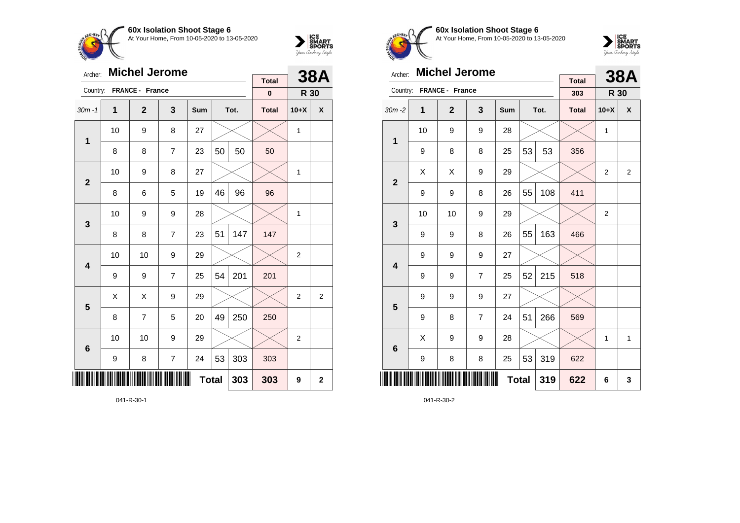



| Archer:                 |                  | <b>Michel Jerome</b> |                |              |    | <b>38A</b> |                          |                |                         |
|-------------------------|------------------|----------------------|----------------|--------------|----|------------|--------------------------|----------------|-------------------------|
| Country:                |                  | FRANCE - France      |                |              |    |            | <b>Total</b><br>$\bf{0}$ | R 30           |                         |
| $30m - 1$               | $\mathbf 1$      | $\mathbf{2}$         | 3              | Sum          |    | Tot.       | <b>Total</b>             | $10+X$         | X                       |
|                         | 10               | 9                    | 8              | 27           |    |            |                          | 1              |                         |
| 1                       | 8                | 8                    | $\overline{7}$ | 23           | 50 | 50         | 50                       |                |                         |
| $\mathbf{2}$            | 10               | 9                    | 8              | 27           |    |            |                          | 1              |                         |
|                         | 8                | 6                    | 5              | 19           | 46 | 96         | 96                       |                |                         |
| 3                       | 10               | 9                    | 9              | 28           |    |            |                          | 1              |                         |
|                         | 8                | 8                    | $\overline{7}$ | 23           | 51 | 147        | 147                      |                |                         |
| $\overline{\mathbf{4}}$ | 10               | 10                   | 9              | 29           |    |            |                          | $\overline{2}$ |                         |
|                         | 9                | 9                    | $\overline{7}$ | 25           | 54 | 201        | 201                      |                |                         |
| 5                       | Χ                | X                    | 9              | 29           |    |            |                          | $\overline{2}$ | 2                       |
|                         | 8                | 7                    | 5              | 20           | 49 | 250        | 250                      |                |                         |
| $6\phantom{1}6$         | 10               | 10                   | 9              | 29           |    |            |                          | 2              |                         |
|                         | $\boldsymbol{9}$ | 8                    | $\overline{7}$ | 24           | 53 | 303        | 303                      |                |                         |
| ║║                      |                  |                      |                | <b>Total</b> |    | 303        | 303                      | 9              | $\overline{\mathbf{2}}$ |

041-R-30-1



**60x Isolation Shoot Stage 6** At Your Home, From 10-05-2020 to 13-05-2020



| Archer:                 |                     | <b>Michel Jerome</b> |                |     |    | <b>38A</b> |                     |                |              |
|-------------------------|---------------------|----------------------|----------------|-----|----|------------|---------------------|----------------|--------------|
| Country:                |                     | FRANCE - France      |                |     |    |            | <b>Total</b><br>303 | R 30           |              |
| $30m - 2$               | 1                   | $\mathbf{2}$         | 3              | Sum |    | Tot.       | <b>Total</b>        | $10+X$         | X            |
|                         | 10                  | 9                    | 9              | 28  |    |            |                     | 1              |              |
| 1                       | 9                   | 8                    | 8              | 25  | 53 | 53         | 356                 |                |              |
| $\mathbf{2}$            | X                   | X                    | 9              | 29  |    |            |                     | $\overline{2}$ | 2            |
|                         | 9                   | 9                    | 8              | 26  | 55 | 108        | 411                 |                |              |
| 3                       | 10                  | 10                   | 9              | 29  |    |            |                     | $\overline{c}$ |              |
|                         | 9                   | 9                    | 8              | 26  | 55 | 163        | 466                 |                |              |
| $\overline{\mathbf{4}}$ | 9                   | 9                    | 9              | 27  |    |            |                     |                |              |
|                         | 9                   | 9                    | $\overline{7}$ | 25  | 52 | 215        | 518                 |                |              |
| 5                       | 9                   | 9                    | 9              | 27  |    |            |                     |                |              |
|                         | 9                   | 8                    | $\overline{7}$ | 24  | 51 | 266        | 569                 |                |              |
| 6                       | Χ                   | 9                    | 9              | 28  |    |            |                     | 1              | $\mathbf{1}$ |
|                         | 9                   | 8                    | 8              | 25  | 53 | 319        | 622                 |                |              |
| ∭∭                      | <b>Total</b><br>319 |                      |                |     |    |            |                     | 6              | 3            |

041-R-30-2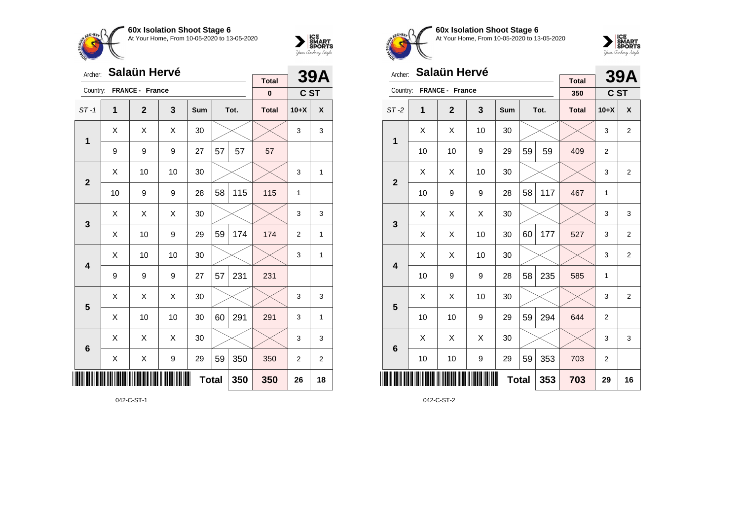



| Archer:                 |    | <b>Salaün Hervé</b> |     |     |    |      | <b>39A</b>               |                |   |
|-------------------------|----|---------------------|-----|-----|----|------|--------------------------|----------------|---|
| Country:                |    | FRANCE - France     |     |     |    |      | <b>Total</b><br>$\bf{0}$ | C ST           |   |
| $ST-1$                  | 1  | $\overline{2}$      | 3   | Sum |    | Tot. | <b>Total</b>             | $10+X$         | X |
| 1                       | X  | Χ                   | X   | 30  |    |      |                          | 3              | 3 |
|                         | 9  | 9                   | 9   | 27  | 57 | 57   | 57                       |                |   |
| $\overline{2}$          | X  | 10                  | 10  | 30  |    |      |                          | 3              | 1 |
|                         | 10 | 9                   | 9   | 28  | 58 | 115  | 115                      | $\mathbf{1}$   |   |
| 3                       | Χ  | Χ                   | Χ   | 30  |    |      |                          | 3              | 3 |
|                         | X  | 10                  | 9   | 29  | 59 | 174  | 174                      | $\overline{2}$ | 1 |
| $\overline{\mathbf{4}}$ | Χ  | 10                  | 10  | 30  |    |      |                          | 3              | 1 |
|                         | 9  | 9                   | 9   | 27  | 57 | 231  | 231                      |                |   |
| 5                       | X  | Χ                   | X   | 30  |    |      |                          | 3              | 3 |
|                         | X  | 10                  | 10  | 30  | 60 | 291  | 291                      | 3              | 1 |
| $6\phantom{1}6$         | X  | X                   | X   | 30  |    |      |                          | 3              | 3 |
|                         | X  | X                   | 9   | 29  | 59 | 350  | 350                      | 2              | 2 |
| ║║║                     |    |                     | 350 | 350 | 26 | 18   |                          |                |   |

042-C-ST-1



**60x Isolation Shoot Stage 6** At Your Home, From 10-05-2020 to 13-05-2020



| Archer:         |    | <b>Salaün Hervé</b> |                  |              |    |      | <b>39A</b>          |                |                |
|-----------------|----|---------------------|------------------|--------------|----|------|---------------------|----------------|----------------|
| Country:        |    | FRANCE - France     |                  |              |    |      | <b>Total</b><br>350 | C ST           |                |
| $ST-2$          | 1  | $\mathbf{2}$        | 3                | Sum          |    | Tot. | <b>Total</b>        | $10+X$         | X              |
|                 | X  | X                   | 10               | 30           |    |      |                     | 3              | $\overline{2}$ |
| 1               | 10 | 10                  | 9                | 29           | 59 | 59   | 409                 | $\overline{c}$ |                |
| $\mathbf{2}$    | X  | X                   | 10               | 30           |    |      |                     | 3              | $\overline{2}$ |
|                 | 10 | 9                   | 9                | 28           | 58 | 117  | 467                 | 1              |                |
| 3               | X  | Χ                   | Χ                | 30           |    |      |                     | 3              | 3              |
|                 | Χ  | Χ                   | 10               | 30           | 60 | 177  | 527                 | 3              | $\overline{2}$ |
| 4               | X  | X                   | 10               | 30           |    |      |                     | 3              | $\overline{2}$ |
|                 | 10 | 9                   | 9                | 28           | 58 | 235  | 585                 | 1              |                |
| 5               | Χ  | X                   | 10               | 30           |    |      |                     | 3              | $\overline{2}$ |
|                 | 10 | 10                  | 9                | 29           | 59 | 294  | 644                 | $\overline{2}$ |                |
| $6\phantom{1}6$ | Χ  | Χ                   | X                | 30           |    |      |                     | 3              | 3              |
|                 | 10 | 10                  | $\boldsymbol{9}$ | 29           | 59 | 353  | 703                 | $\overline{2}$ |                |
| ║║║             |    |                     |                  | <b>Total</b> |    | 353  | 703                 | 29             | 16             |

042-C-ST-2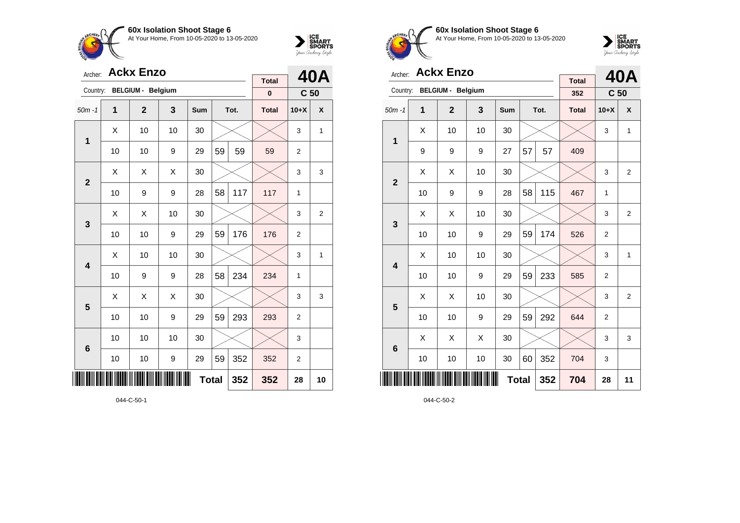



| Archer:         |    | <b>Ackx Enzo</b>         |              | <b>Total</b> |     | 40A  |              |                 |                |
|-----------------|----|--------------------------|--------------|--------------|-----|------|--------------|-----------------|----------------|
| Country:        |    | <b>BELGIUM - Belgium</b> |              |              |     |      | $\pmb{0}$    | C <sub>50</sub> |                |
| $50m - 1$       | 1  | $\overline{2}$           | 3            | Sum          |     | Tot. | <b>Total</b> | $10+X$          | X              |
| 1               | X  | 10                       | 10           | 30           |     |      |              | 3               | $\mathbf{1}$   |
|                 | 10 | 10                       | 9            | 29           | 59  | 59   | 59           | $\overline{2}$  |                |
| $\mathbf{2}$    | X  | Χ                        | X            | 30           |     |      |              | 3               | 3              |
|                 | 10 | 9                        | 9            | 28           | 58  | 117  | 117          | 1               |                |
| 3               | X  | Χ                        | 10           | 30           |     |      |              | 3               | $\overline{2}$ |
|                 | 10 | 10                       | 9            | 29           | 59  | 176  | 176          | $\overline{2}$  |                |
| 4               | Χ  | 10                       | 10           | 30           |     |      |              | 3               | 1              |
|                 | 10 | 9                        | 9            | 28           | 58  | 234  | 234          | 1               |                |
| 5               | X  | X                        | X            | 30           |     |      |              | 3               | 3              |
|                 | 10 | 10                       | 9            | 29           | 59  | 293  | 293          | $\overline{2}$  |                |
| $6\phantom{1}6$ | 10 | 10                       | 10           | 30           |     |      |              | 3               |                |
|                 | 10 | 10                       | 9            | 29           | 59  | 352  | 352          | 2               |                |
| ║║║             |    |                          | <b>Total</b> | 352          | 352 | 28   | 10           |                 |                |



**60x Isolation Shoot Stage 6** At Your Home, From 10-05-2020 to 13-05-2020



| Archer:        |    | <b>Ackx Enzo</b>         |    | <b>Total</b> |    | <b>40A</b> |              |                 |                |
|----------------|----|--------------------------|----|--------------|----|------------|--------------|-----------------|----------------|
| Country:       |    | <b>BELGIUM - Belgium</b> |    |              |    |            | 352          | C <sub>50</sub> |                |
| $50m - 1$      | 1  | $\overline{2}$           | 3  | Sum          |    | Tot.       | <b>Total</b> | $10+X$          | X              |
| 1              | X  | 10                       | 10 | 30           |    |            |              | 3               | 1              |
|                | 9  | 9                        | 9  | 27           | 57 | 57         | 409          |                 |                |
| $\overline{2}$ | X  | Χ                        | 10 | 30           |    |            |              | 3               | $\overline{2}$ |
|                | 10 | 9                        | 9  | 28           | 58 | 115        | 467          | 1               |                |
| 3              | X  | X                        | 10 | 30           |    |            |              | 3               | $\overline{2}$ |
|                | 10 | 10                       | 9  | 29           | 59 | 174        | 526          | $\overline{2}$  |                |
| 4              | X  | 10                       | 10 | 30           |    |            |              | 3               | 1              |
|                | 10 | 10                       | 9  | 29           | 59 | 233        | 585          | $\overline{2}$  |                |
| 5              | X  | X                        | 10 | 30           |    |            |              | 3               | $\overline{2}$ |
|                | 10 | 10                       | 9  | 29           | 59 | 292        | 644          | $\overline{2}$  |                |
| 6              | X  | Χ                        | X  | 30           |    |            |              | 3               | 3              |
|                | 10 | 10                       | 10 | 30           | 60 | 352        | 704          | 3               |                |
| ║║║            |    |                          |    | <b>Total</b> |    | 352        | 704          | 28              | 11             |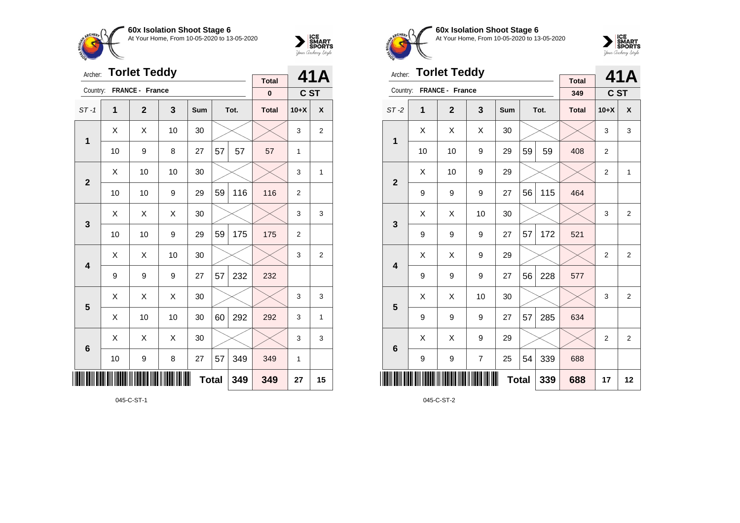



| Archer:                 |    | <b>Torlet Teddy</b> |     | <b>Total</b> |                | 41A  |              |                |                |
|-------------------------|----|---------------------|-----|--------------|----------------|------|--------------|----------------|----------------|
| Country:                |    | FRANCE - France     |     |              |                |      | $\pmb{0}$    | C ST           |                |
| $ST-1$                  | 1  | $\mathbf{2}$        | 3   | Sum          |                | Tot. | <b>Total</b> | $10+X$         | X              |
| 1                       | X  | Χ                   | 10  | 30           |                |      |              | 3              | $\overline{2}$ |
|                         | 10 | 9                   | 8   | 27           | 57             | 57   | 57           | 1              |                |
| $\mathbf{2}$            | X  | 10                  | 10  | 30           |                |      |              | 3              | $\mathbf{1}$   |
|                         | 10 | 10                  | 116 | 116          | $\overline{2}$ |      |              |                |                |
| $\mathbf{3}$            | X  | Χ                   | X   | 30           |                |      |              | 3              | 3              |
|                         | 10 | 10                  | 9   | 29           | 59             | 175  | 175          | $\overline{2}$ |                |
| $\overline{\mathbf{4}}$ | Χ  | Χ                   | 10  | 30           |                |      |              | 3              | 2              |
|                         | 9  | 9                   | 9   | 27           | 57             | 232  | 232          |                |                |
| 5                       | X  | Χ                   | X   | 30           |                |      |              | 3              | 3              |
|                         | Χ  | 10                  | 10  | 30           | 60             | 292  | 292          | 3              | $\mathbf{1}$   |
| $\bf 6$                 | X  | Χ                   | X   | 30           |                |      |              | 3              | 3              |
|                         | 10 | 9                   | 349 | 349          | 1              |      |              |                |                |
|                         |    |                     | 349 | 27           | 15             |      |              |                |                |

045-C-ST-1



**60x Isolation Shoot Stage 6** At Your Home, From 10-05-2020 to 13-05-2020



| Archer:                 |    | <b>Torlet Teddy</b> |                |     |    | 41A  |                     |                |                |
|-------------------------|----|---------------------|----------------|-----|----|------|---------------------|----------------|----------------|
| Country:                |    | FRANCE - France     |                |     |    |      | <b>Total</b><br>349 | C ST           |                |
| $ST-2$                  | 1  | $\mathbf{2}$        | 3              | Sum |    | Tot. | <b>Total</b>        | $10+X$         | X              |
| 1                       | Χ  | Χ                   | X              | 30  |    |      |                     | 3              | 3              |
|                         | 10 | 10                  | 9              | 29  | 59 | 59   | 408                 | $\overline{2}$ |                |
| $\overline{2}$          | X  | 10                  | 9              | 29  |    |      |                     | $\overline{2}$ | $\mathbf{1}$   |
|                         | 9  | 9                   | 9              | 27  | 56 | 115  | 464                 |                |                |
| 3                       | X  | Χ                   | 10             | 30  |    |      |                     | 3              | 2              |
|                         | 9  | 9                   | 9              | 27  | 57 | 172  | 521                 |                |                |
| $\overline{\mathbf{4}}$ | X  | Χ                   | 9              | 29  |    |      |                     | $\overline{2}$ | $\overline{2}$ |
|                         | 9  | 9                   | 9              | 27  | 56 | 228  | 577                 |                |                |
| 5                       | X  | X                   | 10             | 30  |    |      |                     | 3              | $\overline{2}$ |
|                         | 9  | 9                   | 9              | 27  | 57 | 285  | 634                 |                |                |
| $6\phantom{1}6$         | Χ  | Χ                   | 9              | 29  |    |      |                     | $\overline{2}$ | $\overline{2}$ |
|                         | 9  | 9                   | $\overline{7}$ | 25  | 54 | 339  | 688                 |                |                |
|                         |    |                     | 339            | 688 | 17 | 12   |                     |                |                |

045-C-ST-2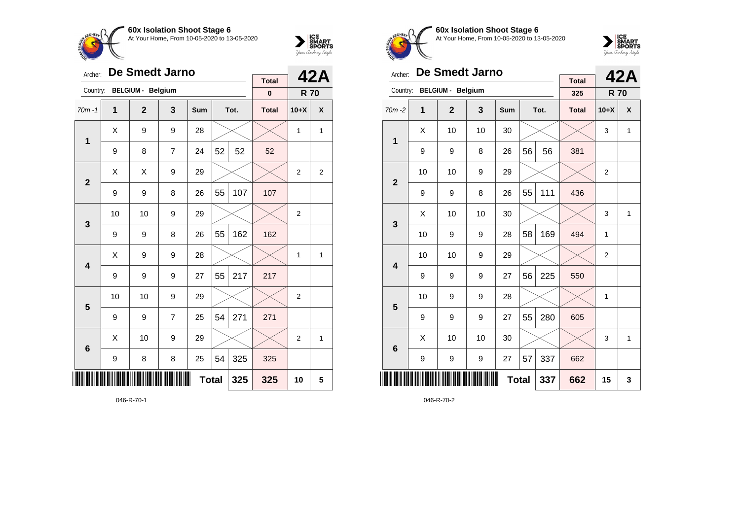



| Archer:        |    | De Smedt Jarno           |                | <b>Total</b> |    | 42A  |              |                |                |
|----------------|----|--------------------------|----------------|--------------|----|------|--------------|----------------|----------------|
| Country:       |    | <b>BELGIUM - Belgium</b> |                |              |    |      | $\bf{0}$     | <b>R70</b>     |                |
| $70m - 1$      | 1  | $\mathbf{2}$             | 3              | Sum          |    | Tot. | <b>Total</b> | $10+X$         | X              |
| $\mathbf 1$    | X  | 9                        | 9              | 28           |    |      |              | 1              | 1              |
|                | 9  | 8                        | 7              | 24           | 52 | 52   | 52           |                |                |
| $\overline{2}$ | X  | X                        | 9              | 29           |    |      |              | $\overline{2}$ | $\overline{2}$ |
|                | 9  | 9                        | 8              | 26           | 55 | 107  | 107          |                |                |
| 3              | 10 | 10                       | 9              | 29           |    |      |              | $\overline{2}$ |                |
|                | 9  | 9                        | 8              | 26           | 55 | 162  | 162          |                |                |
| 4              | Χ  | 9                        | 9              | 28           |    |      |              | 1              | 1              |
|                | 9  | 9                        | 9              | 27           | 55 | 217  | 217          |                |                |
| 5              | 10 | 10                       | 9              | 29           |    |      |              | 2              |                |
|                | 9  | 9                        | $\overline{7}$ | 25           | 54 | 271  | 271          |                |                |
| 6              | Χ  | 10                       | 9              | 29           |    |      |              | $\overline{2}$ | 1              |
|                | 9  | 8                        | 8              | 25           | 54 | 325  | 325          |                |                |
| ║║║            |    |                          | 325            | 10           | 5  |      |              |                |                |

046-R-70-1



**60x Isolation Shoot Stage 6** At Your Home, From 10-05-2020 to 13-05-2020



| Archer:                 |    | <b>De Smedt Jarno</b>    |     | <b>Total</b> |    | 42A  |              |                |              |
|-------------------------|----|--------------------------|-----|--------------|----|------|--------------|----------------|--------------|
| Country:                |    | <b>BELGIUM - Belgium</b> |     |              |    |      | 325          | <b>R70</b>     |              |
| $70m - 2$               | 1  | $\mathbf{2}$             | 3   | Sum          |    | Tot. | <b>Total</b> | $10+X$         | X            |
| 1                       | X  | 10                       | 10  | 30           |    |      |              | 3              | $\mathbf{1}$ |
|                         | 9  | 9                        | 8   | 26           | 56 | 56   | 381          |                |              |
| $\overline{2}$          | 10 | 10                       | 9   | 29           |    |      |              | $\overline{2}$ |              |
|                         | 9  | 9                        | 8   | 26           | 55 | 111  | 436          |                |              |
| 3                       | X  | 10                       | 10  | 30           |    |      |              | 3              | 1            |
|                         | 10 | 9                        | 9   | 28           | 58 | 169  | 494          | 1              |              |
| $\overline{\mathbf{4}}$ | 10 | 10                       | 9   | 29           |    |      |              | $\overline{2}$ |              |
|                         | 9  | 9                        | 9   | 27           | 56 | 225  | 550          |                |              |
| 5                       | 10 | 9                        | 9   | 28           |    |      |              | 1              |              |
|                         | 9  | 9                        | 9   | 27           | 55 | 280  | 605          |                |              |
| $6\phantom{1}6$         | X  | 10                       | 10  | 30           |    |      |              | 3              | 1            |
|                         | 9  | 9                        | 9   | 27           | 57 | 337  | 662          |                |              |
| ║║                      |    |                          | 337 | 662          | 15 | 3    |              |                |              |

046-R-70-2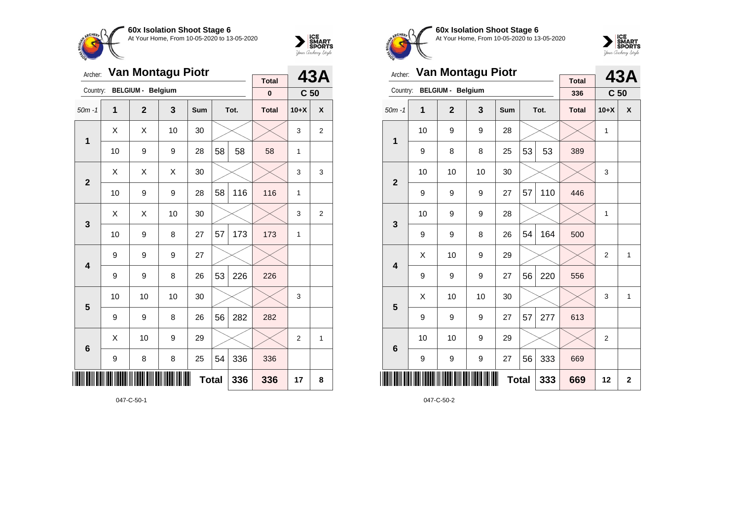



| Archer:        |    | Van Montagu Piotr        |    | <b>Total</b> |              | 43A  |              |                 |   |
|----------------|----|--------------------------|----|--------------|--------------|------|--------------|-----------------|---|
| Country:       |    | <b>BELGIUM - Belgium</b> |    |              |              |      | $\pmb{0}$    | C <sub>50</sub> |   |
| $50m - 1$      | 1  | $\mathbf{2}$             | 3  | Sum          |              | Tot. | <b>Total</b> | $10+X$          | X |
| $\mathbf 1$    | Χ  | X                        | 10 | 30           |              |      |              | 3               | 2 |
|                | 10 | 9                        | 9  | 28           | 58           | 58   | 58           | $\mathbf{1}$    |   |
| $\overline{2}$ | X  | X                        | X  | 30           |              |      |              | 3               | 3 |
|                | 10 | 9                        | 9  | 28           | 58           | 116  | 116          | 1               |   |
| 3              | Χ  | X                        | 10 | 30           |              |      |              | 3               | 2 |
|                | 10 | 9                        | 8  | 27           | 57           | 173  | 173          | $\mathbf{1}$    |   |
| 4              | 9  | 9                        | 9  | 27           |              |      |              |                 |   |
|                | 9  | 9                        | 8  | 26           | 53           | 226  | 226          |                 |   |
| 5              | 10 | 10                       | 10 | 30           |              |      |              | 3               |   |
|                | 9  | 9                        | 8  | 26           | 56           | 282  | 282          |                 |   |
| $6\phantom{1}$ | Χ  | 10                       | 9  | 29           |              |      |              | $\overline{2}$  | 1 |
|                | 9  | 8                        | 8  | 25           | 54           | 336  | 336          |                 |   |
| ║║║            |    |                          |    |              | <b>Total</b> | 336  | 336          | 17              | 8 |



**60x Isolation Shoot Stage 6** At Your Home, From 10-05-2020 to 13-05-2020



| Archer:         |    | Van Montagu Piotr        |    |     |              | 43A  |                     |                 |                |
|-----------------|----|--------------------------|----|-----|--------------|------|---------------------|-----------------|----------------|
| Country:        |    | <b>BELGIUM - Belgium</b> |    |     |              |      | <b>Total</b><br>336 | C <sub>50</sub> |                |
| $50m - 1$       | 1  | $\overline{2}$           | 3  | Sum |              | Tot. | <b>Total</b>        | $10+X$          | X              |
| 1               | 10 | 9                        | 9  | 28  |              |      |                     | 1               |                |
|                 | 9  | 8                        | 8  | 25  | 53           | 53   | 389                 |                 |                |
| $\overline{2}$  | 10 | 10                       | 10 | 30  |              |      |                     | 3               |                |
|                 | 9  | 9                        | 9  | 27  | 57           | 110  | 446                 |                 |                |
| 3               | 10 | 9                        | 9  | 28  |              |      |                     | 1               |                |
|                 | 9  | 9                        | 8  | 26  | 54           | 164  | 500                 |                 |                |
| 4               | X  | 10                       | 9  | 29  |              |      |                     | $\overline{2}$  | 1              |
|                 | 9  | 9                        | 9  | 27  | 56           | 220  | 556                 |                 |                |
| 5               | X  | 10                       | 10 | 30  |              |      |                     | 3               | 1              |
|                 | 9  | 9                        | 9  | 27  | 57           | 277  | 613                 |                 |                |
| $6\phantom{1}6$ | 10 | 10                       | 9  | 29  |              |      |                     | $\overline{2}$  |                |
|                 | 9  | 9                        | 9  | 27  | 56           | 333  | 669                 |                 |                |
|                 |    |                          |    |     | <b>Total</b> | 333  | 669                 | 12              | $\overline{2}$ |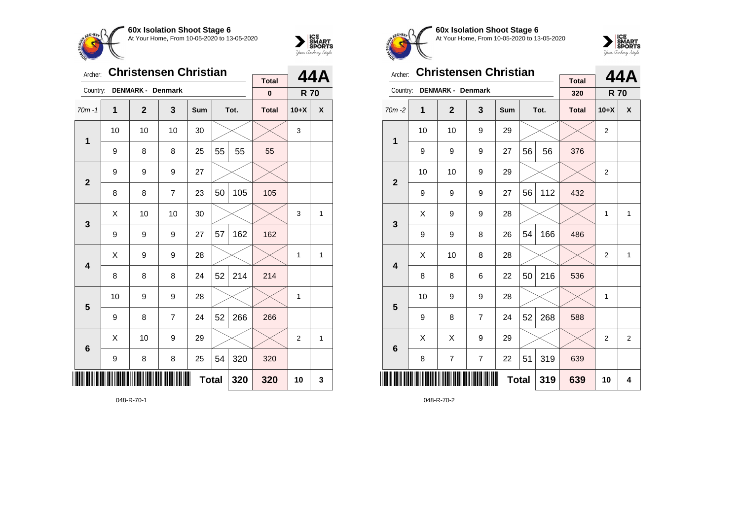



| Archer:         |                  | <b>Christensen Christian</b> |                | <b>Total</b> |    | 44A  |              |                |              |
|-----------------|------------------|------------------------------|----------------|--------------|----|------|--------------|----------------|--------------|
| Country:        |                  | DENMARK - Denmark            |                |              |    |      | $\pmb{0}$    | <b>R70</b>     |              |
| $70m - 1$       | 1                | $\mathbf{2}$                 | 3              | Sum          |    | Tot. | <b>Total</b> | $10+X$         | X            |
| 1               | 10               | 10                           | 10             | 30           |    |      |              | 3              |              |
|                 | 9                | 8                            | 8              | 25           | 55 | 55   | 55           |                |              |
| $\mathbf{2}$    | 9                | 9                            | 9              | 27           |    |      |              |                |              |
|                 | 8                | 8                            | $\overline{7}$ | 23           | 50 | 105  | 105          |                |              |
| 3               | Χ                | 10                           | 10             | 30           |    |      |              | 3              | $\mathbf{1}$ |
|                 | 9                | 9                            | 9              | 27           | 57 | 162  | 162          |                |              |
| 4               | X                | 9                            | 9              | 28           |    |      |              | 1              | $\mathbf{1}$ |
|                 | 8                | 8                            | 8              | 24           | 52 | 214  | 214          |                |              |
| 5               | 10               | 9                            | 9              | 28           |    |      |              | 1              |              |
|                 | 9                | 8                            | $\overline{7}$ | 24           | 52 | 266  | 266          |                |              |
| $6\phantom{1}6$ | Χ                | 10                           | 9              | 29           |    |      |              | $\overline{2}$ | 1            |
|                 | $\boldsymbol{9}$ | 8                            | 8              | 25           | 54 | 320  | 320          |                |              |
|                 |                  |                              | 320            | 10           | 3  |      |              |                |              |

048-R-70-1



**60x Isolation Shoot Stage 6** At Your Home, From 10-05-2020 to 13-05-2020



| Archer:                 |    | <b>Christensen Christian</b> |                |            |    | 44A  |                     |                |                |
|-------------------------|----|------------------------------|----------------|------------|----|------|---------------------|----------------|----------------|
| Country:                |    | <b>DENMARK - Denmark</b>     |                |            |    |      | <b>Total</b><br>320 | <b>R70</b>     |                |
| $70m - 2$               | 1  | $\overline{2}$               | 3              | <b>Sum</b> |    | Tot. | <b>Total</b>        | $10+X$         | X              |
| 1                       | 10 | 10                           | 9              | 29         |    |      |                     | $\overline{2}$ |                |
|                         | 9  | 9                            | 9              | 27         | 56 | 56   | 376                 |                |                |
| $\overline{2}$          | 10 | 10                           | 9              | 29         |    |      |                     | $\overline{2}$ |                |
|                         | 9  | 9                            | 9              | 27         | 56 | 112  | 432                 |                |                |
| 3                       | X  | 9                            | 9              | 28         |    |      |                     | 1              | $\mathbf{1}$   |
|                         | 9  | 9                            | 8              | 26         | 54 | 166  | 486                 |                |                |
| $\overline{\mathbf{4}}$ | X  | 10                           | 8              | 28         |    |      |                     | $\overline{2}$ | $\mathbf{1}$   |
|                         | 8  | 8                            | 6              | 22         | 50 | 216  | 536                 |                |                |
| 5                       | 10 | 9                            | 9              | 28         |    |      |                     | 1              |                |
|                         | 9  | 8                            | $\overline{7}$ | 24         | 52 | 268  | 588                 |                |                |
| $6\phantom{1}6$         | X  | X                            | 9              | 29         |    |      |                     | $\overline{2}$ | $\overline{2}$ |
|                         | 8  | 7                            | 7              | 22         | 51 | 319  | 639                 |                |                |
|                         |    |                              | 639            | 10         | 4  |      |                     |                |                |

048-R-70-2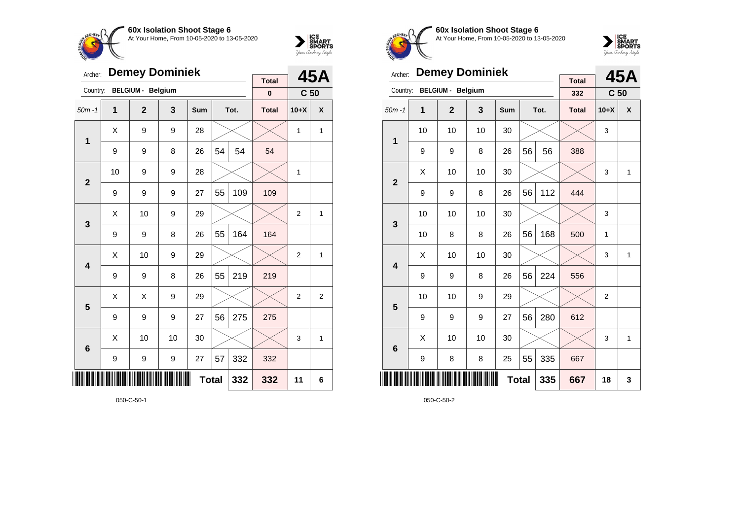



| Archer:         | <b>Demey Dominiek</b> |                          |    |              |    |      |                          |                 | 45A            |
|-----------------|-----------------------|--------------------------|----|--------------|----|------|--------------------------|-----------------|----------------|
| Country:        |                       | <b>BELGIUM - Belgium</b> |    |              |    |      | <b>Total</b><br>$\bf{0}$ | C <sub>50</sub> |                |
| $50m - 1$       | $\mathbf 1$           | $\overline{2}$           | 3  | Sum          |    | Tot. | <b>Total</b>             | $10+X$          | X              |
| 1               | X                     | 9                        | 9  | 28           |    |      |                          | 1               | $\mathbf{1}$   |
|                 | 9                     | 9                        | 8  | 26           | 54 | 54   | 54                       |                 |                |
| $\overline{2}$  | 10                    | 9                        | 9  | 28           |    |      |                          | 1               |                |
|                 | 9                     | 9                        | 9  | 27           | 55 | 109  | 109                      |                 |                |
| 3               | X                     | 10                       | 9  | 29           |    |      |                          | $\overline{2}$  | 1              |
|                 | 9                     | 9                        | 8  | 26           | 55 | 164  | 164                      |                 |                |
| 4               | X                     | 10                       | 9  | 29           |    |      |                          | $\overline{2}$  | 1              |
|                 | 9                     | 9                        | 8  | 26           | 55 | 219  | 219                      |                 |                |
| 5               | X                     | X                        | 9  | 29           |    |      |                          | $\overline{2}$  | $\overline{2}$ |
|                 | 9                     | 9                        | 9  | 27           | 56 | 275  | 275                      |                 |                |
| $6\phantom{1}6$ | X                     | 10                       | 10 | 30           |    |      |                          | 3               | 1              |
|                 | 9                     | 9                        | 9  | 27           | 57 | 332  | 332                      |                 |                |
|                 |                       |                          |    | <b>Total</b> |    | 332  | 332                      | 11              | 6              |



**60x Isolation Shoot Stage 6** At Your Home, From 10-05-2020 to 13-05-2020



| Archer:                 |    | <b>Demey Dominiek</b>    |    |     |              | 45A  |                     |                 |   |
|-------------------------|----|--------------------------|----|-----|--------------|------|---------------------|-----------------|---|
| Country:                |    | <b>BELGIUM - Belgium</b> |    |     |              |      | <b>Total</b><br>332 | C <sub>50</sub> |   |
| $50m - 1$               | 1  | $\overline{2}$           | 3  | Sum |              | Tot. | <b>Total</b>        | $10+X$          | X |
| 1                       | 10 | 10                       | 10 | 30  |              |      |                     | 3               |   |
|                         | 9  | 9                        | 8  | 26  | 56           | 56   | 388                 |                 |   |
| $\overline{2}$          | X  | 10                       | 10 | 30  |              |      |                     | 3               | 1 |
|                         | 9  | 9                        | 8  | 26  | 56           | 112  | 444                 |                 |   |
| 3                       | 10 | 10                       | 10 | 30  |              |      |                     | 3               |   |
|                         | 10 | 8                        | 8  | 26  | 56           | 168  | 500                 | $\mathbf{1}$    |   |
| $\overline{\mathbf{4}}$ | Χ  | 10                       | 10 | 30  |              |      |                     | 3               | 1 |
|                         | 9  | 9                        | 8  | 26  | 56           | 224  | 556                 |                 |   |
| 5                       | 10 | 10                       | 9  | 29  |              |      |                     | $\overline{2}$  |   |
|                         | 9  | 9                        | 9  | 27  | 56           | 280  | 612                 |                 |   |
| $6\phantom{1}6$         | X  | 10                       | 10 | 30  |              |      |                     | 3               | 1 |
|                         | 9  | 8                        | 8  | 25  | 55           | 335  | 667                 |                 |   |
|                         |    |                          |    |     | <b>Total</b> | 335  | 667                 | 18              | 3 |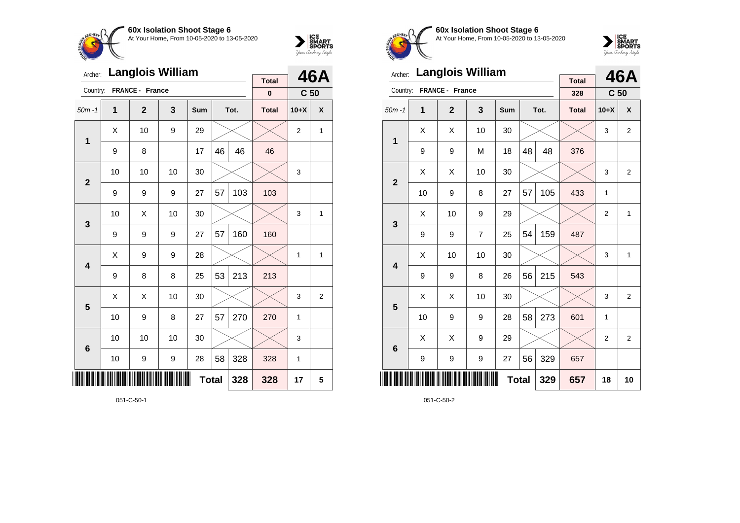



| Archer:         |    | <b>Langlois William</b> |    |              |    | 46A  |                          |                 |                |
|-----------------|----|-------------------------|----|--------------|----|------|--------------------------|-----------------|----------------|
| Country:        |    | FRANCE - France         |    |              |    |      | <b>Total</b><br>$\bf{0}$ | C <sub>50</sub> |                |
| $50m - 1$       | 1  | $\mathbf{2}$            | 3  | Sum          |    | Tot. | <b>Total</b>             | $10+X$          | X              |
| 1               | X  | 10                      | 9  | 29           |    |      |                          | 2               | 1              |
|                 | 9  | 8                       |    | 17           | 46 | 46   | 46                       |                 |                |
| $\overline{2}$  | 10 | 10                      | 10 | 30           |    |      |                          | 3               |                |
|                 | 9  | 9                       | 9  | 27           | 57 | 103  | 103                      |                 |                |
| 3               | 10 | Χ                       | 10 | 30           |    |      |                          | 3               | 1              |
|                 | 9  | 9                       | 9  | 27           | 57 | 160  | 160                      |                 |                |
| 4               | X  | 9                       | 9  | 28           |    |      |                          | 1               | 1              |
|                 | 9  | 8                       | 8  | 25           | 53 | 213  | 213                      |                 |                |
| 5               | X  | X                       | 10 | 30           |    |      |                          | 3               | $\overline{2}$ |
|                 | 10 | 9                       | 8  | 27           | 57 | 270  | 270                      | 1               |                |
| $6\phantom{1}6$ | 10 | 10                      | 10 | 30           |    |      |                          | 3               |                |
|                 | 10 | 9                       | 9  | 28           | 58 | 328  | 328                      | 1               |                |
| ║║║             |    |                         |    | <b>Total</b> |    | 328  | 328                      | 17              | 5              |



**60x Isolation Shoot Stage 6** At Your Home, From 10-05-2020 to 13-05-2020



| Archer:         |    | <b>Langlois William</b> |                | <b>Total</b> |    | 46A  |              |                 |                |
|-----------------|----|-------------------------|----------------|--------------|----|------|--------------|-----------------|----------------|
| Country:        |    | FRANCE - France         |                |              |    |      | 328          | C <sub>50</sub> |                |
| $50m - 1$       | 1  | $\mathbf{2}$            | 3              | Sum          |    | Tot. | <b>Total</b> | $10+X$          | X              |
|                 | X  | X                       | 10             | 30           |    |      |              | 3               | $\overline{2}$ |
| 1               | 9  | 9                       | M              | 18           | 48 | 48   | 376          |                 |                |
| $\overline{2}$  | X  | X                       | 10             | 30           |    |      |              | 3               | $\overline{2}$ |
|                 | 10 | 9                       | 8              | 27           | 57 | 105  | 433          | 1               |                |
| 3               | X  | 10                      | 9              | 29           |    |      |              | 2               | 1              |
|                 | 9  | 9                       | $\overline{7}$ | 25           | 54 | 159  | 487          |                 |                |
| 4               | X  | 10                      | 10             | 30           |    |      |              | 3               | $\mathbf{1}$   |
|                 | 9  | 9                       | 8              | 26           | 56 | 215  | 543          |                 |                |
| 5               | X  | X                       | 10             | 30           |    |      |              | 3               | $\overline{2}$ |
|                 | 10 | 9                       | 9              | 28           | 58 | 273  | 601          | 1               |                |
| $6\phantom{1}6$ | X  | Χ                       | 9              | 29           |    |      |              | 2               | 2              |
|                 | 9  | 9                       | 9              | 27           | 56 | 329  | 657          |                 |                |
| ║║║             |    |                         |                | <b>Total</b> |    | 329  | 657          | 18              | 10             |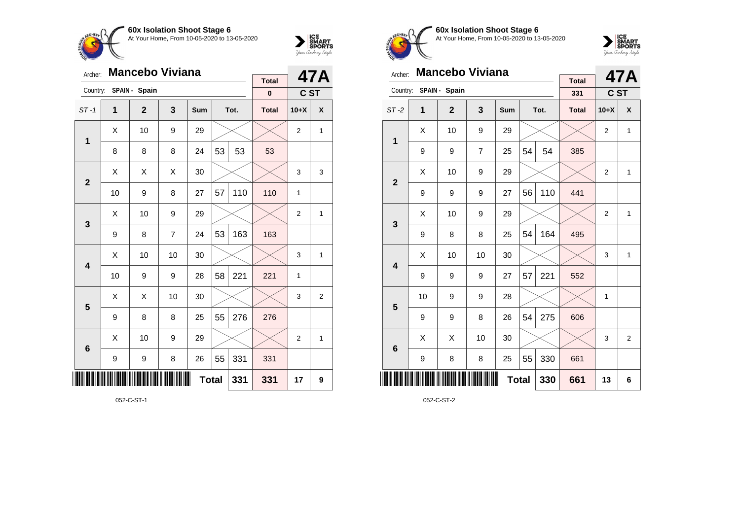



| Archer:         |    | <b>Mancebo Viviana</b> |                |     |              | 47A  |              |                |   |
|-----------------|----|------------------------|----------------|-----|--------------|------|--------------|----------------|---|
| Country:        |    | SPAIN - Spain          |                |     |              |      | <b>Total</b> |                |   |
|                 |    |                        |                |     |              |      | $\bf{0}$     | C ST           |   |
| $ST-1$          | 1  | $\mathbf{2}$           | 3              | Sum |              | Tot. | <b>Total</b> | $10+X$         | X |
| 1               | X  | 10                     | 9              | 29  |              |      |              | $\overline{2}$ | 1 |
|                 | 8  | 8                      | 8              | 24  | 53           | 53   | 53           |                |   |
| $\overline{2}$  | X  | X                      | X              | 30  |              |      |              | 3              | 3 |
|                 | 10 | 9                      | 8              | 27  | 57           | 110  | 110          | 1              |   |
| 3               | X  | 10                     | 9              | 29  |              |      |              | $\overline{2}$ | 1 |
|                 | 9  | 8                      | $\overline{7}$ | 24  | 53           | 163  | 163          |                |   |
| 4               | Χ  | 10                     | 10             | 30  |              |      |              | 3              | 1 |
|                 | 10 | 9                      | 9              | 28  | 58           | 221  | 221          | 1              |   |
| 5               | X  | X                      | 10             | 30  |              |      |              | 3              | 2 |
|                 | 9  | 8                      | 8              | 25  | 55           | 276  | 276          |                |   |
| $6\phantom{1}6$ | Χ  | 10                     | 9              | 29  |              |      |              | $\overline{2}$ | 1 |
|                 | 9  | 9                      | 8              | 26  | 55           | 331  | 331          |                |   |
| ║║║             |    |                        |                |     | <b>Total</b> | 331  | 331          | 17             | 9 |

052-C-ST-1



**60x Isolation Shoot Stage 6** At Your Home, From 10-05-2020 to 13-05-2020



| Archer:                 | <b>Mancebo Viviana</b> |               |                |              | <b>47A</b> |      |                     |                |                |
|-------------------------|------------------------|---------------|----------------|--------------|------------|------|---------------------|----------------|----------------|
| Country:                |                        | SPAIN - Spain |                |              |            |      | <b>Total</b><br>331 | C ST           |                |
| $ST-2$                  | 1                      | $\mathbf{2}$  | 3              | Sum          |            | Tot. | <b>Total</b>        | $10+X$         | X              |
| 1                       | X                      | 10            | 9              | 29           |            |      |                     | $\overline{2}$ | $\mathbf{1}$   |
|                         | 9                      | 9             | $\overline{7}$ | 25           | 54         | 54   | 385                 |                |                |
| $\overline{2}$          | Χ                      | 10            | 9              | 29           |            |      |                     | $\overline{2}$ | 1              |
|                         | 9                      | 9             | 9              | 27           | 56         | 110  | 441                 |                |                |
| 3                       | X                      | 10            | 9              | 29           |            |      |                     | 2              | 1              |
|                         | 9                      | 8             | 8              | 25           | 54         | 164  | 495                 |                |                |
| $\overline{\mathbf{4}}$ | X                      | 10            | 10             | 30           |            |      |                     | 3              | $\mathbf{1}$   |
|                         | 9                      | 9             | 9              | 27           | 57         | 221  | 552                 |                |                |
| 5                       | 10                     | 9             | 9              | 28           |            |      |                     | 1              |                |
|                         | 9                      | 9             | 8              | 26           | 54         | 275  | 606                 |                |                |
| $6\phantom{1}6$         | Χ                      | X             | 10             | 30           |            |      |                     | 3              | $\overline{2}$ |
|                         | 9                      | 8             | 8              | 25           | 55         | 330  | 661                 |                |                |
| ║║                      |                        |               |                | <b>Total</b> |            | 330  | 661                 | 13             | 6              |

052-C-ST-2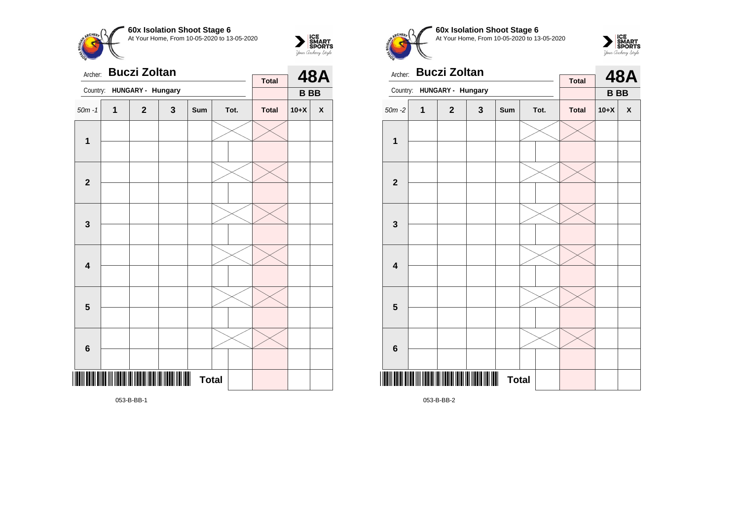



| Archer:                 |              | <b>Buczi Zoltan</b>                     |   | <b>Total</b>                   |  | <b>48A</b> |              |           |                    |
|-------------------------|--------------|-----------------------------------------|---|--------------------------------|--|------------|--------------|-----------|--------------------|
| Country:                |              | HUNGARY - Hungary                       |   |                                |  |            |              | <b>BB</b> |                    |
| $50m - 1$               | $\mathbf{1}$ | $\mathbf 2$                             | 3 | Sum                            |  | Tot.       | <b>Total</b> | $10+X$    | $\pmb{\mathsf{X}}$ |
| $\mathbf 1$             |              |                                         |   |                                |  |            |              |           |                    |
| $\mathbf{2}$            |              |                                         |   |                                |  |            |              |           |                    |
| $\mathbf{3}$            |              |                                         |   |                                |  |            |              |           |                    |
| $\overline{\mathbf{4}}$ |              |                                         |   |                                |  |            |              |           |                    |
| $\overline{\mathbf{5}}$ |              |                                         |   |                                |  |            |              |           |                    |
| $\bf 6$                 |              |                                         |   |                                |  |            |              |           |                    |
|                         |              | <u> ANTE NIN NETTA I NETTA NETTA NE</u> |   | $\blacksquare$<br><b>Total</b> |  |            |              |           |                    |

**60x Isolation Shoot Stage 6** At Your Home, From 10-05-2020 to 13-05-2020



| Archer:      |   | <b>Buczi Zoltan</b> |                | <b>Total</b> |  | <b>48A</b> |              |           |   |
|--------------|---|---------------------|----------------|--------------|--|------------|--------------|-----------|---|
| Country:     |   | HUNGARY - Hungary   |                |              |  |            |              | <b>BB</b> |   |
| $50m - 2$    | 1 | $\mathbf{2}$        | 3              | Sum          |  | Tot.       | <b>Total</b> | $10+X$    | X |
| 1            |   |                     |                |              |  |            |              |           |   |
|              |   |                     |                |              |  |            |              |           |   |
| $\mathbf{2}$ |   |                     |                |              |  |            |              |           |   |
|              |   |                     |                |              |  |            |              |           |   |
| $\mathbf{3}$ |   |                     |                |              |  |            |              |           |   |
|              |   |                     |                |              |  |            |              |           |   |
| 4            |   |                     |                |              |  |            |              |           |   |
|              |   |                     |                |              |  |            |              |           |   |
| 5            |   |                     |                |              |  |            |              |           |   |
|              |   |                     |                |              |  |            |              |           |   |
| $\bf 6$      |   |                     |                |              |  |            |              |           |   |
|              |   |                     |                |              |  |            |              |           |   |
|              |   |                     | $\blacksquare$ | <b>Total</b> |  |            |              |           |   |

053-B-BB-2

053-B-BB-1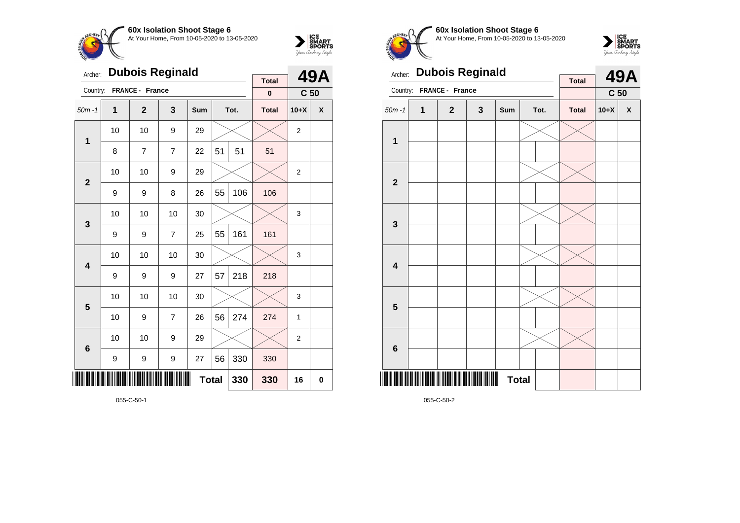



| Archer:        | <b>Dubois Reginald</b> |                 | <b>Total</b>   |              | <b>49A</b> |      |              |                 |             |
|----------------|------------------------|-----------------|----------------|--------------|------------|------|--------------|-----------------|-------------|
| Country:       |                        | FRANCE - France |                |              |            |      | $\pmb{0}$    | C <sub>50</sub> |             |
| $50m - 1$      | 1                      | $\mathbf{2}$    | 3              | Sum          |            | Tot. | <b>Total</b> | $10+X$          | X           |
| $\mathbf 1$    | 10                     | 10              | 9              | 29           |            |      |              | $\overline{2}$  |             |
|                | 8                      | 7               | $\overline{7}$ | 22           | 51         | 51   | 51           |                 |             |
| $\overline{2}$ | 10                     | 10              | 9              | 29           |            |      |              | $\overline{2}$  |             |
|                | 9                      | 9               | 8              | 26           | 55         | 106  | 106          |                 |             |
| 3              | 10                     | 10              | 10             | 30           |            |      |              | 3               |             |
|                | 9                      | 9               | $\overline{7}$ | 25           | 55         | 161  | 161          |                 |             |
| 4              | 10                     | 10              | 10             | 30           |            |      |              | 3               |             |
|                | 9                      | 9               | 9              | 27           | 57         | 218  | 218          |                 |             |
| 5              | 10                     | 10              | 10             | 30           |            |      |              | 3               |             |
|                | 10                     | 9               | $\overline{7}$ | 26           | 56         | 274  | 274          | 1               |             |
| $6\phantom{1}$ | 10                     | 10              | 9              | 29           |            |      |              | $\overline{2}$  |             |
|                | 9                      | 9               | 9              | 27           | 56         | 330  | 330          |                 |             |
|                |                        |                 |                | <b>Total</b> |            | 330  | 330          | 16              | $\mathbf 0$ |



**60x Isolation Shoot Stage 6** At Your Home, From 10-05-2020 to 13-05-2020



| Archer:                 |   | <b>Dubois Reginald</b> |   |                                |  | <b>49A</b> |              |                 |              |
|-------------------------|---|------------------------|---|--------------------------------|--|------------|--------------|-----------------|--------------|
| Country:                |   | FRANCE - France        |   |                                |  |            | <b>Total</b> | C <sub>50</sub> |              |
| $50m - 1$               | 1 | $\mathbf{2}$           | 3 | Sum                            |  | Tot.       | <b>Total</b> | $10+X$          | $\pmb{\chi}$ |
| 1                       |   |                        |   |                                |  |            |              |                 |              |
|                         |   |                        |   |                                |  |            |              |                 |              |
| $\mathbf{2}$            |   |                        |   |                                |  |            |              |                 |              |
|                         |   |                        |   |                                |  |            |              |                 |              |
|                         |   |                        |   |                                |  |            |              |                 |              |
| $\mathbf{3}$            |   |                        |   |                                |  |            |              |                 |              |
|                         |   |                        |   |                                |  |            |              |                 |              |
| $\overline{\mathbf{4}}$ |   |                        |   |                                |  |            |              |                 |              |
|                         |   |                        |   |                                |  |            |              |                 |              |
| 5                       |   |                        |   |                                |  |            |              |                 |              |
|                         |   |                        |   |                                |  |            |              |                 |              |
| $6\phantom{1}6$         |   |                        |   |                                |  |            |              |                 |              |
|                         |   |                        |   | $\blacksquare$<br><b>Total</b> |  |            |              |                 |              |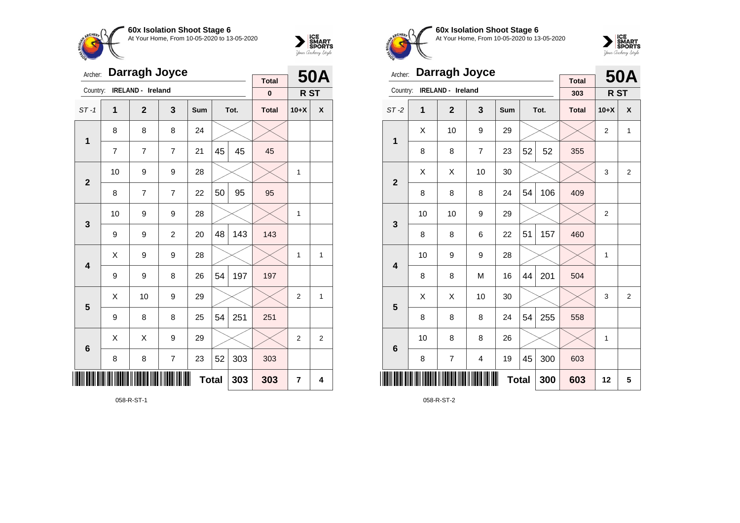



| Archer:         |                | Darragh Joyce     |                | <b>Total</b> |    | <b>50A</b> |              |                |                |
|-----------------|----------------|-------------------|----------------|--------------|----|------------|--------------|----------------|----------------|
| Country:        |                | IRELAND - Ireland |                |              |    |            | $\pmb{0}$    | R ST           |                |
| $ST-1$          | 1              | $\mathbf{2}$      | 3              | Sum          |    | Tot.       | <b>Total</b> | $10+X$         | X              |
| $\mathbf 1$     | 8              | 8                 | 8              | 24           |    |            |              |                |                |
|                 | $\overline{7}$ | $\overline{7}$    | $\overline{7}$ | 21           | 45 | 45         | 45           |                |                |
| $\overline{2}$  | 10             | 9                 | 9              | 28           |    |            |              | 1              |                |
|                 | 8              | 7                 | $\overline{7}$ | 22           | 50 | 95         | 95           |                |                |
| 3               | 10             | 9                 | 9              | 28           |    |            |              | $\mathbf{1}$   |                |
|                 | 9              | 9                 | $\overline{c}$ | 20           | 48 | 143        | 143          |                |                |
| 4               | X              | 9                 | 9              | 28           |    |            |              | 1              | 1              |
|                 | 9              | 9                 | 8              | 26           | 54 | 197        | 197          |                |                |
| 5               | X              | 10                | 9              | 29           |    |            |              | $\overline{2}$ | 1              |
|                 | 9              | 8                 | 8              | 25           | 54 | 251        | 251          |                |                |
| $6\phantom{1}6$ | X              | Χ                 | 9              | 29           |    |            |              | $\overline{2}$ | $\overline{2}$ |
|                 | 8              | 8                 | $\overline{7}$ | 23           | 52 | 303        | 303          |                |                |
| IIII            |                |                   |                | <b>Total</b> |    | 303        | 303          | 7              | 4              |

058-R-ST-1



**60x Isolation Shoot Stage 6** At Your Home, From 10-05-2020 to 13-05-2020



| Archer:                 |    | <b>Darragh Joyce</b> |                         |              |    | <b>50A</b> |                     |                |                |
|-------------------------|----|----------------------|-------------------------|--------------|----|------------|---------------------|----------------|----------------|
| Country:                |    | IRELAND - Ireland    |                         |              |    |            | <b>Total</b><br>303 | R ST           |                |
| $ST-2$                  | 1  | $\overline{2}$       | 3                       | Sum          |    | Tot.       | <b>Total</b>        | $10+X$         | X              |
| 1                       | Χ  | 10                   | 9                       | 29           |    |            |                     | $\overline{2}$ | 1              |
|                         | 8  | 8                    | $\overline{7}$          | 23           | 52 | 52         | 355                 |                |                |
| $\overline{2}$          | Χ  | Χ                    | 10                      | 30           |    |            |                     | 3              | $\overline{2}$ |
|                         | 8  | 8                    | 8                       | 24           | 54 | 106        | 409                 |                |                |
| 3                       | 10 | 10                   | 9                       | 29           |    |            |                     | $\overline{2}$ |                |
|                         | 8  | 8                    | 6                       | 22           | 51 | 157        | 460                 |                |                |
| $\overline{\mathbf{4}}$ | 10 | 9                    | 9                       | 28           |    |            |                     | 1              |                |
|                         | 8  | 8                    | M                       | 16           | 44 | 201        | 504                 |                |                |
| 5                       | Χ  | X                    | 10                      | 30           |    |            |                     | 3              | $\overline{2}$ |
|                         | 8  | 8                    | 8                       | 24           | 54 | 255        | 558                 |                |                |
| $6\phantom{1}6$         | 10 | 8                    | 8                       | 26           |    |            |                     | 1              |                |
|                         | 8  | 7                    | $\overline{\mathbf{4}}$ | 19           | 45 | 300        | 603                 |                |                |
| Ⅲ                       |    |                      |                         | <b>Total</b> |    | 300        | 603                 | 12             | 5              |

058-R-ST-2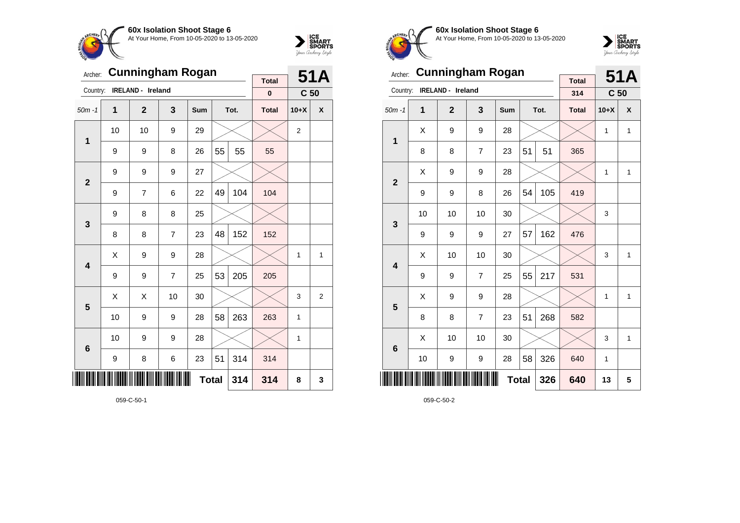



| Archer:        |    | <b>Cunningham Rogan</b> |                | <b>Total</b> |    | 51A  |              |                 |                |
|----------------|----|-------------------------|----------------|--------------|----|------|--------------|-----------------|----------------|
| Country:       |    | IRELAND - Ireland       |                |              |    |      | $\pmb{0}$    | C <sub>50</sub> |                |
| $50m - 1$      | 1  | $\overline{2}$          | 3              | Sum          |    | Tot. | <b>Total</b> | $10+X$          | X              |
| $\mathbf 1$    | 10 | 10                      | 9              | 29           |    |      |              | $\overline{2}$  |                |
|                | 9  | 9                       | 8              | 26           | 55 | 55   | 55           |                 |                |
| $\overline{2}$ | 9  | 9                       | 9              | 27           |    |      |              |                 |                |
|                | 9  | $\overline{7}$          | 6              | 22           | 49 | 104  | 104          |                 |                |
| 3              | 9  | 8                       | 8              | 25           |    |      |              |                 |                |
|                | 8  | 8                       | $\overline{7}$ | 23           | 48 | 152  | 152          |                 |                |
| 4              | Χ  | 9                       | 9              | 28           |    |      |              | 1               | 1              |
|                | 9  | 9                       | $\overline{7}$ | 25           | 53 | 205  | 205          |                 |                |
| 5              | X  | Χ                       | 10             | 30           |    |      |              | 3               | $\overline{2}$ |
|                | 10 | 9                       | 9              | 28           | 58 | 263  | 263          | $\mathbf{1}$    |                |
| 6              | 10 | 9                       | 9              | 28           |    |      |              | 1               |                |
|                | 9  | 8                       | 6              | 23           | 51 | 314  | 314          |                 |                |
|                |    |                         |                | <b>Total</b> |    | 314  | 314          | 8               | 3              |



**60x Isolation Shoot Stage 6** At Your Home, From 10-05-2020 to 13-05-2020



| Archer:                 |    | <b>Cunningham Rogan</b> |                |     |              | 51A  |                     |                 |              |
|-------------------------|----|-------------------------|----------------|-----|--------------|------|---------------------|-----------------|--------------|
| Country:                |    | IRELAND - Ireland       |                |     |              |      | <b>Total</b><br>314 | C <sub>50</sub> |              |
| $50m - 1$               | 1  | $\overline{2}$          | 3              | Sum |              | Tot. | <b>Total</b>        | $10+X$          | X            |
| 1                       | X  | 9                       | 9              | 28  |              |      |                     | 1               | 1            |
|                         | 8  | 8                       | $\overline{7}$ | 23  | 51           | 51   | 365                 |                 |              |
|                         | X  | 9                       | 9              | 28  |              |      |                     | 1               | 1            |
| $\overline{2}$          | 9  | 9                       | 8              | 26  | 54           | 105  | 419                 |                 |              |
| 3                       | 10 | 10                      | 10             | 30  |              |      |                     | 3               |              |
|                         | 9  | 9                       | 9              | 27  | 57           | 162  | 476                 |                 |              |
| $\overline{\mathbf{4}}$ | X  | 10                      | 10             | 30  |              |      |                     | 3               | $\mathbf{1}$ |
|                         | 9  | 9                       | $\overline{7}$ | 25  | 55           | 217  | 531                 |                 |              |
| 5                       | X  | 9                       | 9              | 28  |              |      |                     | 1               | 1            |
|                         | 8  | 8                       | $\overline{7}$ | 23  | 51           | 268  | 582                 |                 |              |
| $6\phantom{1}6$         | X  | 10                      | 10             | 30  |              |      |                     | 3               | $\mathbf{1}$ |
|                         | 10 | 9                       | 9              | 28  | 58           | 326  | 640                 | 1               |              |
|                         |    |                         |                |     | <b>Total</b> | 326  | 640                 | 13              | 5            |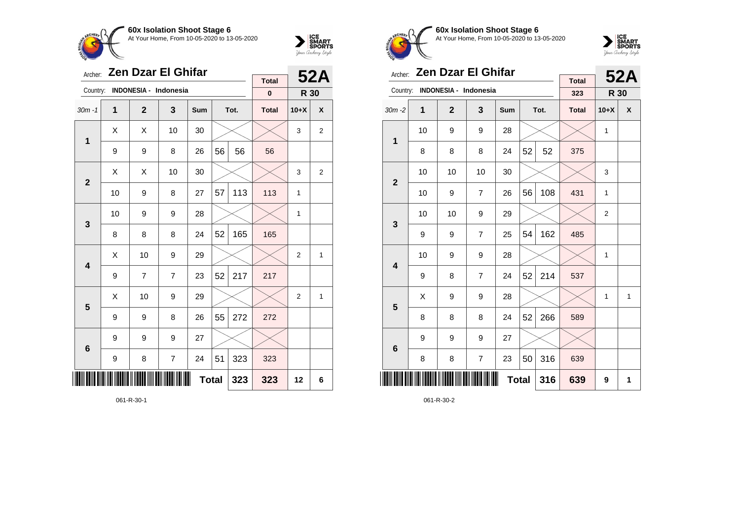



| Archer:                 |    | <b>Zen Dzar El Ghifar</b> |                |              |    | <b>52A</b> |                          |                |              |
|-------------------------|----|---------------------------|----------------|--------------|----|------------|--------------------------|----------------|--------------|
| Country:                |    | INDONESIA - Indonesia     |                |              |    |            | <b>Total</b><br>$\bf{0}$ | R 30           |              |
| $30m - 1$               | 1  | $\overline{2}$            | 3              | <b>Sum</b>   |    | Tot.       | <b>Total</b>             | $10+X$         | X            |
|                         |    |                           |                |              |    |            |                          |                |              |
| 1                       | X  | X                         | 10             | 30           |    |            |                          | 3              | 2            |
|                         | 9  | 9                         | 8              | 26           | 56 | 56         | 56                       |                |              |
| $\overline{2}$          | X  | X                         | 10             | 30           |    |            |                          | 3              | 2            |
|                         | 10 | 9                         | 8              | 27           | 57 | 113        | 113                      | 1              |              |
| 3                       | 10 | 9                         | 9              | 28           |    |            |                          | 1              |              |
|                         | 8  | 8                         | 8              | 24           | 52 | 165        | 165                      |                |              |
| $\overline{\mathbf{A}}$ | X  | 10                        | 9              | 29           |    |            |                          | $\overline{2}$ | $\mathbf{1}$ |
|                         | 9  | 7                         | $\overline{7}$ | 23           | 52 | 217        | 217                      |                |              |
| 5                       | X  | 10                        | 9              | 29           |    |            |                          | $\overline{2}$ | 1            |
|                         | 9  | 9                         | 8              | 26           | 55 | 272        | 272                      |                |              |
| $6\phantom{1}6$         | 9  | 9                         | 9              | 27           |    |            |                          |                |              |
|                         | 9  | 8                         | $\overline{7}$ | 24           | 51 | 323        | 323                      |                |              |
| ║║                      |    |                           |                | <b>Total</b> |    | 323        | 323                      | 12             | 6            |

061-R-30-1



**60x Isolation Shoot Stage 6** At Your Home, From 10-05-2020 to 13-05-2020



| Archer:        | <b>Zen Dzar El Ghifar</b> |                       |                |              | 52A |      |                     |                |              |
|----------------|---------------------------|-----------------------|----------------|--------------|-----|------|---------------------|----------------|--------------|
| Country:       |                           | INDONESIA - Indonesia |                |              |     |      | <b>Total</b><br>323 | R 30           |              |
| $30m - 2$      | 1                         | $\mathbf{2}$          | 3              | Sum          |     | Tot. | <b>Total</b>        | $10+X$         | X            |
|                | 10                        | 9                     | 9              | 28           |     |      |                     | 1              |              |
| 1              | 8                         | 8                     | 8              | 24           | 52  | 52   | 375                 |                |              |
| $\overline{2}$ | 10                        | 10                    | 10             | 30           |     |      |                     | 3              |              |
|                | 10                        | 9                     | $\overline{7}$ | 26           | 56  | 108  | 431                 | 1              |              |
| 3              | 10                        | 10                    | 9              | 29           |     |      |                     | $\overline{2}$ |              |
|                | 9                         | 9                     | 7              | 25           | 54  | 162  | 485                 |                |              |
| 4              | 10                        | 9                     | 9              | 28           |     |      |                     | 1              |              |
|                | 9                         | 8                     | 7              | 24           | 52  | 214  | 537                 |                |              |
| 5              | X                         | 9                     | 9              | 28           |     |      |                     | 1              | $\mathbf{1}$ |
|                | 8                         | 8                     | 8              | 24           | 52  | 266  | 589                 |                |              |
| 6              | 9                         | 9                     | 9              | 27           |     |      |                     |                |              |
|                | 8                         | 8                     | 7              | 23           | 50  | 316  | 639                 |                |              |
| ║║║            |                           |                       |                | <b>Total</b> |     | 316  | 639                 | 9              | 1            |

061-R-30-2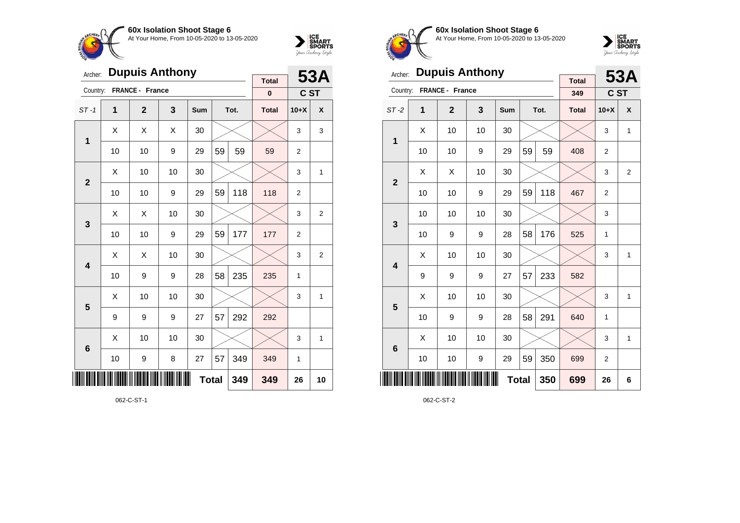



| Archer:         |                     | <b>Dupuis Anthony</b> |    | <b>Total</b> |    | 53A  |              |                |                |
|-----------------|---------------------|-----------------------|----|--------------|----|------|--------------|----------------|----------------|
| Country:        |                     | FRANCE - France       |    |              |    |      | $\pmb{0}$    | C ST           |                |
| $ST-1$          | 1                   | $\mathbf{2}$          | 3  | Sum          |    | Tot. | <b>Total</b> | $10+X$         | X              |
| $\mathbf{1}$    | X                   | X                     | X  | 30           |    |      |              | 3              | 3              |
|                 | 10                  | 10                    | 9  | 29           | 59 | 59   | 59           | $\overline{2}$ |                |
| $\overline{2}$  | X                   | 10                    | 10 | 30           |    |      |              | 3              | 1              |
|                 | 10                  | 10                    | 9  | 29           | 59 | 118  | 118          | $\overline{2}$ |                |
| 3               | Χ                   | X                     | 10 | 30           |    |      |              | 3              | $\overline{2}$ |
|                 | 10                  | 10                    | 9  | 29           | 59 | 177  | 177          | $\overline{2}$ |                |
| 4               | X                   | Χ                     | 10 | 30           |    |      |              | 3              | $\overline{2}$ |
|                 | 10                  | 9                     | 9  | 28           | 58 | 235  | 235          | 1              |                |
| 5               | Χ                   | 10                    | 10 | 30           |    |      |              | 3              | 1              |
|                 | 9                   | 9                     | 9  | 27           | 57 | 292  | 292          |                |                |
| $6\phantom{1}6$ | X                   | 10                    | 10 | 30           |    |      |              | 3              | 1              |
|                 | 10                  | 9                     | 8  | 27           | 57 | 349  | 349          | 1              |                |
| IIII            | <b>Total</b><br>349 |                       |    |              |    |      |              | 26             | 10             |

062-C-ST-1



**60x Isolation Shoot Stage 6** At Your Home, From 10-05-2020 to 13-05-2020



| Archer:                 |                                  | <b>Dupuis Anthony</b> |    |            |    | <b>53A</b> |                     |                |                |
|-------------------------|----------------------------------|-----------------------|----|------------|----|------------|---------------------|----------------|----------------|
| Country:                |                                  | FRANCE - France       |    |            |    |            | <b>Total</b><br>349 | <b>CST</b>     |                |
| $ST-2$                  | 1                                | $\overline{2}$        | 3  | <b>Sum</b> |    | Tot.       | <b>Total</b>        | $10+X$         | X              |
| 1                       | X                                | 10                    | 10 | 30         |    |            |                     | 3              | $\mathbf{1}$   |
|                         | 10                               | 10                    | 9  | 29         | 59 | 59         | 408                 | $\overline{2}$ |                |
| $\overline{2}$          | X                                | X                     | 10 | 30         |    |            |                     | 3              | $\overline{2}$ |
|                         | 10                               | 10                    | 9  | 29         | 59 | 118        | 467                 | $\overline{2}$ |                |
| 3                       | 10                               | 10                    | 10 | 30         |    |            |                     | 3              |                |
|                         | 10                               | 9                     | 9  | 28         | 58 | 176        | 525                 | 1              |                |
| $\overline{\mathbf{4}}$ | X                                | 10                    | 10 | 30         |    |            |                     | 3              | $\mathbf{1}$   |
|                         | 9                                | 9                     | 9  | 27         | 57 | 233        | 582                 |                |                |
| 5                       | X                                | 10                    | 10 | 30         |    |            |                     | 3              | $\mathbf{1}$   |
|                         | 10                               | 9                     | 9  | 28         | 58 | 291        | 640                 | 1              |                |
| $6\phantom{1}6$         | X                                | 10                    | 10 | 30         |    |            |                     | 3              | $\mathbf{1}$   |
|                         | 59<br>350<br>10<br>10<br>9<br>29 |                       |    |            |    |            |                     | $\overline{2}$ |                |
| ║║║                     | 350<br><b>Total</b>              |                       |    |            |    |            |                     | 26             | 6              |

062-C-ST-2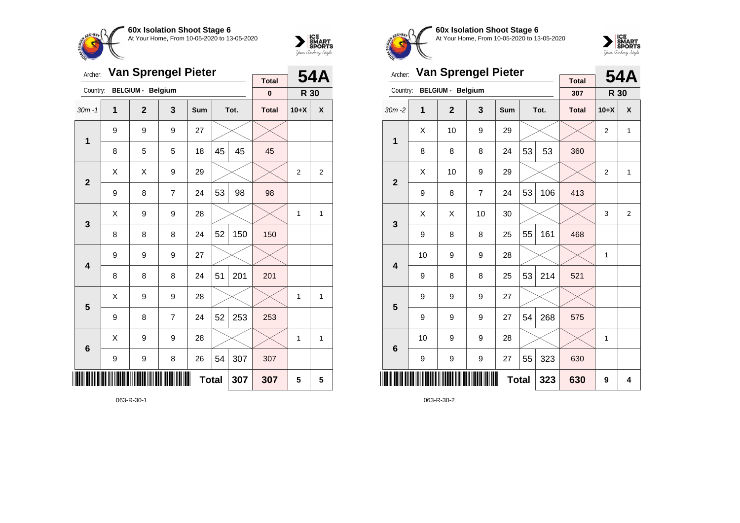

Archer: **Van Sprengel Pieter**

Country: **BELGIUM - Belgium**



**R 30**

**Total 0**

**54A**

**60x Isolation Shoot Stage 6** At Your Home, From 10-05-2020 to 13-05-2020



| Archer:      |    | <b>Van Sprengel Pieter</b> |    |     |              | <b>54A</b> |                     |                |                |
|--------------|----|----------------------------|----|-----|--------------|------------|---------------------|----------------|----------------|
| Country:     |    | <b>BELGIUM - Belgium</b>   |    |     |              |            | <b>Total</b><br>307 | R 30           |                |
| $30m - 2$    | 1  | $\mathbf{2}$               | 3  | Sum |              | Tot.       | <b>Total</b>        | $10+X$         | X              |
| 1            | X  | 10                         | 9  | 29  |              |            |                     | $\overline{2}$ | 1              |
|              | 8  | 8                          | 8  | 24  | 53           | 53         | 360                 |                |                |
| $\mathbf{2}$ | X  | 10                         | 9  | 29  |              |            |                     | $\overline{2}$ | 1              |
|              | 9  | 8                          | 7  | 24  | 53           | 106        | 413                 |                |                |
| 3            | X  | X                          | 10 | 30  |              |            |                     | 3              | $\overline{2}$ |
|              | 9  | 8                          | 8  | 25  | 55           | 161        | 468                 |                |                |
| 4            | 10 | 9                          | 9  | 28  |              |            |                     | 1              |                |
|              | 9  | 8                          | 8  | 25  | 53           | 214        | 521                 |                |                |
| 5            | 9  | 9                          | 9  | 27  |              |            |                     |                |                |
|              | 9  | 9                          | 9  | 27  | 54           | 268        | 575                 |                |                |
| 6            | 10 | 9                          | 9  | 28  |              |            |                     | 1              |                |
|              | 9  | 9                          | 9  | 27  | 55           | 323        | 630                 |                |                |
|              |    |                            |    |     | <b>Total</b> | 323        | 630                 | 9              | 4              |

063-R-30-2

| $\overline{\mathbf{1}}$ | 9           | 9 | 9              | 27 |              |     |     |   |                         |
|-------------------------|-------------|---|----------------|----|--------------|-----|-----|---|-------------------------|
|                         | 8           | 5 | 5              | 18 | 45           | 45  | 45  |   |                         |
| $\mathbf{2}$            | Χ           | Χ | 9              | 29 |              |     |     | 2 | $\overline{\mathbf{c}}$ |
|                         | 9           | 8 | 7              | 24 | 53           | 98  | 98  |   |                         |
| $\mathbf{3}$            | Χ           | 9 | 9              | 28 |              |     |     | 1 | $\mathbf 1$             |
|                         | 8           | 8 | 8              | 24 | 52           | 150 | 150 |   |                         |
| $\overline{\mathbf{4}}$ | 9           | 9 | 9              | 27 |              |     |     |   |                         |
|                         | 8           | 8 | 8              | 24 | 51           | 201 | 201 |   |                         |
| $\overline{\mathbf{5}}$ | $\mathsf X$ | 9 | 9              | 28 |              |     |     | 1 | 1                       |
|                         | 9           | 8 | $\overline{7}$ | 24 | 52           | 253 | 253 |   |                         |
| $\bf 6$                 | X           | 9 | 9              | 28 |              |     |     | 1 | $\mathbf 1$             |
|                         | 9           | 9 | 8              | 26 | 54           | 307 | 307 |   |                         |
|                         |             |   |                |    | <b>Total</b> | 307 | 307 | 5 | 5                       |
|                         |             |   |                |    |              |     |     |   |                         |

30m -1 **1 2 3 Sum Tot. Total 10+X X**

063-R-30-1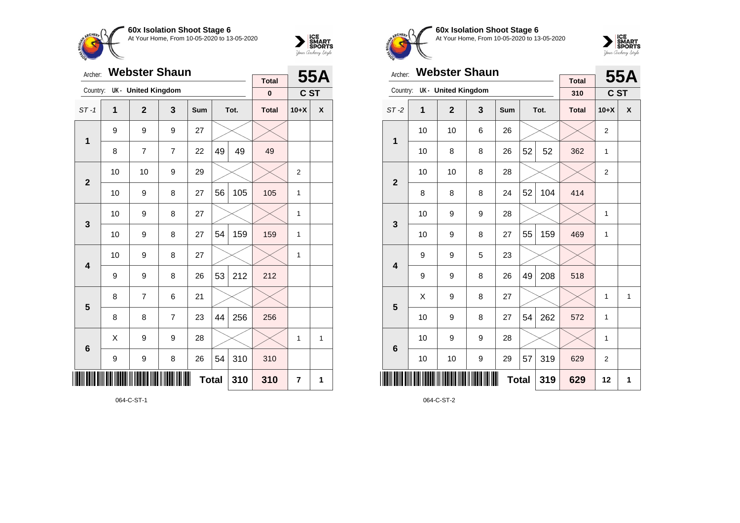



| Archer:                 |                     | <b>Webster Shaun</b>      |                |            |    | 55A  |                          |                |   |
|-------------------------|---------------------|---------------------------|----------------|------------|----|------|--------------------------|----------------|---|
| Country:                |                     | <b>UK- United Kingdom</b> |                |            |    |      | <b>Total</b><br>$\bf{0}$ | C ST           |   |
| $ST-1$                  | $\overline{1}$      | $\overline{2}$            | 3              | <b>Sum</b> |    | Tot. | <b>Total</b>             | $10+X$         | X |
| 1                       | 9                   | 9                         | 9              | 27         |    |      |                          |                |   |
|                         | 8                   | 7                         | $\overline{7}$ | 22         | 49 | 49   | 49                       |                |   |
| $\overline{2}$          | 10                  | 10                        | 9              | 29         |    |      |                          | $\overline{2}$ |   |
|                         | 10                  | 9                         | 105            | 105        | 1  |      |                          |                |   |
| 3                       | 10                  | 9                         | 8              | 27         |    |      |                          | 1              |   |
|                         | 10                  | 9                         | 8              | 27         | 54 | 159  | 159                      | $\mathbf{1}$   |   |
| $\overline{\mathbf{4}}$ | 10                  | 9                         | 8              | 27         |    |      |                          | 1              |   |
|                         | 9                   | 9                         | 8              | 26         | 53 | 212  | 212                      |                |   |
| 5                       | 8                   | $\overline{7}$            | 6              | 21         |    |      |                          |                |   |
|                         | 8                   | 8                         | $\overline{7}$ | 23         | 44 | 256  | 256                      |                |   |
| $6\phantom{1}6$         | X                   | 9                         | 9              | 28         |    |      |                          | 1              | 1 |
|                         | 9                   | 9                         | 8              | 26         | 54 | 310  | 310                      |                |   |
| ║║║                     | <b>Total</b><br>310 |                           |                |            |    |      |                          | 7              | 1 |

064-C-ST-1



**60x Isolation Shoot Stage 6** At Your Home, From 10-05-2020 to 13-05-2020



| Archer:         |    | <b>Webster Shaun</b> |     |            |    | 55A  |                     |                |              |
|-----------------|----|----------------------|-----|------------|----|------|---------------------|----------------|--------------|
| Country:        |    | UK - United Kingdom  |     |            |    |      | <b>Total</b><br>310 |                | C ST         |
| $ST-2$          | 1  | $\mathbf{2}$         | 3   | <b>Sum</b> |    | Tot. | <b>Total</b>        | $10+X$         | X            |
| 1               | 10 | 10                   | 6   | 26         |    |      |                     | $\overline{2}$ |              |
|                 | 10 | 8                    | 8   | 26         | 52 | 52   | 362                 | 1              |              |
| $\overline{2}$  | 10 | 10                   | 8   | 28         |    |      |                     | $\overline{2}$ |              |
|                 | 8  | 8                    | 104 | 414        |    |      |                     |                |              |
| 3               | 10 | 9                    | 9   | 28         |    |      |                     | 1              |              |
|                 | 10 | 9                    | 8   | 27         | 55 | 159  | 469                 | 1              |              |
| 4               | 9  | 9                    | 5   | 23         |    |      |                     |                |              |
|                 | 9  | 9                    | 8   | 26         | 49 | 208  | 518                 |                |              |
| 5               | Χ  | 9                    | 8   | 27         |    |      |                     | 1              | $\mathbf{1}$ |
|                 | 10 | 9                    | 8   | 27         | 54 | 262  | 572                 | 1              |              |
| $6\phantom{1}6$ | 10 | 9                    | 9   | 28         |    |      |                     | 1              |              |
|                 | 10 | 10                   | 9   | 29         | 57 | 319  | 629                 | $\overline{2}$ |              |
| ║║║             |    |                      | 629 | 12         | 1  |      |                     |                |              |

064-C-ST-2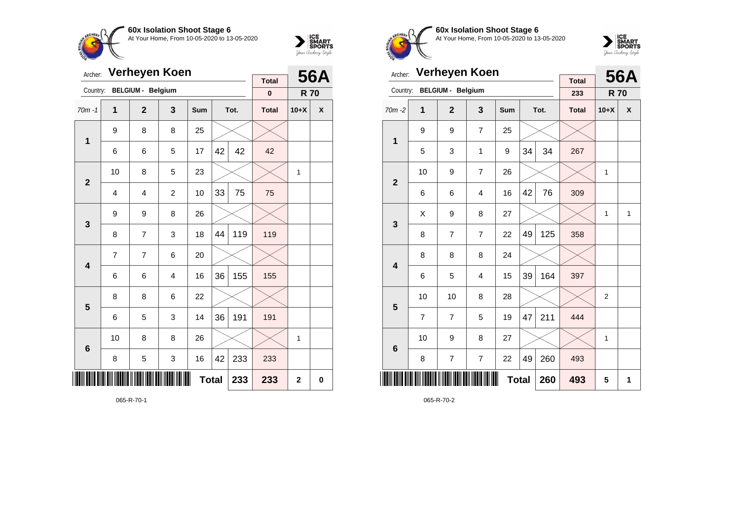



| Archer:         |                | Verheyen Koen            |                | <b>Total</b> |    | <b>56A</b> |              |                |   |
|-----------------|----------------|--------------------------|----------------|--------------|----|------------|--------------|----------------|---|
| Country:        |                | <b>BELGIUM - Belgium</b> |                |              |    |            | $\pmb{0}$    | <b>R70</b>     |   |
| $70m - 1$       | 1              | $\overline{2}$           | 3              | Sum          |    | Tot.       | <b>Total</b> | $10+X$         | X |
| $\mathbf{1}$    | 9              | 8                        | 8              | 25           |    |            |              |                |   |
|                 | 6              | 6                        | 5              | 17           | 42 | 42         | 42           |                |   |
| $\overline{2}$  | 10             | 8                        | 5              | 23           |    |            |              | 1              |   |
|                 | 4              | 4                        | $\overline{c}$ | 10           | 33 | 75         | 75           |                |   |
| 3               | 9              | 9                        | 8              | 26           |    |            |              |                |   |
|                 | 8              | 7                        | 3              | 18           | 44 | 119        | 119          |                |   |
| 4               | $\overline{7}$ | $\overline{7}$           | 6              | 20           |    |            |              |                |   |
|                 | 6              | 6                        | 4              | 16           | 36 | 155        | 155          |                |   |
| 5               | 8              | 8                        | 6              | 22           |    |            |              |                |   |
|                 | 6              | 5                        | 3              | 14           | 36 | 191        | 191          |                |   |
| $6\phantom{1}6$ | 10             | 8                        | 8              | 26           |    |            |              | 1              |   |
|                 | 8              | 5                        | 3              | 16           | 42 | 233        | 233          |                |   |
|                 |                |                          |                | <b>Total</b> |    | 233        | 233          | $\overline{2}$ | 0 |

065-R-70-1



**60x Isolation Shoot Stage 6** At Your Home, From 10-05-2020 to 13-05-2020



| Archer:         |                | Verheyen Koen            |                |     |    | <b>56A</b> |                     |                |   |
|-----------------|----------------|--------------------------|----------------|-----|----|------------|---------------------|----------------|---|
| Country:        |                | <b>BELGIUM - Belgium</b> |                |     |    |            | <b>Total</b><br>233 | <b>R70</b>     |   |
| 70m-2           | 1              | $\overline{2}$           | 3              | Sum |    | Tot.       | <b>Total</b>        | $10+X$         | X |
| 1               | 9              | 9                        | $\overline{7}$ | 25  |    |            |                     |                |   |
|                 | 5              | 3                        | 1              | 9   | 34 | 34         | 267                 |                |   |
| $\overline{2}$  | 10             | 9                        | $\overline{7}$ | 26  |    |            |                     | 1              |   |
|                 | 6              | 6                        | 76             | 309 |    |            |                     |                |   |
| 3               | X              | 9                        | 8              | 27  |    |            |                     | 1              | 1 |
|                 | 8              | 7                        | $\overline{7}$ | 22  | 49 | 125        | 358                 |                |   |
| 4               | 8              | 8                        | 8              | 24  |    |            |                     |                |   |
|                 | 6              | 5                        | $\overline{4}$ | 15  | 39 | 164        | 397                 |                |   |
| 5               | 10             | 10                       | 8              | 28  |    |            |                     | $\overline{2}$ |   |
|                 | $\overline{7}$ | 7                        | 5              | 19  | 47 | 211        | 444                 |                |   |
| $6\phantom{1}6$ | 10             | 9                        | 8              | 27  |    |            |                     | 1              |   |
|                 | 8              | $\overline{7}$           | $\overline{7}$ | 22  | 49 | 260        | 493                 |                |   |
|                 |                |                          | 260            | 493 | 5  | 1          |                     |                |   |

065-R-70-2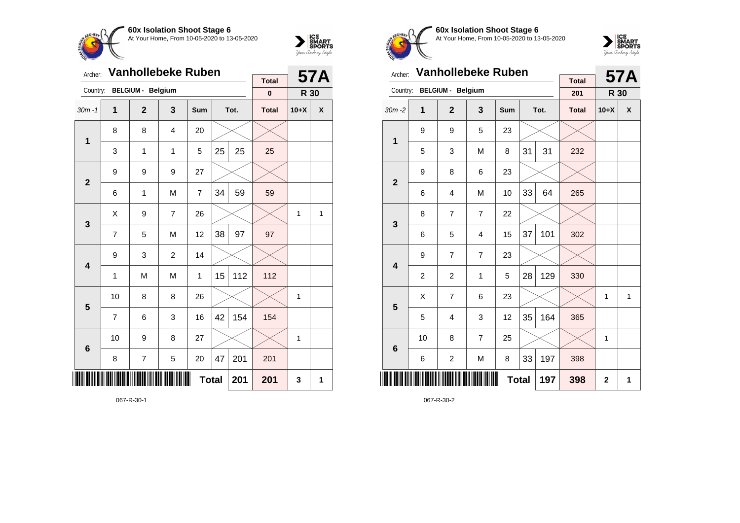



| Archer:         |                | <b>Vanhollebeke Ruben</b> |                | <b>Total</b>   |    | <b>57A</b> |              |        |   |
|-----------------|----------------|---------------------------|----------------|----------------|----|------------|--------------|--------|---|
| Country:        |                | <b>BELGIUM - Belgium</b>  |                |                |    |            | $\pmb{0}$    | R 30   |   |
| $30m - 1$       | 1              | $\overline{2}$            | 3              | Sum            |    | Tot.       | <b>Total</b> | $10+X$ | X |
| $\mathbf{1}$    | 8              | 8                         | $\overline{4}$ | 20             |    |            |              |        |   |
|                 | 3              | 1                         | 1              | 5              | 25 | 25         | 25           |        |   |
| $\overline{2}$  | 9              | 9                         | 9              | 27             |    |            |              |        |   |
|                 | 6              | 1                         | M              | $\overline{7}$ | 34 | 59         | 59           |        |   |
| 3               | X              | 9                         | $\overline{7}$ | 26             |    |            |              | 1      | 1 |
|                 | 7              | 5                         | M              | 12             | 38 | 97         | 97           |        |   |
| 4               | 9              | 3                         | $\overline{c}$ | 14             |    |            |              |        |   |
|                 | 1              | M                         | M              | 1              | 15 | 112        | 112          |        |   |
| 5               | 10             | 8                         | 8              | 26             |    |            |              | 1      |   |
|                 | $\overline{7}$ | 6                         | 3              | 16             | 42 | 154        | 154          |        |   |
| $6\phantom{1}6$ | 10             | 9                         | 8              | 27             |    |            |              | 1      |   |
|                 | 8              | $\overline{7}$            | 5              | 20             | 47 | 201        | 201          |        |   |
|                 |                |                           |                | <b>Total</b>   |    | 201        | 201          | 3      | 1 |

067-R-30-1



**60x Isolation Shoot Stage 6** At Your Home, From 10-05-2020 to 13-05-2020



| Archer:                 |    | <b>Vanhollebeke Ruben</b> |     | <b>Total</b> |                | <b>57A</b> |              |              |   |
|-------------------------|----|---------------------------|-----|--------------|----------------|------------|--------------|--------------|---|
| Country:                |    | <b>BELGIUM - Belgium</b>  |     |              |                |            | 201          | <b>R</b> 30  |   |
| $30m - 2$               | 1  | $\overline{2}$            | 3   | Sum          |                | Tot.       | <b>Total</b> | $10+X$       | X |
| 1                       | 9  | 9                         | 5   | 23           |                |            |              |              |   |
|                         | 5  | 3                         | M   | 8            | 31             | 31         | 232          |              |   |
| $\overline{2}$          | 9  | 8                         | 6   | 23           |                |            |              |              |   |
|                         | 6  | 4                         | 64  | 265          |                |            |              |              |   |
| 3                       | 8  | 7                         | 7   | 22           |                |            |              |              |   |
|                         | 6  | 5                         | 4   | 15           | 37             | 101        | 302          |              |   |
| $\overline{\mathbf{4}}$ | 9  | 7                         | 7   | 23           |                |            |              |              |   |
|                         | 2  | $\overline{c}$            | 1   | 5            | 28             | 129        | 330          |              |   |
| 5                       | X  | $\overline{7}$            | 6   | 23           |                |            |              | $\mathbf{1}$ | 1 |
|                         | 5  | 4                         | 3   | 12           | 35             | 164        | 365          |              |   |
| $6\phantom{1}6$         | 10 | 8                         | 7   | 25           |                |            |              | 1            |   |
|                         | 6  | $\overline{c}$            | M   | 8            | 33             | 197        | 398          |              |   |
|                         |    |                           | 197 | 398          | $\overline{2}$ | 1          |              |              |   |

067-R-30-2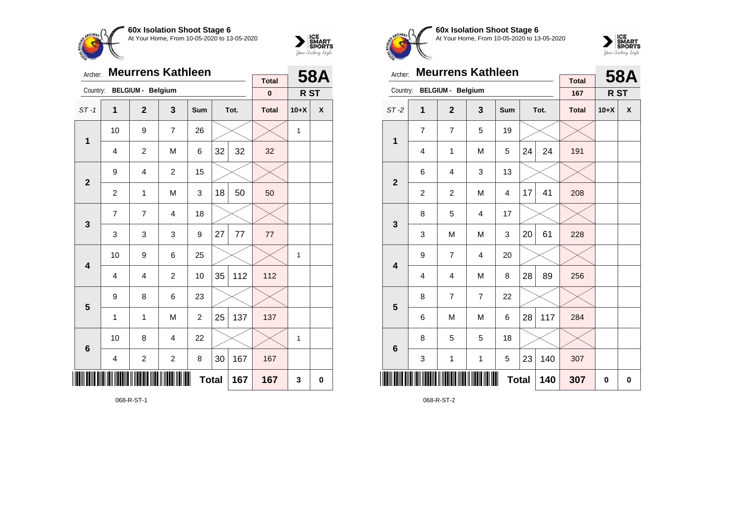



| Archer:                 |                         | <b>Meurrens Kathleen</b> |                |              |    | <b>58A</b> |                           |                 |             |
|-------------------------|-------------------------|--------------------------|----------------|--------------|----|------------|---------------------------|-----------------|-------------|
| Country:                |                         | <b>BELGIUM - Belgium</b> |                |              |    |            | <b>Total</b><br>$\pmb{0}$ | R <sub>ST</sub> |             |
| $ST-1$                  | 1                       | $\overline{2}$           | 3              | Sum          |    | Tot.       | <b>Total</b>              | $10+X$          | X           |
| $\mathbf{1}$            | 10                      | 9                        | $\overline{7}$ | 26           |    |            |                           | 1               |             |
|                         | $\overline{4}$          | $\overline{c}$           | M              | 6            | 32 | 32         | 32                        |                 |             |
| $\overline{2}$          | 9                       | $\overline{4}$           | $\overline{2}$ | 15           |    |            |                           |                 |             |
|                         | $\overline{c}$          | 1                        | 50             | 50           |    |            |                           |                 |             |
| 3                       | $\overline{7}$          | 7                        | $\overline{4}$ | 18           |    |            |                           |                 |             |
|                         | 3                       | 3                        | 3              | 9            | 27 | 77         | 77                        |                 |             |
| $\overline{\mathbf{4}}$ | 10                      | 9                        | 6              | 25           |    |            |                           | 1               |             |
|                         | $\overline{4}$          | 4                        | $\overline{c}$ | 10           | 35 | 112        | 112                       |                 |             |
| 5                       | 9                       | 8                        | 6              | 23           |    |            |                           |                 |             |
|                         | 1                       | 1                        | M              | 2            | 25 | 137        | 137                       |                 |             |
| $6\phantom{1}6$         | 10                      | 8                        | $\overline{4}$ | 22           |    |            |                           | 1               |             |
|                         | $\overline{\mathbf{4}}$ | $\boldsymbol{2}$         | $\mathbf 2$    | 8            | 30 | 167        | 167                       |                 |             |
| ║║║                     |                         |                          |                | <b>Total</b> |    | 167        | 167                       | 3               | $\mathbf 0$ |



**60x Isolation Shoot Stage 6** At Your Home, From 10-05-2020 to 13-05-2020



| Archer:         |                     | <b>Meurrens Kathleen</b> |                | <b>Total</b> |    | <b>58A</b> |              |        |          |
|-----------------|---------------------|--------------------------|----------------|--------------|----|------------|--------------|--------|----------|
| Country:        |                     | <b>BELGIUM - Belgium</b> |                |              |    |            | 167          | R ST   |          |
| $ST-2$          | 1                   | $\mathbf{2}$             | 3              | Sum          |    | Tot.       | <b>Total</b> | $10+X$ | X        |
| 1               | $\overline{7}$      | $\overline{7}$           | 5              | 19           |    |            |              |        |          |
|                 | 4                   | $\mathbf 1$              | M              | 5            | 24 | 24         | 191          |        |          |
| $\mathbf{2}$    | 6                   | $\overline{4}$           | 3              | 13           |    |            |              |        |          |
|                 | $\overline{c}$      | $\overline{c}$           | M              | 4            | 17 | 41         | 208          |        |          |
| 3               | 8                   | 5                        | 4              | 17           |    |            |              |        |          |
|                 | 3                   | M                        | M              | 3            | 20 | 61         | 228          |        |          |
| 4               | 9                   | 7                        | 4              | 20           |    |            |              |        |          |
|                 | 4                   | 4                        | M              | 8            | 28 | 89         | 256          |        |          |
| 5               | 8                   | $\overline{7}$           | $\overline{7}$ | 22           |    |            |              |        |          |
|                 | 6                   | M                        | M              | 6            | 28 | 117        | 284          |        |          |
| $6\phantom{1}6$ | 8                   | 5                        | 5              | 18           |    |            |              |        |          |
|                 | 3                   | $\mathbf{1}$             | $\mathbf 1$    | 5            | 23 | 140        | 307          |        |          |
| ║║║             | <b>Total</b><br>140 |                          |                |              |    |            |              | 0      | $\bf{0}$ |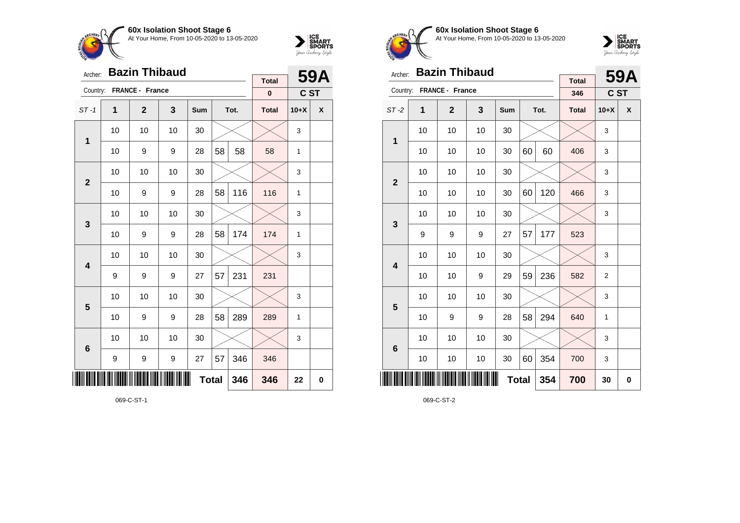



|                         | <b>Bazin Thibaud</b><br>Archer: |                 |                  |              |    |      | <b>Total</b> |        | 59A |
|-------------------------|---------------------------------|-----------------|------------------|--------------|----|------|--------------|--------|-----|
| Country:                |                                 | FRANCE - France |                  |              |    |      | $\pmb{0}$    | C ST   |     |
| $ST-1$                  | 1                               | $\mathbf{2}$    | 3                | Sum          |    | Tot. | <b>Total</b> | $10+X$ | X   |
| 1                       | 10                              | 10              | 10               | 30           |    |      |              | 3      |     |
|                         | 10                              | 9               | 9                | 28           | 58 | 58   | 58           | 1      |     |
| $\overline{2}$          | 10                              | 10              | 10               | 30           |    |      |              | 3      |     |
|                         | 10                              | 9               | 9                | 28           | 58 | 116  | 116          | 1      |     |
| 3                       | 10                              | 10              | 10               | 30           |    |      |              | 3      |     |
|                         | 10                              | 9               | 9                | 28           | 58 | 174  | 174          | 1      |     |
| $\overline{\mathbf{4}}$ | 10                              | 10              | 10               | 30           |    |      |              | 3      |     |
|                         | 9                               | 9               | 9                | 27           | 57 | 231  | 231          |        |     |
| 5                       | 10                              | 10              | 10               | 30           |    |      |              | 3      |     |
|                         | 10                              | 9               | 9                | 28           | 58 | 289  | 289          | 1      |     |
| $6\phantom{1}6$         | 10                              | 10              | 10               | 30           |    |      |              | 3      |     |
|                         | 9                               | 9               | $\boldsymbol{9}$ | 27           | 57 | 346  | 346          |        |     |
|                         |                                 |                 |                  | <b>Total</b> |    | 346  | 346          | 22     | 0   |

069-C-ST-1



**60x Isolation Shoot Stage 6** At Your Home, From 10-05-2020 to 13-05-2020



| Archer:        |    | <b>Bazin Thibaud</b>   |    |     |              |      |                     |                | 59A      |
|----------------|----|------------------------|----|-----|--------------|------|---------------------|----------------|----------|
| Country:       |    | <b>FRANCE - France</b> |    |     |              |      | <b>Total</b><br>346 | C ST           |          |
| $ST-2$         | 1  | $\mathbf{2}$           | 3  | Sum |              | Tot. | <b>Total</b>        | $10+X$         | X        |
| 1              | 10 | 10                     | 10 | 30  |              |      |                     | 3              |          |
|                | 10 | 10                     | 10 | 30  | 60           | 60   | 406                 | 3              |          |
| $\overline{2}$ | 10 | 10                     | 10 | 30  |              |      |                     | 3              |          |
|                | 10 | 10                     | 10 | 30  | 60           | 120  | 466                 | 3              |          |
| 3              | 10 | 10                     | 10 | 30  |              |      |                     | 3              |          |
|                | 9  | 9                      | 9  | 27  | 57           | 177  | 523                 |                |          |
| 4              | 10 | 10                     | 10 | 30  |              |      |                     | 3              |          |
|                | 10 | 10                     | 9  | 29  | 59           | 236  | 582                 | $\overline{2}$ |          |
| 5              | 10 | 10                     | 10 | 30  |              |      |                     | 3              |          |
|                | 10 | 9                      | 9  | 28  | 58           | 294  | 640                 | 1              |          |
| 6              | 10 | 10                     | 10 | 30  |              |      |                     | 3              |          |
|                | 10 | 10                     | 10 | 30  | 60           | 354  | 700                 | 3              |          |
| ║║║            |    |                        |    |     | <b>Total</b> | 354  | 700                 | 30             | $\bf{0}$ |

069-C-ST-2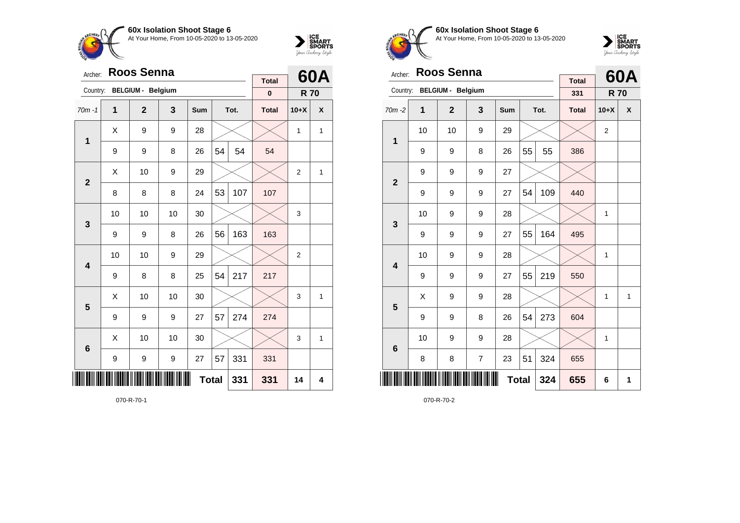



| Archer:         |    | <b>Roos Senna</b>        |    |              |    |      | <b>Total</b> |                | 60A |
|-----------------|----|--------------------------|----|--------------|----|------|--------------|----------------|-----|
| Country:        |    | <b>BELGIUM - Belgium</b> |    |              |    |      | $\pmb{0}$    | <b>R70</b>     |     |
| $70m - 1$       | 1  | $\overline{2}$           | 3  | Sum          |    | Tot. | <b>Total</b> | $10+X$         | X   |
| 1               | X  | 9                        | 9  | 28           |    |      |              | $\mathbf{1}$   | 1   |
|                 | 9  | 9                        | 8  | 26           | 54 | 54   | 54           |                |     |
| $\overline{2}$  | X  | 10                       | 9  | 29           |    |      |              | $\overline{2}$ | 1   |
|                 | 8  | 8                        | 8  | 24           | 53 | 107  | 107          |                |     |
| 3               | 10 | 10                       | 10 | 30           |    |      |              | 3              |     |
|                 | 9  | 9                        | 8  | 26           | 56 | 163  | 163          |                |     |
| 4               | 10 | 10                       | 9  | 29           |    |      |              | $\overline{2}$ |     |
|                 | 9  | 8                        | 8  | 25           | 54 | 217  | 217          |                |     |
| 5               | X  | 10                       | 10 | 30           |    |      |              | 3              | 1   |
|                 | 9  | 9                        | 9  | 27           | 57 | 274  | 274          |                |     |
| $6\phantom{1}6$ | X  | 10                       | 10 | 30           |    |      |              | 3              | 1   |
|                 | 9  | 9                        | 9  | 27           | 57 | 331  | 331          |                |     |
|                 |    |                          |    | <b>Total</b> |    | 331  | 331          | 14             | 4   |

070-R-70-1



**60x Isolation Shoot Stage 6** At Your Home, From 10-05-2020 to 13-05-2020



| Archer:                 |    | <b>Roos Senna</b>        |   |              |    |      |                     |                | 60A          |
|-------------------------|----|--------------------------|---|--------------|----|------|---------------------|----------------|--------------|
| Country:                |    | <b>BELGIUM - Belgium</b> |   |              |    |      | <b>Total</b><br>331 | <b>R70</b>     |              |
| $70m - 2$               | 1  | $\mathbf{2}$             | 3 | <b>Sum</b>   |    | Tot. | <b>Total</b>        | $10+X$         | X            |
|                         | 10 | 10                       | 9 | 29           |    |      |                     | $\overline{2}$ |              |
| 1                       | 9  | 9                        | 8 | 26           | 55 | 55   | 386                 |                |              |
| $\overline{2}$          | 9  | 9                        | 9 | 27           |    |      |                     |                |              |
|                         | 9  | 9                        | 9 | 27           | 54 | 109  | 440                 |                |              |
| 3                       | 10 | 9                        | 9 | 28           |    |      |                     | 1              |              |
|                         | 9  | 9                        | 9 | 27           | 55 | 164  | 495                 |                |              |
| $\overline{\mathbf{4}}$ | 10 | 9                        | 9 | 28           |    |      |                     | 1              |              |
|                         | 9  | 9                        | 9 | 27           | 55 | 219  | 550                 |                |              |
| 5                       | Χ  | 9                        | 9 | 28           |    |      |                     | 1              | $\mathbf{1}$ |
|                         | 9  | 9                        | 8 | 26           | 54 | 273  | 604                 |                |              |
| $6\phantom{1}6$         | 10 | 9                        | 9 | 28           |    |      |                     | 1              |              |
|                         | 8  | 8                        | 7 | 23           | 51 | 324  | 655                 |                |              |
| ║║║                     |    |                          |   | <b>Total</b> |    | 324  | 655                 | 6              | 1            |

070-R-70-2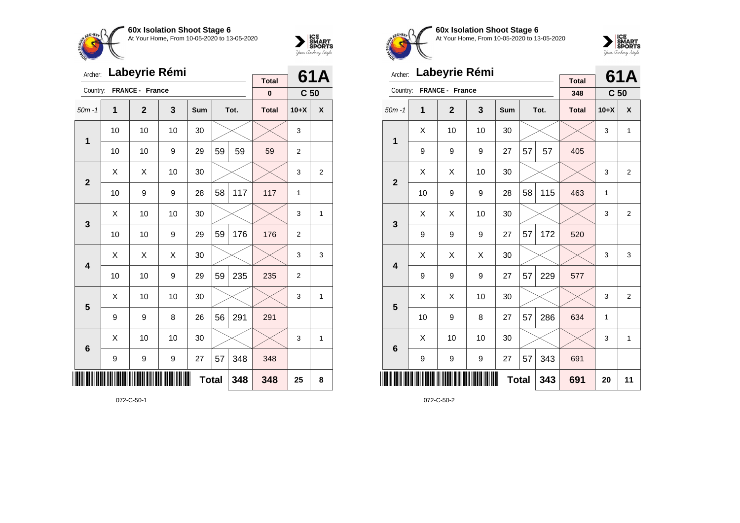



| Archer:          |    |                 | Labeyrie Rémi |              |    |      |                          |                 | 61A            |
|------------------|----|-----------------|---------------|--------------|----|------|--------------------------|-----------------|----------------|
| Country:         |    | FRANCE - France |               |              |    |      | <b>Total</b><br>$\bf{0}$ | C <sub>50</sub> |                |
| $50m - 1$        | 1  | $\mathbf{2}$    | 3             | <b>Sum</b>   |    | Tot. | <b>Total</b>             | $10+X$          | X              |
| 1                | 10 | 10              | 10            | 30           |    |      |                          | 3               |                |
|                  | 10 | 10              | 9             | 29           | 59 | 59   | 59                       | $\overline{2}$  |                |
| $\boldsymbol{2}$ | X  | X               | 10            | 30           |    |      |                          | 3               | $\overline{2}$ |
|                  | 10 | 9               | 9             | 28           | 58 | 117  | 117                      | 1               |                |
| 3                | X  | 10              | 10            | 30           |    |      |                          | 3               | 1              |
|                  | 10 | 10              | 9             | 29           | 59 | 176  | 176                      | $\overline{2}$  |                |
| 4                | Χ  | Χ               | X             | 30           |    |      |                          | 3               | 3              |
|                  | 10 | 10              | 9             | 29           | 59 | 235  | 235                      | $\overline{2}$  |                |
| 5                | X  | 10              | 10            | 30           |    |      |                          | 3               | 1              |
|                  | 9  | 9               | 8             | 26           | 56 | 291  | 291                      |                 |                |
| 6                | X  | 10              | 10            | 30           |    |      |                          | 3               | 1              |
|                  | 9  | 9               | 9             | 27           | 57 | 348  | 348                      |                 |                |
| ║║║              |    |                 |               | <b>Total</b> |    | 348  | 348                      | 25              | 8              |

072-C-50-1



**60x Isolation Shoot Stage 6** At Your Home, From 10-05-2020 to 13-05-2020



| Archer:                 |    | Labeyrie Rémi   |    |              |    |      | <b>Total</b> |                 | 61A            |
|-------------------------|----|-----------------|----|--------------|----|------|--------------|-----------------|----------------|
| Country:                |    | FRANCE - France |    |              |    |      | 348          | C <sub>50</sub> |                |
| $50m - 1$               | 1  | $\mathbf{2}$    | 3  | Sum          |    | Tot. | <b>Total</b> | $10+X$          | X              |
|                         | X  | 10              | 10 | 30           |    |      |              | 3               | $\mathbf{1}$   |
| 1                       | 9  | 9               | 9  | 27           | 57 | 57   | 405          |                 |                |
| $\overline{2}$          | X  | Χ               | 10 | 30           |    |      |              | 3               | $\overline{2}$ |
|                         | 10 | 9               | 9  | 28           | 58 | 115  | 463          | 1               |                |
| 3                       | X  | Χ               | 10 | 30           |    |      |              | 3               | $\overline{2}$ |
|                         | 9  | 9               | 9  | 27           | 57 | 172  | 520          |                 |                |
| $\overline{\mathbf{4}}$ | X  | Χ               | Χ  | 30           |    |      |              | 3               | 3              |
|                         | 9  | 9               | 9  | 27           | 57 | 229  | 577          |                 |                |
| 5                       | X  | X               | 10 | 30           |    |      |              | 3               | $\overline{2}$ |
|                         | 10 | 9               | 8  | 27           | 57 | 286  | 634          | 1               |                |
| $6\phantom{1}6$         | X  | 10              | 10 | 30           |    |      |              | 3               | $\mathbf{1}$   |
|                         | 9  | 9               | 9  | 27           | 57 | 343  | 691          |                 |                |
| ║║║                     |    |                 |    | <b>Total</b> |    | 343  | 691          | 20              | 11             |

072-C-50-2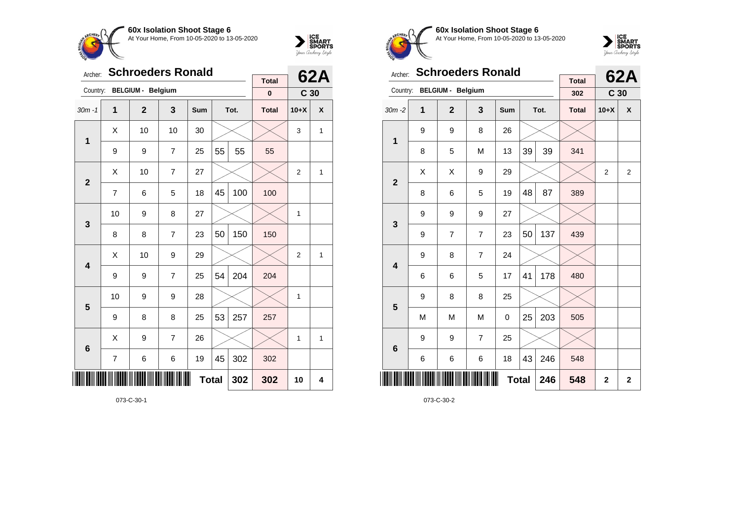



|                         | <b>Schroeders Ronald</b><br>Archer: |                   |                |              |    |      | <b>Total</b> |                 | <b>62A</b>   |
|-------------------------|-------------------------------------|-------------------|----------------|--------------|----|------|--------------|-----------------|--------------|
| Country:                |                                     | BELGIUM - Belgium |                |              |    |      | $\bf{0}$     | C <sub>30</sub> |              |
| $30m - 1$               | 1                                   | $\overline{2}$    | 3              | Sum          |    | Tot. | <b>Total</b> | $10+X$          | X            |
| $\mathbf{1}$            | Χ                                   | 10                | 10             | 30           |    |      |              | 3               | 1            |
|                         | 9                                   | 9                 | $\overline{7}$ | 25           | 55 | 55   | 55           |                 |              |
| $\overline{2}$          | X                                   | 10                | $\overline{7}$ | 27           |    |      |              | $\overline{2}$  | $\mathbf{1}$ |
|                         | $\overline{7}$                      | 6                 | 5              | 18           | 45 | 100  | 100          |                 |              |
| 3                       | 10                                  | 9                 | 8              | 27           |    |      |              | 1               |              |
|                         | 8                                   | 8                 | $\overline{7}$ | 23           | 50 | 150  | 150          |                 |              |
| $\overline{\mathbf{4}}$ | Χ                                   | 10                | 9              | 29           |    |      |              | $\overline{2}$  | 1            |
|                         | 9                                   | 9                 | $\overline{7}$ | 25           | 54 | 204  | 204          |                 |              |
| 5                       | 10                                  | 9                 | 9              | 28           |    |      |              | 1               |              |
|                         | 9                                   | 8                 | 8              | 25           | 53 | 257  | 257          |                 |              |
| $6\phantom{1}6$         | Χ                                   | 9                 | $\overline{7}$ | 26           |    |      |              | 1               | 1            |
|                         | 7                                   | 6                 | 6              | 19           | 45 | 302  | 302          |                 |              |
|                         |                                     |                   |                | <b>Total</b> |    | 302  | 302          | 10              | 4            |

073-C-30-1



**60x Isolation Shoot Stage 6** At Your Home, From 10-05-2020 to 13-05-2020



| Archer:                 |   | <b>Schroeders Ronald</b> |                |              |    |      | <b>Total</b> |                 | <b>62A</b>     |
|-------------------------|---|--------------------------|----------------|--------------|----|------|--------------|-----------------|----------------|
| Country:                |   | <b>BELGIUM - Belgium</b> |                |              |    |      | 302          | C <sub>30</sub> |                |
| $30m - 2$               | 1 | $\overline{2}$           | 3              | <b>Sum</b>   |    | Tot. | <b>Total</b> | $10+X$          | X              |
| 1                       | 9 | 9                        | 8              | 26           |    |      |              |                 |                |
|                         | 8 | 5                        | M              | 13           | 39 | 39   | 341          |                 |                |
| $\overline{2}$          | X | Χ                        | 9              | 29           |    |      |              | $\overline{2}$  | $\overline{2}$ |
|                         | 8 | 6                        | 5              | 19           | 48 | 87   | 389          |                 |                |
| 3                       | 9 | 9                        | 9              | 27           |    |      |              |                 |                |
|                         | 9 | 7                        | $\overline{7}$ | 23           | 50 | 137  | 439          |                 |                |
| $\overline{\mathbf{4}}$ | 9 | 8                        | $\overline{7}$ | 24           |    |      |              |                 |                |
|                         | 6 | 6                        | 5              | 17           | 41 | 178  | 480          |                 |                |
| 5                       | 9 | 8                        | 8              | 25           |    |      |              |                 |                |
|                         | M | M                        | M              | 0            | 25 | 203  | 505          |                 |                |
| $6\phantom{1}6$         | 9 | 9                        | $\overline{7}$ | 25           |    |      |              |                 |                |
|                         | 6 | 6                        | 6              | 18           | 43 | 246  | 548          |                 |                |
| ║║║                     |   |                          |                | <b>Total</b> |    | 246  | 548          | $\overline{2}$  | $\mathbf{2}$   |

073-C-30-2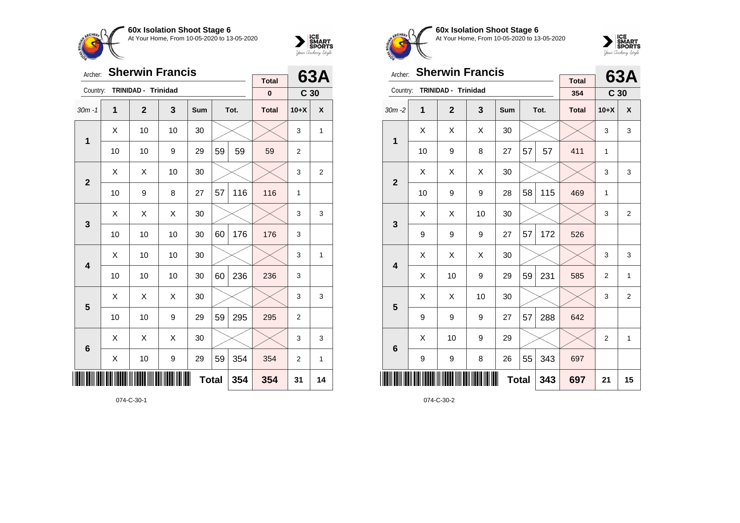



| Archer:         |    |                     | <b>Sherwin Francis</b> |            |              |      |              |                 | 63A            |
|-----------------|----|---------------------|------------------------|------------|--------------|------|--------------|-----------------|----------------|
| Country:        |    | TRINIDAD - Trinidad |                        |            |              |      | <b>Total</b> |                 |                |
|                 |    |                     |                        |            |              |      | $\pmb{0}$    | C <sub>30</sub> |                |
| $30m - 1$       | 1  | $\mathbf{2}$        | 3                      | <b>Sum</b> |              | Tot. | <b>Total</b> | $10+X$          | X              |
|                 | X  | 10                  | 10                     | 30         |              |      |              | 3               | $\mathbf{1}$   |
| 1               | 10 | 10                  | 9                      | 29         | 59           | 59   | 59           | $\overline{2}$  |                |
| $\overline{2}$  | X  | X                   | 10                     | 30         |              |      |              | 3               | $\overline{2}$ |
|                 | 10 | 9                   | 8                      | 27         | 57           | 116  | 116          | 1               |                |
| 3               | X  | X                   | X                      | 30         |              |      |              | 3               | 3              |
|                 | 10 | 10                  | 10                     | 30         | 60           | 176  | 176          | 3               |                |
| 4               | X  | 10                  | 10                     | 30         |              |      |              | 3               | $\mathbf{1}$   |
|                 | 10 | 10                  | 10                     | 30         | 60           | 236  | 236          | 3               |                |
| 5               | X  | X                   | X                      | 30         |              |      |              | 3               | 3              |
|                 | 10 | 10                  | 9                      | 29         | 59           | 295  | 295          | $\overline{2}$  |                |
| $6\phantom{1}6$ | X  | X                   | Χ                      | 30         |              |      |              | 3               | 3              |
|                 | X  | 10                  | 9                      | 29         | 59           | 354  | 354          | $\overline{2}$  | 1              |
| ║║║             |    |                     |                        |            | <b>Total</b> | 354  | 354          | 31              | 14             |

074-C-30-1



**60x Isolation Shoot Stage 6** At Your Home, From 10-05-2020 to 13-05-2020



| Archer:                 |    | <b>Sherwin Francis</b> |              |     |              |      |                     |                 | 63A            |
|-------------------------|----|------------------------|--------------|-----|--------------|------|---------------------|-----------------|----------------|
| Country:                |    | TRINIDAD - Trinidad    |              |     |              |      | <b>Total</b><br>354 | C <sub>30</sub> |                |
| $30m - 2$               | 1  | $\overline{2}$         | $\mathbf{3}$ | Sum |              | Tot. | <b>Total</b>        | $10+X$          | X              |
|                         | X  | X                      | X            | 30  |              |      |                     | 3               | 3              |
| 1                       | 10 | 9                      | 8            | 27  | 57           | 57   | 411                 | 1               |                |
|                         | Χ  | X                      | Χ            | 30  |              |      |                     | 3               | 3              |
| $\overline{2}$          | 10 | 9                      | 9            | 28  | 58           | 115  | 469                 | 1               |                |
| 3                       | X  | X                      | 10           | 30  |              |      |                     | 3               | $\overline{2}$ |
|                         | 9  | 9                      | 9            | 27  | 57           | 172  | 526                 |                 |                |
| $\overline{\mathbf{4}}$ | Χ  | X                      | Χ            | 30  |              |      |                     | 3               | 3              |
|                         | X  | 10                     | 9            | 29  | 59           | 231  | 585                 | $\overline{2}$  | $\mathbf{1}$   |
| 5                       | Χ  | Χ                      | 10           | 30  |              |      |                     | 3               | $\overline{2}$ |
|                         | 9  | 9                      | 9            | 27  | 57           | 288  | 642                 |                 |                |
| $6\phantom{1}6$         | X  | 10                     | 9            | 29  |              |      |                     | 2               | 1              |
|                         | 9  | 9                      | 8            | 26  | 55           | 343  | 697                 |                 |                |
|                         |    |                        |              |     | <b>Total</b> | 343  | 697                 | 21              | 15             |

074-C-30-2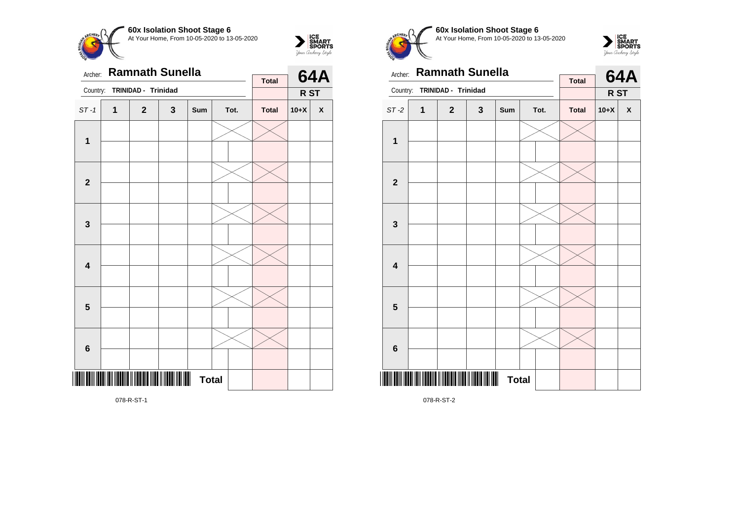



| Archer:                 |   | <b>Ramnath Sunella</b> |   |              |      |              |        | <b>64A</b>         |
|-------------------------|---|------------------------|---|--------------|------|--------------|--------|--------------------|
| Country:                |   | TRINIDAD - Trinidad    |   |              |      | <b>Total</b> | R ST   |                    |
| $ST-1$                  | 1 | $\mathbf{2}$           | 3 | Sum          | Tot. | <b>Total</b> | $10+X$ | $\pmb{\mathsf{X}}$ |
| $\mathbf{1}$            |   |                        |   |              |      |              |        |                    |
| $\mathbf{2}$            |   |                        |   |              |      |              |        |                    |
| $\mathbf{3}$            |   |                        |   |              |      |              |        |                    |
| $\overline{\mathbf{4}}$ |   |                        |   |              |      |              |        |                    |
| $\overline{\mathbf{5}}$ |   |                        |   |              |      |              |        |                    |
| $\bf 6$                 |   |                        |   |              |      |              |        |                    |
|                         |   |                        |   | <b>Total</b> |      |              |        |                    |





| Archer:         |                                              |                     | <b>Ramnath Sunella</b> |                                |      |              |        | <b>64A</b>   |
|-----------------|----------------------------------------------|---------------------|------------------------|--------------------------------|------|--------------|--------|--------------|
| Country:        |                                              | TRINIDAD - Trinidad |                        |                                |      | <b>Total</b> | R ST   |              |
| $ST-2$          | 1                                            | $\mathbf{2}$        | $\mathbf{3}$           | Sum                            | Tot. | <b>Total</b> | $10+X$ | $\pmb{\chi}$ |
| 1               |                                              |                     |                        |                                |      |              |        |              |
|                 |                                              |                     |                        |                                |      |              |        |              |
| $\overline{2}$  |                                              |                     |                        |                                |      |              |        |              |
|                 |                                              |                     |                        |                                |      |              |        |              |
|                 |                                              |                     |                        |                                |      |              |        |              |
| 3               |                                              |                     |                        |                                |      |              |        |              |
|                 |                                              |                     |                        |                                |      |              |        |              |
| 4               |                                              |                     |                        |                                |      |              |        |              |
|                 |                                              |                     |                        |                                |      |              |        |              |
| 5               |                                              |                     |                        |                                |      |              |        |              |
|                 |                                              |                     |                        |                                |      |              |        |              |
| $6\phantom{1}6$ |                                              |                     |                        |                                |      |              |        |              |
|                 | III IODH I III IIODH I IIODH I IIODH I IIODH |                     |                        | $\blacksquare$<br><b>Total</b> |      |              |        |              |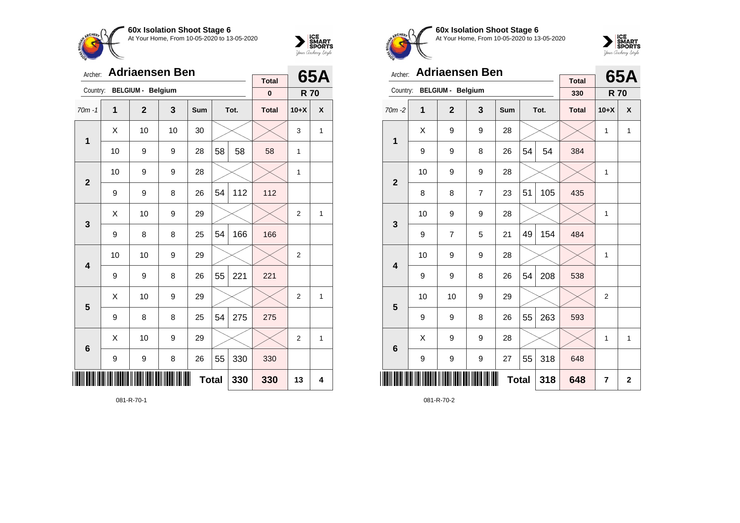



| Archer:        |    | <b>Adriaensen Ben</b>    |    | <b>Total</b> |              | 65A  |              |                |   |
|----------------|----|--------------------------|----|--------------|--------------|------|--------------|----------------|---|
| Country:       |    | <b>BELGIUM - Belgium</b> |    |              |              |      | $\pmb{0}$    | <b>R70</b>     |   |
| $70m - 1$      | 1  | $\overline{2}$           | 3  | Sum          |              | Tot. | <b>Total</b> | $10+X$         | X |
| 1              | X  | 10                       | 10 | 30           |              |      |              | 3              | 1 |
|                | 10 | 9                        | 9  | 28           | 58           | 58   | 58           | 1              |   |
| $\overline{2}$ | 10 | 9                        | 9  | 28           |              |      |              | 1              |   |
|                | 9  | 9                        | 8  | 26           | 54           | 112  | 112          |                |   |
| 3              | X  | 10                       | 9  | 29           |              |      |              | $\overline{2}$ | 1 |
|                | 9  | 8                        | 8  | 25           | 54           | 166  | 166          |                |   |
| 4              | 10 | 10                       | 9  | 29           |              |      |              | $\overline{2}$ |   |
|                | 9  | 9                        | 8  | 26           | 55           | 221  | 221          |                |   |
| 5              | X  | 10                       | 9  | 29           |              |      |              | $\overline{2}$ | 1 |
|                | 9  | 8                        | 8  | 25           | 54           | 275  | 275          |                |   |
| 6              | Χ  | 10                       | 9  | 29           |              |      |              | $\overline{2}$ | 1 |
|                | 9  | 9                        | 8  | 26           | 55           | 330  | 330          |                |   |
| IIII           |    |                          |    |              | <b>Total</b> | 330  | 330          | 13             | 4 |

081-R-70-1



**60x Isolation Shoot Stage 6** At Your Home, From 10-05-2020 to 13-05-2020



| Archer:         |    | <b>Adriaensen Ben</b>    |   |     |              | 65A  |                     |                |             |
|-----------------|----|--------------------------|---|-----|--------------|------|---------------------|----------------|-------------|
| Country:        |    | <b>BELGIUM - Belgium</b> |   |     |              |      | <b>Total</b><br>330 | <b>R70</b>     |             |
| $70m - 2$       | 1  | $\overline{2}$           | 3 | Sum |              | Tot. | <b>Total</b>        | $10+X$         | X           |
| $\mathbf 1$     | X  | 9                        | 9 | 28  |              |      |                     | 1              | 1           |
|                 | 9  | 9                        | 8 | 26  | 54           | 54   | 384                 |                |             |
| $\mathbf{2}$    | 10 | 9                        | 9 | 28  |              |      |                     | 1              |             |
|                 | 8  | 8                        | 7 | 23  | 51           | 105  | 435                 |                |             |
| 3               | 10 | 9                        | 9 | 28  |              |      |                     | 1              |             |
|                 | 9  | $\overline{7}$           | 5 | 21  | 49           | 154  | 484                 |                |             |
| 4               | 10 | 9                        | 9 | 28  |              |      |                     | $\mathbf{1}$   |             |
|                 | 9  | 9                        | 8 | 26  | 54           | 208  | 538                 |                |             |
| 5               | 10 | 10                       | 9 | 29  |              |      |                     | $\overline{2}$ |             |
|                 | 9  | 9                        | 8 | 26  | 55           | 263  | 593                 |                |             |
| $6\phantom{1}6$ | X  | 9                        | 9 | 28  |              |      |                     | 1              | 1           |
|                 | 9  | 9                        | 9 | 27  | 55           | 318  | 648                 |                |             |
| ║║              |    |                          |   |     | <b>Total</b> | 318  | 648                 | $\overline{7}$ | $\mathbf 2$ |

081-R-70-2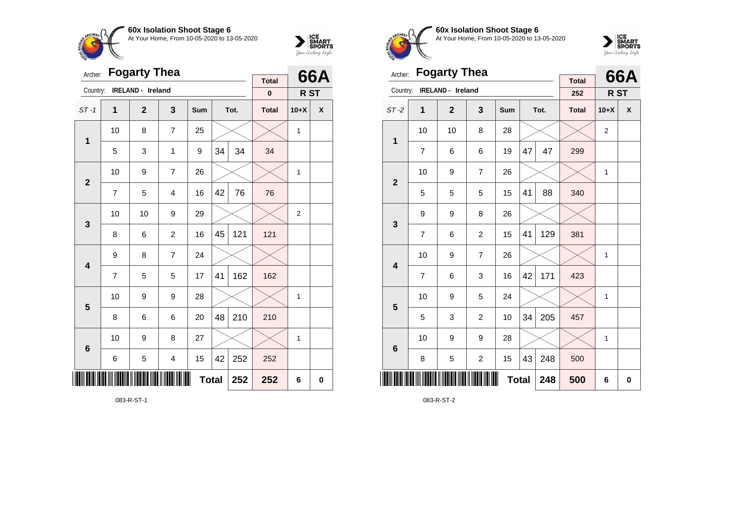



| Archer:                 |                | <b>Fogarty Thea</b> |                         |              |    | 66A  |                           |                |   |
|-------------------------|----------------|---------------------|-------------------------|--------------|----|------|---------------------------|----------------|---|
| Country:                |                | IRELAND - Ireland   |                         |              |    |      | <b>Total</b><br>$\pmb{0}$ | R ST           |   |
| $ST-1$                  | 1              | $\overline{2}$      | 3                       | <b>Sum</b>   |    | Tot. | <b>Total</b>              | $10+X$         | X |
| 1                       | 10             | 8                   | $\overline{7}$          | 25           |    |      |                           | 1              |   |
|                         | 5              | 3                   | 1                       | 9            | 34 | 34   | 34                        |                |   |
| $\overline{2}$          | 10             | 9                   | $\overline{7}$          | 26           |    |      |                           | 1              |   |
|                         | $\overline{7}$ | 5                   | $\overline{4}$          | 16           | 42 | 76   | 76                        |                |   |
| 3                       | 10             | 10                  | 9                       | 29           |    |      |                           | $\overline{2}$ |   |
|                         | 8              | 6                   | $\overline{c}$          | 16           | 45 | 121  | 121                       |                |   |
| $\overline{\mathbf{4}}$ | 9              | 8                   | $\overline{7}$          | 24           |    |      |                           |                |   |
|                         | $\overline{7}$ | 5                   | 5                       | 17           | 41 | 162  | 162                       |                |   |
| 5                       | 10             | 9                   | 9                       | 28           |    |      |                           | 1              |   |
|                         | 8              | 6                   | 6                       | 20           | 48 | 210  | 210                       |                |   |
| $6\phantom{1}6$         | 10             | 9                   | 8                       | 27           |    |      |                           | 1              |   |
|                         | 6              | 5                   | $\overline{\mathbf{4}}$ | 15           | 42 | 252  | 252                       |                |   |
| ║                       |                |                     |                         | <b>Total</b> |    | 252  | 252                       | 6              | 0 |



**60x Isolation Shoot Stage 6** At Your Home, From 10-05-2020 to 13-05-2020



| Archer:                 |                | <b>Fogarty Thea</b> |                |              |    |      | 66A                 |                |          |
|-------------------------|----------------|---------------------|----------------|--------------|----|------|---------------------|----------------|----------|
| Country:                |                | IRELAND - Ireland   |                |              |    |      | <b>Total</b><br>252 | R ST           |          |
| $ST-2$                  | 1              | $\mathbf{2}$        | 3              | Sum          |    | Tot. | <b>Total</b>        | $10+X$         | X        |
| $\mathbf{1}$            | 10             | 10                  | 8              | 28           |    |      |                     | $\overline{2}$ |          |
|                         | $\overline{7}$ | 6                   | 6              | 19           | 47 | 47   | 299                 |                |          |
| $\overline{2}$          | 10             | 9                   | 7              | 26           |    |      |                     | 1              |          |
|                         | 5              | 5                   | 5              | 15           | 41 | 88   | 340                 |                |          |
| 3                       | 9              | 9                   | 8              | 26           |    |      |                     |                |          |
|                         | 7              | 6                   | 2              | 15           | 41 | 129  | 381                 |                |          |
| $\overline{\mathbf{4}}$ | 10             | 9                   | 7              | 26           |    |      |                     | 1              |          |
|                         | $\overline{7}$ | 6                   | 3              | 16           | 42 | 171  | 423                 |                |          |
| 5                       | 10             | 9                   | 5              | 24           |    |      |                     | 1              |          |
|                         | 5              | 3                   | $\overline{c}$ | 10           | 34 | 205  | 457                 |                |          |
| $6\phantom{1}6$         | 10             | 9                   | 9              | 28           |    |      |                     | 1              |          |
|                         | 8              | 5                   | $\overline{c}$ | 15           | 43 | 248  | 500                 |                |          |
| ║║║                     |                |                     |                | <b>Total</b> |    | 248  | 500                 | 6              | $\bf{0}$ |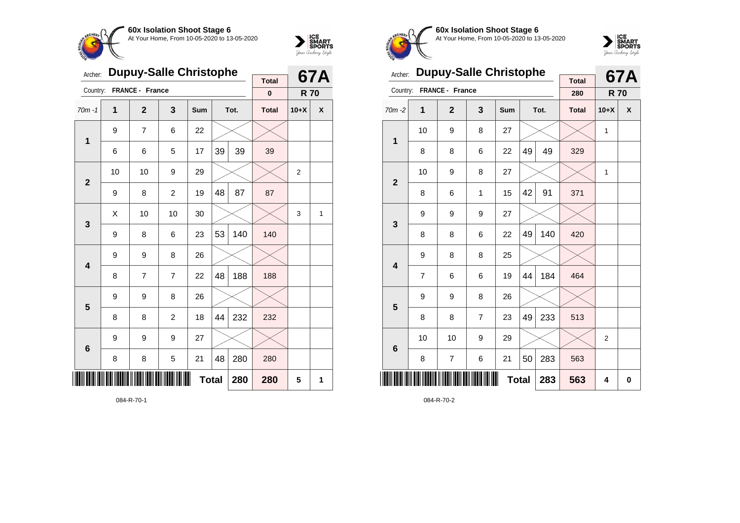



| Archer:        |                     | <b>Dupuy-Salle Christophe</b> |                | <b>Total</b> |    | 67A  |              |                |   |
|----------------|---------------------|-------------------------------|----------------|--------------|----|------|--------------|----------------|---|
| Country:       |                     | FRANCE - France               |                |              |    |      | $\bf{0}$     | <b>R70</b>     |   |
| $70m - 1$      | 1                   | $\overline{2}$                | 3              | Sum          |    | Tot. | <b>Total</b> | $10+X$         | X |
| $\mathbf 1$    | 9                   | $\overline{7}$                | 6              | 22           |    |      |              |                |   |
|                | 6                   | 6                             | 5              | 17           | 39 | 39   | 39           |                |   |
| $\overline{2}$ | 10                  | 10                            | 9              | 29           |    |      |              | $\overline{2}$ |   |
|                | 9                   | 8                             | $\overline{2}$ | 19           | 48 | 87   | 87           |                |   |
| 3              | X                   | 10                            | 10             | 30           |    |      |              | 3              | 1 |
|                | 9                   | 8                             | 6              | 23           | 53 | 140  | 140          |                |   |
| 4              | 9                   | 9                             | 8              | 26           |    |      |              |                |   |
|                | 8                   | $\overline{7}$                | $\overline{7}$ | 22           | 48 | 188  | 188          |                |   |
| 5              | 9                   | 9                             | 8              | 26           |    |      |              |                |   |
|                | 8                   | 8                             | $\overline{c}$ | 18           | 44 | 232  | 232          |                |   |
| 6              | 9                   | 9                             | 9              | 27           |    |      |              |                |   |
|                | 8                   | 8                             | 5              | 21           | 48 | 280  | 280          |                |   |
| III            | <b>Total</b><br>280 |                               |                |              |    |      |              | 5              | 1 |

084-R-70-1



**60x Isolation Shoot Stage 6** At Your Home, From 10-05-2020 to 13-05-2020



| Archer:         |    | <b>Dupuy-Salle Christophe</b> |                |              |    | <b>67A</b> |                     |                |   |
|-----------------|----|-------------------------------|----------------|--------------|----|------------|---------------------|----------------|---|
| Country:        |    | FRANCE - France               |                |              |    |            | <b>Total</b><br>280 | <b>R70</b>     |   |
| $70m - 2$       | 1  | $\overline{2}$                | 3              | Sum          |    | Tot.       | <b>Total</b>        | $10+X$         | X |
| 1               | 10 | 9                             | 8              | 27           |    |            |                     | 1              |   |
|                 | 8  | 8                             | 6              | 22           | 49 | 49         | 329                 |                |   |
| $\overline{2}$  | 10 | 9                             | 8              | 27           |    |            |                     | 1              |   |
|                 | 8  | 6                             | 1              | 15           | 42 | 91         | 371                 |                |   |
| 3               | 9  | 9                             | 9              | 27           |    |            |                     |                |   |
|                 | 8  | 8                             | 6              | 22           | 49 | 140        | 420                 |                |   |
| 4               | 9  | 8                             | 8              | 25           |    |            |                     |                |   |
|                 | 7  | 6                             | 6              | 19           | 44 | 184        | 464                 |                |   |
| 5               | 9  | 9                             | 8              | 26           |    |            |                     |                |   |
|                 | 8  | 8                             | $\overline{7}$ | 23           | 49 | 233        | 513                 |                |   |
| $6\phantom{1}6$ | 10 | 10                            | 9              | 29           |    |            |                     | $\overline{2}$ |   |
|                 | 8  | $\overline{7}$                | 6              | 21           | 50 | 283        | 563                 |                |   |
|                 |    |                               |                | <b>Total</b> |    | 283        | 563                 | 4              | 0 |

084-R-70-2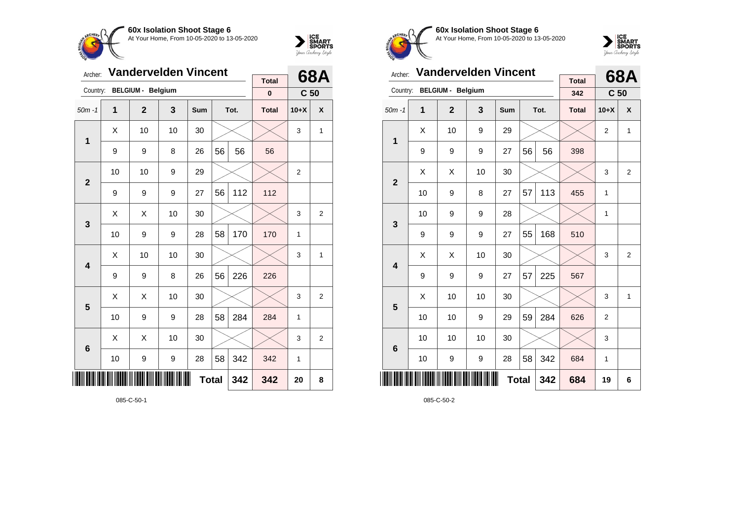



| Archer:         |    |                          | <b>Vandervelden Vincent</b> |              |    |      | <b>Total</b> |                 | 68A            |
|-----------------|----|--------------------------|-----------------------------|--------------|----|------|--------------|-----------------|----------------|
| Country:        |    | <b>BELGIUM - Belgium</b> |                             |              |    |      | $\pmb{0}$    | C <sub>50</sub> |                |
| $50m - 1$       | 1  | $\overline{2}$           | 3                           | Sum          |    | Tot. | <b>Total</b> | $10+X$          | X              |
| $\mathbf 1$     | Χ  | 10                       | 10                          | 30           |    |      |              | 3               | 1              |
|                 | 9  | 9                        | 8                           | 26           | 56 | 56   | 56           |                 |                |
| $\mathbf{2}$    | 10 | 10                       | 9                           | 29           |    |      |              | $\overline{2}$  |                |
|                 | 9  | 9                        | 9                           | 27           | 56 | 112  | 112          |                 |                |
| 3               | Χ  | Χ                        | 10                          | 30           |    |      |              | 3               | 2              |
|                 | 10 | 9                        | 9                           | 28           | 58 | 170  | 170          | 1               |                |
| 4               | х  | 10                       | 10                          | 30           |    |      |              | 3               | 1              |
|                 | 9  | 9                        | 8                           | 26           | 56 | 226  | 226          |                 |                |
| 5               | X  | X                        | 10                          | 30           |    |      |              | 3               | 2              |
|                 | 10 | 9                        | 9                           | 28           | 58 | 284  | 284          | 1               |                |
| $6\phantom{1}6$ | Χ  | Χ                        | 10                          | 30           |    |      |              | 3               | $\overline{2}$ |
|                 | 10 | $\boldsymbol{9}$         | 9                           | 28           | 58 | 342  | 342          | 1               |                |
| ║║║             |    |                          |                             | <b>Total</b> |    | 342  | 342          | 20              | 8              |

085-C-50-1



**60x Isolation Shoot Stage 6** At Your Home, From 10-05-2020 to 13-05-2020



| Archer:                 |    | <b>Vandervelden Vincent</b> |    |            |              | 68A  |                     |                 |                |
|-------------------------|----|-----------------------------|----|------------|--------------|------|---------------------|-----------------|----------------|
| Country:                |    | <b>BELGIUM - Belgium</b>    |    |            |              |      | <b>Total</b><br>342 | C <sub>50</sub> |                |
| $50m - 1$               | 1  | $\overline{2}$              | 3  | <b>Sum</b> |              | Tot. | <b>Total</b>        | $10+X$          | X              |
|                         | X  | 10                          | 9  | 29         |              |      |                     | $\overline{2}$  | $\mathbf{1}$   |
| 1                       | 9  | 9                           | 9  | 27         | 56           | 56   | 398                 |                 |                |
| $\overline{2}$          | X  | Χ                           | 10 | 30         |              |      |                     | 3               | $\overline{2}$ |
|                         | 10 | 9                           | 8  | 27         | 57           | 113  | 455                 | 1               |                |
| 3                       | 10 | 9                           | 9  | 28         |              |      |                     | 1               |                |
|                         | 9  | 9                           | 9  | 27         | 55           | 168  | 510                 |                 |                |
| $\overline{\mathbf{A}}$ | X  | Χ                           | 10 | 30         |              |      |                     | 3               | $\overline{2}$ |
|                         | 9  | 9                           | 9  | 27         | 57           | 225  | 567                 |                 |                |
| 5                       | X  | 10                          | 10 | 30         |              |      |                     | 3               | $\mathbf{1}$   |
|                         | 10 | 10                          | 9  | 29         | 59           | 284  | 626                 | $\overline{2}$  |                |
| $6\phantom{1}6$         | 10 | 10                          | 10 | 30         |              |      |                     | 3               |                |
|                         | 10 | 9                           | 9  | 28         | 58           | 342  | 684                 | 1               |                |
|                         |    |                             |    |            | <b>Total</b> | 342  | 684                 | 19              | 6              |

085-C-50-2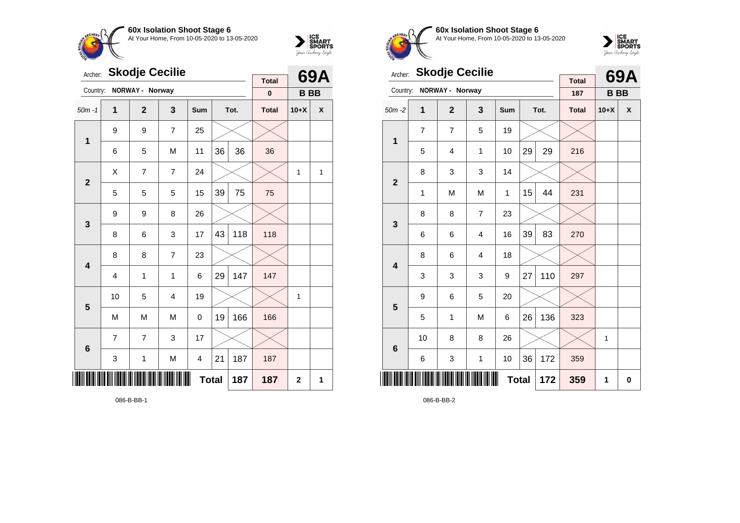



| Archer:        |    | <b>Skodje Cecilie</b> |                |                |    |      | <b>Total</b> |                | 69A          |
|----------------|----|-----------------------|----------------|----------------|----|------|--------------|----------------|--------------|
| Country:       |    | NORWAY - Norway       |                |                |    |      | $\mathbf 0$  | <b>BBB</b>     |              |
| $50m - 1$      | 1  | $\mathbf{2}$          | 3              | Sum            |    | Tot. | <b>Total</b> | $10+X$         | X            |
| $\mathbf 1$    | 9  | 9                     | $\overline{7}$ | 25             |    |      |              |                |              |
|                | 6  | 5                     | M              | 11             | 36 | 36   | 36           |                |              |
| $\overline{2}$ | X  | $\overline{7}$        | $\overline{7}$ | 24             |    |      |              | $\mathbf{1}$   | $\mathbf{1}$ |
|                | 5  | 5                     | 5              | 15             | 39 | 75   | 75           |                |              |
| 3              | 9  | 9                     | 8              | 26             |    |      |              |                |              |
|                | 8  | 6                     | 3              | 17             | 43 | 118  | 118          |                |              |
| 4              | 8  | 8                     | $\overline{7}$ | 23             |    |      |              |                |              |
|                | 4  | 1                     | 1              | 6              | 29 | 147  | 147          |                |              |
| 5              | 10 | 5                     | 4              | 19             |    |      |              | 1              |              |
|                | M  | M                     | M              | 0              | 19 | 166  | 166          |                |              |
| 6              | 7  | 7                     | 3              | 17             |    |      |              |                |              |
|                | 3  | $\mathbf{1}$          | M              | $\overline{4}$ | 21 | 187  | 187          |                |              |
| IIII           |    |                       |                | <b>Total</b>   |    | 187  | 187          | $\overline{2}$ | 1            |

086-B-BB-1



**60x Isolation Shoot Stage 6** At Your Home, From 10-05-2020 to 13-05-2020



| Archer:                 |    | <b>Skodje Cecilie</b> |              |              |    | 69A  |                     |           |          |
|-------------------------|----|-----------------------|--------------|--------------|----|------|---------------------|-----------|----------|
| Country:                |    | NORWAY - Norway       |              |              |    |      | <b>Total</b><br>187 | <b>BB</b> |          |
| $50m - 2$               | 1  | $\overline{2}$        | 3            | Sum          |    | Tot. | <b>Total</b>        | $10+X$    | X        |
| $\mathbf 1$             | 7  | 7                     | 5            | 19           |    |      |                     |           |          |
|                         | 5  | $\overline{4}$        | 1            | 10           | 29 | 29   | 216                 |           |          |
| $\mathbf{2}$            | 8  | 3                     | 3            | 14           |    |      |                     |           |          |
|                         | 1  | M                     | M            | 1            | 15 | 44   | 231                 |           |          |
| 3                       | 8  | 8                     | 7            | 23           |    |      |                     |           |          |
|                         | 6  | 6                     | 4            | 16           | 39 | 83   | 270                 |           |          |
| $\overline{\mathbf{4}}$ | 8  | 6                     | 4            | 18           |    |      |                     |           |          |
|                         | 3  | 3                     | 3            | 9            | 27 | 110  | 297                 |           |          |
| 5                       | 9  | 6                     | 5            | 20           |    |      |                     |           |          |
|                         | 5  | 1                     | M            | 6            | 26 | 136  | 323                 |           |          |
| $6\phantom{1}6$         | 10 | 8                     | 8            | 26           |    |      |                     | 1         |          |
|                         | 6  | 3                     | $\mathbf{1}$ | 10           | 36 | 172  | 359                 |           |          |
| ║║                      |    |                       |              | <b>Total</b> |    | 172  | 359                 | 1         | $\bf{0}$ |

086-B-BB-2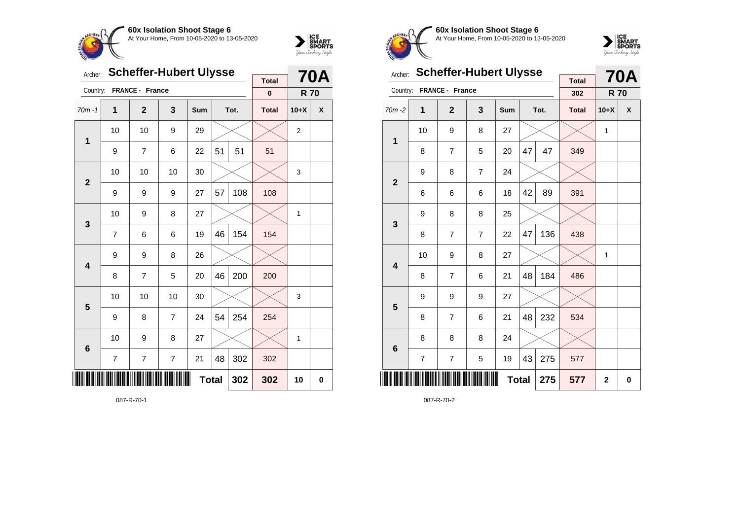



| Archer:         |                          | <b>Scheffer-Hubert Ulysse</b> |                |     |    |      | <b>70A</b>   |                  |   |
|-----------------|--------------------------|-------------------------------|----------------|-----|----|------|--------------|------------------|---|
| Country:        |                          | FRANCE - France               |                |     |    |      | <b>Total</b> |                  |   |
|                 |                          |                               |                |     |    |      | $\pmb{0}$    | <b>R70</b>       |   |
| $70m - 1$       | 1                        | $\overline{2}$                | 3              | Sum |    | Tot. | <b>Total</b> | $10+X$           | X |
| $\mathbf{1}$    | 10                       | 10                            | 9              | 29  |    |      |              | $\boldsymbol{2}$ |   |
|                 | 9                        | 7                             | 6              | 22  | 51 | 51   | 51           |                  |   |
| $\overline{2}$  | 10                       | 10                            | 10             | 30  |    |      |              | 3                |   |
|                 | 9                        | 9                             | 9              | 27  | 57 | 108  | 108          |                  |   |
| 3               | 10                       | 9                             | 8              | 27  |    |      |              | 1                |   |
|                 | $\overline{7}$           | 6                             | 6              | 19  | 46 | 154  | 154          |                  |   |
| 4               | 9                        | 9                             | 8              | 26  |    |      |              |                  |   |
|                 | 8                        | $\overline{7}$                | 5              | 20  | 46 | 200  | 200          |                  |   |
| 5               | 10                       | 10                            | 10             | 30  |    |      |              | 3                |   |
|                 | 9                        | 8                             | $\overline{7}$ | 24  | 54 | 254  | 254          |                  |   |
| $6\phantom{1}6$ | 10                       | 9                             | 8              | 27  |    |      |              | 1                |   |
|                 | $\overline{\mathcal{I}}$ | 7                             | $\overline{7}$ | 21  | 48 | 302  | 302          |                  |   |
| III             | <b>Total</b><br>302      |                               |                |     |    |      |              | 10               | 0 |

087-R-70-1



**60x Isolation Shoot Stage 6** At Your Home, From 10-05-2020 to 13-05-2020



| Archer:                 |    | <b>Scheffer-Hubert Ulysse</b> |                |     |              | <b>70A</b> |                     |                |   |
|-------------------------|----|-------------------------------|----------------|-----|--------------|------------|---------------------|----------------|---|
| Country:                |    | FRANCE - France               |                |     |              |            | <b>Total</b><br>302 | <b>R70</b>     |   |
| $70m - 2$               | 1  | $\overline{2}$                | 3              | Sum |              | Tot.       | <b>Total</b>        | $10+X$         | X |
| $\mathbf{1}$            | 10 | 9                             | 8              | 27  |              |            |                     | 1              |   |
|                         | 8  | 7                             | 5              | 20  | 47           | 47         | 349                 |                |   |
| $\mathbf{2}$            | 9  | 8                             | $\overline{7}$ | 24  |              |            |                     |                |   |
|                         | 6  | 6                             | 6              | 18  | 42           | 89         | 391                 |                |   |
| 3                       | 9  | 8                             | 8              | 25  |              |            |                     |                |   |
|                         | 8  | $\overline{7}$                | 7              | 22  | 47           | 136        | 438                 |                |   |
| $\overline{\mathbf{4}}$ | 10 | 9                             | 8              | 27  |              |            |                     | 1              |   |
|                         | 8  | $\overline{7}$                | 6              | 21  | 48           | 184        | 486                 |                |   |
| 5                       | 9  | 9                             | 9              | 27  |              |            |                     |                |   |
|                         | 8  | $\overline{7}$                | 6              | 21  | 48           | 232        | 534                 |                |   |
| $6\phantom{1}6$         | 8  | 8                             | 8              | 24  |              |            |                     |                |   |
|                         | 7  | $\overline{7}$                | 5              | 19  | 43           | 275        | 577                 |                |   |
|                         |    |                               |                |     | <b>Total</b> | 275        | 577                 | $\overline{2}$ | 0 |

087-R-70-2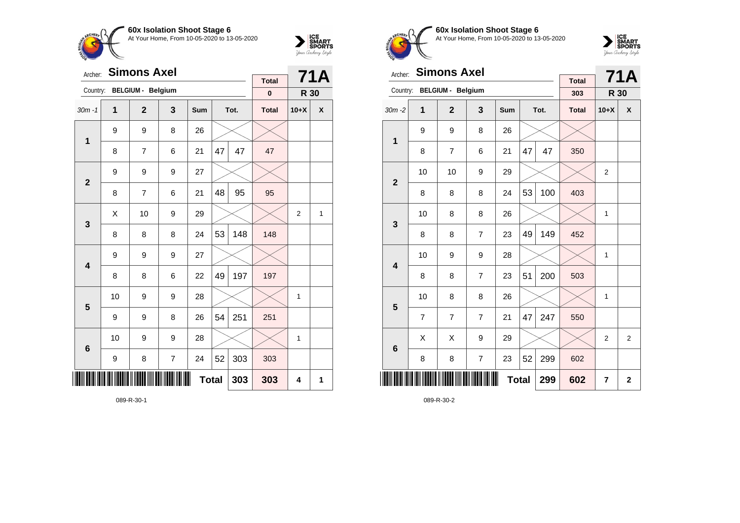



| Archer:                 |    | <b>Simons Axel</b>       |                  |     |    | 71A  |                          |                |   |
|-------------------------|----|--------------------------|------------------|-----|----|------|--------------------------|----------------|---|
| Country:                |    | <b>BELGIUM - Belgium</b> |                  |     |    |      | <b>Total</b><br>$\bf{0}$ | R 30           |   |
| $30m - 1$               | 1  | $\overline{2}$           | 3                | Sum |    | Tot. | <b>Total</b>             | $10+X$         | X |
| $\mathbf 1$             | 9  | 9                        | 8                | 26  |    |      |                          |                |   |
|                         | 8  | 7                        | 6                | 21  | 47 | 47   | 47                       |                |   |
| $\overline{2}$          | 9  | 9                        | 9                | 27  |    |      |                          |                |   |
|                         | 8  | 7                        | 6                | 21  | 48 | 95   | 95                       |                |   |
| $\mathbf{3}$            | Χ  | 10                       | 9                | 29  |    |      |                          | $\overline{2}$ | 1 |
|                         | 8  | 8                        | 8                | 24  | 53 | 148  | 148                      |                |   |
| $\overline{\mathbf{4}}$ | 9  | 9                        | $\boldsymbol{9}$ | 27  |    |      |                          |                |   |
|                         | 8  | 8                        | 6                | 22  | 49 | 197  | 197                      |                |   |
| 5                       | 10 | 9                        | 9                | 28  |    |      |                          | 1              |   |
|                         | 9  | 9                        | 8                | 26  | 54 | 251  | 251                      |                |   |
| $6\phantom{1}6$         | 10 | 9                        | 9                | 28  |    |      |                          | 1              |   |
|                         | 9  | 8                        | $\overline{7}$   | 24  | 52 | 303  | 303                      |                |   |
| ║║║                     |    |                          | 303              | 4   | 1  |      |                          |                |   |

089-R-30-1



**60x Isolation Shoot Stage 6** At Your Home, From 10-05-2020 to 13-05-2020



| Archer:         |                | <b>Simons Axel</b>       |                |            |              | <b>71A</b> |                     |                |                |
|-----------------|----------------|--------------------------|----------------|------------|--------------|------------|---------------------|----------------|----------------|
| Country:        |                | <b>BELGIUM - Belgium</b> |                |            |              |            | <b>Total</b><br>303 | <b>R 30</b>    |                |
| $30m - 2$       | 1              | $\overline{2}$           | 3              | <b>Sum</b> |              | Tot.       | <b>Total</b>        | $10+X$         | X              |
|                 |                |                          |                |            |              |            |                     |                |                |
| 1               | 9              | 9                        | 8              | 26         |              |            |                     |                |                |
|                 | 8              | $\overline{7}$           | 6              | 21         | 47           | 47         | 350                 |                |                |
| $\overline{2}$  | 10             | 10                       | 9              | 29         |              |            |                     | $\overline{2}$ |                |
|                 | 8              | 8                        | 8              | 24         | 53           | 100        | 403                 |                |                |
| 3               | 10             | 8                        | 8              | 26         |              |            |                     | $\mathbf{1}$   |                |
|                 | 8              | 8                        | $\overline{7}$ | 23         | 49           | 149        | 452                 |                |                |
| 4               | 10             | 9                        | 9              | 28         |              |            |                     | $\mathbf{1}$   |                |
|                 | 8              | 8                        | $\overline{7}$ | 23         | 51           | 200        | 503                 |                |                |
| 5               | 10             | 8                        | 8              | 26         |              |            |                     | 1              |                |
|                 | $\overline{7}$ | $\overline{7}$           | $\overline{7}$ | 21         | 47           | 247        | 550                 |                |                |
| $6\phantom{1}6$ | Χ              | Χ                        | 9              | 29         |              |            |                     | $\overline{2}$ | $\overline{2}$ |
|                 | 8              | 8                        | $\overline{7}$ | 23         | 52           | 299        | 602                 |                |                |
| Ⅲ               |                |                          |                |            | <b>Total</b> | 299        | 602                 | $\overline{7}$ | $\mathbf 2$    |

089-R-30-2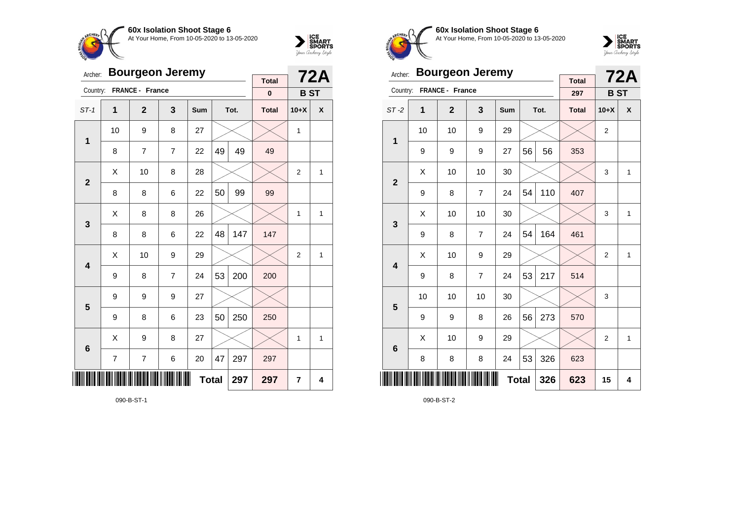



| Archer:         |                | <b>Bourgeon Jeremy</b> |                | <b>Total</b> |    | <b>72A</b> |              |                |              |
|-----------------|----------------|------------------------|----------------|--------------|----|------------|--------------|----------------|--------------|
| Country:        |                | FRANCE - France        |                |              |    |            | $\pmb{0}$    | <b>BST</b>     |              |
| $ST-1$          | 1              | $\overline{2}$         | 3              | Sum          |    | Tot.       | <b>Total</b> | $10+X$         | X            |
| $\mathbf 1$     | 10             | 9                      | 8              | 27           |    |            |              | $\mathbf{1}$   |              |
|                 | 8              | $\overline{7}$         | $\overline{7}$ | 22           | 49 | 49         | 49           |                |              |
| $\overline{2}$  | X              | 10                     | 8              | 28           |    |            |              | $\overline{2}$ | 1            |
|                 | 8              | 8                      | 6              | 22           | 50 | 99         | 99           |                |              |
| 3               | X              | 8                      | 8              | 26           |    |            |              | 1              | 1            |
|                 | 8              | 8                      | 6              | 22           | 48 | 147        | 147          |                |              |
| 4               | Χ              | 10                     | 9              | 29           |    |            |              | $\overline{2}$ | 1            |
|                 | 9              | 8                      | $\overline{7}$ | 24           | 53 | 200        | 200          |                |              |
| 5               | 9              | 9                      | 9              | 27           |    |            |              |                |              |
|                 | 9              | 8                      | 6              | 23           | 50 | 250        | 250          |                |              |
| $6\phantom{1}6$ | X              | 9                      | 8              | 27           |    |            |              | 1              | $\mathbf{1}$ |
|                 | $\overline{7}$ | $\overline{7}$         | 297            | 297          |    |            |              |                |              |
|                 |                |                        | 297            | 7            | 4  |            |              |                |              |

090-B-ST-1



**60x Isolation Shoot Stage 6** At Your Home, From 10-05-2020 to 13-05-2020



| Archer:                 |    | <b>Bourgeon Jeremy</b> |                |              |    | <b>72A</b> |                     |                |              |
|-------------------------|----|------------------------|----------------|--------------|----|------------|---------------------|----------------|--------------|
| Country:                |    | FRANCE - France        |                |              |    |            | <b>Total</b><br>297 | <b>BST</b>     |              |
| $ST-2$                  | 1  | $\overline{2}$         | 3              | Sum          |    | Tot.       | <b>Total</b>        | $10+X$         | X            |
| 1                       | 10 | 10                     | 9              | 29           |    |            |                     | $\overline{2}$ |              |
|                         | 9  | 9                      | 9              | 27           | 56 | 56         | 353                 |                |              |
| $\overline{2}$          | X  | 10                     | 10             | 30           |    |            |                     | 3              | $\mathbf{1}$ |
|                         | 9  | 8                      | $\overline{7}$ | 24           | 54 | 110        | 407                 |                |              |
| 3                       | X  | 10                     | 10             | 30           |    |            |                     | 3              | $\mathbf{1}$ |
|                         | 9  | 8                      | $\overline{7}$ | 24           | 54 | 164        | 461                 |                |              |
| $\overline{\mathbf{4}}$ | X  | 10                     | 9              | 29           |    |            |                     | $\overline{2}$ | $\mathbf{1}$ |
|                         | 9  | 8                      | $\overline{7}$ | 24           | 53 | 217        | 514                 |                |              |
| 5                       | 10 | 10                     | 10             | 30           |    |            |                     | 3              |              |
|                         | 9  | 9                      | 8              | 26           | 56 | 273        | 570                 |                |              |
| $6\phantom{1}6$         | X  | 10                     | 9              | 29           |    |            |                     | $\overline{2}$ | 1            |
|                         | 8  | 8                      | 8              | 24           | 53 | 326        | 623                 |                |              |
|                         |    |                        |                | <b>Total</b> |    | 326        | 623                 | 15             | 4            |

090-B-ST-2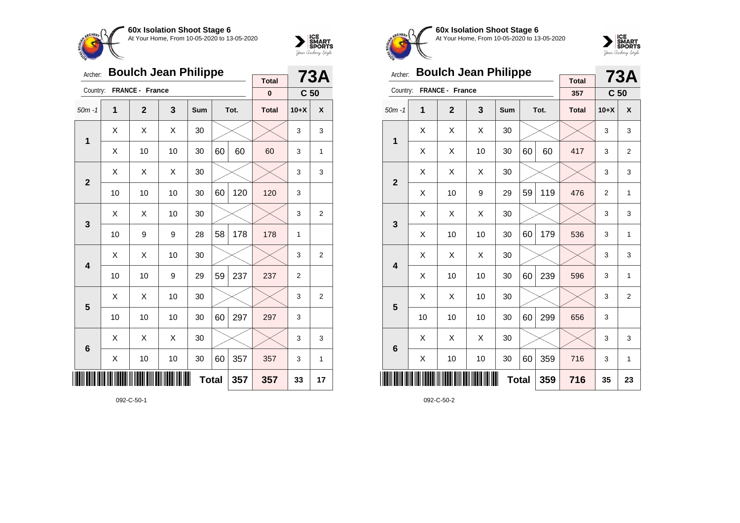



| Archer:         |    | <b>Boulch Jean Philippe</b> |     | <b>Total</b> |    | 73A          |              |                 |                |
|-----------------|----|-----------------------------|-----|--------------|----|--------------|--------------|-----------------|----------------|
| Country:        |    | FRANCE - France             |     |              |    |              | $\bf{0}$     | C <sub>50</sub> |                |
| $50m - 1$       | 1  | $\mathbf{2}$                | 3   | Sum          |    | Tot.         | <b>Total</b> | $10+X$          | X              |
|                 | X  | Χ                           | X   | 30           |    |              |              | 3               | 3              |
| 1               | X  | 10                          | 10  | 30           | 60 | 60           | 60           | 3               | $\mathbf{1}$   |
| $\overline{2}$  | X  | Χ                           | X   | 30           |    |              |              | 3               | 3              |
|                 | 10 | 10                          | 10  | 30           | 60 | 120          | 120          | 3               |                |
| 3               | X  | Χ                           | 10  | 30           |    |              |              | 3               | $\overline{2}$ |
|                 | 10 | 9                           | 9   | 28           | 58 | 178          | 178          | 1               |                |
| 4               | X  | X                           | 10  | 30           |    |              |              | 3               | $\overline{2}$ |
|                 | 10 | 10                          | 9   | 29           | 59 | 237          | 237          | $\overline{2}$  |                |
| 5               | X  | Χ                           | 10  | 30           |    |              |              | 3               | $\overline{2}$ |
|                 | 10 | 10                          | 10  | 30           | 60 | 297          | 297          | 3               |                |
| $6\phantom{1}6$ | X  | X                           | X   | 30           |    |              |              | 3               | 3              |
|                 | Χ  | 10                          | 357 | 357          | 3  | $\mathbf{1}$ |              |                 |                |
| ║║║             |    |                             |     | <b>Total</b> |    | 357          | 357          | 33              | 17             |

092-C-50-1



**60x Isolation Shoot Stage 6** At Your Home, From 10-05-2020 to 13-05-2020



| Archer:         |    | <b>Boulch Jean Philippe</b> |     |            |    | 73A  |                     |                 |                |
|-----------------|----|-----------------------------|-----|------------|----|------|---------------------|-----------------|----------------|
| Country:        |    | <b>FRANCE - France</b>      |     |            |    |      | <b>Total</b><br>357 | C <sub>50</sub> |                |
| $50m - 1$       | 1  | $\overline{2}$              | 3   | <b>Sum</b> |    | Tot. | <b>Total</b>        | $10+X$          | X              |
| 1               | X  | X                           | X   | 30         |    |      |                     | 3               | 3              |
|                 | X  | X                           | 10  | 30         | 60 | 60   | 417                 | 3               | $\overline{2}$ |
| $\overline{2}$  | X  | X                           | X   | 30         |    |      |                     | 3               | 3              |
|                 | Χ  | 10                          | 9   | 29         | 59 | 119  | 476                 | $\overline{2}$  | $\mathbf{1}$   |
|                 | X  | X                           | X   | 30         |    |      |                     | 3               | 3              |
| 3               | X  | 10                          | 10  | 30         | 60 | 179  | 536                 | 3               | 1              |
| 4               | X  | X                           | X   | 30         |    |      |                     | 3               | 3              |
|                 | Χ  | 10                          | 10  | 30         | 60 | 239  | 596                 | 3               | $\mathbf{1}$   |
| 5               | Χ  | X                           | 10  | 30         |    |      |                     | 3               | $\overline{2}$ |
|                 | 10 | 10                          | 10  | 30         | 60 | 299  | 656                 | 3               |                |
| $6\phantom{1}6$ | X  | X                           | X   | 30         |    |      |                     | 3               | 3              |
|                 | X  | 10                          | 10  | 30         | 60 | 359  | 716                 | 3               | $\mathbf{1}$   |
|                 |    |                             | 716 | 35         | 23 |      |                     |                 |                |

092-C-50-2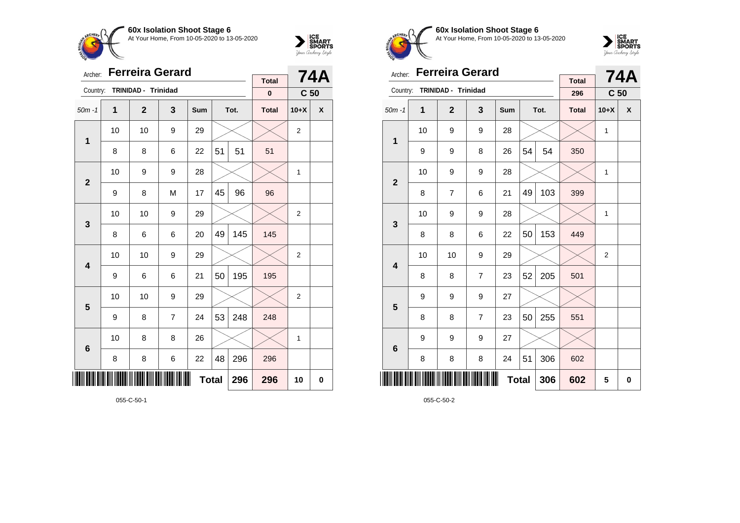



| Archer:      |                                | Ferreira Gerard     |                |     |    | <b>74A</b> |                           |                 |   |
|--------------|--------------------------------|---------------------|----------------|-----|----|------------|---------------------------|-----------------|---|
| Country:     |                                | TRINIDAD - Trinidad |                |     |    |            | <b>Total</b><br>$\pmb{0}$ | C <sub>50</sub> |   |
| $50m - 1$    | $\mathbf{1}$                   | $\mathbf{2}$        | 3              | Sum |    | Tot.       | <b>Total</b>              | $10+X$          | X |
| 1            | 10                             | 10                  | 9              | 29  |    |            |                           | $\overline{2}$  |   |
|              | 8                              | 8                   | 6              | 22  | 51 | 51         | 51                        |                 |   |
| $\mathbf{2}$ | 10                             | 9                   | 9              | 28  |    |            |                           | 1               |   |
|              | 9                              | 8                   | M              | 17  | 45 | 96         | 96                        |                 |   |
| 3            | 10                             | 10                  | 9              | 29  |    |            |                           | $\overline{2}$  |   |
|              | 8                              | 6                   | 6              | 20  | 49 | 145        | 145                       |                 |   |
| 4            | 10                             | 10                  | 9              | 29  |    |            |                           | 2               |   |
|              | 9                              | 6                   | 6              | 21  | 50 | 195        | 195                       |                 |   |
| 5            | 10                             | 10                  | 9              | 29  |    |            |                           | $\overline{2}$  |   |
|              | 9                              | 8                   | $\overline{7}$ | 24  | 53 | 248        | 248                       |                 |   |
| 6            | 10                             | 8                   | 8              | 26  |    |            |                           | 1               |   |
|              | 48<br>296<br>8<br>8<br>6<br>22 |                     |                |     |    |            |                           |                 |   |
|              |                                |                     | 296            | 10  | 0  |            |                           |                 |   |

055-C-50-1



**60x Isolation Shoot Stage 6** At Your Home, From 10-05-2020 to 13-05-2020



| Archer:                 |    | <b>Ferreira Gerard</b> |                |     |              | <b>74A</b> |                     |                 |   |
|-------------------------|----|------------------------|----------------|-----|--------------|------------|---------------------|-----------------|---|
| Country:                |    | TRINIDAD - Trinidad    |                |     |              |            | <b>Total</b><br>296 | C <sub>50</sub> |   |
| $50m - 1$               | 1  | $\overline{2}$         | 3              | Sum |              | Tot.       | <b>Total</b>        | $10+X$          | X |
| 1                       | 10 | 9                      | 9              | 28  |              |            |                     | 1               |   |
|                         | 9  | 9                      | 8              | 26  | 54           | 54         | 350                 |                 |   |
| $\mathbf{2}$            | 10 | 9                      | 9              | 28  |              |            |                     | $\mathbf{1}$    |   |
|                         | 8  | 7                      | 6              | 21  | 49           | 103        | 399                 |                 |   |
| 3                       | 10 | 9                      | 9              | 28  |              |            |                     | 1               |   |
|                         | 8  | 8                      | 6              | 22  | 50           | 153        | 449                 |                 |   |
| $\overline{\mathbf{4}}$ | 10 | 10                     | 9              | 29  |              |            |                     | 2               |   |
|                         | 8  | 8                      | $\overline{7}$ | 23  | 52           | 205        | 501                 |                 |   |
| 5                       | 9  | 9                      | 9              | 27  |              |            |                     |                 |   |
|                         | 8  | 8                      | $\overline{7}$ | 23  | 50           | 255        | 551                 |                 |   |
| $6\phantom{1}6$         | 9  | 9                      | 9              | 27  |              |            |                     |                 |   |
|                         | 8  | 8                      | 8              | 24  | 51           | 306        | 602                 |                 |   |
| ║║                      |    |                        |                |     | <b>Total</b> | 306        | 602                 | 5               | 0 |

055-C-50-2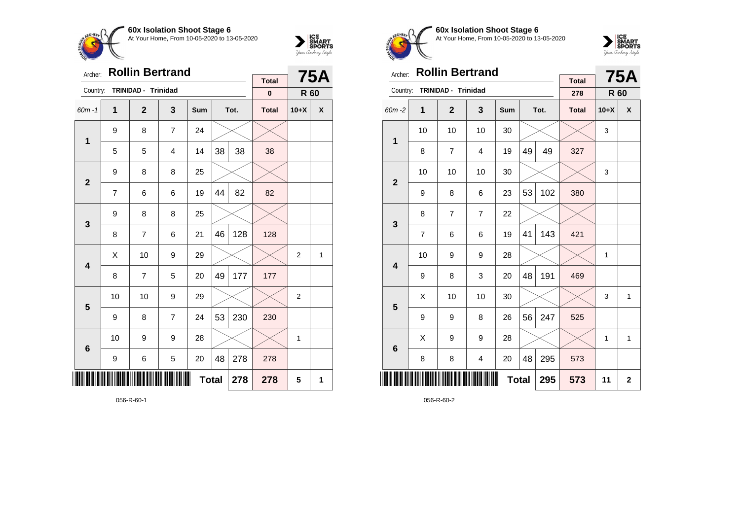



| Archer:        |    | <b>Rollin Bertrand</b> |                |              |    | 75A  |                           |                |   |
|----------------|----|------------------------|----------------|--------------|----|------|---------------------------|----------------|---|
| Country:       |    | TRINIDAD - Trinidad    |                |              |    |      | <b>Total</b><br>$\pmb{0}$ | R 60           |   |
| $60m - 1$      | 1  | $\mathbf{2}$           | 3              | Sum          |    | Tot. | <b>Total</b>              | $10+X$         | X |
|                | 9  | 8                      | $\overline{7}$ | 24           |    |      |                           |                |   |
| $\mathbf 1$    | 5  | 5                      | 4              | 14           | 38 | 38   | 38                        |                |   |
| $\overline{2}$ | 9  | 8                      | 8              | 25           |    |      |                           |                |   |
|                | 7  | 6                      | 6              | 19           | 44 | 82   | 82                        |                |   |
| 3              | 9  | 8                      | 8              | 25           |    |      |                           |                |   |
|                | 8  | 7                      | 6              | 21           | 46 | 128  | 128                       |                |   |
| 4              | Χ  | 10                     | 9              | 29           |    |      |                           | $\overline{c}$ | 1 |
|                | 8  | 7                      | 5              | 20           | 49 | 177  | 177                       |                |   |
| 5              | 10 | 10                     | 9              | 29           |    |      |                           | $\overline{c}$ |   |
|                | 9  | 8                      | $\overline{7}$ | 24           | 53 | 230  | 230                       |                |   |
| 6              | 10 | 9                      | 9              | 28           |    |      |                           | 1              |   |
|                | 9  | 6                      | 5              | 20           | 48 | 278  | 278                       |                |   |
| IIIII          |    |                        |                | <b>Total</b> |    | 278  | 278                       | 5              | 1 |

056-R-60-1



**60x Isolation Shoot Stage 6** At Your Home, From 10-05-2020 to 13-05-2020



| Archer:                 |    | <b>Rollin Bertrand</b> |                |     |    | <b>75A</b>   |                     |        |              |
|-------------------------|----|------------------------|----------------|-----|----|--------------|---------------------|--------|--------------|
| Country:                |    | TRINIDAD - Trinidad    |                |     |    |              | <b>Total</b><br>278 | R 60   |              |
| 60m-2                   | 1  | $\overline{2}$         | 3              | Sum |    | Tot.         | <b>Total</b>        | $10+X$ | X            |
| 1                       | 10 | 10                     | 10             | 30  |    |              |                     | 3      |              |
|                         | 8  | $\overline{7}$         | $\overline{4}$ | 19  | 49 | 49           | 327                 |        |              |
| $\overline{2}$          | 10 | 10                     | 10             | 30  |    |              |                     | 3      |              |
|                         | 9  | 8                      | 6              | 23  | 53 | 102          | 380                 |        |              |
| 3                       | 8  | $\overline{7}$         | $\overline{7}$ | 22  |    |              |                     |        |              |
|                         | 7  | 6                      | 6              | 19  | 41 | 143          | 421                 |        |              |
| $\overline{\mathbf{4}}$ | 10 | 9                      | 9              | 28  |    |              |                     | 1      |              |
|                         | 9  | 8                      | 3              | 20  | 48 | 191          | 469                 |        |              |
| 5                       | X  | 10                     | 10             | 30  |    |              |                     | 3      | $\mathbf{1}$ |
|                         | 9  | 9                      | 8              | 26  | 56 | 247          | 525                 |        |              |
| 6                       | X  | 9                      | 9              | 28  |    |              |                     | 1      | $\mathbf{1}$ |
|                         | 8  | 8                      | 4              | 20  | 48 | 295          | 573                 |        |              |
| Ⅲ                       |    |                        | 295            | 573 | 11 | $\mathbf{2}$ |                     |        |              |

056-R-60-2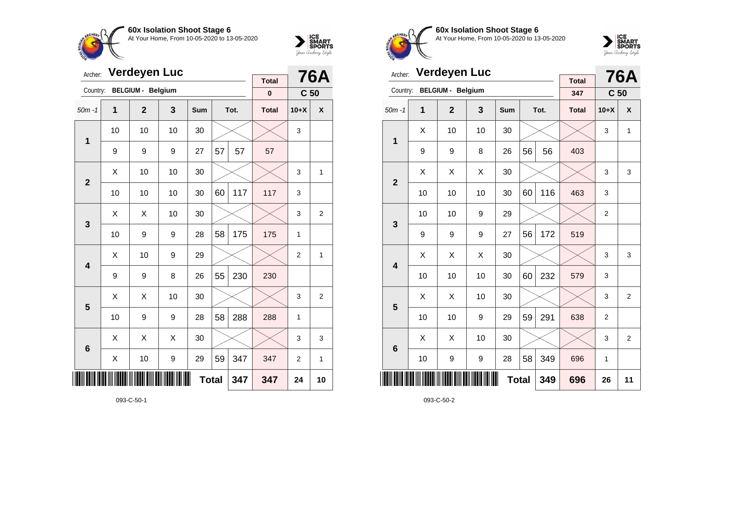



| Archer:                 |    | <b>Verdeyen Luc</b>      |    |            |              | <b>76A</b> |                          |                 |                |
|-------------------------|----|--------------------------|----|------------|--------------|------------|--------------------------|-----------------|----------------|
| Country:                |    | <b>BELGIUM - Belgium</b> |    |            |              |            | <b>Total</b><br>$\bf{0}$ | C <sub>50</sub> |                |
| $50m - 1$               | 1  | $\overline{2}$           | 3  | <b>Sum</b> |              | Tot.       | <b>Total</b>             | $10+X$          | X              |
|                         | 10 | 10                       | 10 | 30         |              |            |                          | 3               |                |
| 1                       | 9  | 9                        | 9  | 27         | 57           | 57         | 57                       |                 |                |
| $\overline{2}$          | X  | 10                       | 10 | 30         |              |            |                          | 3               | 1              |
|                         | 10 | 10                       | 10 | 30         | 60           | 117        | 117                      | 3               |                |
| 3                       | X  | X                        | 10 | 30         |              |            |                          | 3               | $\overline{2}$ |
|                         | 10 | 9                        | 9  | 28         | 58           | 175        | 175                      | 1               |                |
| $\overline{\mathbf{4}}$ | X  | 10                       | 9  | 29         |              |            |                          | $\overline{2}$  | 1              |
|                         | 9  | 9                        | 8  | 26         | 55           | 230        | 230                      |                 |                |
| 5                       | X  | Χ                        | 10 | 30         |              |            |                          | 3               | $\overline{2}$ |
|                         | 10 | 9                        | 9  | 28         | 58           | 288        | 288                      | 1               |                |
| $6\phantom{1}6$         | X  | X                        | X  | 30         |              |            |                          | 3               | 3              |
|                         | X  | 10                       | 9  | 29         | 59           | 347        | 347                      | $\overline{2}$  | 1              |
| ║║                      |    |                          |    |            | <b>Total</b> | 347        | 347                      | 24              | 10             |

093-C-50-1



**60x Isolation Shoot Stage 6** At Your Home, From 10-05-2020 to 13-05-2020



| Archer:        |    | <b>Verdeyen Luc</b>      |    | <b>Total</b> |    | <b>76A</b> |              |                 |                  |
|----------------|----|--------------------------|----|--------------|----|------------|--------------|-----------------|------------------|
| Country:       |    | <b>BELGIUM - Belgium</b> |    |              |    |            | 347          | C <sub>50</sub> |                  |
| $50m - 1$      | 1  | $\overline{2}$           | 3  | <b>Sum</b>   |    | Tot.       | <b>Total</b> | $10+X$          | $\boldsymbol{x}$ |
| 1              | X  | 10                       | 10 | 30           |    |            |              | 3               | 1                |
|                | 9  | 9                        | 8  | 26           | 56 | 56         | 403          |                 |                  |
| $\overline{2}$ | X  | Χ                        | X  | 30           |    |            |              | 3               | 3                |
|                | 10 | 10                       | 10 | 30           | 60 | 116        | 463          | 3               |                  |
| 3              | 10 | 10                       | 9  | 29           |    |            |              | $\overline{2}$  |                  |
|                | 9  | 9                        | 9  | 27           | 56 | 172        | 519          |                 |                  |
| 4              | X  | Χ                        | X  | 30           |    |            |              | 3               | 3                |
|                | 10 | 10                       | 10 | 30           | 60 | 232        | 579          | 3               |                  |
| 5              | X  | X                        | 10 | 30           |    |            |              | 3               | $\overline{2}$   |
|                | 10 | 10                       | 9  | 29           | 59 | 291        | 638          | $\overline{2}$  |                  |
| 6              | X  | X                        | 10 | 30           |    |            |              | 3               | $\overline{2}$   |
|                | 10 | 9                        | 9  | 28           | 58 | 349        | 696          | 1               |                  |
| ║║║            |    |                          |    | <b>Total</b> |    | 349        | 696          | 26              | 11               |

093-C-50-2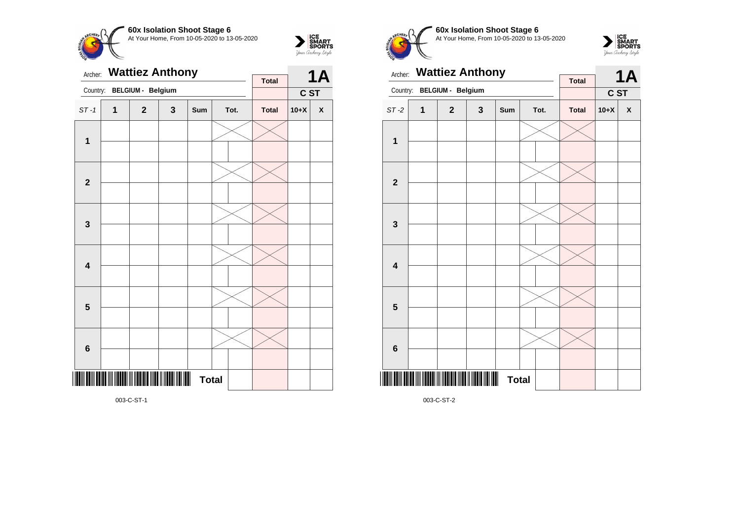



Archer: **Wattiez Anthony** Country: **BELGIUM - Belgium 1A C ST Total** ST -1 **1 2 3 Sum Tot. Total 10+X X 1 2 3 4 5 6** \*003-C-ST-1\* **Total** 

**60x Isolation Shoot Stage 6 CHEPL** At Your Home, From 10-05-2020 to 13-05-2020

003-C-ST-2



| Archer:                 |   | <b>Wattiez Anthony</b>   |                | <b>Total</b> |  | <b>1A</b> |              |            |   |
|-------------------------|---|--------------------------|----------------|--------------|--|-----------|--------------|------------|---|
| Country:                |   | <b>BELGIUM - Belgium</b> |                |              |  |           |              | <b>CST</b> |   |
| $ST-2$                  | 1 | $\mathbf{2}$             | 3              | Sum          |  | Tot.      | <b>Total</b> | $10+X$     | X |
| 1                       |   |                          |                |              |  |           |              |            |   |
|                         |   |                          |                |              |  |           |              |            |   |
| $\mathbf{2}$            |   |                          |                |              |  |           |              |            |   |
|                         |   |                          |                |              |  |           |              |            |   |
| $\mathbf{3}$            |   |                          |                |              |  |           |              |            |   |
|                         |   |                          |                |              |  |           |              |            |   |
| $\overline{\mathbf{4}}$ |   |                          |                |              |  |           |              |            |   |
|                         |   |                          |                |              |  |           |              |            |   |
| 5                       |   |                          |                |              |  |           |              |            |   |
|                         |   |                          |                |              |  |           |              |            |   |
| $6\phantom{1}6$         |   |                          |                |              |  |           |              |            |   |
|                         |   |                          |                |              |  |           |              |            |   |
|                         |   |                          | $\blacksquare$ | <b>Total</b> |  |           |              |            |   |

003-C-ST-1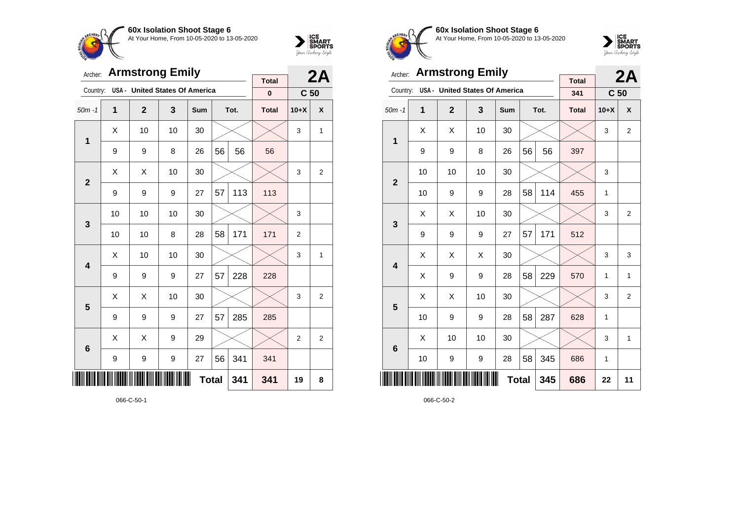



| Archer:                 |    | <b>Armstrong Emily</b>         |    |              |    | 2A   |                          |                 |                |
|-------------------------|----|--------------------------------|----|--------------|----|------|--------------------------|-----------------|----------------|
| Country:                |    | USA - United States Of America |    |              |    |      | <b>Total</b><br>$\bf{0}$ | C <sub>50</sub> |                |
| $50m - 1$               | 1  | $\overline{2}$                 | 3  | <b>Sum</b>   |    | Tot. | <b>Total</b>             | $10+X$          | X              |
| 1                       | X  | 10                             | 10 | 30           |    |      |                          | 3               | 1              |
|                         | 9  | 9                              | 8  | 26           | 56 | 56   | 56                       |                 |                |
| $\overline{2}$          | X  | X                              | 10 | 30           |    |      |                          | 3               | $\overline{2}$ |
|                         | 9  | 9                              | 9  | 27           | 57 | 113  | 113                      |                 |                |
| 3                       | 10 | 10                             | 10 | 30           |    |      |                          | 3               |                |
|                         | 10 | 10                             | 8  | 28           | 58 | 171  | 171                      | $\overline{2}$  |                |
| $\overline{\mathbf{4}}$ | X  | 10                             | 10 | 30           |    |      |                          | 3               | 1              |
|                         | 9  | 9                              | 9  | 27           | 57 | 228  | 228                      |                 |                |
| 5                       | X  | X                              | 10 | 30           |    |      |                          | 3               | $\overline{2}$ |
|                         | 9  | 9                              | 9  | 27           | 57 | 285  | 285                      |                 |                |
| $6\phantom{1}6$         | X  | X                              | 9  | 29           |    |      |                          | $\overline{2}$  | $\overline{2}$ |
|                         | 9  | 9                              | 9  | 27           | 56 | 341  | 341                      |                 |                |
|                         |    |                                |    | <b>Total</b> |    | 341  | 341                      | 19              | 8              |

066-C-50-1



**60x Isolation Shoot Stage 6** At Your Home, From 10-05-2020 to 13-05-2020



| Archer:                 |    | <b>Armstrong Emily</b>                |    |              |    | 2A   |                     |                 |                |
|-------------------------|----|---------------------------------------|----|--------------|----|------|---------------------|-----------------|----------------|
| Country:                |    | <b>USA - United States Of America</b> |    |              |    |      | <b>Total</b><br>341 | C <sub>50</sub> |                |
| $50m - 1$               | 1  | $\mathbf{2}$                          | 3  | Sum          |    | Tot. | <b>Total</b>        | $10+X$          | X              |
| 1                       | X  | X                                     | 10 | 30           |    |      |                     | 3               | $\overline{2}$ |
|                         | 9  | 9                                     | 8  | 26           | 56 | 56   | 397                 |                 |                |
| $\overline{2}$          | 10 | 10                                    | 10 | 30           |    |      |                     | 3               |                |
|                         | 10 | 9                                     | 9  | 28           | 58 | 114  | 455                 | 1               |                |
| 3                       | X  | X                                     | 10 | 30           |    |      |                     | 3               | $\overline{2}$ |
|                         | 9  | 9                                     | 9  | 27           | 57 | 171  | 512                 |                 |                |
| $\overline{\mathbf{4}}$ | X  | Χ                                     | Χ  | 30           |    |      |                     | 3               | 3              |
|                         | X  | 9                                     | 9  | 28           | 58 | 229  | 570                 | 1               | 1              |
| 5                       | X  | Χ                                     | 10 | 30           |    |      |                     | 3               | $\overline{2}$ |
|                         | 10 | 9                                     | 9  | 28           | 58 | 287  | 628                 | 1               |                |
| $6\phantom{1}6$         | X  | 10                                    | 10 | 30           |    |      |                     | 3               | $\mathbf{1}$   |
|                         | 10 | 9                                     | 9  | 28           | 58 | 345  | 686                 | 1               |                |
|                         |    |                                       |    | <b>Total</b> |    | 345  | 686                 | 22              | 11             |

066-C-50-2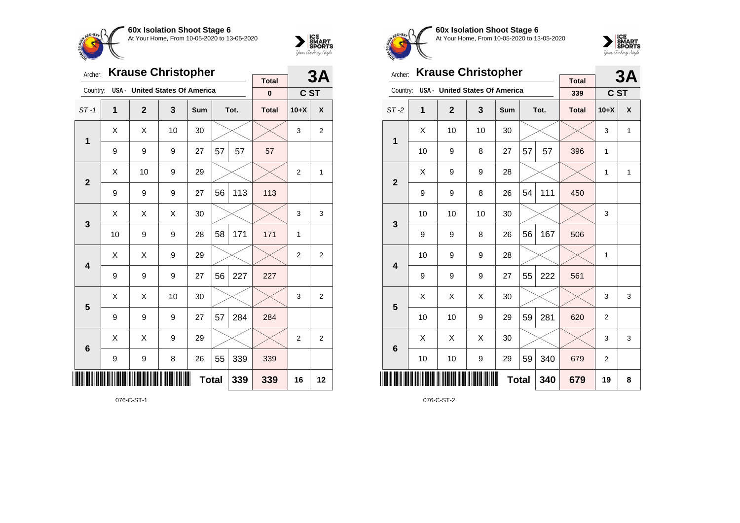



| Archer:                 |    | <b>Krause Christopher</b>             |    |            |              | 3A   |                          |                |                |
|-------------------------|----|---------------------------------------|----|------------|--------------|------|--------------------------|----------------|----------------|
| Country:                |    | <b>USA - United States Of America</b> |    |            |              |      | <b>Total</b><br>$\bf{0}$ | C ST           |                |
| $ST-1$                  | 1  | $\overline{2}$                        | 3  | <b>Sum</b> |              | Tot. | <b>Total</b>             | $10+X$         | X              |
| 1                       | X  | X                                     | 10 | 30         |              |      |                          | 3              | 2              |
|                         | 9  | 9                                     | 9  | 27         | 57           | 57   | 57                       |                |                |
| $\overline{2}$          | X  | 10                                    | 9  | 29         |              |      |                          | $\overline{2}$ | 1              |
|                         | 9  | 9                                     | 9  | 27         | 56           | 113  | 113                      |                |                |
| 3                       | X  | X                                     | X  | 30         |              |      |                          | 3              | 3              |
|                         | 10 | 9                                     | 9  | 28         | 58           | 171  | 171                      | 1              |                |
| $\overline{\mathbf{4}}$ | X  | X                                     | 9  | 29         |              |      |                          | $\overline{2}$ | $\overline{2}$ |
|                         | 9  | 9                                     | 9  | 27         | 56           | 227  | 227                      |                |                |
| 5                       | X  | X                                     | 10 | 30         |              |      |                          | 3              | $\overline{2}$ |
|                         | 9  | 9                                     | 9  | 27         | 57           | 284  | 284                      |                |                |
| $6\phantom{1}6$         | X  | X                                     | 9  | 29         |              |      |                          | $\overline{2}$ | $\overline{2}$ |
|                         | 9  | 9                                     | 8  | 26         | 55           | 339  | 339                      |                |                |
|                         |    |                                       |    |            | <b>Total</b> | 339  | 339                      | 16             | 12             |

076-C-ST-1



**60x Isolation Shoot Stage 6** At Your Home, From 10-05-2020 to 13-05-2020



| Archer:                 |    | <b>Krause Christopher</b>             |    |              |    | 3A   |                     |                |              |
|-------------------------|----|---------------------------------------|----|--------------|----|------|---------------------|----------------|--------------|
| Country:                |    | <b>USA - United States Of America</b> |    |              |    |      | <b>Total</b><br>339 | C ST           |              |
| $ST-2$                  | 1  | $\mathbf{2}$                          | 3  | Sum          |    | Tot. | <b>Total</b>        | $10+X$         | X            |
| 1                       | X  | 10                                    | 10 | 30           |    |      |                     | 3              | $\mathbf{1}$ |
|                         | 10 | 9                                     | 8  | 27           | 57 | 57   | 396                 | 1              |              |
| $\overline{2}$          | X  | 9                                     | 9  | 28           |    |      |                     | 1              | $\mathbf{1}$ |
|                         | 9  | 9                                     | 8  | 26           | 54 | 111  | 450                 |                |              |
| 3                       | 10 | 10                                    | 10 | 30           |    |      |                     | 3              |              |
|                         | 9  | 9                                     | 8  | 26           | 56 | 167  | 506                 |                |              |
| $\overline{\mathbf{4}}$ | 10 | 9                                     | 9  | 28           |    |      |                     | 1              |              |
|                         | 9  | 9                                     | 9  | 27           | 55 | 222  | 561                 |                |              |
| 5                       | X  | X                                     | Χ  | 30           |    |      |                     | 3              | 3            |
|                         | 10 | 10                                    | 9  | 29           | 59 | 281  | 620                 | $\overline{2}$ |              |
| $6\phantom{1}6$         | X  | X                                     | X  | 30           |    |      |                     | 3              | 3            |
|                         | 10 | 10                                    | 9  | 29           | 59 | 340  | 679                 | $\overline{2}$ |              |
| ║║                      |    |                                       |    | <b>Total</b> |    | 340  | 679                 | 19             | 8            |

076-C-ST-2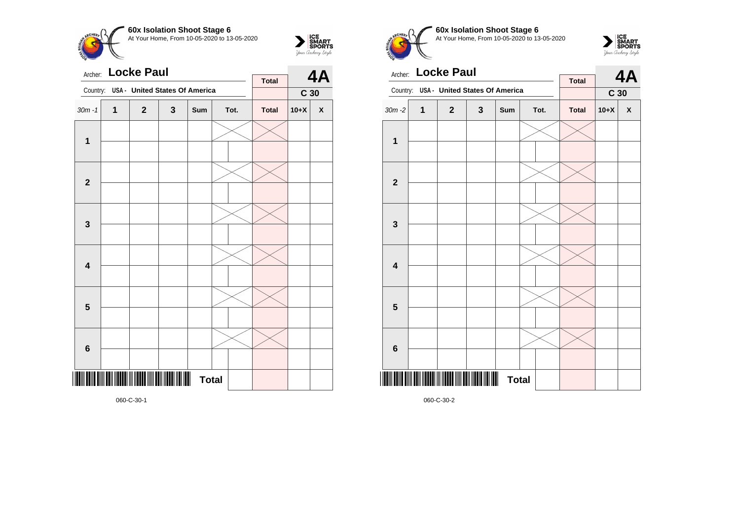



| Archer:                 |                         | <b>Locke Paul</b>                     |              |              |      | <b>Total</b> |                 | 4A                 |
|-------------------------|-------------------------|---------------------------------------|--------------|--------------|------|--------------|-----------------|--------------------|
| Country:                |                         | <b>USA - United States Of America</b> |              |              |      |              | C <sub>30</sub> |                    |
| $30m - 1$               | $\overline{\mathbf{1}}$ | $\mathbf{2}$                          | $\mathbf{3}$ | Sum          | Tot. | <b>Total</b> | $10+X$          | $\pmb{\mathsf{X}}$ |
| $\mathbf 1$             |                         |                                       |              |              |      |              |                 |                    |
| $\overline{2}$          |                         |                                       |              |              |      |              |                 |                    |
|                         |                         |                                       |              |              |      |              |                 |                    |
| $\mathbf 3$             |                         |                                       |              |              |      |              |                 |                    |
| $\overline{\mathbf{4}}$ |                         |                                       |              |              |      |              |                 |                    |
| 5                       |                         |                                       |              |              |      |              |                 |                    |
| $\bf 6$                 |                         |                                       |              |              |      |              |                 |                    |
|                         |                         |                                       |              | <b>Total</b> |      |              |                 |                    |

**60x Isolation Shoot Stage 6**  $are$ At Your Home, From 10-05-2020 to 13-05-2020



|                         |   | Archer: Locke Paul                    |   | <b>Total</b> |  | 4A   |              |                 |                    |
|-------------------------|---|---------------------------------------|---|--------------|--|------|--------------|-----------------|--------------------|
| Country:                |   | <b>USA - United States Of America</b> |   |              |  |      |              | C <sub>30</sub> |                    |
| $30m - 2$               | 1 | $\mathbf{2}$                          | 3 | Sum          |  | Tot. | <b>Total</b> | $10+X$          | $\pmb{\mathsf{X}}$ |
| 1                       |   |                                       |   |              |  |      |              |                 |                    |
|                         |   |                                       |   |              |  |      |              |                 |                    |
| $\mathbf{2}$            |   |                                       |   |              |  |      |              |                 |                    |
|                         |   |                                       |   |              |  |      |              |                 |                    |
| 3                       |   |                                       |   |              |  |      |              |                 |                    |
|                         |   |                                       |   |              |  |      |              |                 |                    |
| $\overline{\mathbf{4}}$ |   |                                       |   |              |  |      |              |                 |                    |
|                         |   |                                       |   |              |  |      |              |                 |                    |
| 5                       |   |                                       |   |              |  |      |              |                 |                    |
|                         |   |                                       |   |              |  |      |              |                 |                    |
| $6\phantom{1}6$         |   |                                       |   |              |  |      |              |                 |                    |
|                         |   |                                       |   |              |  |      |              |                 |                    |
|                         |   |                                       | Ⅲ | <b>Total</b> |  |      |              |                 |                    |

060-C-30-2

060-C-30-1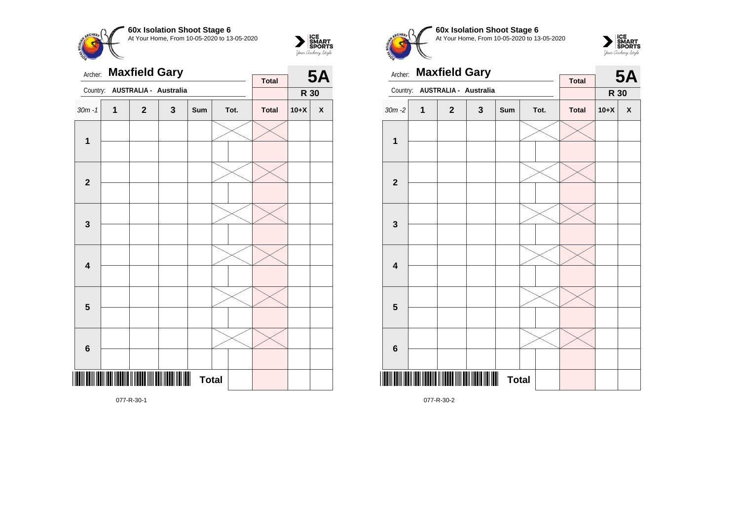



| Archer:                 |              | <b>Maxfield Gary</b>                              |   | <b>Total</b> |  | <b>5A</b> |              |        |                    |
|-------------------------|--------------|---------------------------------------------------|---|--------------|--|-----------|--------------|--------|--------------------|
| Country:                |              | AUSTRALIA - Australia                             |   |              |  |           |              | R 30   |                    |
| $30m - 1$               | $\mathbf{1}$ | $\mathbf 2$                                       | 3 | Sum          |  | Tot.      | <b>Total</b> | $10+X$ | $\pmb{\mathsf{X}}$ |
| $\mathbf 1$             |              |                                                   |   |              |  |           |              |        |                    |
| $\mathbf{2}$            |              |                                                   |   |              |  |           |              |        |                    |
| $\mathbf 3$             |              |                                                   |   |              |  |           |              |        |                    |
| 4                       |              |                                                   |   |              |  |           |              |        |                    |
| $\overline{\mathbf{5}}$ |              |                                                   |   |              |  |           |              |        |                    |
| $\bf 6$                 |              |                                                   |   |              |  |           |              |        |                    |
|                         |              | <u> ITIN ITIN IITININ II IITITTI IIII TIN III</u> |   | <b>Total</b> |  |           |              |        |                    |

**60x Isolation Shoot Stage 6** At Your Home, From 10-05-2020 to 13-05-2020



| Archer:        |   | <b>Maxfield Gary</b>                  |              |              |  | <b>5A</b> |              |        |                    |
|----------------|---|---------------------------------------|--------------|--------------|--|-----------|--------------|--------|--------------------|
| Country:       |   | AUSTRALIA - Australia                 |              |              |  |           | <b>Total</b> | R 30   |                    |
| $30m - 2$      | 1 | $\overline{2}$                        | $\mathbf{3}$ | Sum          |  | Tot.      | <b>Total</b> | $10+X$ | $\pmb{\mathsf{X}}$ |
| $\mathbf 1$    |   |                                       |              |              |  |           |              |        |                    |
|                |   |                                       |              |              |  |           |              |        |                    |
| $\overline{2}$ |   |                                       |              |              |  |           |              |        |                    |
|                |   |                                       |              |              |  |           |              |        |                    |
| $\mathbf{3}$   |   |                                       |              |              |  |           |              |        |                    |
|                |   |                                       |              |              |  |           |              |        |                    |
| 4              |   |                                       |              |              |  |           |              |        |                    |
|                |   |                                       |              |              |  |           |              |        |                    |
| 5              |   |                                       |              |              |  |           |              |        |                    |
|                |   |                                       |              |              |  |           |              |        |                    |
| $\bf 6$        |   |                                       |              |              |  |           |              |        |                    |
|                |   |                                       |              |              |  |           |              |        |                    |
|                |   | <u>                              </u> |              | <b>Total</b> |  |           |              |        |                    |

077-R-30-2

077-R-30-1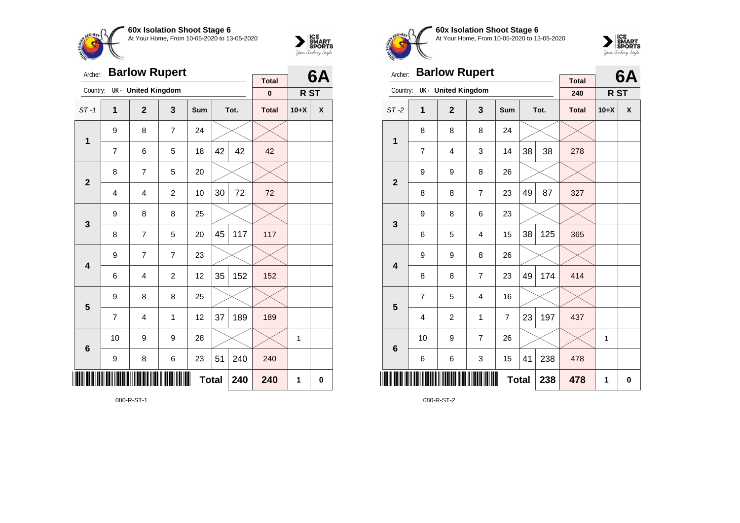



| Archer:                 |                | <b>Barlow Rupert</b>      |                |              |    | 6A   |                          |        |   |
|-------------------------|----------------|---------------------------|----------------|--------------|----|------|--------------------------|--------|---|
| Country:                |                | <b>UK- United Kingdom</b> |                |              |    |      | <b>Total</b><br>$\bf{0}$ | R ST   |   |
|                         |                |                           |                |              |    |      |                          |        |   |
| $ST-1$                  | 1              | $\overline{2}$            | 3              | <b>Sum</b>   |    | Tot. | <b>Total</b>             | $10+X$ | X |
| 1                       | 9              | 8                         | $\overline{7}$ | 24           |    |      |                          |        |   |
|                         | $\overline{7}$ | 6                         | 5              | 18           | 42 | 42   | 42                       |        |   |
| $\overline{2}$          | 8              | $\overline{7}$            | 5              | 20           |    |      |                          |        |   |
|                         | $\overline{4}$ | 4                         | $\overline{c}$ | 10           | 30 | 72   | 72                       |        |   |
| 3                       | 9              | 8                         | 8              | 25           |    |      |                          |        |   |
|                         | 8              | 7                         | 5              | 20           | 45 | 117  | 117                      |        |   |
| $\overline{\mathbf{4}}$ | 9              | 7                         | $\overline{7}$ | 23           |    |      |                          |        |   |
|                         | 6              | 4                         | $\overline{2}$ | 12           | 35 | 152  | 152                      |        |   |
| 5                       | 9              | 8                         | 8              | 25           |    |      |                          |        |   |
|                         | 7              | 4                         | 1              | 12           | 37 | 189  | 189                      |        |   |
| $6\phantom{1}6$         | 10             | 9                         | 9              | 28           |    |      |                          | 1      |   |
|                         | 9              | 8                         | 6              | 23           | 51 | 240  | 240                      |        |   |
| Ⅲ                       |                |                           |                | <b>Total</b> |    | 240  | 240                      | 1      | 0 |



**60x Isolation Shoot Stage 6** At Your Home, From 10-05-2020 to 13-05-2020



| Archer:         |                | <b>Barlow Rupert</b> |                |              |    | 6A   |                     |                 |          |
|-----------------|----------------|----------------------|----------------|--------------|----|------|---------------------|-----------------|----------|
| Country:        |                | UK - United Kingdom  |                |              |    |      | <b>Total</b><br>240 | R <sub>ST</sub> |          |
| $ST-2$          | 1              | $\overline{2}$       | 3              | Sum          |    | Tot. | <b>Total</b>        | $10+X$          | X        |
| $\mathbf{1}$    | 8              | 8                    | 8              | 24           |    |      |                     |                 |          |
|                 | 7              | $\overline{4}$       | 3              | 14           | 38 | 38   | 278                 |                 |          |
| $\mathbf{2}$    | 9              | 9                    | 8              | 26           |    |      |                     |                 |          |
|                 | 8              | 8                    | 7              | 23           | 49 | 87   | 327                 |                 |          |
| 3               | 9              | 8                    | 6              | 23           |    |      |                     |                 |          |
|                 | 6              | 5                    | 4              | 15           | 38 | 125  | 365                 |                 |          |
| 4               | 9              | 9                    | 8              | 26           |    |      |                     |                 |          |
|                 | 8              | 8                    | 7              | 23           | 49 | 174  | 414                 |                 |          |
| 5               | $\overline{7}$ | 5                    | $\overline{4}$ | 16           |    |      |                     |                 |          |
|                 | 4              | $\overline{c}$       | 1              | 7            | 23 | 197  | 437                 |                 |          |
| $6\phantom{1}6$ | 10             | 9                    | $\overline{7}$ | 26           |    |      |                     | 1               |          |
|                 | 6              | 6                    | 3              | 15           | 41 | 238  | 478                 |                 |          |
| ║               |                |                      |                | <b>Total</b> |    | 238  | 478                 | 1               | $\bf{0}$ |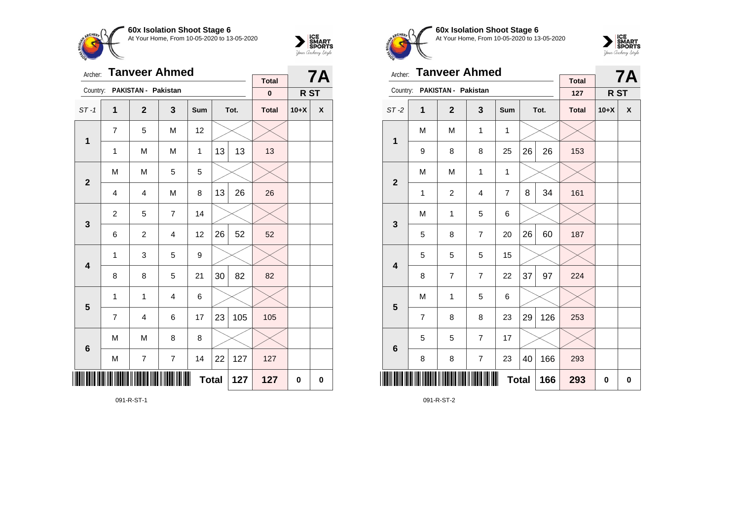



| Archer:        |                | <b>Tanveer Ahmed</b> |                |              |    | <b>7A</b> |                           |        |   |
|----------------|----------------|----------------------|----------------|--------------|----|-----------|---------------------------|--------|---|
| Country:       |                | PAKISTAN - Pakistan  |                |              |    |           | <b>Total</b><br>$\pmb{0}$ | R ST   |   |
| $ST-1$         | 1              | $\mathbf{2}$         | 3              | Sum          |    | Tot.      | <b>Total</b>              | $10+X$ | χ |
| $\mathbf 1$    | $\overline{7}$ | 5                    | M              | 12           |    |           |                           |        |   |
|                | 1              | M                    | M              | 1            | 13 | 13        | 13                        |        |   |
| $\overline{2}$ | M              | M                    |                |              |    |           |                           |        |   |
|                | $\overline{4}$ | $\overline{4}$       | M              | 8            | 13 | 26        | 26                        |        |   |
| $\mathbf{3}$   | $\overline{c}$ | 5                    | $\overline{7}$ | 14           |    |           |                           |        |   |
|                | 6              | $\overline{c}$       | $\overline{4}$ | 12           | 26 | 52        | 52                        |        |   |
| 4              | 1              | 3                    | 5              | 9            |    |           |                           |        |   |
|                | 8              | 8                    | 5              | 21           | 30 | 82        | 82                        |        |   |
| 5              | 1              | 1                    | $\overline{4}$ | 6            |    |           |                           |        |   |
|                | $\overline{7}$ | 4                    | 6              | 17           | 23 | 105       | 105                       |        |   |
| 6              | M              | M                    | 8              | 8            |    |           |                           |        |   |
|                | M              | $\overline{7}$       | $\overline{7}$ | 14           | 22 | 127       | 127                       |        |   |
|                |                |                      |                | <b>Total</b> |    | 127       | 127                       | 0      | 0 |



**60x Isolation Shoot Stage 6** At Your Home, From 10-05-2020 to 13-05-2020



| <b>Tanveer Ahmed</b><br>Archer: |   |                |                |              |      |     |                                 | <b>7A</b> |   |
|---------------------------------|---|----------------|----------------|--------------|------|-----|---------------------------------|-----------|---|
| Country:<br>PAKISTAN - Pakistan |   |                |                |              |      | 127 | <b>Total</b><br>R <sub>ST</sub> |           |   |
| $ST-2$                          | 1 | $\overline{2}$ | 3              | <b>Sum</b>   | Tot. |     | <b>Total</b>                    | $10+X$    | X |
| 1                               | M | M              | 1              | 1            |      |     |                                 |           |   |
|                                 | 9 | 8              | 8              | 25           | 26   | 26  | 153                             |           |   |
| $\mathbf{2}$                    | M | M              | 1              | 1            |      |     |                                 |           |   |
|                                 | 1 | $\overline{c}$ | 4              | 7            | 8    | 34  | 161                             |           |   |
| 3                               | M | 1              | 5              | 6            |      |     |                                 |           |   |
|                                 | 5 | 8              | 7              | 20           | 26   | 60  | 187                             |           |   |
| 4                               | 5 | 5              | 5              | 15           |      |     |                                 |           |   |
|                                 | 8 | 7              | 7              | 22           | 37   | 97  | 224                             |           |   |
|                                 | M | 1              | 5              | 6            |      |     |                                 |           |   |
| 5                               | 7 | 8              | 8              | 23           | 29   | 126 | 253                             |           |   |
| $6\phantom{1}6$                 | 5 | 5              | $\overline{7}$ | 17           |      |     |                                 |           |   |
|                                 | 8 | 8              | $\overline{7}$ | 23           | 40   | 166 | 293                             |           |   |
| ║║║                             |   |                |                | <b>Total</b> |      | 166 | 293                             | 0         | 0 |